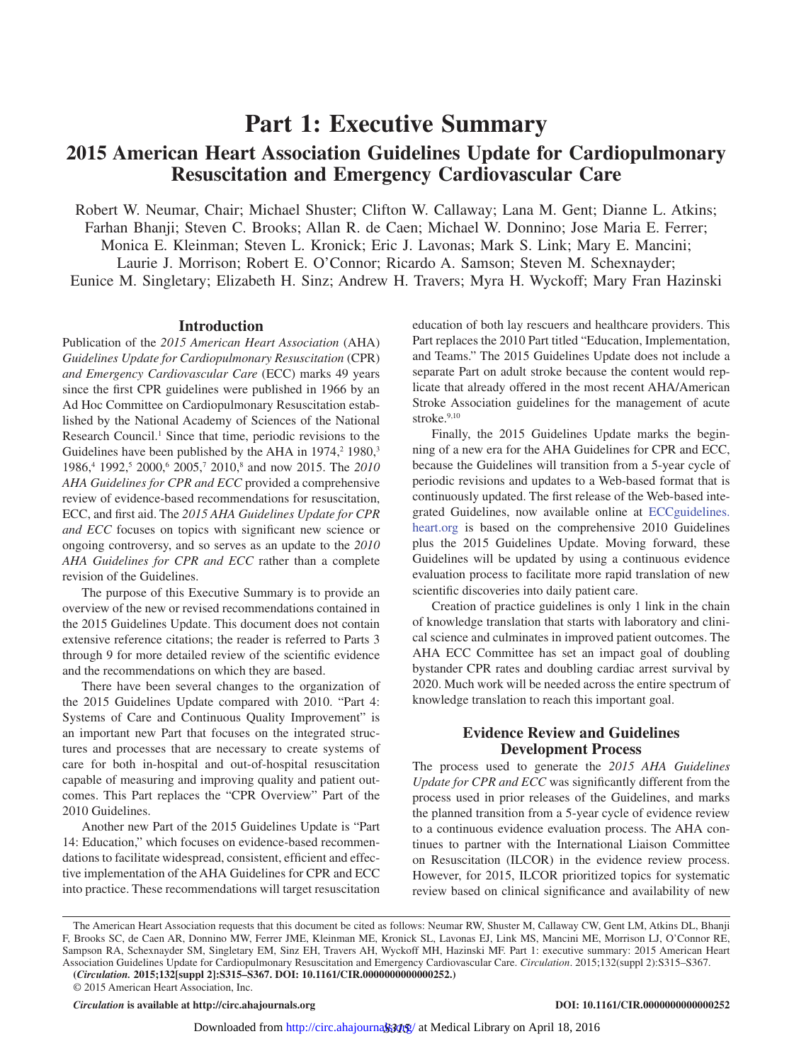# **Part 1: Executive Summary**

# **2015 American Heart Association Guidelines Update for Cardiopulmonary Resuscitation and Emergency Cardiovascular Care**

Robert W. Neumar, Chair; Michael Shuster; Clifton W. Callaway; Lana M. Gent; Dianne L. Atkins; Farhan Bhanji; Steven C. Brooks; Allan R. de Caen; Michael W. Donnino; Jose Maria E. Ferrer; Monica E. Kleinman; Steven L. Kronick; Eric J. Lavonas; Mark S. Link; Mary E. Mancini; Laurie J. Morrison; Robert E. O'Connor; Ricardo A. Samson; Steven M. Schexnayder; Eunice M. Singletary; Elizabeth H. Sinz; Andrew H. Travers; Myra H. Wyckoff; Mary Fran Hazinski

#### **Introduction**

Publication of the *2015 American Heart Association* (AHA) *Guidelines Update for Cardiopulmonary Resuscitation* (CPR) *and Emergency Cardiovascular Care* (ECC) marks 49 years since the first CPR guidelines were published in 1966 by an Ad Hoc Committee on Cardiopulmonary Resuscitation established by the National Academy of Sciences of the National Research Council.<sup>1</sup> Since that time, periodic revisions to the Guidelines have been published by the AHA in  $1974$ ,<sup>2</sup>  $1980$ ,<sup>3</sup> 1986,<sup>4</sup> 1992,<sup>5</sup> 2000,<sup>6</sup> 2005,<sup>7</sup> 2010,<sup>8</sup> and now 2015. The 2010 *AHA Guidelines for CPR and ECC* provided a comprehensive review of evidence-based recommendations for resuscitation, ECC, and first aid. The *2015 AHA Guidelines Update for CPR and ECC* focuses on topics with significant new science or ongoing controversy, and so serves as an update to the *2010 AHA Guidelines for CPR and ECC* rather than a complete revision of the Guidelines.

The purpose of this Executive Summary is to provide an overview of the new or revised recommendations contained in the 2015 Guidelines Update. This document does not contain extensive reference citations; the reader is referred to Parts 3 through 9 for more detailed review of the scientific evidence and the recommendations on which they are based.

There have been several changes to the organization of the 2015 Guidelines Update compared with 2010. "Part 4: Systems of Care and Continuous Quality Improvement" is an important new Part that focuses on the integrated structures and processes that are necessary to create systems of care for both in-hospital and out-of-hospital resuscitation capable of measuring and improving quality and patient outcomes. This Part replaces the "CPR Overview" Part of the 2010 Guidelines.

Another new Part of the 2015 Guidelines Update is "Part 14: Education," which focuses on evidence-based recommendations to facilitate widespread, consistent, efficient and effective implementation of the AHA Guidelines for CPR and ECC into practice. These recommendations will target resuscitation education of both lay rescuers and healthcare providers. This Part replaces the 2010 Part titled "Education, Implementation, and Teams." The 2015 Guidelines Update does not include a separate Part on adult stroke because the content would replicate that already offered in the most recent AHA/American Stroke Association guidelines for the management of acute stroke.<sup>9,10</sup>

Finally, the 2015 Guidelines Update marks the beginning of a new era for the AHA Guidelines for CPR and ECC, because the Guidelines will transition from a 5-year cycle of periodic revisions and updates to a Web-based format that is continuously updated. The first release of the Web-based integrated Guidelines, now available online at [ECCguidelines.](http://www.ECCGuidelines.heart.org) [heart.org](http://www.ECCGuidelines.heart.org) is based on the comprehensive 2010 Guidelines plus the 2015 Guidelines Update. Moving forward, these Guidelines will be updated by using a continuous evidence evaluation process to facilitate more rapid translation of new scientific discoveries into daily patient care.

Creation of practice guidelines is only 1 link in the chain of knowledge translation that starts with laboratory and clinical science and culminates in improved patient outcomes. The AHA ECC Committee has set an impact goal of doubling bystander CPR rates and doubling cardiac arrest survival by 2020. Much work will be needed across the entire spectrum of knowledge translation to reach this important goal.

## **Evidence Review and Guidelines Development Process**

The process used to generate the *2015 AHA Guidelines Update for CPR and ECC* was significantly different from the process used in prior releases of the Guidelines, and marks the planned transition from a 5-year cycle of evidence review to a continuous evidence evaluation process. The AHA continues to partner with the International Liaison Committee on Resuscitation (ILCOR) in the evidence review process. However, for 2015, ILCOR prioritized topics for systematic review based on clinical significance and availability of new

© 2015 American Heart Association, Inc.

*Circulation* **is available at http://circ.ahajournals.org DOI: 10.1161/CIR.0000000000000252**

The American Heart Association requests that this document be cited as follows: Neumar RW, Shuster M, Callaway CW, Gent LM, Atkins DL, Bhanji F, Brooks SC, de Caen AR, Donnino MW, Ferrer JME, Kleinman ME, Kronick SL, Lavonas EJ, Link MS, Mancini ME, Morrison LJ, O'Connor RE, Sampson RA, Schexnayder SM, Singletary EM, Sinz EH, Travers AH, Wyckoff MH, Hazinski MF. Part 1: executive summary: 2015 American Heart Association Guidelines Update for Cardiopulmonary Resuscitation and Emergency Cardiovascular Care. *Circulation*. 2015;132(suppl 2):S315–S367. **(***Circulation.* **2015;132[suppl 2]:S315–S367. DOI: 10.1161/CIR.0000000000000252.)**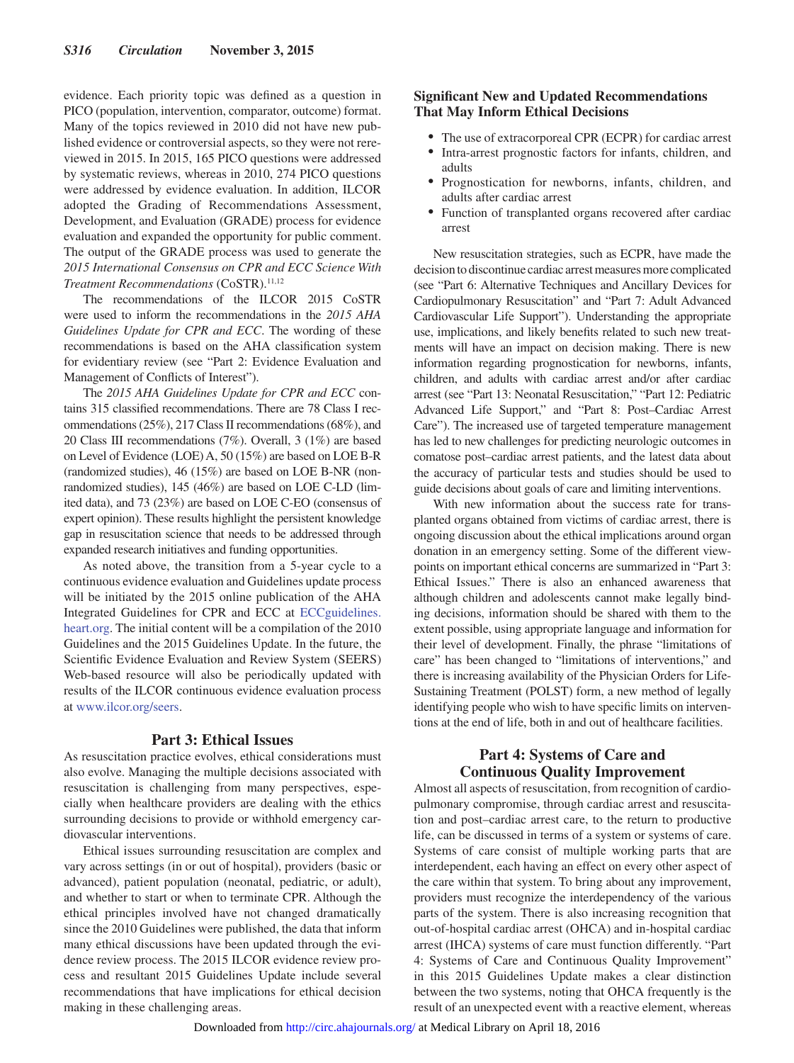evidence. Each priority topic was defined as a question in PICO (population, intervention, comparator, outcome) format. Many of the topics reviewed in 2010 did not have new published evidence or controversial aspects, so they were not rereviewed in 2015. In 2015, 165 PICO questions were addressed by systematic reviews, whereas in 2010, 274 PICO questions were addressed by evidence evaluation. In addition, ILCOR adopted the Grading of Recommendations Assessment, Development, and Evaluation (GRADE) process for evidence evaluation and expanded the opportunity for public comment. The output of the GRADE process was used to generate the *2015 International Consensus on CPR and ECC Science With Treatment Recommendations* (CoSTR).11,12

The recommendations of the ILCOR 2015 CoSTR were used to inform the recommendations in the *2015 AHA Guidelines Update for CPR and ECC*. The wording of these recommendations is based on the AHA classification system for evidentiary review (see "Part 2: Evidence Evaluation and Management of Conflicts of Interest").

The *2015 AHA Guidelines Update for CPR and ECC* contains 315 classified recommendations. There are 78 Class I recommendations (25%), 217 Class II recommendations (68%), and 20 Class III recommendations (7%). Overall, 3 (1%) are based on Level of Evidence (LOE) A, 50 (15%) are based on LOE B-R (randomized studies), 46 (15%) are based on LOE B-NR (nonrandomized studies), 145 (46%) are based on LOE C-LD (limited data), and 73 (23%) are based on LOE C-EO (consensus of expert opinion). These results highlight the persistent knowledge gap in resuscitation science that needs to be addressed through expanded research initiatives and funding opportunities.

As noted above, the transition from a 5-year cycle to a continuous evidence evaluation and Guidelines update process will be initiated by the 2015 online publication of the AHA Integrated Guidelines for CPR and ECC at [ECCguidelines.](http://www.ECCGuidelines.heart.org/) [heart.org.](http://www.ECCGuidelines.heart.org/) The initial content will be a compilation of the 2010 Guidelines and the 2015 Guidelines Update. In the future, the Scientific Evidence Evaluation and Review System (SEERS) Web-based resource will also be periodically updated with results of the ILCOR continuous evidence evaluation process at [www.ilcor.org/seers.](http://www.ilcor.org/seers)

#### **Part 3: Ethical Issues**

As resuscitation practice evolves, ethical considerations must also evolve. Managing the multiple decisions associated with resuscitation is challenging from many perspectives, especially when healthcare providers are dealing with the ethics surrounding decisions to provide or withhold emergency cardiovascular interventions.

Ethical issues surrounding resuscitation are complex and vary across settings (in or out of hospital), providers (basic or advanced), patient population (neonatal, pediatric, or adult), and whether to start or when to terminate CPR. Although the ethical principles involved have not changed dramatically since the 2010 Guidelines were published, the data that inform many ethical discussions have been updated through the evidence review process. The 2015 ILCOR evidence review process and resultant 2015 Guidelines Update include several recommendations that have implications for ethical decision making in these challenging areas.

## **Significant New and Updated Recommendations That May Inform Ethical Decisions**

- The use of extracorporeal CPR (ECPR) for cardiac arrest
- Intra-arrest prognostic factors for infants, children, and adults
- • Prognostication for newborns, infants, children, and adults after cardiac arrest
- Function of transplanted organs recovered after cardiac arrest

New resuscitation strategies, such as ECPR, have made the decision to discontinue cardiac arrest measures more complicated (see "Part 6: Alternative Techniques and Ancillary Devices for Cardiopulmonary Resuscitation" and "Part 7: Adult Advanced Cardiovascular Life Support"). Understanding the appropriate use, implications, and likely benefits related to such new treatments will have an impact on decision making. There is new information regarding prognostication for newborns, infants, children, and adults with cardiac arrest and/or after cardiac arrest (see "Part 13: Neonatal Resuscitation," "Part 12: Pediatric Advanced Life Support," and "Part 8: Post–Cardiac Arrest Care"). The increased use of targeted temperature management has led to new challenges for predicting neurologic outcomes in comatose post–cardiac arrest patients, and the latest data about the accuracy of particular tests and studies should be used to guide decisions about goals of care and limiting interventions.

With new information about the success rate for transplanted organs obtained from victims of cardiac arrest, there is ongoing discussion about the ethical implications around organ donation in an emergency setting. Some of the different viewpoints on important ethical concerns are summarized in "Part 3: Ethical Issues." There is also an enhanced awareness that although children and adolescents cannot make legally binding decisions, information should be shared with them to the extent possible, using appropriate language and information for their level of development. Finally, the phrase "limitations of care" has been changed to "limitations of interventions," and there is increasing availability of the Physician Orders for Life-Sustaining Treatment (POLST) form, a new method of legally identifying people who wish to have specific limits on interventions at the end of life, both in and out of healthcare facilities.

## **Part 4: Systems of Care and Continuous Quality Improvement**

Almost all aspects of resuscitation, from recognition of cardiopulmonary compromise, through cardiac arrest and resuscitation and post–cardiac arrest care, to the return to productive life, can be discussed in terms of a system or systems of care. Systems of care consist of multiple working parts that are interdependent, each having an effect on every other aspect of the care within that system. To bring about any improvement, providers must recognize the interdependency of the various parts of the system. There is also increasing recognition that out-of-hospital cardiac arrest (OHCA) and in-hospital cardiac arrest (IHCA) systems of care must function differently. "Part 4: Systems of Care and Continuous Quality Improvement" in this 2015 Guidelines Update makes a clear distinction between the two systems, noting that OHCA frequently is the result of an unexpected event with a reactive element, whereas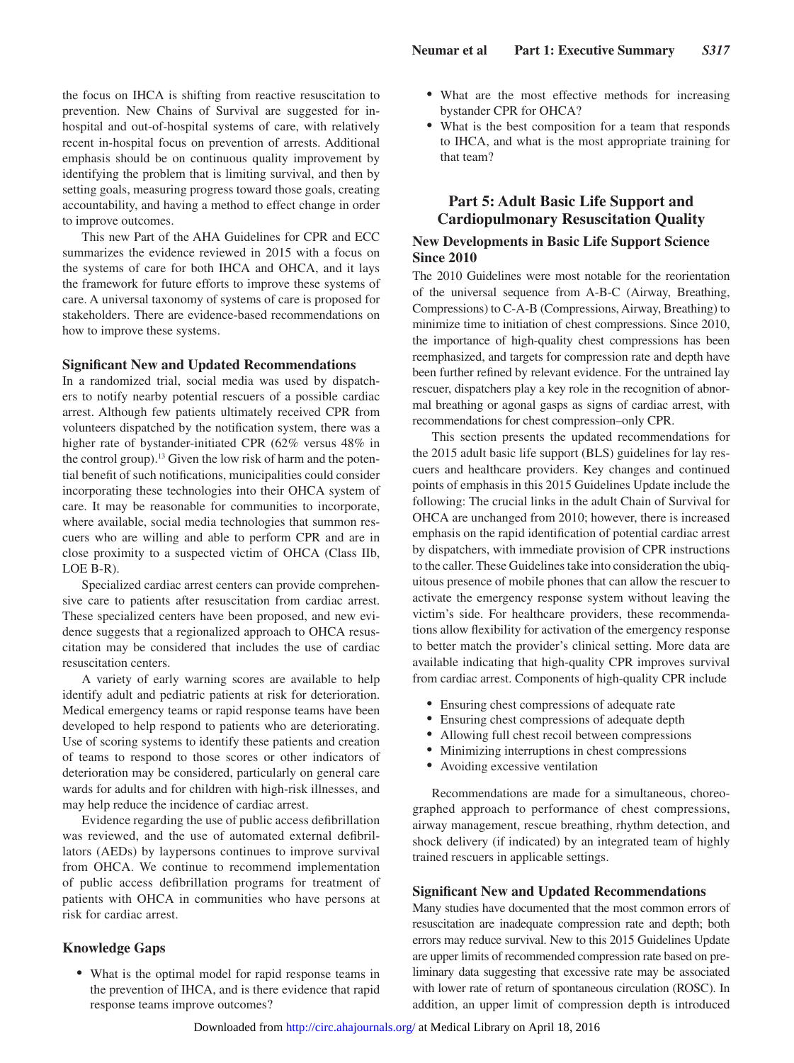the focus on IHCA is shifting from reactive resuscitation to prevention. New Chains of Survival are suggested for inhospital and out-of-hospital systems of care, with relatively recent in-hospital focus on prevention of arrests. Additional emphasis should be on continuous quality improvement by identifying the problem that is limiting survival, and then by setting goals, measuring progress toward those goals, creating accountability, and having a method to effect change in order to improve outcomes.

This new Part of the AHA Guidelines for CPR and ECC summarizes the evidence reviewed in 2015 with a focus on the systems of care for both IHCA and OHCA, and it lays the framework for future efforts to improve these systems of care. A universal taxonomy of systems of care is proposed for stakeholders. There are evidence-based recommendations on how to improve these systems.

#### **Significant New and Updated Recommendations**

In a randomized trial, social media was used by dispatchers to notify nearby potential rescuers of a possible cardiac arrest. Although few patients ultimately received CPR from volunteers dispatched by the notification system, there was a higher rate of bystander-initiated CPR (62% versus 48% in the control group).<sup>13</sup> Given the low risk of harm and the potential benefit of such notifications, municipalities could consider incorporating these technologies into their OHCA system of care. It may be reasonable for communities to incorporate, where available, social media technologies that summon rescuers who are willing and able to perform CPR and are in close proximity to a suspected victim of OHCA (Class IIb, LOE B-R).

Specialized cardiac arrest centers can provide comprehensive care to patients after resuscitation from cardiac arrest. These specialized centers have been proposed, and new evidence suggests that a regionalized approach to OHCA resuscitation may be considered that includes the use of cardiac resuscitation centers.

A variety of early warning scores are available to help identify adult and pediatric patients at risk for deterioration. Medical emergency teams or rapid response teams have been developed to help respond to patients who are deteriorating. Use of scoring systems to identify these patients and creation of teams to respond to those scores or other indicators of deterioration may be considered, particularly on general care wards for adults and for children with high-risk illnesses, and may help reduce the incidence of cardiac arrest.

Evidence regarding the use of public access defibrillation was reviewed, and the use of automated external defibrillators (AEDs) by laypersons continues to improve survival from OHCA. We continue to recommend implementation of public access defibrillation programs for treatment of patients with OHCA in communities who have persons at risk for cardiac arrest.

#### **Knowledge Gaps**

• What is the optimal model for rapid response teams in the prevention of IHCA, and is there evidence that rapid response teams improve outcomes?

- What are the most effective methods for increasing bystander CPR for OHCA?
- What is the best composition for a team that responds to IHCA, and what is the most appropriate training for that team?

## **Part 5: Adult Basic Life Support and Cardiopulmonary Resuscitation Quality**

## **New Developments in Basic Life Support Science Since 2010**

The 2010 Guidelines were most notable for the reorientation of the universal sequence from A-B-C (Airway, Breathing, Compressions) to C-A-B (Compressions, Airway, Breathing) to minimize time to initiation of chest compressions. Since 2010, the importance of high-quality chest compressions has been reemphasized, and targets for compression rate and depth have been further refined by relevant evidence. For the untrained lay rescuer, dispatchers play a key role in the recognition of abnormal breathing or agonal gasps as signs of cardiac arrest, with recommendations for chest compression–only CPR.

This section presents the updated recommendations for the 2015 adult basic life support (BLS) guidelines for lay rescuers and healthcare providers. Key changes and continued points of emphasis in this 2015 Guidelines Update include the following: The crucial links in the adult Chain of Survival for OHCA are unchanged from 2010; however, there is increased emphasis on the rapid identification of potential cardiac arrest by dispatchers, with immediate provision of CPR instructions to the caller. These Guidelines take into consideration the ubiquitous presence of mobile phones that can allow the rescuer to activate the emergency response system without leaving the victim's side. For healthcare providers, these recommendations allow flexibility for activation of the emergency response to better match the provider's clinical setting. More data are available indicating that high-quality CPR improves survival from cardiac arrest. Components of high-quality CPR include

- Ensuring chest compressions of adequate rate
- Ensuring chest compressions of adequate depth
- • Allowing full chest recoil between compressions
- Minimizing interruptions in chest compressions
- Avoiding excessive ventilation

Recommendations are made for a simultaneous, choreographed approach to performance of chest compressions, airway management, rescue breathing, rhythm detection, and shock delivery (if indicated) by an integrated team of highly trained rescuers in applicable settings.

#### **Significant New and Updated Recommendations**

Many studies have documented that the most common errors of resuscitation are inadequate compression rate and depth; both errors may reduce survival. New to this 2015 Guidelines Update are upper limits of recommended compression rate based on preliminary data suggesting that excessive rate may be associated with lower rate of return of spontaneous circulation (ROSC). In addition, an upper limit of compression depth is introduced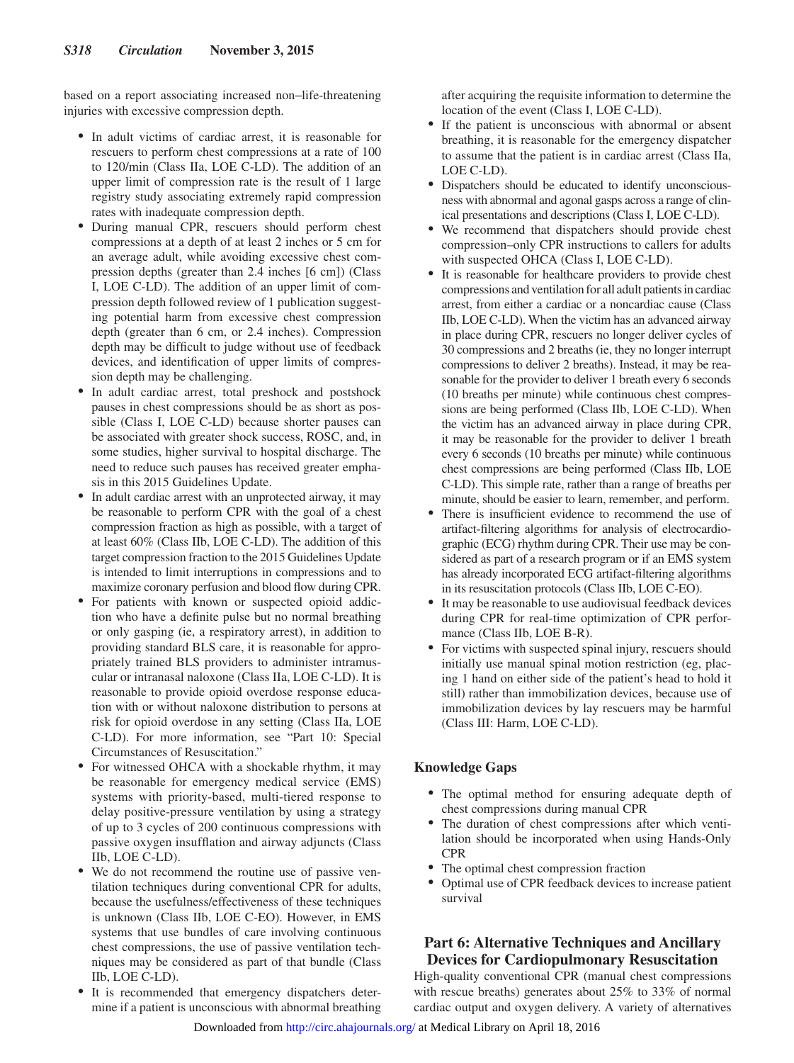based on a report associating increased non–life-threatening injuries with excessive compression depth.

- • In adult victims of cardiac arrest, it is reasonable for rescuers to perform chest compressions at a rate of 100 to 120/min (Class IIa, LOE C-LD). The addition of an upper limit of compression rate is the result of 1 large registry study associating extremely rapid compression rates with inadequate compression depth.
- • During manual CPR, rescuers should perform chest compressions at a depth of at least 2 inches or 5 cm for an average adult, while avoiding excessive chest compression depths (greater than 2.4 inches [6 cm]) (Class I, LOE C-LD). The addition of an upper limit of compression depth followed review of 1 publication suggesting potential harm from excessive chest compression depth (greater than 6 cm, or 2.4 inches). Compression depth may be difficult to judge without use of feedback devices, and identification of upper limits of compression depth may be challenging.
- In adult cardiac arrest, total preshock and postshock pauses in chest compressions should be as short as possible (Class I, LOE C-LD) because shorter pauses can be associated with greater shock success, ROSC, and, in some studies, higher survival to hospital discharge. The need to reduce such pauses has received greater emphasis in this 2015 Guidelines Update.
- In adult cardiac arrest with an unprotected airway, it may be reasonable to perform CPR with the goal of a chest compression fraction as high as possible, with a target of at least 60% (Class IIb, LOE C-LD). The addition of this target compression fraction to the 2015 Guidelines Update is intended to limit interruptions in compressions and to maximize coronary perfusion and blood flow during CPR.
- For patients with known or suspected opioid addiction who have a definite pulse but no normal breathing or only gasping (ie, a respiratory arrest), in addition to providing standard BLS care, it is reasonable for appropriately trained BLS providers to administer intramuscular or intranasal naloxone (Class IIa, LOE C-LD). It is reasonable to provide opioid overdose response education with or without naloxone distribution to persons at risk for opioid overdose in any setting (Class IIa, LOE C-LD). For more information, see "Part 10: Special Circumstances of Resuscitation."
- For witnessed OHCA with a shockable rhythm, it may be reasonable for emergency medical service (EMS) systems with priority-based, multi-tiered response to delay positive-pressure ventilation by using a strategy of up to 3 cycles of 200 continuous compressions with passive oxygen insufflation and airway adjuncts (Class IIb, LOE C-LD).
- We do not recommend the routine use of passive ventilation techniques during conventional CPR for adults, because the usefulness/effectiveness of these techniques is unknown (Class IIb, LOE C-EO). However, in EMS systems that use bundles of care involving continuous chest compressions, the use of passive ventilation techniques may be considered as part of that bundle (Class IIb, LOE C-LD).
- It is recommended that emergency dispatchers determine if a patient is unconscious with abnormal breathing

after acquiring the requisite information to determine the location of the event (Class I, LOE C-LD).

- If the patient is unconscious with abnormal or absent breathing, it is reasonable for the emergency dispatcher to assume that the patient is in cardiac arrest (Class IIa, LOE C-LD).
- Dispatchers should be educated to identify unconsciousness with abnormal and agonal gasps across a range of clinical presentations and descriptions (Class I, LOE C-LD).
- • We recommend that dispatchers should provide chest compression–only CPR instructions to callers for adults with suspected OHCA (Class I, LOE C-LD).
- It is reasonable for healthcare providers to provide chest compressions and ventilation for all adult patients in cardiac arrest, from either a cardiac or a noncardiac cause (Class IIb, LOE C-LD). When the victim has an advanced airway in place during CPR, rescuers no longer deliver cycles of 30 compressions and 2 breaths (ie, they no longer interrupt compressions to deliver 2 breaths). Instead, it may be reasonable for the provider to deliver 1 breath every 6 seconds (10 breaths per minute) while continuous chest compressions are being performed (Class IIb, LOE C-LD). When the victim has an advanced airway in place during CPR, it may be reasonable for the provider to deliver 1 breath every 6 seconds (10 breaths per minute) while continuous chest compressions are being performed (Class IIb, LOE C-LD). This simple rate, rather than a range of breaths per minute, should be easier to learn, remember, and perform.
- There is insufficient evidence to recommend the use of artifact-filtering algorithms for analysis of electrocardiographic (ECG) rhythm during CPR. Their use may be considered as part of a research program or if an EMS system has already incorporated ECG artifact-filtering algorithms in its resuscitation protocols (Class IIb, LOE C-EO).
- It may be reasonable to use audiovisual feedback devices during CPR for real-time optimization of CPR performance (Class IIb, LOE B-R).
- For victims with suspected spinal injury, rescuers should initially use manual spinal motion restriction (eg, placing 1 hand on either side of the patient's head to hold it still) rather than immobilization devices, because use of immobilization devices by lay rescuers may be harmful (Class III: Harm, LOE C-LD).

## **Knowledge Gaps**

- The optimal method for ensuring adequate depth of chest compressions during manual CPR
- The duration of chest compressions after which ventilation should be incorporated when using Hands-Only CPR
- The optimal chest compression fraction
- • Optimal use of CPR feedback devices to increase patient survival

# **Part 6: Alternative Techniques and Ancillary Devices for Cardiopulmonary Resuscitation**

High-quality conventional CPR (manual chest compressions with rescue breaths) generates about 25% to 33% of normal cardiac output and oxygen delivery. A variety of alternatives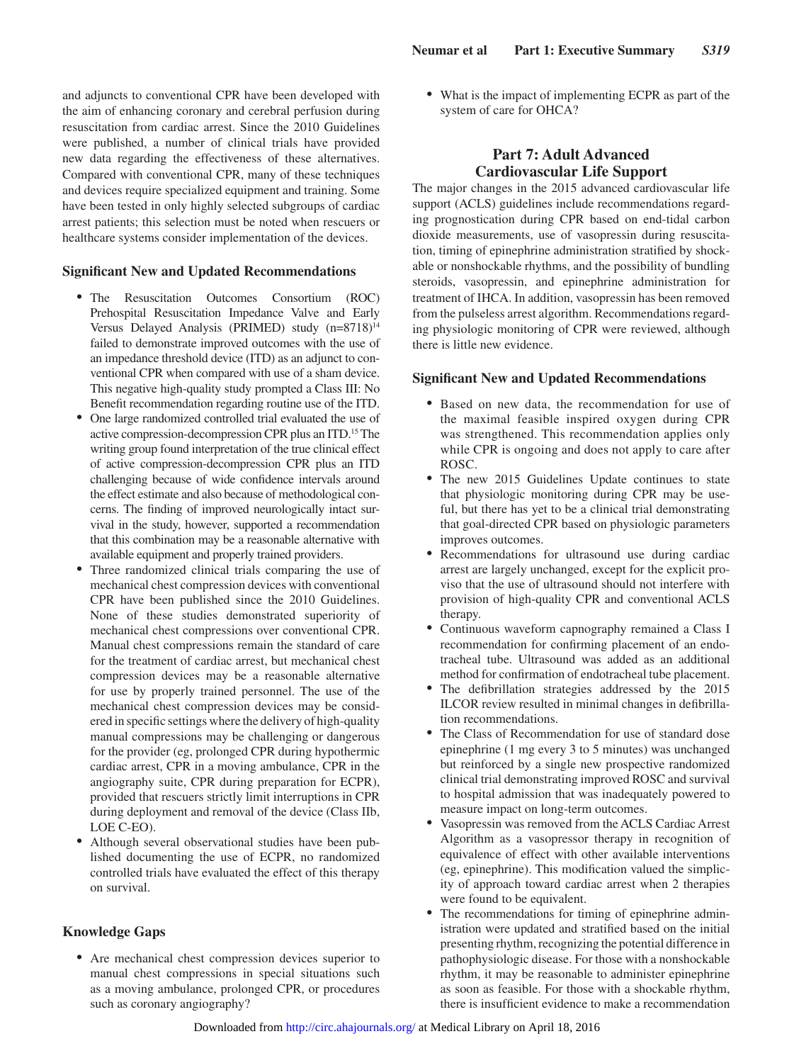and adjuncts to conventional CPR have been developed with the aim of enhancing coronary and cerebral perfusion during resuscitation from cardiac arrest. Since the 2010 Guidelines were published, a number of clinical trials have provided new data regarding the effectiveness of these alternatives. Compared with conventional CPR, many of these techniques and devices require specialized equipment and training. Some have been tested in only highly selected subgroups of cardiac arrest patients; this selection must be noted when rescuers or healthcare systems consider implementation of the devices.

#### **Significant New and Updated Recommendations**

- • The Resuscitation Outcomes Consortium (ROC) Prehospital Resuscitation Impedance Valve and Early Versus Delayed Analysis (PRIMED) study  $(n=8718)^{14}$ failed to demonstrate improved outcomes with the use of an impedance threshold device (ITD) as an adjunct to conventional CPR when compared with use of a sham device. This negative high-quality study prompted a Class III: No Benefit recommendation regarding routine use of the ITD.
- One large randomized controlled trial evaluated the use of active compression-decompression CPR plus an ITD.15 The writing group found interpretation of the true clinical effect of active compression-decompression CPR plus an ITD challenging because of wide confidence intervals around the effect estimate and also because of methodological concerns. The finding of improved neurologically intact survival in the study, however, supported a recommendation that this combination may be a reasonable alternative with available equipment and properly trained providers.
- Three randomized clinical trials comparing the use of mechanical chest compression devices with conventional CPR have been published since the 2010 Guidelines. None of these studies demonstrated superiority of mechanical chest compressions over conventional CPR. Manual chest compressions remain the standard of care for the treatment of cardiac arrest, but mechanical chest compression devices may be a reasonable alternative for use by properly trained personnel. The use of the mechanical chest compression devices may be considered in specific settings where the delivery of high-quality manual compressions may be challenging or dangerous for the provider (eg, prolonged CPR during hypothermic cardiac arrest, CPR in a moving ambulance, CPR in the angiography suite, CPR during preparation for ECPR), provided that rescuers strictly limit interruptions in CPR during deployment and removal of the device (Class IIb, LOE C-EO).
- Although several observational studies have been published documenting the use of ECPR, no randomized controlled trials have evaluated the effect of this therapy on survival.

#### **Knowledge Gaps**

• Are mechanical chest compression devices superior to manual chest compressions in special situations such as a moving ambulance, prolonged CPR, or procedures such as coronary angiography?

• What is the impact of implementing ECPR as part of the system of care for OHCA?

# **Part 7: Adult Advanced Cardiovascular Life Support**

The major changes in the 2015 advanced cardiovascular life support (ACLS) guidelines include recommendations regarding prognostication during CPR based on end-tidal carbon dioxide measurements, use of vasopressin during resuscitation, timing of epinephrine administration stratified by shockable or nonshockable rhythms, and the possibility of bundling steroids, vasopressin, and epinephrine administration for treatment of IHCA. In addition, vasopressin has been removed from the pulseless arrest algorithm. Recommendations regarding physiologic monitoring of CPR were reviewed, although there is little new evidence.

#### **Significant New and Updated Recommendations**

- Based on new data, the recommendation for use of the maximal feasible inspired oxygen during CPR was strengthened. This recommendation applies only while CPR is ongoing and does not apply to care after ROSC.
- The new 2015 Guidelines Update continues to state that physiologic monitoring during CPR may be useful, but there has yet to be a clinical trial demonstrating that goal-directed CPR based on physiologic parameters improves outcomes.
- Recommendations for ultrasound use during cardiac arrest are largely unchanged, except for the explicit proviso that the use of ultrasound should not interfere with provision of high-quality CPR and conventional ACLS therapy.
- • Continuous waveform capnography remained a Class I recommendation for confirming placement of an endotracheal tube. Ultrasound was added as an additional method for confirmation of endotracheal tube placement.
- The defibrillation strategies addressed by the 2015 ILCOR review resulted in minimal changes in defibrillation recommendations.
- The Class of Recommendation for use of standard dose epinephrine (1 mg every 3 to 5 minutes) was unchanged but reinforced by a single new prospective randomized clinical trial demonstrating improved ROSC and survival to hospital admission that was inadequately powered to measure impact on long-term outcomes.
- • Vasopressin was removed from the ACLS Cardiac Arrest Algorithm as a vasopressor therapy in recognition of equivalence of effect with other available interventions (eg, epinephrine). This modification valued the simplicity of approach toward cardiac arrest when 2 therapies were found to be equivalent.
- The recommendations for timing of epinephrine administration were updated and stratified based on the initial presenting rhythm, recognizing the potential difference in pathophysiologic disease. For those with a nonshockable rhythm, it may be reasonable to administer epinephrine as soon as feasible. For those with a shockable rhythm, there is insufficient evidence to make a recommendation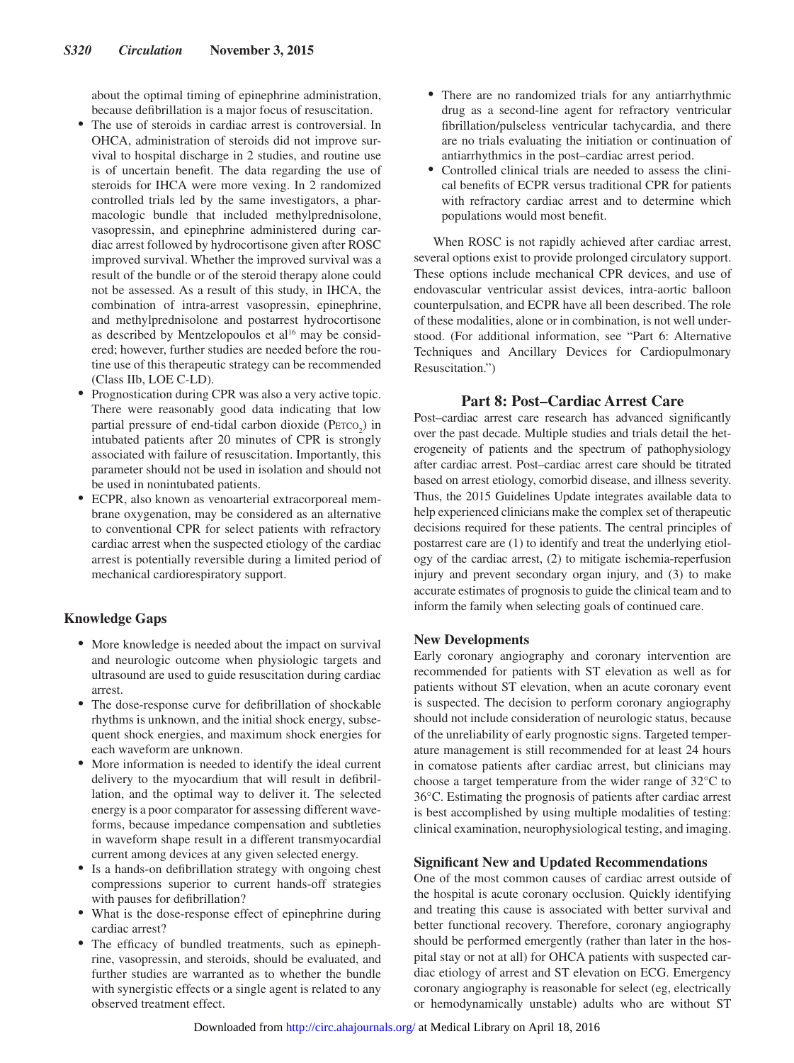about the optimal timing of epinephrine administration, because defibrillation is a major focus of resuscitation.

- The use of steroids in cardiac arrest is controversial. In OHCA, administration of steroids did not improve survival to hospital discharge in 2 studies, and routine use is of uncertain benefit. The data regarding the use of steroids for IHCA were more vexing. In 2 randomized controlled trials led by the same investigators, a pharmacologic bundle that included methylprednisolone, vasopressin, and epinephrine administered during cardiac arrest followed by hydrocortisone given after ROSC improved survival. Whether the improved survival was a result of the bundle or of the steroid therapy alone could not be assessed. As a result of this study, in IHCA, the combination of intra-arrest vasopressin, epinephrine, and methylprednisolone and postarrest hydrocortisone as described by Mentzelopoulos et  $al<sup>16</sup>$  may be considered; however, further studies are needed before the routine use of this therapeutic strategy can be recommended (Class IIb, LOE C-LD).
- Prognostication during CPR was also a very active topic. There were reasonably good data indicating that low partial pressure of end-tidal carbon dioxide  $(Perco<sub>2</sub>)$  in intubated patients after 20 minutes of CPR is strongly associated with failure of resuscitation. Importantly, this parameter should not be used in isolation and should not be used in nonintubated patients.
- ECPR, also known as venoarterial extracorporeal membrane oxygenation, may be considered as an alternative to conventional CPR for select patients with refractory cardiac arrest when the suspected etiology of the cardiac arrest is potentially reversible during a limited period of mechanical cardiorespiratory support.

# **Knowledge Gaps**

- More knowledge is needed about the impact on survival and neurologic outcome when physiologic targets and ultrasound are used to guide resuscitation during cardiac arrest.
- The dose-response curve for defibrillation of shockable rhythms is unknown, and the initial shock energy, subsequent shock energies, and maximum shock energies for each waveform are unknown.
- More information is needed to identify the ideal current delivery to the myocardium that will result in defibrillation, and the optimal way to deliver it. The selected energy is a poor comparator for assessing different waveforms, because impedance compensation and subtleties in waveform shape result in a different transmyocardial current among devices at any given selected energy.
- Is a hands-on defibrillation strategy with ongoing chest compressions superior to current hands-off strategies with pauses for defibrillation?
- What is the dose-response effect of epinephrine during cardiac arrest?
- The efficacy of bundled treatments, such as epinephrine, vasopressin, and steroids, should be evaluated, and further studies are warranted as to whether the bundle with synergistic effects or a single agent is related to any observed treatment effect.
- There are no randomized trials for any antiarrhythmic drug as a second-line agent for refractory ventricular fibrillation/pulseless ventricular tachycardia, and there are no trials evaluating the initiation or continuation of antiarrhythmics in the post–cardiac arrest period.
- Controlled clinical trials are needed to assess the clinical benefits of ECPR versus traditional CPR for patients with refractory cardiac arrest and to determine which populations would most benefit.

When ROSC is not rapidly achieved after cardiac arrest, several options exist to provide prolonged circulatory support. These options include mechanical CPR devices, and use of endovascular ventricular assist devices, intra-aortic balloon counterpulsation, and ECPR have all been described. The role of these modalities, alone or in combination, is not well understood. (For additional information, see "Part 6: Alternative Techniques and Ancillary Devices for Cardiopulmonary Resuscitation.")

## **Part 8: Post–Cardiac Arrest Care**

Post–cardiac arrest care research has advanced significantly over the past decade. Multiple studies and trials detail the heterogeneity of patients and the spectrum of pathophysiology after cardiac arrest. Post–cardiac arrest care should be titrated based on arrest etiology, comorbid disease, and illness severity. Thus, the 2015 Guidelines Update integrates available data to help experienced clinicians make the complex set of therapeutic decisions required for these patients. The central principles of postarrest care are (1) to identify and treat the underlying etiology of the cardiac arrest, (2) to mitigate ischemia-reperfusion injury and prevent secondary organ injury, and (3) to make accurate estimates of prognosis to guide the clinical team and to inform the family when selecting goals of continued care.

## **New Developments**

Early coronary angiography and coronary intervention are recommended for patients with ST elevation as well as for patients without ST elevation, when an acute coronary event is suspected. The decision to perform coronary angiography should not include consideration of neurologic status, because of the unreliability of early prognostic signs. Targeted temperature management is still recommended for at least 24 hours in comatose patients after cardiac arrest, but clinicians may choose a target temperature from the wider range of 32°C to 36°C. Estimating the prognosis of patients after cardiac arrest is best accomplished by using multiple modalities of testing: clinical examination, neurophysiological testing, and imaging.

#### **Significant New and Updated Recommendations**

One of the most common causes of cardiac arrest outside of the hospital is acute coronary occlusion. Quickly identifying and treating this cause is associated with better survival and better functional recovery. Therefore, coronary angiography should be performed emergently (rather than later in the hospital stay or not at all) for OHCA patients with suspected cardiac etiology of arrest and ST elevation on ECG. Emergency coronary angiography is reasonable for select (eg, electrically or hemodynamically unstable) adults who are without ST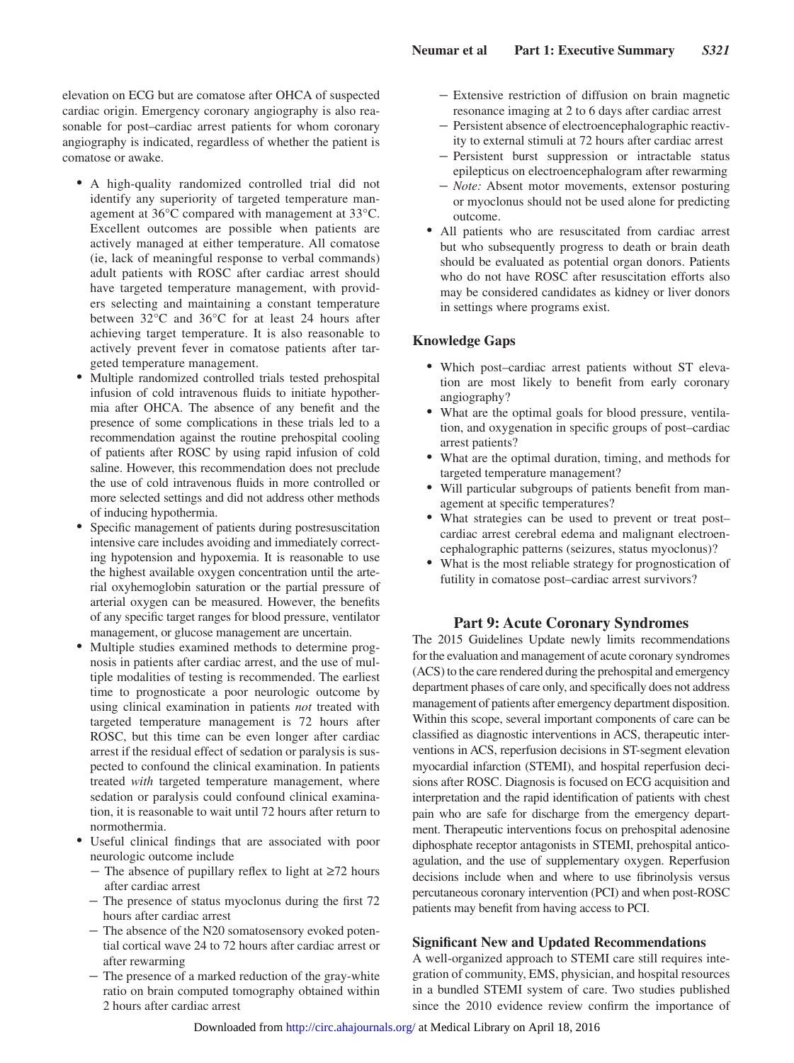elevation on ECG but are comatose after OHCA of suspected cardiac origin. Emergency coronary angiography is also reasonable for post–cardiac arrest patients for whom coronary angiography is indicated, regardless of whether the patient is comatose or awake.

- A high-quality randomized controlled trial did not identify any superiority of targeted temperature management at 36°C compared with management at 33°C. Excellent outcomes are possible when patients are actively managed at either temperature. All comatose (ie, lack of meaningful response to verbal commands) adult patients with ROSC after cardiac arrest should have targeted temperature management, with providers selecting and maintaining a constant temperature between 32°C and 36°C for at least 24 hours after achieving target temperature. It is also reasonable to actively prevent fever in comatose patients after targeted temperature management.
- • Multiple randomized controlled trials tested prehospital infusion of cold intravenous fluids to initiate hypothermia after OHCA. The absence of any benefit and the presence of some complications in these trials led to a recommendation against the routine prehospital cooling of patients after ROSC by using rapid infusion of cold saline. However, this recommendation does not preclude the use of cold intravenous fluids in more controlled or more selected settings and did not address other methods of inducing hypothermia.
- Specific management of patients during postresuscitation intensive care includes avoiding and immediately correcting hypotension and hypoxemia. It is reasonable to use the highest available oxygen concentration until the arterial oxyhemoglobin saturation or the partial pressure of arterial oxygen can be measured. However, the benefits of any specific target ranges for blood pressure, ventilator management, or glucose management are uncertain.
- Multiple studies examined methods to determine prognosis in patients after cardiac arrest, and the use of multiple modalities of testing is recommended. The earliest time to prognosticate a poor neurologic outcome by using clinical examination in patients *not* treated with targeted temperature management is 72 hours after ROSC, but this time can be even longer after cardiac arrest if the residual effect of sedation or paralysis is suspected to confound the clinical examination. In patients treated *with* targeted temperature management, where sedation or paralysis could confound clinical examination, it is reasonable to wait until 72 hours after return to normothermia.
- • Useful clinical findings that are associated with poor neurologic outcome include
	- The absence of pupillary reflex to light at  $\geq 72$  hours after cardiac arrest
	- The presence of status myoclonus during the first 72 hours after cardiac arrest
	- The absence of the N20 somatosensory evoked potential cortical wave 24 to 72 hours after cardiac arrest or after rewarming
	- The presence of a marked reduction of the gray-white ratio on brain computed tomography obtained within 2 hours after cardiac arrest
- Extensive restriction of diffusion on brain magnetic resonance imaging at 2 to 6 days after cardiac arrest
- Persistent absence of electroencephalographic reactivity to external stimuli at 72 hours after cardiac arrest
- Persistent burst suppression or intractable status epilepticus on electroencephalogram after rewarming
- *Note:* Absent motor movements, extensor posturing or myoclonus should not be used alone for predicting outcome.
- • All patients who are resuscitated from cardiac arrest but who subsequently progress to death or brain death should be evaluated as potential organ donors. Patients who do not have ROSC after resuscitation efforts also may be considered candidates as kidney or liver donors in settings where programs exist.

## **Knowledge Gaps**

- • Which post–cardiac arrest patients without ST elevation are most likely to benefit from early coronary angiography?
- What are the optimal goals for blood pressure, ventilation, and oxygenation in specific groups of post–cardiac arrest patients?
- What are the optimal duration, timing, and methods for targeted temperature management?
- Will particular subgroups of patients benefit from management at specific temperatures?
- What strategies can be used to prevent or treat post– cardiac arrest cerebral edema and malignant electroencephalographic patterns (seizures, status myoclonus)?
- What is the most reliable strategy for prognostication of futility in comatose post–cardiac arrest survivors?

#### **Part 9: Acute Coronary Syndromes**

The 2015 Guidelines Update newly limits recommendations for the evaluation and management of acute coronary syndromes (ACS) to the care rendered during the prehospital and emergency department phases of care only, and specifically does not address management of patients after emergency department disposition. Within this scope, several important components of care can be classified as diagnostic interventions in ACS, therapeutic interventions in ACS, reperfusion decisions in ST-segment elevation myocardial infarction (STEMI), and hospital reperfusion decisions after ROSC. Diagnosis is focused on ECG acquisition and interpretation and the rapid identification of patients with chest pain who are safe for discharge from the emergency department. Therapeutic interventions focus on prehospital adenosine diphosphate receptor antagonists in STEMI, prehospital anticoagulation, and the use of supplementary oxygen. Reperfusion decisions include when and where to use fibrinolysis versus percutaneous coronary intervention (PCI) and when post-ROSC patients may benefit from having access to PCI.

#### **Significant New and Updated Recommendations**

A well-organized approach to STEMI care still requires integration of community, EMS, physician, and hospital resources in a bundled STEMI system of care. Two studies published since the 2010 evidence review confirm the importance of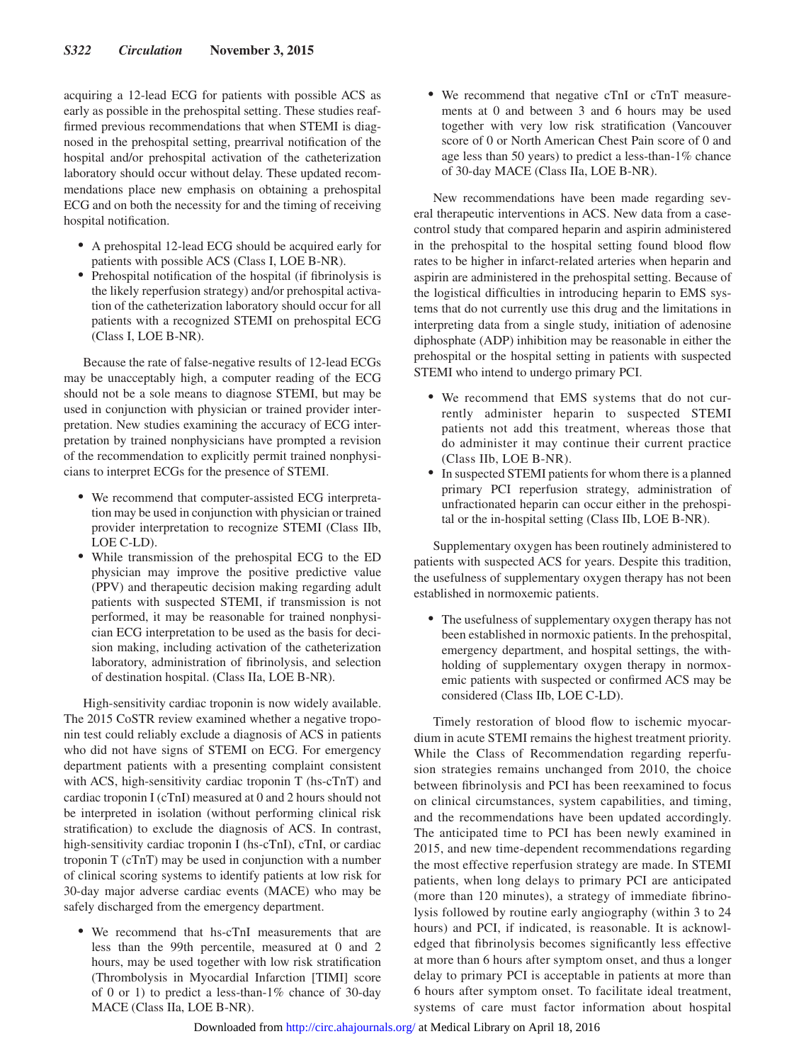acquiring a 12-lead ECG for patients with possible ACS as early as possible in the prehospital setting. These studies reaffirmed previous recommendations that when STEMI is diagnosed in the prehospital setting, prearrival notification of the hospital and/or prehospital activation of the catheterization laboratory should occur without delay. These updated recommendations place new emphasis on obtaining a prehospital ECG and on both the necessity for and the timing of receiving hospital notification.

- A prehospital 12-lead ECG should be acquired early for patients with possible ACS (Class I, LOE B-NR).
- Prehospital notification of the hospital (if fibrinolysis is the likely reperfusion strategy) and/or prehospital activation of the catheterization laboratory should occur for all patients with a recognized STEMI on prehospital ECG (Class I, LOE B-NR).

Because the rate of false-negative results of 12-lead ECGs may be unacceptably high, a computer reading of the ECG should not be a sole means to diagnose STEMI, but may be used in conjunction with physician or trained provider interpretation. New studies examining the accuracy of ECG interpretation by trained nonphysicians have prompted a revision of the recommendation to explicitly permit trained nonphysicians to interpret ECGs for the presence of STEMI.

- • We recommend that computer-assisted ECG interpretation may be used in conjunction with physician or trained provider interpretation to recognize STEMI (Class IIb, LOE C-LD).
- • While transmission of the prehospital ECG to the ED physician may improve the positive predictive value (PPV) and therapeutic decision making regarding adult patients with suspected STEMI, if transmission is not performed, it may be reasonable for trained nonphysician ECG interpretation to be used as the basis for decision making, including activation of the catheterization laboratory, administration of fibrinolysis, and selection of destination hospital. (Class IIa, LOE B-NR).

High-sensitivity cardiac troponin is now widely available. The 2015 CoSTR review examined whether a negative troponin test could reliably exclude a diagnosis of ACS in patients who did not have signs of STEMI on ECG. For emergency department patients with a presenting complaint consistent with ACS, high-sensitivity cardiac troponin T (hs-cTnT) and cardiac troponin I (cTnI) measured at 0 and 2 hours should not be interpreted in isolation (without performing clinical risk stratification) to exclude the diagnosis of ACS. In contrast, high-sensitivity cardiac troponin I (hs-cTnI), cTnI, or cardiac troponin T (cTnT) may be used in conjunction with a number of clinical scoring systems to identify patients at low risk for 30-day major adverse cardiac events (MACE) who may be safely discharged from the emergency department.

• We recommend that hs-cTnI measurements that are less than the 99th percentile, measured at 0 and 2 hours, may be used together with low risk stratification (Thrombolysis in Myocardial Infarction [TIMI] score of 0 or 1) to predict a less-than-1% chance of 30-day MACE (Class IIa, LOE B-NR).

• We recommend that negative cTnI or cTnT measurements at 0 and between 3 and 6 hours may be used together with very low risk stratification (Vancouver score of 0 or North American Chest Pain score of 0 and age less than 50 years) to predict a less-than-1% chance of 30-day MACE (Class IIa, LOE B-NR).

New recommendations have been made regarding several therapeutic interventions in ACS. New data from a casecontrol study that compared heparin and aspirin administered in the prehospital to the hospital setting found blood flow rates to be higher in infarct-related arteries when heparin and aspirin are administered in the prehospital setting. Because of the logistical difficulties in introducing heparin to EMS systems that do not currently use this drug and the limitations in interpreting data from a single study, initiation of adenosine diphosphate (ADP) inhibition may be reasonable in either the prehospital or the hospital setting in patients with suspected STEMI who intend to undergo primary PCI.

- • We recommend that EMS systems that do not currently administer heparin to suspected STEMI patients not add this treatment, whereas those that do administer it may continue their current practice (Class IIb, LOE B-NR).
- In suspected STEMI patients for whom there is a planned primary PCI reperfusion strategy, administration of unfractionated heparin can occur either in the prehospital or the in-hospital setting (Class IIb, LOE B-NR).

Supplementary oxygen has been routinely administered to patients with suspected ACS for years. Despite this tradition, the usefulness of supplementary oxygen therapy has not been established in normoxemic patients.

• The usefulness of supplementary oxygen therapy has not been established in normoxic patients. In the prehospital, emergency department, and hospital settings, the withholding of supplementary oxygen therapy in normoxemic patients with suspected or confirmed ACS may be considered (Class IIb, LOE C-LD).

Timely restoration of blood flow to ischemic myocardium in acute STEMI remains the highest treatment priority. While the Class of Recommendation regarding reperfusion strategies remains unchanged from 2010, the choice between fibrinolysis and PCI has been reexamined to focus on clinical circumstances, system capabilities, and timing, and the recommendations have been updated accordingly. The anticipated time to PCI has been newly examined in 2015, and new time-dependent recommendations regarding the most effective reperfusion strategy are made. In STEMI patients, when long delays to primary PCI are anticipated (more than 120 minutes), a strategy of immediate fibrinolysis followed by routine early angiography (within 3 to 24 hours) and PCI, if indicated, is reasonable. It is acknowledged that fibrinolysis becomes significantly less effective at more than 6 hours after symptom onset, and thus a longer delay to primary PCI is acceptable in patients at more than 6 hours after symptom onset. To facilitate ideal treatment, systems of care must factor information about hospital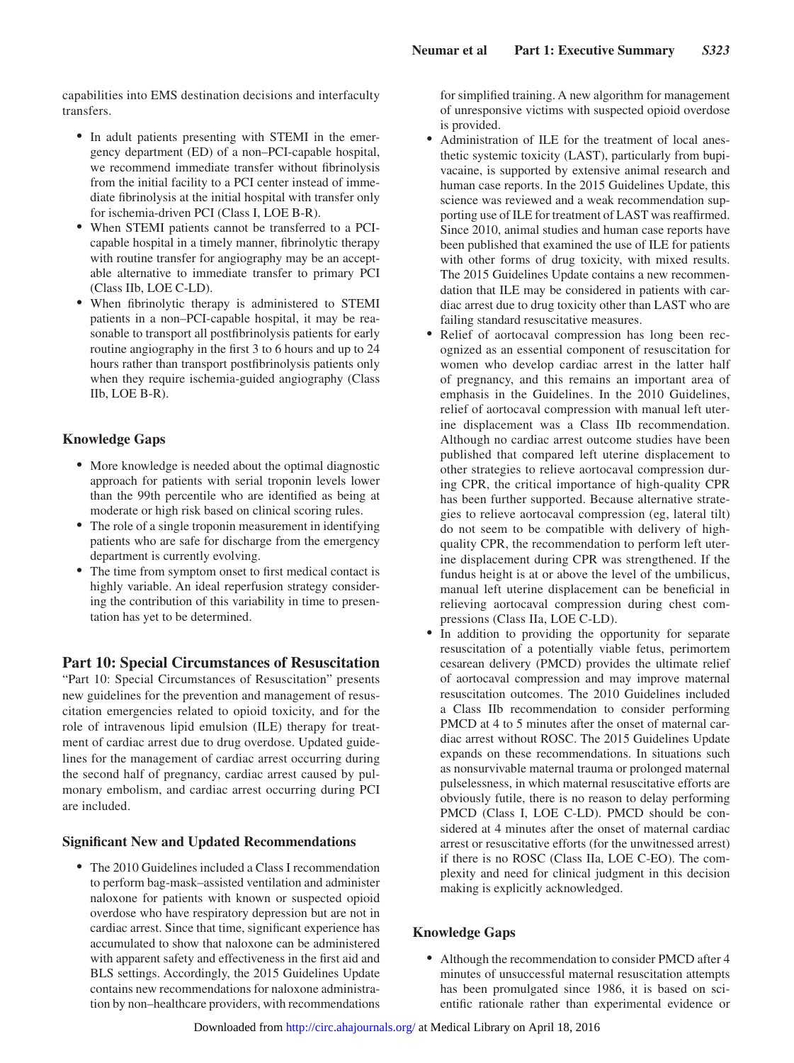capabilities into EMS destination decisions and interfaculty transfers.

- In adult patients presenting with STEMI in the emergency department (ED) of a non–PCI-capable hospital, we recommend immediate transfer without fibrinolysis from the initial facility to a PCI center instead of immediate fibrinolysis at the initial hospital with transfer only for ischemia-driven PCI (Class I, LOE B-R).
- • When STEMI patients cannot be transferred to a PCIcapable hospital in a timely manner, fibrinolytic therapy with routine transfer for angiography may be an acceptable alternative to immediate transfer to primary PCI (Class IIb, LOE C-LD).
- When fibrinolytic therapy is administered to STEMI patients in a non–PCI-capable hospital, it may be reasonable to transport all postfibrinolysis patients for early routine angiography in the first 3 to 6 hours and up to 24 hours rather than transport postfibrinolysis patients only when they require ischemia-guided angiography (Class IIb, LOE B-R).

## **Knowledge Gaps**

- More knowledge is needed about the optimal diagnostic approach for patients with serial troponin levels lower than the 99th percentile who are identified as being at moderate or high risk based on clinical scoring rules.
- The role of a single troponin measurement in identifying patients who are safe for discharge from the emergency department is currently evolving.
- The time from symptom onset to first medical contact is highly variable. An ideal reperfusion strategy considering the contribution of this variability in time to presentation has yet to be determined.

## **Part 10: Special Circumstances of Resuscitation**

"Part 10: Special Circumstances of Resuscitation" presents new guidelines for the prevention and management of resuscitation emergencies related to opioid toxicity, and for the role of intravenous lipid emulsion (ILE) therapy for treatment of cardiac arrest due to drug overdose. Updated guidelines for the management of cardiac arrest occurring during the second half of pregnancy, cardiac arrest caused by pulmonary embolism, and cardiac arrest occurring during PCI are included.

## **Significant New and Updated Recommendations**

• The 2010 Guidelines included a Class I recommendation to perform bag-mask–assisted ventilation and administer naloxone for patients with known or suspected opioid overdose who have respiratory depression but are not in cardiac arrest. Since that time, significant experience has accumulated to show that naloxone can be administered with apparent safety and effectiveness in the first aid and BLS settings. Accordingly, the 2015 Guidelines Update contains new recommendations for naloxone administration by non–healthcare providers, with recommendations

for simplified training. A new algorithm for management of unresponsive victims with suspected opioid overdose is provided.

- Administration of ILE for the treatment of local anesthetic systemic toxicity (LAST), particularly from bupivacaine, is supported by extensive animal research and human case reports. In the 2015 Guidelines Update, this science was reviewed and a weak recommendation supporting use of ILE for treatment of LAST was reaffirmed. Since 2010, animal studies and human case reports have been published that examined the use of ILE for patients with other forms of drug toxicity, with mixed results. The 2015 Guidelines Update contains a new recommendation that ILE may be considered in patients with cardiac arrest due to drug toxicity other than LAST who are failing standard resuscitative measures.
- Relief of aortocaval compression has long been recognized as an essential component of resuscitation for women who develop cardiac arrest in the latter half of pregnancy, and this remains an important area of emphasis in the Guidelines. In the 2010 Guidelines, relief of aortocaval compression with manual left uterine displacement was a Class IIb recommendation. Although no cardiac arrest outcome studies have been published that compared left uterine displacement to other strategies to relieve aortocaval compression during CPR, the critical importance of high-quality CPR has been further supported. Because alternative strategies to relieve aortocaval compression (eg, lateral tilt) do not seem to be compatible with delivery of highquality CPR, the recommendation to perform left uterine displacement during CPR was strengthened. If the fundus height is at or above the level of the umbilicus, manual left uterine displacement can be beneficial in relieving aortocaval compression during chest compressions (Class IIa, LOE C-LD).
- In addition to providing the opportunity for separate resuscitation of a potentially viable fetus, perimortem cesarean delivery (PMCD) provides the ultimate relief of aortocaval compression and may improve maternal resuscitation outcomes. The 2010 Guidelines included a Class IIb recommendation to consider performing PMCD at 4 to 5 minutes after the onset of maternal cardiac arrest without ROSC. The 2015 Guidelines Update expands on these recommendations. In situations such as nonsurvivable maternal trauma or prolonged maternal pulselessness, in which maternal resuscitative efforts are obviously futile, there is no reason to delay performing PMCD (Class I, LOE C-LD). PMCD should be considered at 4 minutes after the onset of maternal cardiac arrest or resuscitative efforts (for the unwitnessed arrest) if there is no ROSC (Class IIa, LOE C-EO). The complexity and need for clinical judgment in this decision making is explicitly acknowledged.

## **Knowledge Gaps**

• Although the recommendation to consider PMCD after 4 minutes of unsuccessful maternal resuscitation attempts has been promulgated since 1986, it is based on scientific rationale rather than experimental evidence or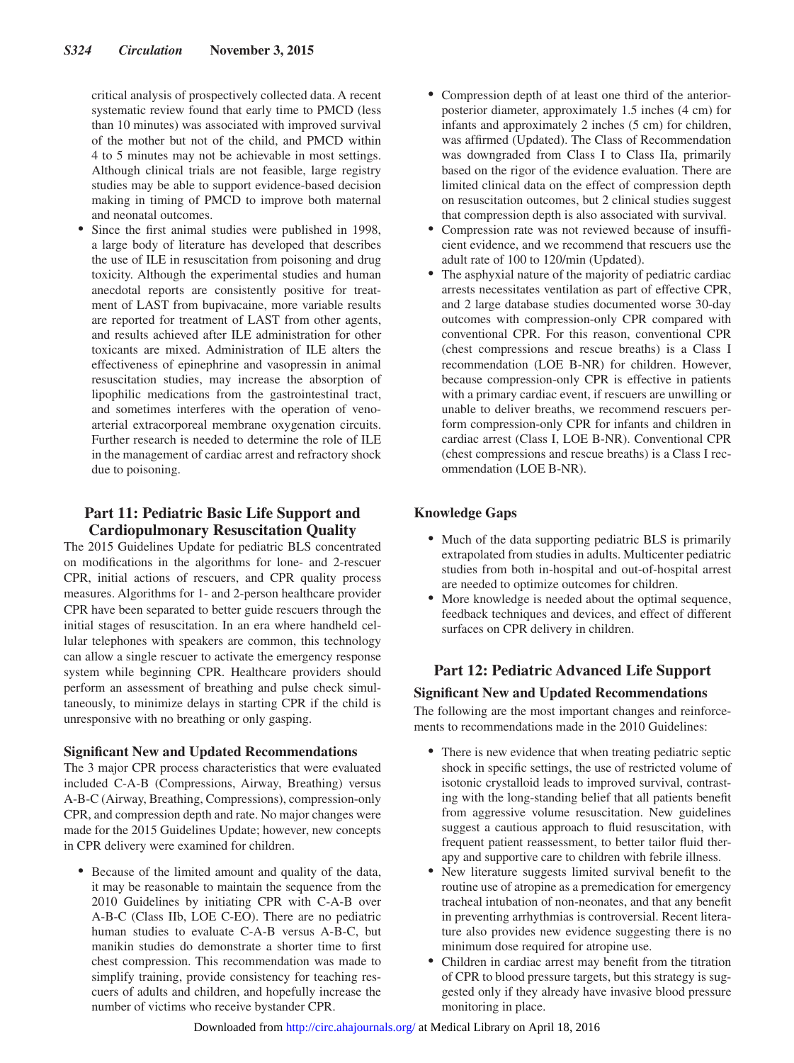critical analysis of prospectively collected data. A recent systematic review found that early time to PMCD (less than 10 minutes) was associated with improved survival of the mother but not of the child, and PMCD within 4 to 5 minutes may not be achievable in most settings. Although clinical trials are not feasible, large registry studies may be able to support evidence-based decision making in timing of PMCD to improve both maternal and neonatal outcomes.

• Since the first animal studies were published in 1998, a large body of literature has developed that describes the use of ILE in resuscitation from poisoning and drug toxicity. Although the experimental studies and human anecdotal reports are consistently positive for treatment of LAST from bupivacaine, more variable results are reported for treatment of LAST from other agents, and results achieved after ILE administration for other toxicants are mixed. Administration of ILE alters the effectiveness of epinephrine and vasopressin in animal resuscitation studies, may increase the absorption of lipophilic medications from the gastrointestinal tract, and sometimes interferes with the operation of venoarterial extracorporeal membrane oxygenation circuits. Further research is needed to determine the role of ILE in the management of cardiac arrest and refractory shock due to poisoning.

# **Part 11: Pediatric Basic Life Support and Cardiopulmonary Resuscitation Quality**

The 2015 Guidelines Update for pediatric BLS concentrated on modifications in the algorithms for lone- and 2-rescuer CPR, initial actions of rescuers, and CPR quality process measures. Algorithms for 1- and 2-person healthcare provider CPR have been separated to better guide rescuers through the initial stages of resuscitation. In an era where handheld cellular telephones with speakers are common, this technology can allow a single rescuer to activate the emergency response system while beginning CPR. Healthcare providers should perform an assessment of breathing and pulse check simultaneously, to minimize delays in starting CPR if the child is unresponsive with no breathing or only gasping.

## **Significant New and Updated Recommendations**

The 3 major CPR process characteristics that were evaluated included C-A-B (Compressions, Airway, Breathing) versus A-B-C (Airway, Breathing, Compressions), compression-only CPR, and compression depth and rate. No major changes were made for the 2015 Guidelines Update; however, new concepts in CPR delivery were examined for children.

• Because of the limited amount and quality of the data, it may be reasonable to maintain the sequence from the 2010 Guidelines by initiating CPR with C-A-B over A-B-C (Class IIb, LOE C-EO). There are no pediatric human studies to evaluate C-A-B versus A-B-C, but manikin studies do demonstrate a shorter time to first chest compression. This recommendation was made to simplify training, provide consistency for teaching rescuers of adults and children, and hopefully increase the number of victims who receive bystander CPR.

- Compression depth of at least one third of the anteriorposterior diameter, approximately 1.5 inches (4 cm) for infants and approximately 2 inches (5 cm) for children, was affirmed (Updated). The Class of Recommendation was downgraded from Class I to Class IIa, primarily based on the rigor of the evidence evaluation. There are limited clinical data on the effect of compression depth on resuscitation outcomes, but 2 clinical studies suggest that compression depth is also associated with survival.
- Compression rate was not reviewed because of insufficient evidence, and we recommend that rescuers use the adult rate of 100 to 120/min (Updated).
- The asphyxial nature of the majority of pediatric cardiac arrests necessitates ventilation as part of effective CPR, and 2 large database studies documented worse 30-day outcomes with compression-only CPR compared with conventional CPR. For this reason, conventional CPR (chest compressions and rescue breaths) is a Class I recommendation (LOE B-NR) for children. However, because compression-only CPR is effective in patients with a primary cardiac event, if rescuers are unwilling or unable to deliver breaths, we recommend rescuers perform compression-only CPR for infants and children in cardiac arrest (Class I, LOE B-NR). Conventional CPR (chest compressions and rescue breaths) is a Class I recommendation (LOE B-NR).

# **Knowledge Gaps**

- Much of the data supporting pediatric BLS is primarily extrapolated from studies in adults. Multicenter pediatric studies from both in-hospital and out-of-hospital arrest are needed to optimize outcomes for children.
- • More knowledge is needed about the optimal sequence, feedback techniques and devices, and effect of different surfaces on CPR delivery in children.

# **Part 12: Pediatric Advanced Life Support Significant New and Updated Recommendations**

The following are the most important changes and reinforcements to recommendations made in the 2010 Guidelines:

- There is new evidence that when treating pediatric septic shock in specific settings, the use of restricted volume of isotonic crystalloid leads to improved survival, contrasting with the long-standing belief that all patients benefit from aggressive volume resuscitation. New guidelines suggest a cautious approach to fluid resuscitation, with frequent patient reassessment, to better tailor fluid therapy and supportive care to children with febrile illness.
- • New literature suggests limited survival benefit to the routine use of atropine as a premedication for emergency tracheal intubation of non-neonates, and that any benefit in preventing arrhythmias is controversial. Recent literature also provides new evidence suggesting there is no minimum dose required for atropine use.
- Children in cardiac arrest may benefit from the titration of CPR to blood pressure targets, but this strategy is suggested only if they already have invasive blood pressure monitoring in place.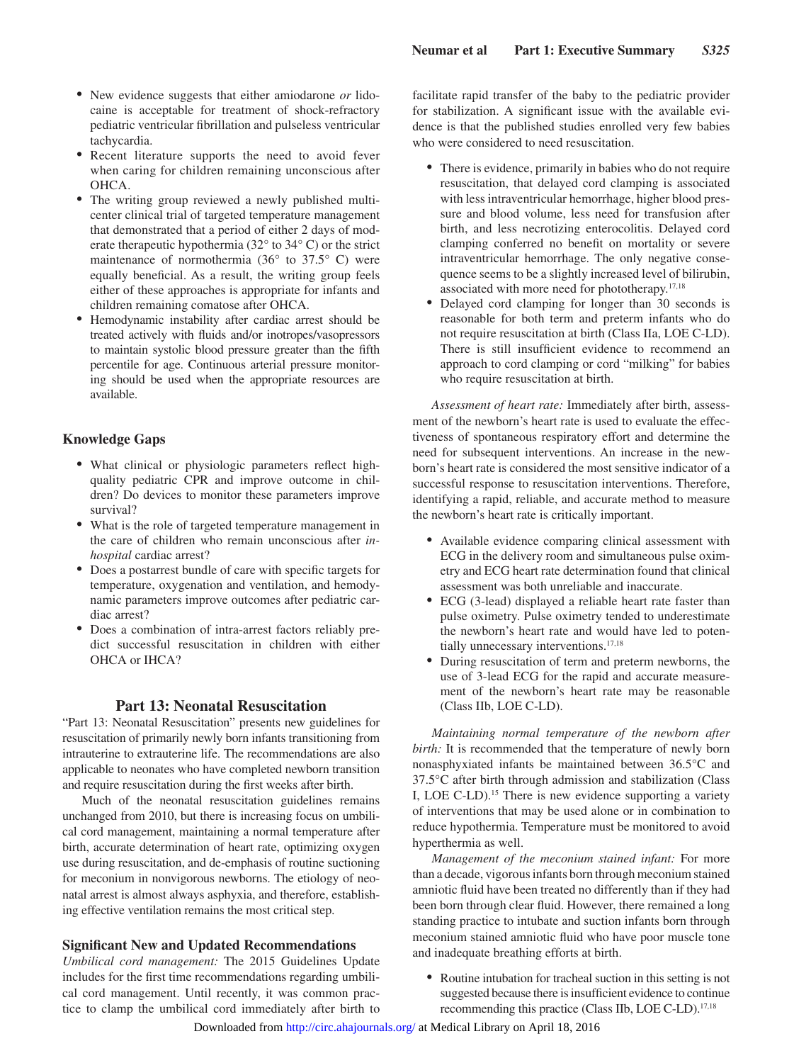- New evidence suggests that either amiodarone *or* lidocaine is acceptable for treatment of shock-refractory pediatric ventricular fibrillation and pulseless ventricular tachycardia.
- Recent literature supports the need to avoid fever when caring for children remaining unconscious after OHCA.
- The writing group reviewed a newly published multicenter clinical trial of targeted temperature management that demonstrated that a period of either 2 days of moderate therapeutic hypothermia (32° to 34° C) or the strict maintenance of normothermia (36° to 37.5° C) were equally beneficial. As a result, the writing group feels either of these approaches is appropriate for infants and children remaining comatose after OHCA.
- • Hemodynamic instability after cardiac arrest should be treated actively with fluids and/or inotropes/vasopressors to maintain systolic blood pressure greater than the fifth percentile for age. Continuous arterial pressure monitoring should be used when the appropriate resources are available.

## **Knowledge Gaps**

- • What clinical or physiologic parameters reflect highquality pediatric CPR and improve outcome in children? Do devices to monitor these parameters improve survival?
- What is the role of targeted temperature management in the care of children who remain unconscious after *inhospital* cardiac arrest?
- Does a postarrest bundle of care with specific targets for temperature, oxygenation and ventilation, and hemodynamic parameters improve outcomes after pediatric cardiac arrest?
- Does a combination of intra-arrest factors reliably predict successful resuscitation in children with either OHCA or IHCA?

#### **Part 13: Neonatal Resuscitation**

"Part 13: Neonatal Resuscitation" presents new guidelines for resuscitation of primarily newly born infants transitioning from intrauterine to extrauterine life. The recommendations are also applicable to neonates who have completed newborn transition and require resuscitation during the first weeks after birth.

Much of the neonatal resuscitation guidelines remains unchanged from 2010, but there is increasing focus on umbilical cord management, maintaining a normal temperature after birth, accurate determination of heart rate, optimizing oxygen use during resuscitation, and de-emphasis of routine suctioning for meconium in nonvigorous newborns. The etiology of neonatal arrest is almost always asphyxia, and therefore, establishing effective ventilation remains the most critical step.

#### **Significant New and Updated Recommendations**

*Umbilical cord management:* The 2015 Guidelines Update includes for the first time recommendations regarding umbilical cord management. Until recently, it was common practice to clamp the umbilical cord immediately after birth to facilitate rapid transfer of the baby to the pediatric provider for stabilization. A significant issue with the available evidence is that the published studies enrolled very few babies who were considered to need resuscitation.

- There is evidence, primarily in babies who do not require resuscitation, that delayed cord clamping is associated with less intraventricular hemorrhage, higher blood pressure and blood volume, less need for transfusion after birth, and less necrotizing enterocolitis. Delayed cord clamping conferred no benefit on mortality or severe intraventricular hemorrhage. The only negative consequence seems to be a slightly increased level of bilirubin, associated with more need for phototherapy.17,18
- • Delayed cord clamping for longer than 30 seconds is reasonable for both term and preterm infants who do not require resuscitation at birth (Class IIa, LOE C-LD). There is still insufficient evidence to recommend an approach to cord clamping or cord "milking" for babies who require resuscitation at birth.

*Assessment of heart rate:* Immediately after birth, assessment of the newborn's heart rate is used to evaluate the effectiveness of spontaneous respiratory effort and determine the need for subsequent interventions. An increase in the newborn's heart rate is considered the most sensitive indicator of a successful response to resuscitation interventions. Therefore, identifying a rapid, reliable, and accurate method to measure the newborn's heart rate is critically important.

- Available evidence comparing clinical assessment with ECG in the delivery room and simultaneous pulse oximetry and ECG heart rate determination found that clinical assessment was both unreliable and inaccurate.
- ECG (3-lead) displayed a reliable heart rate faster than pulse oximetry. Pulse oximetry tended to underestimate the newborn's heart rate and would have led to potentially unnecessary interventions.<sup>17,18</sup>
- During resuscitation of term and preterm newborns, the use of 3-lead ECG for the rapid and accurate measurement of the newborn's heart rate may be reasonable (Class IIb, LOE C-LD).

*Maintaining normal temperature of the newborn after birth:* It is recommended that the temperature of newly born nonasphyxiated infants be maintained between 36.5°C and 37.5°C after birth through admission and stabilization (Class I, LOE C-LD).<sup>15</sup> There is new evidence supporting a variety of interventions that may be used alone or in combination to reduce hypothermia. Temperature must be monitored to avoid hyperthermia as well.

*Management of the meconium stained infant:* For more than a decade, vigorous infants born through meconium stained amniotic fluid have been treated no differently than if they had been born through clear fluid. However, there remained a long standing practice to intubate and suction infants born through meconium stained amniotic fluid who have poor muscle tone and inadequate breathing efforts at birth.

• Routine intubation for tracheal suction in this setting is not suggested because there is insufficient evidence to continue recommending this practice (Class IIb, LOE C-LD).17,18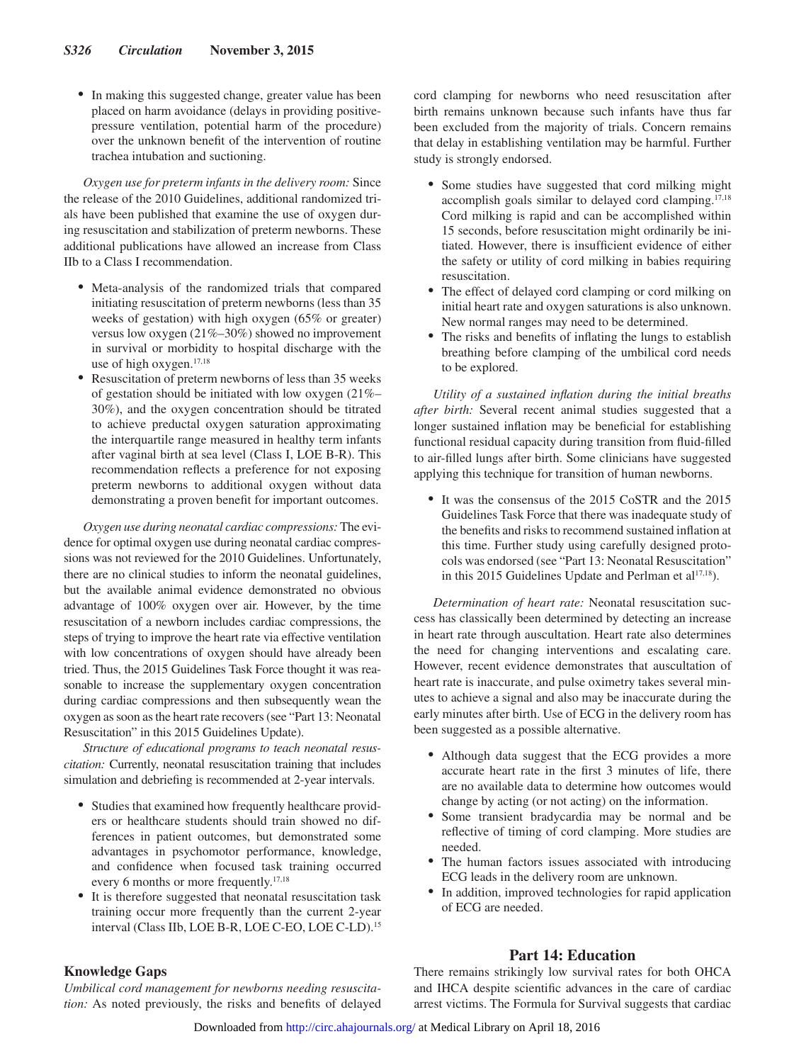• In making this suggested change, greater value has been placed on harm avoidance (delays in providing positivepressure ventilation, potential harm of the procedure) over the unknown benefit of the intervention of routine trachea intubation and suctioning.

*Oxygen use for preterm infants in the delivery room:* Since the release of the 2010 Guidelines, additional randomized trials have been published that examine the use of oxygen during resuscitation and stabilization of preterm newborns. These additional publications have allowed an increase from Class IIb to a Class I recommendation.

- • Meta-analysis of the randomized trials that compared initiating resuscitation of preterm newborns (less than 35 weeks of gestation) with high oxygen (65% or greater) versus low oxygen (21%–30%) showed no improvement in survival or morbidity to hospital discharge with the use of high oxygen. $17,18$
- Resuscitation of preterm newborns of less than 35 weeks of gestation should be initiated with low oxygen (21%– 30%), and the oxygen concentration should be titrated to achieve preductal oxygen saturation approximating the interquartile range measured in healthy term infants after vaginal birth at sea level (Class I, LOE B-R). This recommendation reflects a preference for not exposing preterm newborns to additional oxygen without data demonstrating a proven benefit for important outcomes.

*Oxygen use during neonatal cardiac compressions:* The evidence for optimal oxygen use during neonatal cardiac compressions was not reviewed for the 2010 Guidelines. Unfortunately, there are no clinical studies to inform the neonatal guidelines, but the available animal evidence demonstrated no obvious advantage of 100% oxygen over air. However, by the time resuscitation of a newborn includes cardiac compressions, the steps of trying to improve the heart rate via effective ventilation with low concentrations of oxygen should have already been tried. Thus, the 2015 Guidelines Task Force thought it was reasonable to increase the supplementary oxygen concentration during cardiac compressions and then subsequently wean the oxygen as soon as the heart rate recovers (see "Part 13: Neonatal Resuscitation" in this 2015 Guidelines Update).

*Structure of educational programs to teach neonatal resuscitation:* Currently, neonatal resuscitation training that includes simulation and debriefing is recommended at 2-year intervals.

- Studies that examined how frequently healthcare providers or healthcare students should train showed no differences in patient outcomes, but demonstrated some advantages in psychomotor performance, knowledge, and confidence when focused task training occurred every 6 months or more frequently.17,18
- It is therefore suggested that neonatal resuscitation task training occur more frequently than the current 2-year interval (Class IIb, LOE B-R, LOE C-EO, LOE C-LD).15

cord clamping for newborns who need resuscitation after birth remains unknown because such infants have thus far been excluded from the majority of trials. Concern remains that delay in establishing ventilation may be harmful. Further study is strongly endorsed.

- Some studies have suggested that cord milking might accomplish goals similar to delayed cord clamping.<sup>17,18</sup> Cord milking is rapid and can be accomplished within 15 seconds, before resuscitation might ordinarily be initiated. However, there is insufficient evidence of either the safety or utility of cord milking in babies requiring resuscitation.
- The effect of delayed cord clamping or cord milking on initial heart rate and oxygen saturations is also unknown. New normal ranges may need to be determined.
- The risks and benefits of inflating the lungs to establish breathing before clamping of the umbilical cord needs to be explored.

*Utility of a sustained inflation during the initial breaths after birth:* Several recent animal studies suggested that a longer sustained inflation may be beneficial for establishing functional residual capacity during transition from fluid-filled to air-filled lungs after birth. Some clinicians have suggested applying this technique for transition of human newborns.

• It was the consensus of the 2015 CoSTR and the 2015 Guidelines Task Force that there was inadequate study of the benefits and risks to recommend sustained inflation at this time. Further study using carefully designed protocols was endorsed (see "Part 13: Neonatal Resuscitation" in this 2015 Guidelines Update and Perlman et al<sup>17,18</sup>).

*Determination of heart rate:* Neonatal resuscitation success has classically been determined by detecting an increase in heart rate through auscultation. Heart rate also determines the need for changing interventions and escalating care. However, recent evidence demonstrates that auscultation of heart rate is inaccurate, and pulse oximetry takes several minutes to achieve a signal and also may be inaccurate during the early minutes after birth. Use of ECG in the delivery room has been suggested as a possible alternative.

- Although data suggest that the ECG provides a more accurate heart rate in the first 3 minutes of life, there are no available data to determine how outcomes would change by acting (or not acting) on the information.
- • Some transient bradycardia may be normal and be reflective of timing of cord clamping. More studies are needed.
- The human factors issues associated with introducing ECG leads in the delivery room are unknown.
- In addition, improved technologies for rapid application of ECG are needed.

## **Part 14: Education**

There remains strikingly low survival rates for both OHCA and IHCA despite scientific advances in the care of cardiac arrest victims. The Formula for Survival suggests that cardiac

# **Knowledge Gaps**

*Umbilical cord management for newborns needing resuscitation:* As noted previously, the risks and benefits of delayed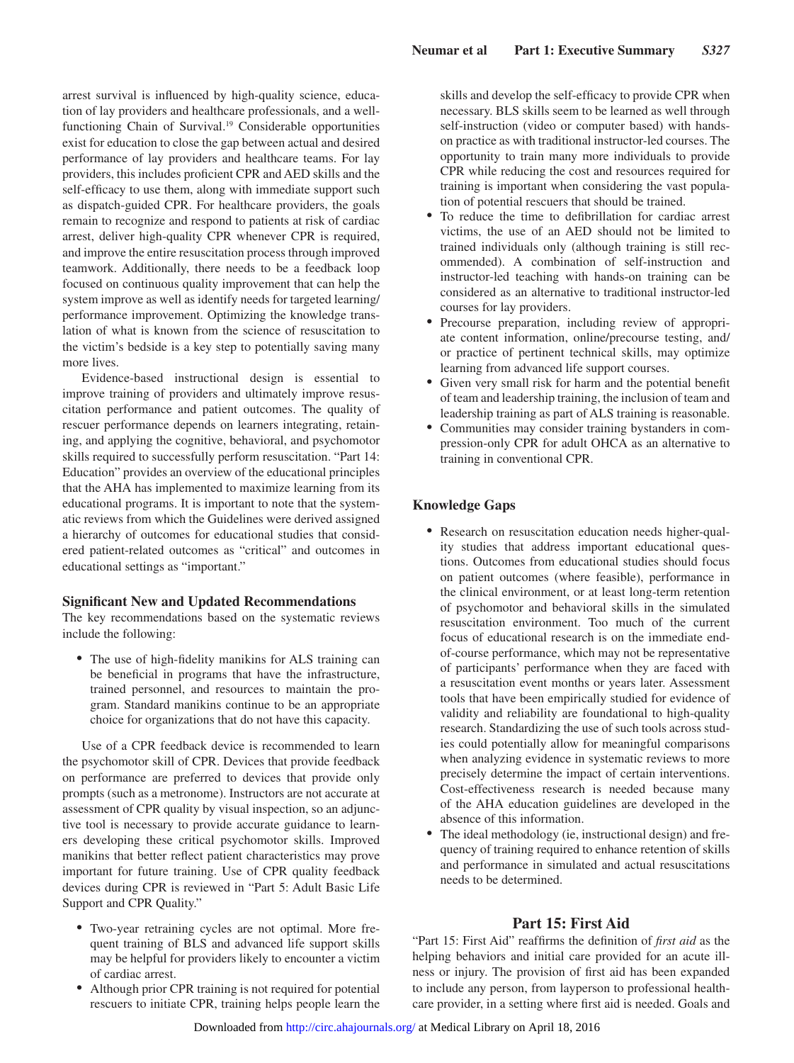arrest survival is influenced by high-quality science, education of lay providers and healthcare professionals, and a wellfunctioning Chain of Survival.<sup>19</sup> Considerable opportunities exist for education to close the gap between actual and desired performance of lay providers and healthcare teams. For lay providers, this includes proficient CPR and AED skills and the self-efficacy to use them, along with immediate support such as dispatch-guided CPR. For healthcare providers, the goals remain to recognize and respond to patients at risk of cardiac arrest, deliver high-quality CPR whenever CPR is required, and improve the entire resuscitation process through improved teamwork. Additionally, there needs to be a feedback loop focused on continuous quality improvement that can help the system improve as well as identify needs for targeted learning/ performance improvement. Optimizing the knowledge translation of what is known from the science of resuscitation to the victim's bedside is a key step to potentially saving many more lives.

Evidence-based instructional design is essential to improve training of providers and ultimately improve resuscitation performance and patient outcomes. The quality of rescuer performance depends on learners integrating, retaining, and applying the cognitive, behavioral, and psychomotor skills required to successfully perform resuscitation. "Part 14: Education" provides an overview of the educational principles that the AHA has implemented to maximize learning from its educational programs. It is important to note that the systematic reviews from which the Guidelines were derived assigned a hierarchy of outcomes for educational studies that considered patient-related outcomes as "critical" and outcomes in educational settings as "important."

#### **Significant New and Updated Recommendations**

The key recommendations based on the systematic reviews include the following:

• The use of high-fidelity manikins for ALS training can be beneficial in programs that have the infrastructure, trained personnel, and resources to maintain the program. Standard manikins continue to be an appropriate choice for organizations that do not have this capacity.

Use of a CPR feedback device is recommended to learn the psychomotor skill of CPR. Devices that provide feedback on performance are preferred to devices that provide only prompts (such as a metronome). Instructors are not accurate at assessment of CPR quality by visual inspection, so an adjunctive tool is necessary to provide accurate guidance to learners developing these critical psychomotor skills. Improved manikins that better reflect patient characteristics may prove important for future training. Use of CPR quality feedback devices during CPR is reviewed in "Part 5: Adult Basic Life Support and CPR Quality."

- Two-year retraining cycles are not optimal. More frequent training of BLS and advanced life support skills may be helpful for providers likely to encounter a victim of cardiac arrest.
- Although prior CPR training is not required for potential rescuers to initiate CPR, training helps people learn the

skills and develop the self-efficacy to provide CPR when necessary. BLS skills seem to be learned as well through self-instruction (video or computer based) with handson practice as with traditional instructor-led courses. The opportunity to train many more individuals to provide CPR while reducing the cost and resources required for training is important when considering the vast population of potential rescuers that should be trained.

- To reduce the time to defibrillation for cardiac arrest victims, the use of an AED should not be limited to trained individuals only (although training is still recommended). A combination of self-instruction and instructor-led teaching with hands-on training can be considered as an alternative to traditional instructor-led courses for lay providers.
- Precourse preparation, including review of appropriate content information, online/precourse testing, and/ or practice of pertinent technical skills, may optimize learning from advanced life support courses.
- Given very small risk for harm and the potential benefit of team and leadership training, the inclusion of team and leadership training as part of ALS training is reasonable.
- • Communities may consider training bystanders in compression-only CPR for adult OHCA as an alternative to training in conventional CPR.

## **Knowledge Gaps**

- Research on resuscitation education needs higher-quality studies that address important educational questions. Outcomes from educational studies should focus on patient outcomes (where feasible), performance in the clinical environment, or at least long-term retention of psychomotor and behavioral skills in the simulated resuscitation environment. Too much of the current focus of educational research is on the immediate endof-course performance, which may not be representative of participants' performance when they are faced with a resuscitation event months or years later. Assessment tools that have been empirically studied for evidence of validity and reliability are foundational to high-quality research. Standardizing the use of such tools across studies could potentially allow for meaningful comparisons when analyzing evidence in systematic reviews to more precisely determine the impact of certain interventions. Cost-effectiveness research is needed because many of the AHA education guidelines are developed in the absence of this information.
- The ideal methodology (ie, instructional design) and frequency of training required to enhance retention of skills and performance in simulated and actual resuscitations needs to be determined.

## **Part 15: First Aid**

"Part 15: First Aid" reaffirms the definition of *first aid* as the helping behaviors and initial care provided for an acute illness or injury. The provision of first aid has been expanded to include any person, from layperson to professional healthcare provider, in a setting where first aid is needed. Goals and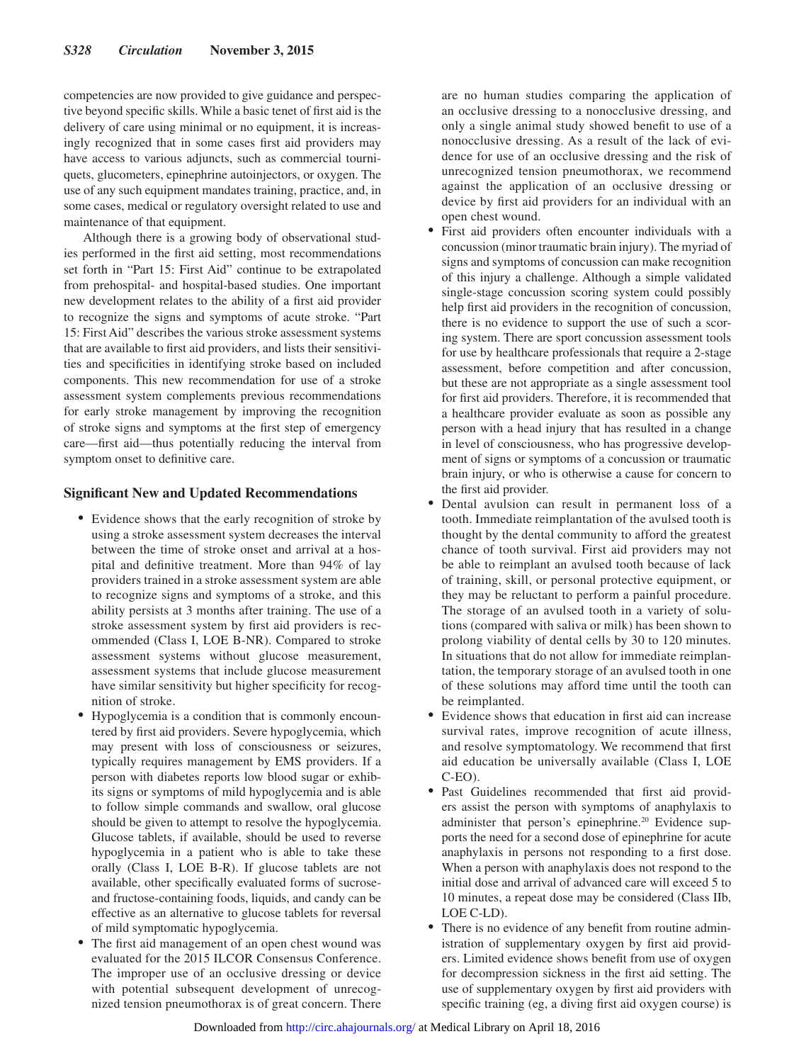competencies are now provided to give guidance and perspective beyond specific skills. While a basic tenet of first aid is the delivery of care using minimal or no equipment, it is increasingly recognized that in some cases first aid providers may have access to various adjuncts, such as commercial tourniquets, glucometers, epinephrine autoinjectors, or oxygen. The use of any such equipment mandates training, practice, and, in some cases, medical or regulatory oversight related to use and maintenance of that equipment.

Although there is a growing body of observational studies performed in the first aid setting, most recommendations set forth in "Part 15: First Aid" continue to be extrapolated from prehospital- and hospital-based studies. One important new development relates to the ability of a first aid provider to recognize the signs and symptoms of acute stroke. "Part 15: First Aid" describes the various stroke assessment systems that are available to first aid providers, and lists their sensitivities and specificities in identifying stroke based on included components. This new recommendation for use of a stroke assessment system complements previous recommendations for early stroke management by improving the recognition of stroke signs and symptoms at the first step of emergency care—first aid—thus potentially reducing the interval from symptom onset to definitive care.

#### **Significant New and Updated Recommendations**

- Evidence shows that the early recognition of stroke by using a stroke assessment system decreases the interval between the time of stroke onset and arrival at a hospital and definitive treatment. More than 94% of lay providers trained in a stroke assessment system are able to recognize signs and symptoms of a stroke, and this ability persists at 3 months after training. The use of a stroke assessment system by first aid providers is recommended (Class I, LOE B-NR). Compared to stroke assessment systems without glucose measurement, assessment systems that include glucose measurement have similar sensitivity but higher specificity for recognition of stroke.
- Hypoglycemia is a condition that is commonly encountered by first aid providers. Severe hypoglycemia, which may present with loss of consciousness or seizures, typically requires management by EMS providers. If a person with diabetes reports low blood sugar or exhibits signs or symptoms of mild hypoglycemia and is able to follow simple commands and swallow, oral glucose should be given to attempt to resolve the hypoglycemia. Glucose tablets, if available, should be used to reverse hypoglycemia in a patient who is able to take these orally (Class I, LOE B-R). If glucose tablets are not available, other specifically evaluated forms of sucroseand fructose-containing foods, liquids, and candy can be effective as an alternative to glucose tablets for reversal of mild symptomatic hypoglycemia.
- The first aid management of an open chest wound was evaluated for the 2015 ILCOR Consensus Conference. The improper use of an occlusive dressing or device with potential subsequent development of unrecognized tension pneumothorax is of great concern. There

are no human studies comparing the application of an occlusive dressing to a nonocclusive dressing, and only a single animal study showed benefit to use of a nonocclusive dressing. As a result of the lack of evidence for use of an occlusive dressing and the risk of unrecognized tension pneumothorax, we recommend against the application of an occlusive dressing or device by first aid providers for an individual with an open chest wound.

- • First aid providers often encounter individuals with a concussion (minor traumatic brain injury). The myriad of signs and symptoms of concussion can make recognition of this injury a challenge. Although a simple validated single-stage concussion scoring system could possibly help first aid providers in the recognition of concussion, there is no evidence to support the use of such a scoring system. There are sport concussion assessment tools for use by healthcare professionals that require a 2-stage assessment, before competition and after concussion, but these are not appropriate as a single assessment tool for first aid providers. Therefore, it is recommended that a healthcare provider evaluate as soon as possible any person with a head injury that has resulted in a change in level of consciousness, who has progressive development of signs or symptoms of a concussion or traumatic brain injury, or who is otherwise a cause for concern to the first aid provider.
- Dental avulsion can result in permanent loss of a tooth. Immediate reimplantation of the avulsed tooth is thought by the dental community to afford the greatest chance of tooth survival. First aid providers may not be able to reimplant an avulsed tooth because of lack of training, skill, or personal protective equipment, or they may be reluctant to perform a painful procedure. The storage of an avulsed tooth in a variety of solutions (compared with saliva or milk) has been shown to prolong viability of dental cells by 30 to 120 minutes. In situations that do not allow for immediate reimplantation, the temporary storage of an avulsed tooth in one of these solutions may afford time until the tooth can be reimplanted.
- Evidence shows that education in first aid can increase survival rates, improve recognition of acute illness, and resolve symptomatology. We recommend that first aid education be universally available (Class I, LOE C-EO).
- Past Guidelines recommended that first aid providers assist the person with symptoms of anaphylaxis to administer that person's epinephrine.<sup>20</sup> Evidence supports the need for a second dose of epinephrine for acute anaphylaxis in persons not responding to a first dose. When a person with anaphylaxis does not respond to the initial dose and arrival of advanced care will exceed 5 to 10 minutes, a repeat dose may be considered (Class IIb, LOE C-LD).
- There is no evidence of any benefit from routine administration of supplementary oxygen by first aid providers. Limited evidence shows benefit from use of oxygen for decompression sickness in the first aid setting. The use of supplementary oxygen by first aid providers with specific training (eg, a diving first aid oxygen course) is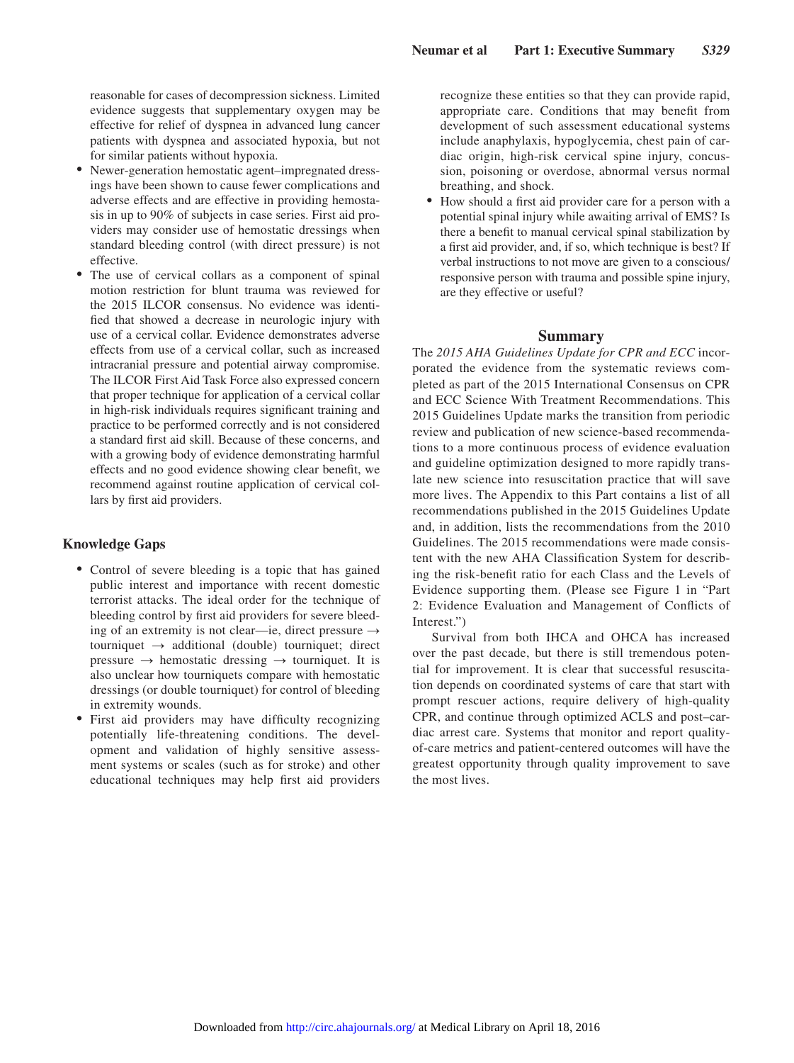reasonable for cases of decompression sickness. Limited evidence suggests that supplementary oxygen may be effective for relief of dyspnea in advanced lung cancer patients with dyspnea and associated hypoxia, but not for similar patients without hypoxia.

- Newer-generation hemostatic agent–impregnated dressings have been shown to cause fewer complications and adverse effects and are effective in providing hemostasis in up to 90% of subjects in case series. First aid providers may consider use of hemostatic dressings when standard bleeding control (with direct pressure) is not effective.
- The use of cervical collars as a component of spinal motion restriction for blunt trauma was reviewed for the 2015 ILCOR consensus. No evidence was identified that showed a decrease in neurologic injury with use of a cervical collar. Evidence demonstrates adverse effects from use of a cervical collar, such as increased intracranial pressure and potential airway compromise. The ILCOR First Aid Task Force also expressed concern that proper technique for application of a cervical collar in high-risk individuals requires significant training and practice to be performed correctly and is not considered a standard first aid skill. Because of these concerns, and with a growing body of evidence demonstrating harmful effects and no good evidence showing clear benefit, we recommend against routine application of cervical collars by first aid providers.

#### **Knowledge Gaps**

- Control of severe bleeding is a topic that has gained public interest and importance with recent domestic terrorist attacks. The ideal order for the technique of bleeding control by first aid providers for severe bleeding of an extremity is not clear—ie, direct pressure  $\rightarrow$ tourniquet  $\rightarrow$  additional (double) tourniquet; direct pressure  $\rightarrow$  hemostatic dressing  $\rightarrow$  tourniquet. It is also unclear how tourniquets compare with hemostatic dressings (or double tourniquet) for control of bleeding in extremity wounds.
- First aid providers may have difficulty recognizing potentially life-threatening conditions. The development and validation of highly sensitive assessment systems or scales (such as for stroke) and other educational techniques may help first aid providers

recognize these entities so that they can provide rapid, appropriate care. Conditions that may benefit from development of such assessment educational systems include anaphylaxis, hypoglycemia, chest pain of cardiac origin, high-risk cervical spine injury, concussion, poisoning or overdose, abnormal versus normal breathing, and shock.

• How should a first aid provider care for a person with a potential spinal injury while awaiting arrival of EMS? Is there a benefit to manual cervical spinal stabilization by a first aid provider, and, if so, which technique is best? If verbal instructions to not move are given to a conscious/ responsive person with trauma and possible spine injury, are they effective or useful?

#### **Summary**

The *2015 AHA Guidelines Update for CPR and ECC* incorporated the evidence from the systematic reviews completed as part of the 2015 International Consensus on CPR and ECC Science With Treatment Recommendations. This 2015 Guidelines Update marks the transition from periodic review and publication of new science-based recommendations to a more continuous process of evidence evaluation and guideline optimization designed to more rapidly translate new science into resuscitation practice that will save more lives. The Appendix to this Part contains a list of all recommendations published in the 2015 Guidelines Update and, in addition, lists the recommendations from the 2010 Guidelines. The 2015 recommendations were made consistent with the new AHA Classification System for describing the risk-benefit ratio for each Class and the Levels of Evidence supporting them. (Please see Figure 1 in "Part 2: Evidence Evaluation and Management of Conflicts of Interest.")

Survival from both IHCA and OHCA has increased over the past decade, but there is still tremendous potential for improvement. It is clear that successful resuscitation depends on coordinated systems of care that start with prompt rescuer actions, require delivery of high-quality CPR, and continue through optimized ACLS and post–cardiac arrest care. Systems that monitor and report qualityof-care metrics and patient-centered outcomes will have the greatest opportunity through quality improvement to save the most lives.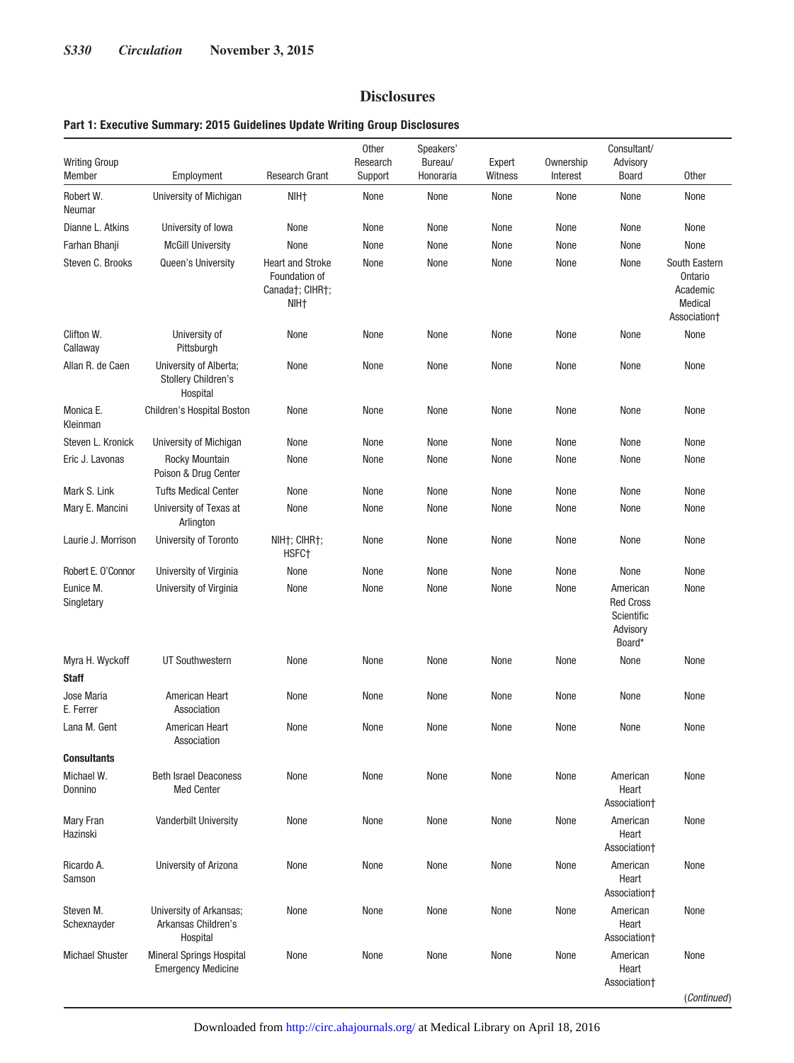# **Disclosures**

# **Part 1: Executive Summary: 2015 Guidelines Update Writing Group Disclosures**

| <b>Writing Group</b>            |                                                                  |                                                                     | <b>Other</b><br>Research | Speakers'<br>Bureau/ | Expert          | Ownership        | Consultant/<br>Advisory                                          |                                                                 |
|---------------------------------|------------------------------------------------------------------|---------------------------------------------------------------------|--------------------------|----------------------|-----------------|------------------|------------------------------------------------------------------|-----------------------------------------------------------------|
| Member<br>Robert W.             | Employment<br>University of Michigan                             | <b>Research Grant</b><br>NIH <sub>†</sub>                           | Support<br>None          | Honoraria<br>None    | Witness<br>None | Interest<br>None | <b>Board</b><br>None                                             | <b>Other</b><br>None                                            |
| Neumar                          |                                                                  |                                                                     |                          |                      |                 |                  |                                                                  |                                                                 |
| Dianne L. Atkins                | University of lowa                                               | None                                                                | None                     | None                 | None            | None             | None                                                             | None                                                            |
| Farhan Bhanji                   | <b>McGill University</b>                                         | None                                                                | None                     | None                 | None            | None             | None                                                             | None                                                            |
| Steven C. Brooks                | Queen's University                                               | <b>Heart and Stroke</b><br>Foundation of<br>Canada†; CIHR†;<br>NIH† | None                     | None                 | None            | None             | None                                                             | South Eastern<br>Ontario<br>Academic<br>Medical<br>Association+ |
| Clifton W.<br>Callaway          | University of<br>Pittsburgh                                      | None                                                                | None                     | None                 | None            | None             | None                                                             | None                                                            |
| Allan R. de Caen                | University of Alberta;<br><b>Stollery Children's</b><br>Hospital | None                                                                | None                     | None                 | None            | None             | None                                                             | None                                                            |
| Monica E.<br>Kleinman           | Children's Hospital Boston                                       | None                                                                | None                     | None                 | None            | None             | None                                                             | None                                                            |
| Steven L. Kronick               | University of Michigan                                           | None                                                                | None                     | None                 | None            | None             | None                                                             | None                                                            |
| Eric J. Lavonas                 | Rocky Mountain<br>Poison & Drug Center                           | None                                                                | None                     | None                 | None            | None             | None                                                             | None                                                            |
| Mark S. Link                    | <b>Tufts Medical Center</b>                                      | None                                                                | None                     | None                 | None            | None             | None                                                             | None                                                            |
| Mary E. Mancini                 | University of Texas at<br>Arlington                              | None                                                                | None                     | None                 | None            | None             | None                                                             | None                                                            |
| Laurie J. Morrison              | University of Toronto                                            | NIH <sub>+</sub> ; CIHR <sub>+</sub> ;<br>HSFC+                     | None                     | None                 | None            | None             | None                                                             | None                                                            |
| Robert E. O'Connor              | University of Virginia                                           | None                                                                | None                     | None                 | None            | None             | None                                                             | None                                                            |
| Eunice M.<br>Singletary         | University of Virginia                                           | None                                                                | None                     | None                 | None            | None             | American<br><b>Red Cross</b><br>Scientific<br>Advisory<br>Board* | None                                                            |
| Myra H. Wyckoff<br><b>Staff</b> | UT Southwestern                                                  | None                                                                | None                     | None                 | None            | None             | None                                                             | None                                                            |
| Jose Maria<br>E. Ferrer         | American Heart<br>Association                                    | None                                                                | None                     | None                 | None            | None             | None                                                             | None                                                            |
| Lana M. Gent                    | American Heart<br>Association                                    | None                                                                | None                     | None                 | None            | None             | None                                                             | None                                                            |
| <b>Consultants</b>              |                                                                  |                                                                     |                          |                      |                 |                  |                                                                  |                                                                 |
| Michael W.<br>Donnino           | <b>Beth Israel Deaconess</b><br><b>Med Center</b>                | None                                                                | None                     | None                 | None            | None             | American<br>Heart<br>Association+                                | None                                                            |
| Mary Fran<br>Hazinski           | <b>Vanderbilt University</b>                                     | None                                                                | None                     | None                 | None            | None             | American<br>Heart<br>Association+                                | None                                                            |
| Ricardo A.<br>Samson            | University of Arizona                                            | None                                                                | None                     | None                 | None            | None             | American<br>Heart<br>Association+                                | None                                                            |
| Steven M.<br>Schexnayder        | University of Arkansas;<br>Arkansas Children's<br>Hospital       | None                                                                | None                     | None                 | None            | None             | American<br>Heart<br>Association+                                | None                                                            |
| <b>Michael Shuster</b>          | <b>Mineral Springs Hospital</b><br><b>Emergency Medicine</b>     | None                                                                | None                     | None                 | None            | None             | American<br>Heart<br>Association+                                | None                                                            |
|                                 |                                                                  |                                                                     |                          |                      |                 |                  |                                                                  | (Continued)                                                     |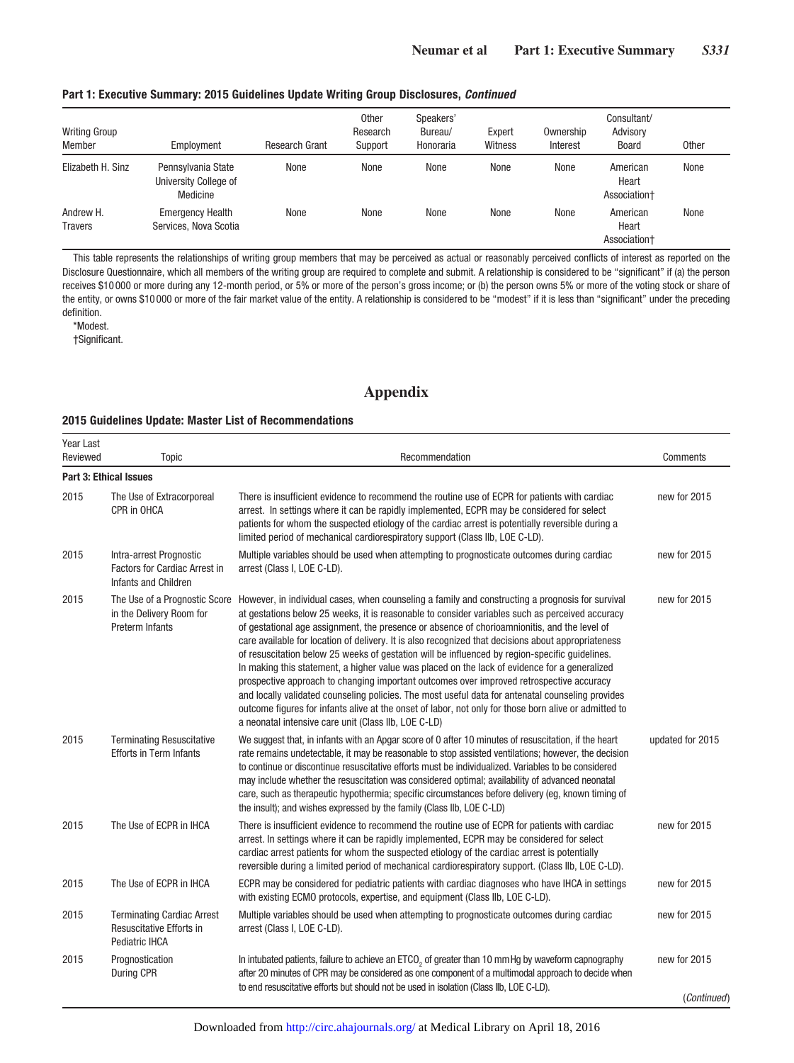#### **Part 1: Executive Summary: 2015 Guidelines Update Writing Group Disclosures,** *Continued*

| <b>Writing Group</b><br>Member | Employment                                              | <b>Research Grant</b> | <b>Other</b><br>Research<br>Support | Speakers'<br>Bureau/<br>Honoraria | Expert<br>Witness | Ownership<br>Interest | Consultant/<br>Advisory<br>Board  | <b>Other</b> |
|--------------------------------|---------------------------------------------------------|-----------------------|-------------------------------------|-----------------------------------|-------------------|-----------------------|-----------------------------------|--------------|
| Elizabeth H. Sinz              | Pennsylvania State<br>University College of<br>Medicine | None                  | None                                | None                              | None              | None                  | American<br>Heart<br>Association+ | None         |
| Andrew H.<br>Travers           | <b>Emergency Health</b><br>Services, Nova Scotia        | None                  | None                                | None                              | None              | None                  | American<br>Heart<br>Association+ | None         |

This table represents the relationships of writing group members that may be perceived as actual or reasonably perceived conflicts of interest as reported on the Disclosure Questionnaire, which all members of the writing group are required to complete and submit. A relationship is considered to be "significant" if (a) the person receives \$10 000 or more during any 12-month period, or 5% or more of the person's gross income; or (b) the person owns 5% or more of the voting stock or share of the entity, or owns \$10 000 or more of the fair market value of the entity. A relationship is considered to be "modest" if it is less than "significant" under the preceding definition.

\*Modest.

†Significant.

# **Appendix**

#### **2015 Guidelines Update: Master List of Recommendations**

| Year Last<br>Reviewed | <b>Topic</b>                                                                     | Recommendation                                                                                                                                                                                                                                                                                                                                                                                                                                                                                                                                                                                                                                                                                                                                                                                                                                                                                                                                                                  | Comments                    |
|-----------------------|----------------------------------------------------------------------------------|---------------------------------------------------------------------------------------------------------------------------------------------------------------------------------------------------------------------------------------------------------------------------------------------------------------------------------------------------------------------------------------------------------------------------------------------------------------------------------------------------------------------------------------------------------------------------------------------------------------------------------------------------------------------------------------------------------------------------------------------------------------------------------------------------------------------------------------------------------------------------------------------------------------------------------------------------------------------------------|-----------------------------|
|                       | <b>Part 3: Ethical Issues</b>                                                    |                                                                                                                                                                                                                                                                                                                                                                                                                                                                                                                                                                                                                                                                                                                                                                                                                                                                                                                                                                                 |                             |
| 2015                  | The Use of Extracorporeal<br>CPR in OHCA                                         | There is insufficient evidence to recommend the routine use of ECPR for patients with cardiac<br>arrest. In settings where it can be rapidly implemented, ECPR may be considered for select<br>patients for whom the suspected etiology of the cardiac arrest is potentially reversible during a<br>limited period of mechanical cardiorespiratory support (Class IIb, LOE C-LD).                                                                                                                                                                                                                                                                                                                                                                                                                                                                                                                                                                                               | new for 2015                |
| 2015                  | Intra-arrest Prognostic<br>Factors for Cardiac Arrest in<br>Infants and Children | Multiple variables should be used when attempting to prognosticate outcomes during cardiac<br>arrest (Class I, LOE C-LD).                                                                                                                                                                                                                                                                                                                                                                                                                                                                                                                                                                                                                                                                                                                                                                                                                                                       | new for 2015                |
| 2015                  | The Use of a Prognostic Score<br>in the Delivery Room for<br>Preterm Infants     | However, in individual cases, when counseling a family and constructing a prognosis for survival<br>at gestations below 25 weeks, it is reasonable to consider variables such as perceived accuracy<br>of gestational age assignment, the presence or absence of chorioamnionitis, and the level of<br>care available for location of delivery. It is also recognized that decisions about appropriateness<br>of resuscitation below 25 weeks of gestation will be influenced by region-specific guidelines.<br>In making this statement, a higher value was placed on the lack of evidence for a generalized<br>prospective approach to changing important outcomes over improved retrospective accuracy<br>and locally validated counseling policies. The most useful data for antenatal counseling provides<br>outcome figures for infants alive at the onset of labor, not only for those born alive or admitted to<br>a neonatal intensive care unit (Class IIb, LOE C-LD) | new for 2015                |
| 2015                  | <b>Terminating Resuscitative</b><br><b>Efforts in Term Infants</b>               | We suggest that, in infants with an Apgar score of 0 after 10 minutes of resuscitation, if the heart<br>rate remains undetectable, it may be reasonable to stop assisted ventilations; however, the decision<br>to continue or discontinue resuscitative efforts must be individualized. Variables to be considered<br>may include whether the resuscitation was considered optimal; availability of advanced neonatal<br>care, such as the rapeutic hypothermia; specific circumstances before delivery (eg, known timing of<br>the insult); and wishes expressed by the family (Class IIb, LOE C-LD)                                                                                                                                                                                                                                                                                                                                                                          | updated for 2015            |
| 2015                  | The Use of ECPR in IHCA                                                          | There is insufficient evidence to recommend the routine use of ECPR for patients with cardiac<br>arrest. In settings where it can be rapidly implemented, ECPR may be considered for select<br>cardiac arrest patients for whom the suspected etiology of the cardiac arrest is potentially<br>reversible during a limited period of mechanical cardiorespiratory support. (Class IIb, LOE C-LD).                                                                                                                                                                                                                                                                                                                                                                                                                                                                                                                                                                               | new for 2015                |
| 2015                  | The Use of ECPR in IHCA                                                          | ECPR may be considered for pediatric patients with cardiac diagnoses who have IHCA in settings<br>with existing ECMO protocols, expertise, and equipment (Class IIb, LOE C-LD).                                                                                                                                                                                                                                                                                                                                                                                                                                                                                                                                                                                                                                                                                                                                                                                                 | new for 2015                |
| 2015                  | <b>Terminating Cardiac Arrest</b><br>Resuscitative Efforts in<br>Pediatric IHCA  | Multiple variables should be used when attempting to prognosticate outcomes during cardiac<br>arrest (Class I, LOE C-LD).                                                                                                                                                                                                                                                                                                                                                                                                                                                                                                                                                                                                                                                                                                                                                                                                                                                       | new for 2015                |
| 2015                  | Prognostication<br>During CPR                                                    | In intubated patients, failure to achieve an ETCO <sub>2</sub> of greater than 10 mm Hg by waveform capnography<br>after 20 minutes of CPR may be considered as one component of a multimodal approach to decide when<br>to end resuscitative efforts but should not be used in isolation (Class IIb, LOE C-LD).                                                                                                                                                                                                                                                                                                                                                                                                                                                                                                                                                                                                                                                                | new for 2015<br>(Continued) |

Downloaded from<http://circ.ahajournals.org/>at Medical Library on April 18, 2016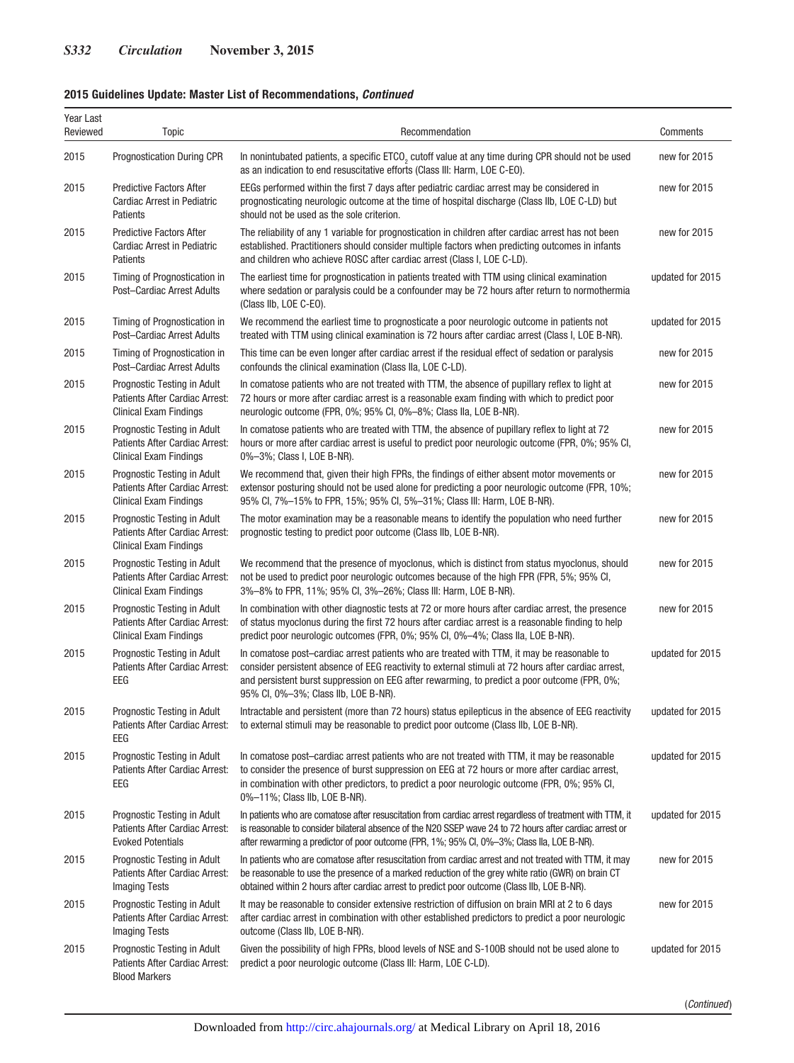| Year Last<br>Reviewed | Topic                                                                                          | Recommendation                                                                                                                                                                                                                                                                                                                            | Comments         |
|-----------------------|------------------------------------------------------------------------------------------------|-------------------------------------------------------------------------------------------------------------------------------------------------------------------------------------------------------------------------------------------------------------------------------------------------------------------------------------------|------------------|
| 2015                  | Prognostication During CPR                                                                     | In nonintubated patients, a specific ETCO, cutoff value at any time during CPR should not be used<br>as an indication to end resuscitative efforts (Class III: Harm, LOE C-EO).                                                                                                                                                           | new for 2015     |
| 2015                  | <b>Predictive Factors After</b><br><b>Cardiac Arrest in Pediatric</b><br>Patients              | EEGs performed within the first 7 days after pediatric cardiac arrest may be considered in<br>prognosticating neurologic outcome at the time of hospital discharge (Class IIb, LOE C-LD) but<br>should not be used as the sole criterion.                                                                                                 | new for 2015     |
| 2015                  | <b>Predictive Factors After</b><br>Cardiac Arrest in Pediatric<br>Patients                     | The reliability of any 1 variable for prognostication in children after cardiac arrest has not been<br>established. Practitioners should consider multiple factors when predicting outcomes in infants<br>and children who achieve ROSC after cardiac arrest (Class I, LOE C-LD).                                                         | new for 2015     |
| 2015                  | Timing of Prognostication in<br>Post-Cardiac Arrest Adults                                     | The earliest time for prognostication in patients treated with TTM using clinical examination<br>where sedation or paralysis could be a confounder may be 72 hours after return to normothermia<br>(Class IIb, LOE C-EO).                                                                                                                 | updated for 2015 |
| 2015                  | Timing of Prognostication in<br>Post-Cardiac Arrest Adults                                     | We recommend the earliest time to prognosticate a poor neurologic outcome in patients not<br>treated with TTM using clinical examination is 72 hours after cardiac arrest (Class I, LOE B-NR).                                                                                                                                            | updated for 2015 |
| 2015                  | Timing of Prognostication in<br>Post-Cardiac Arrest Adults                                     | This time can be even longer after cardiac arrest if the residual effect of sedation or paralysis<br>confounds the clinical examination (Class IIa, LOE C-LD).                                                                                                                                                                            | new for 2015     |
| 2015                  | Prognostic Testing in Adult<br>Patients After Cardiac Arrest:<br><b>Clinical Exam Findings</b> | In comatose patients who are not treated with TTM, the absence of pupillary reflex to light at<br>72 hours or more after cardiac arrest is a reasonable exam finding with which to predict poor<br>neurologic outcome (FPR, 0%; 95% CI, 0%-8%; Class IIa, LOE B-NR).                                                                      | new for 2015     |
| 2015                  | Prognostic Testing in Adult<br>Patients After Cardiac Arrest:<br><b>Clinical Exam Findings</b> | In comatose patients who are treated with TTM, the absence of pupillary reflex to light at 72<br>hours or more after cardiac arrest is useful to predict poor neurologic outcome (FPR, 0%; 95% CI,<br>0%-3%; Class I, LOE B-NR).                                                                                                          | new for 2015     |
| 2015                  | Prognostic Testing in Adult<br>Patients After Cardiac Arrest:<br><b>Clinical Exam Findings</b> | We recommend that, given their high FPRs, the findings of either absent motor movements or<br>extensor posturing should not be used alone for predicting a poor neurologic outcome (FPR, 10%;<br>95% CI, 7%-15% to FPR, 15%; 95% CI, 5%-31%; Class III: Harm, LOE B-NR).                                                                  | new for 2015     |
| 2015                  | Prognostic Testing in Adult<br>Patients After Cardiac Arrest:<br><b>Clinical Exam Findings</b> | The motor examination may be a reasonable means to identify the population who need further<br>prognostic testing to predict poor outcome (Class IIb, LOE B-NR).                                                                                                                                                                          | new for 2015     |
| 2015                  | Prognostic Testing in Adult<br>Patients After Cardiac Arrest:<br><b>Clinical Exam Findings</b> | We recommend that the presence of myoclonus, which is distinct from status myoclonus, should<br>not be used to predict poor neurologic outcomes because of the high FPR (FPR, 5%; 95% CI,<br>3%-8% to FPR, 11%; 95% CI, 3%-26%; Class III: Harm, LOE B-NR).                                                                               | new for 2015     |
| 2015                  | Prognostic Testing in Adult<br>Patients After Cardiac Arrest:<br><b>Clinical Exam Findings</b> | In combination with other diagnostic tests at 72 or more hours after cardiac arrest, the presence<br>of status myoclonus during the first 72 hours after cardiac arrest is a reasonable finding to help<br>predict poor neurologic outcomes (FPR, 0%; 95% CI, 0%-4%; Class IIa, LOE B-NR).                                                | new for 2015     |
| 2015                  | Prognostic Testing in Adult<br>Patients After Cardiac Arrest:<br>EEG                           | In comatose post-cardiac arrest patients who are treated with TTM, it may be reasonable to<br>consider persistent absence of EEG reactivity to external stimuli at 72 hours after cardiac arrest,<br>and persistent burst suppression on EEG after rewarming, to predict a poor outcome (FPR, 0%;<br>95% CI, 0%-3%; Class IIb, LOE B-NR). | updated for 2015 |
| 2015                  | Prognostic Testing in Adult<br>EEG                                                             | Intractable and persistent (more than 72 hours) status epilepticus in the absence of EEG reactivity<br>Patients After Cardiac Arrest: to external stimuli may be reasonable to predict poor outcome (Class IIb, LOE B-NR).                                                                                                                | updated for 2015 |
| 2015                  | Prognostic Testing in Adult<br>Patients After Cardiac Arrest:<br>EEG                           | In comatose post–cardiac arrest patients who are not treated with TTM, it may be reasonable<br>to consider the presence of burst suppression on EEG at 72 hours or more after cardiac arrest,<br>in combination with other predictors, to predict a poor neurologic outcome (FPR, 0%; 95% CI,<br>0%-11%; Class IIb, LOE B-NR).            | updated for 2015 |
| 2015                  | Prognostic Testing in Adult<br>Patients After Cardiac Arrest:<br><b>Evoked Potentials</b>      | In patients who are comatose after resuscitation from cardiac arrest regardless of treatment with TTM, it<br>is reasonable to consider bilateral absence of the N20 SSEP wave 24 to 72 hours after cardiac arrest or<br>after rewarming a predictor of poor outcome (FPR, 1%; 95% CI, 0%-3%; Class IIa, LOE B-NR).                        | updated for 2015 |
| 2015                  | Prognostic Testing in Adult<br>Patients After Cardiac Arrest:<br><b>Imaging Tests</b>          | In patients who are comatose after resuscitation from cardiac arrest and not treated with TTM, it may<br>be reasonable to use the presence of a marked reduction of the grey white ratio (GWR) on brain CT<br>obtained within 2 hours after cardiac arrest to predict poor outcome (Class IIb, LOE B-NR).                                 | new for 2015     |
| 2015                  | Prognostic Testing in Adult<br>Patients After Cardiac Arrest:<br><b>Imaging Tests</b>          | It may be reasonable to consider extensive restriction of diffusion on brain MRI at 2 to 6 days<br>after cardiac arrest in combination with other established predictors to predict a poor neurologic<br>outcome (Class IIb, LOE B-NR).                                                                                                   | new for 2015     |
| 2015                  | Prognostic Testing in Adult<br>Patients After Cardiac Arrest:<br><b>Blood Markers</b>          | Given the possibility of high FPRs, blood levels of NSE and S-100B should not be used alone to<br>predict a poor neurologic outcome (Class III: Harm, LOE C-LD).                                                                                                                                                                          | updated for 2015 |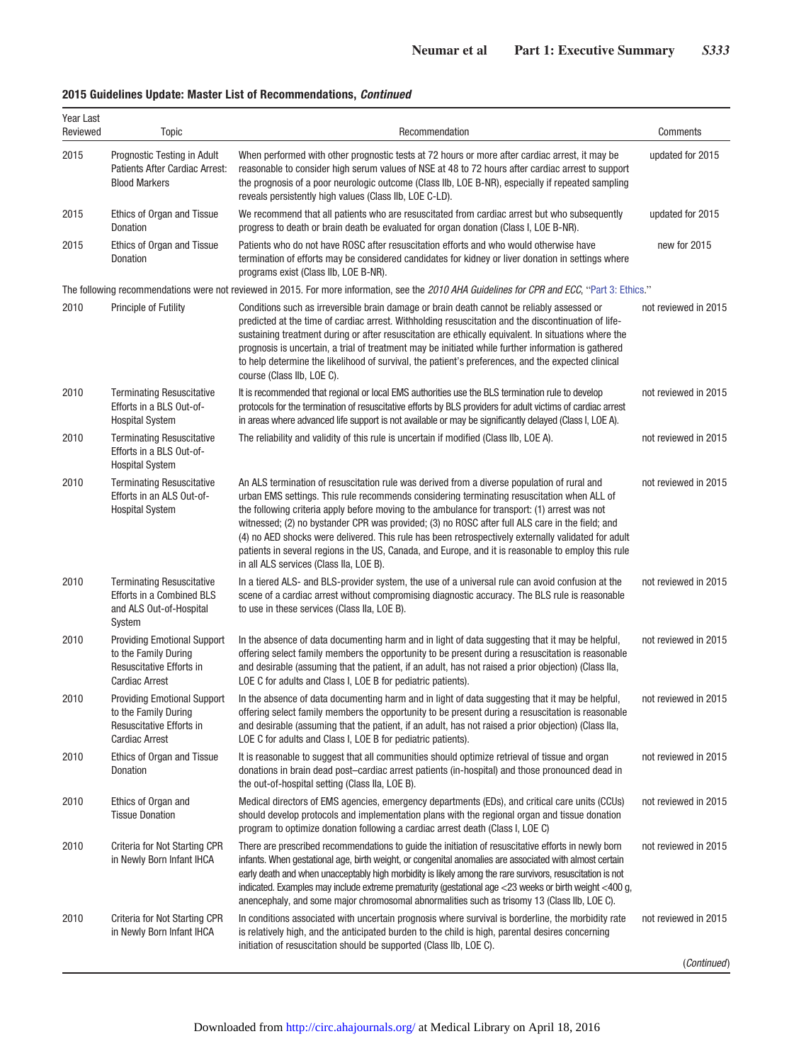| Year Last<br>Reviewed | Topic                                                                                                           | Recommendation                                                                                                                                                                                                                                                                                                                                                                                                                                                                                                                                                                                                                                         | Comments             |
|-----------------------|-----------------------------------------------------------------------------------------------------------------|--------------------------------------------------------------------------------------------------------------------------------------------------------------------------------------------------------------------------------------------------------------------------------------------------------------------------------------------------------------------------------------------------------------------------------------------------------------------------------------------------------------------------------------------------------------------------------------------------------------------------------------------------------|----------------------|
| 2015                  | Prognostic Testing in Adult<br><b>Patients After Cardiac Arrest:</b><br><b>Blood Markers</b>                    | When performed with other prognostic tests at 72 hours or more after cardiac arrest, it may be<br>reasonable to consider high serum values of NSE at 48 to 72 hours after cardiac arrest to support<br>the prognosis of a poor neurologic outcome (Class IIb, LOE B-NR), especially if repeated sampling<br>reveals persistently high values (Class IIb, LOE C-LD).                                                                                                                                                                                                                                                                                    | updated for 2015     |
| 2015                  | Ethics of Organ and Tissue<br>Donation                                                                          | We recommend that all patients who are resuscitated from cardiac arrest but who subsequently<br>progress to death or brain death be evaluated for organ donation (Class I, LOE B-NR).                                                                                                                                                                                                                                                                                                                                                                                                                                                                  | updated for 2015     |
| 2015                  | Ethics of Organ and Tissue<br>Donation                                                                          | Patients who do not have ROSC after resuscitation efforts and who would otherwise have<br>termination of efforts may be considered candidates for kidney or liver donation in settings where<br>programs exist (Class IIb, LOE B-NR).                                                                                                                                                                                                                                                                                                                                                                                                                  | new for 2015         |
|                       |                                                                                                                 | The following recommendations were not reviewed in 2015. For more information, see the 2010 AHA Guidelines for CPR and ECC, "Part 3: Ethics."                                                                                                                                                                                                                                                                                                                                                                                                                                                                                                          |                      |
| 2010                  | <b>Principle of Futility</b>                                                                                    | Conditions such as irreversible brain damage or brain death cannot be reliably assessed or<br>predicted at the time of cardiac arrest. Withholding resuscitation and the discontinuation of life-<br>sustaining treatment during or after resuscitation are ethically equivalent. In situations where the<br>prognosis is uncertain, a trial of treatment may be initiated while further information is gathered<br>to help determine the likelihood of survival, the patient's preferences, and the expected clinical<br>course (Class IIb, LOE C).                                                                                                   | not reviewed in 2015 |
| 2010                  | <b>Terminating Resuscitative</b><br>Efforts in a BLS Out-of-<br><b>Hospital System</b>                          | It is recommended that regional or local EMS authorities use the BLS termination rule to develop<br>protocols for the termination of resuscitative efforts by BLS providers for adult victims of cardiac arrest<br>in areas where advanced life support is not available or may be significantly delayed (Class I, LOE A).                                                                                                                                                                                                                                                                                                                             | not reviewed in 2015 |
| 2010                  | <b>Terminating Resuscitative</b><br>Efforts in a BLS Out-of-<br><b>Hospital System</b>                          | The reliability and validity of this rule is uncertain if modified (Class IIb, LOE A).                                                                                                                                                                                                                                                                                                                                                                                                                                                                                                                                                                 | not reviewed in 2015 |
| 2010                  | <b>Terminating Resuscitative</b><br>Efforts in an ALS Out-of-<br><b>Hospital System</b>                         | An ALS termination of resuscitation rule was derived from a diverse population of rural and<br>urban EMS settings. This rule recommends considering terminating resuscitation when ALL of<br>the following criteria apply before moving to the ambulance for transport: (1) arrest was not<br>witnessed; (2) no bystander CPR was provided; (3) no ROSC after full ALS care in the field; and<br>(4) no AED shocks were delivered. This rule has been retrospectively externally validated for adult<br>patients in several regions in the US, Canada, and Europe, and it is reasonable to employ this rule<br>in all ALS services (Class IIa, LOE B). | not reviewed in 2015 |
| 2010                  | <b>Terminating Resuscitative</b><br><b>Efforts in a Combined BLS</b><br>and ALS Out-of-Hospital<br>System       | In a tiered ALS- and BLS-provider system, the use of a universal rule can avoid confusion at the<br>scene of a cardiac arrest without compromising diagnostic accuracy. The BLS rule is reasonable<br>to use in these services (Class IIa, LOE B).                                                                                                                                                                                                                                                                                                                                                                                                     | not reviewed in 2015 |
| 2010                  | <b>Providing Emotional Support</b><br>to the Family During<br>Resuscitative Efforts in<br><b>Cardiac Arrest</b> | In the absence of data documenting harm and in light of data suggesting that it may be helpful,<br>offering select family members the opportunity to be present during a resuscitation is reasonable<br>and desirable (assuming that the patient, if an adult, has not raised a prior objection) (Class IIa,<br>LOE C for adults and Class I, LOE B for pediatric patients).                                                                                                                                                                                                                                                                           | not reviewed in 2015 |
| 2010                  | <b>Providing Emotional Support</b><br>to the Family During<br>Resuscitative Efforts in<br><b>Cardiac Arrest</b> | In the absence of data documenting harm and in light of data suggesting that it may be helpful,<br>offering select family members the opportunity to be present during a resuscitation is reasonable<br>and desirable (assuming that the patient, if an adult, has not raised a prior objection) (Class IIa,<br>LOE C for adults and Class I, LOE B for pediatric patients).                                                                                                                                                                                                                                                                           | not reviewed in 2015 |
| 2010                  | Ethics of Organ and Tissue<br>Donation                                                                          | It is reasonable to suggest that all communities should optimize retrieval of tissue and organ<br>donations in brain dead post-cardiac arrest patients (in-hospital) and those pronounced dead in<br>the out-of-hospital setting (Class IIa, LOE B).                                                                                                                                                                                                                                                                                                                                                                                                   | not reviewed in 2015 |
| 2010                  | Ethics of Organ and<br><b>Tissue Donation</b>                                                                   | Medical directors of EMS agencies, emergency departments (EDs), and critical care units (CCUs)<br>should develop protocols and implementation plans with the regional organ and tissue donation<br>program to optimize donation following a cardiac arrest death (Class I, LOE C)                                                                                                                                                                                                                                                                                                                                                                      | not reviewed in 2015 |
| 2010                  | Criteria for Not Starting CPR<br>in Newly Born Infant IHCA                                                      | There are prescribed recommendations to guide the initiation of resuscitative efforts in newly born<br>infants. When gestational age, birth weight, or congenital anomalies are associated with almost certain<br>early death and when unacceptably high morbidity is likely among the rare survivors, resuscitation is not<br>indicated. Examples may include extreme prematurity (gestational age <23 weeks or birth weight <400 g,<br>anencephaly, and some major chromosomal abnormalities such as trisomy 13 (Class IIb, LOE C).                                                                                                                  | not reviewed in 2015 |
| 2010                  | Criteria for Not Starting CPR<br>in Newly Born Infant IHCA                                                      | In conditions associated with uncertain prognosis where survival is borderline, the morbidity rate<br>is relatively high, and the anticipated burden to the child is high, parental desires concerning<br>initiation of resuscitation should be supported (Class IIb, LOE C).                                                                                                                                                                                                                                                                                                                                                                          | not reviewed in 2015 |
|                       |                                                                                                                 |                                                                                                                                                                                                                                                                                                                                                                                                                                                                                                                                                                                                                                                        | (Continued)          |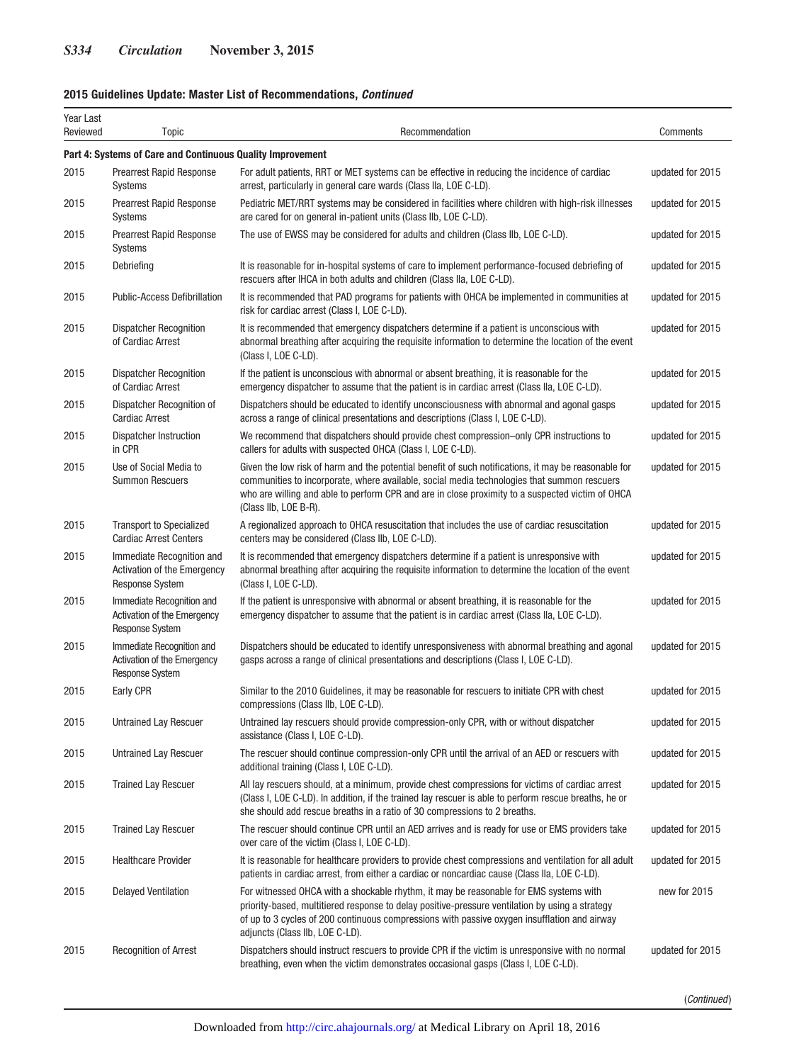| Year Last<br>Reviewed | Topic                                                                                     | Recommendation                                                                                                                                                                                                                                                                                                                   | Comments         |
|-----------------------|-------------------------------------------------------------------------------------------|----------------------------------------------------------------------------------------------------------------------------------------------------------------------------------------------------------------------------------------------------------------------------------------------------------------------------------|------------------|
|                       | Part 4: Systems of Care and Continuous Quality Improvement                                |                                                                                                                                                                                                                                                                                                                                  |                  |
| 2015                  | <b>Prearrest Rapid Response</b><br>Systems                                                | For adult patients, RRT or MET systems can be effective in reducing the incidence of cardiac<br>arrest, particularly in general care wards (Class IIa, LOE C-LD).                                                                                                                                                                | updated for 2015 |
| 2015                  | <b>Prearrest Rapid Response</b><br>Systems                                                | Pediatric MET/RRT systems may be considered in facilities where children with high-risk illnesses<br>are cared for on general in-patient units (Class IIb, LOE C-LD).                                                                                                                                                            | updated for 2015 |
| 2015                  | <b>Prearrest Rapid Response</b><br>Systems                                                | The use of EWSS may be considered for adults and children (Class IIb, LOE C-LD).                                                                                                                                                                                                                                                 | updated for 2015 |
| 2015                  | Debriefing                                                                                | It is reasonable for in-hospital systems of care to implement performance-focused debriefing of<br>rescuers after IHCA in both adults and children (Class IIa, LOE C-LD).                                                                                                                                                        | updated for 2015 |
| 2015                  | <b>Public-Access Defibrillation</b>                                                       | It is recommended that PAD programs for patients with OHCA be implemented in communities at<br>risk for cardiac arrest (Class I, LOE C-LD).                                                                                                                                                                                      | updated for 2015 |
| 2015                  | <b>Dispatcher Recognition</b><br>of Cardiac Arrest                                        | It is recommended that emergency dispatchers determine if a patient is unconscious with<br>abnormal breathing after acquiring the requisite information to determine the location of the event<br>(Class I, LOE C-LD).                                                                                                           | updated for 2015 |
| 2015                  | <b>Dispatcher Recognition</b><br>of Cardiac Arrest                                        | If the patient is unconscious with abnormal or absent breathing, it is reasonable for the<br>emergency dispatcher to assume that the patient is in cardiac arrest (Class IIa, LOE C-LD).                                                                                                                                         | updated for 2015 |
| 2015                  | Dispatcher Recognition of<br><b>Cardiac Arrest</b>                                        | Dispatchers should be educated to identify unconsciousness with abnormal and agonal gasps<br>across a range of clinical presentations and descriptions (Class I, LOE C-LD).                                                                                                                                                      | updated for 2015 |
| 2015                  | Dispatcher Instruction<br>in CPR                                                          | We recommend that dispatchers should provide chest compression–only CPR instructions to<br>callers for adults with suspected OHCA (Class I, LOE C-LD).                                                                                                                                                                           | updated for 2015 |
| 2015                  | Use of Social Media to<br><b>Summon Rescuers</b>                                          | Given the low risk of harm and the potential benefit of such notifications, it may be reasonable for<br>communities to incorporate, where available, social media technologies that summon rescuers<br>who are willing and able to perform CPR and are in close proximity to a suspected victim of OHCA<br>(Class IIb, LOE B-R). | updated for 2015 |
| 2015                  | <b>Transport to Specialized</b><br><b>Cardiac Arrest Centers</b>                          | A regionalized approach to OHCA resuscitation that includes the use of cardiac resuscitation<br>centers may be considered (Class IIb, LOE C-LD).                                                                                                                                                                                 | updated for 2015 |
| 2015                  | Immediate Recognition and<br><b>Activation of the Emergency</b><br><b>Response System</b> | It is recommended that emergency dispatchers determine if a patient is unresponsive with<br>abnormal breathing after acquiring the requisite information to determine the location of the event<br>(Class I, LOE C-LD).                                                                                                          | updated for 2015 |
| 2015                  | Immediate Recognition and<br><b>Activation of the Emergency</b><br><b>Response System</b> | If the patient is unresponsive with abnormal or absent breathing, it is reasonable for the<br>emergency dispatcher to assume that the patient is in cardiac arrest (Class IIa, LOE C-LD).                                                                                                                                        | updated for 2015 |
| 2015                  | Immediate Recognition and<br>Activation of the Emergency<br><b>Response System</b>        | Dispatchers should be educated to identify unresponsiveness with abnormal breathing and agonal<br>gasps across a range of clinical presentations and descriptions (Class I, LOE C-LD).                                                                                                                                           | updated for 2015 |
| 2015                  | <b>Early CPR</b>                                                                          | Similar to the 2010 Guidelines, it may be reasonable for rescuers to initiate CPR with chest<br>compressions (Class IIb, LOE C-LD).                                                                                                                                                                                              | updated for 2015 |
| 2015                  | <b>Untrained Lay Rescuer</b>                                                              | Untrained lay rescuers should provide compression-only CPR, with or without dispatcher<br>assistance (Class I, LOE C-LD).                                                                                                                                                                                                        | updated for 2015 |
| 2015                  | <b>Untrained Lay Rescuer</b>                                                              | The rescuer should continue compression-only CPR until the arrival of an AED or rescuers with<br>additional training (Class I, LOE C-LD).                                                                                                                                                                                        | updated for 2015 |
| 2015                  | <b>Trained Lay Rescuer</b>                                                                | All lay rescuers should, at a minimum, provide chest compressions for victims of cardiac arrest<br>(Class I, LOE C-LD). In addition, if the trained lay rescuer is able to perform rescue breaths, he or<br>she should add rescue breaths in a ratio of 30 compressions to 2 breaths.                                            | updated for 2015 |
| 2015                  | <b>Trained Lay Rescuer</b>                                                                | The rescuer should continue CPR until an AED arrives and is ready for use or EMS providers take<br>over care of the victim (Class I, LOE C-LD).                                                                                                                                                                                  | updated for 2015 |
| 2015                  | <b>Healthcare Provider</b>                                                                | It is reasonable for healthcare providers to provide chest compressions and ventilation for all adult<br>patients in cardiac arrest, from either a cardiac or noncardiac cause (Class IIa, LOE C-LD).                                                                                                                            | updated for 2015 |
| 2015                  | <b>Delayed Ventilation</b>                                                                | For witnessed OHCA with a shockable rhythm, it may be reasonable for EMS systems with<br>priority-based, multitiered response to delay positive-pressure ventilation by using a strategy<br>of up to 3 cycles of 200 continuous compressions with passive oxygen insufflation and airway<br>adjuncts (Class IIb, LOE C-LD).      | new for 2015     |
| 2015                  | <b>Recognition of Arrest</b>                                                              | Dispatchers should instruct rescuers to provide CPR if the victim is unresponsive with no normal<br>breathing, even when the victim demonstrates occasional gasps (Class I, LOE C-LD).                                                                                                                                           | updated for 2015 |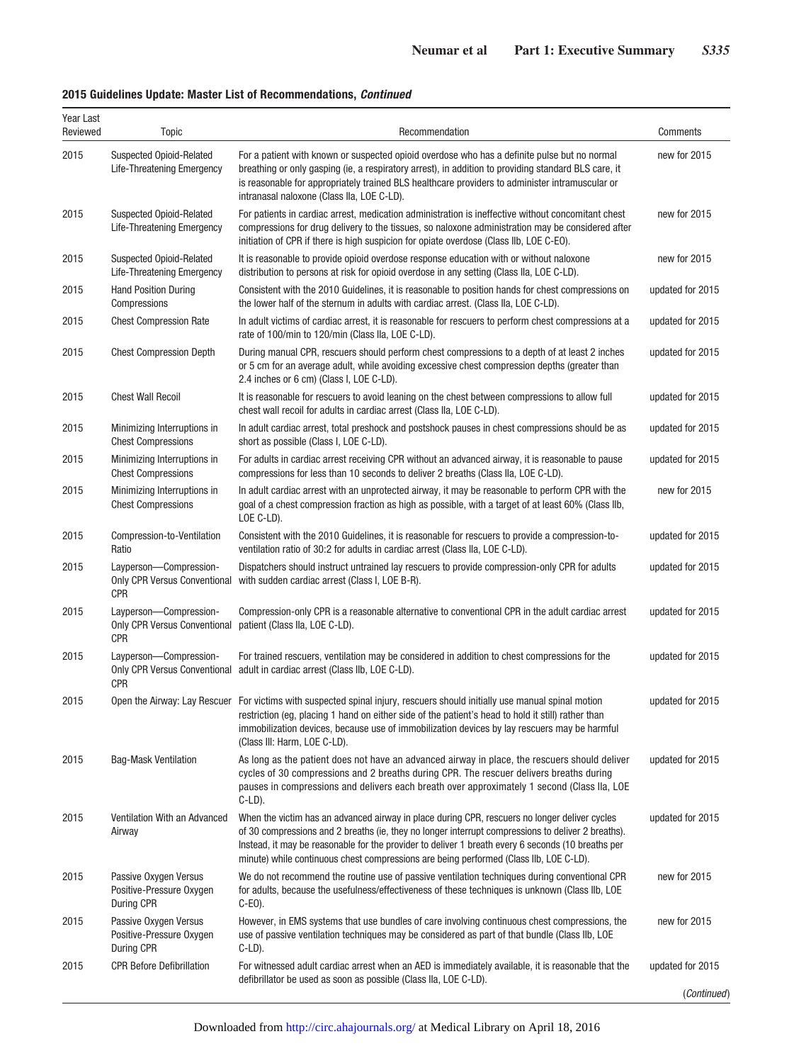|  |  | 2015 Guidelines Update: Master List of Recommendations, <i>Continued</i> |  |
|--|--|--------------------------------------------------------------------------|--|
|--|--|--------------------------------------------------------------------------|--|

| Year Last<br>Reviewed | <b>Topic</b>                                                                | Recommendation                                                                                                                                                                                                                                                                                                                                                                                      | Comments         |
|-----------------------|-----------------------------------------------------------------------------|-----------------------------------------------------------------------------------------------------------------------------------------------------------------------------------------------------------------------------------------------------------------------------------------------------------------------------------------------------------------------------------------------------|------------------|
| 2015                  | <b>Suspected Opioid-Related</b><br>Life-Threatening Emergency               | For a patient with known or suspected opioid overdose who has a definite pulse but no normal<br>breathing or only gasping (ie, a respiratory arrest), in addition to providing standard BLS care, it<br>is reasonable for appropriately trained BLS healthcare providers to administer intramuscular or<br>intranasal naloxone (Class IIa, LOE C-LD).                                               | new for 2015     |
| 2015                  | <b>Suspected Opioid-Related</b><br>Life-Threatening Emergency               | For patients in cardiac arrest, medication administration is ineffective without concomitant chest<br>compressions for drug delivery to the tissues, so naloxone administration may be considered after<br>initiation of CPR if there is high suspicion for opiate overdose (Class IIb, LOE C-EO).                                                                                                  | new for 2015     |
| 2015                  | <b>Suspected Opioid-Related</b><br>Life-Threatening Emergency               | It is reasonable to provide opioid overdose response education with or without naloxone<br>distribution to persons at risk for opioid overdose in any setting (Class IIa, LOE C-LD).                                                                                                                                                                                                                | new for 2015     |
| 2015                  | <b>Hand Position During</b><br>Compressions                                 | Consistent with the 2010 Guidelines, it is reasonable to position hands for chest compressions on<br>the lower half of the sternum in adults with cardiac arrest. (Class IIa, LOE C-LD).                                                                                                                                                                                                            | updated for 2015 |
| 2015                  | <b>Chest Compression Rate</b>                                               | In adult victims of cardiac arrest, it is reasonable for rescuers to perform chest compressions at a<br>rate of 100/min to 120/min (Class IIa, LOE C-LD).                                                                                                                                                                                                                                           | updated for 2015 |
| 2015                  | <b>Chest Compression Depth</b>                                              | During manual CPR, rescuers should perform chest compressions to a depth of at least 2 inches<br>or 5 cm for an average adult, while avoiding excessive chest compression depths (greater than<br>2.4 inches or 6 cm) (Class I, LOE C-LD).                                                                                                                                                          | updated for 2015 |
| 2015                  | <b>Chest Wall Recoil</b>                                                    | It is reasonable for rescuers to avoid leaning on the chest between compressions to allow full<br>chest wall recoil for adults in cardiac arrest (Class IIa, LOE C-LD).                                                                                                                                                                                                                             | updated for 2015 |
| 2015                  | Minimizing Interruptions in<br><b>Chest Compressions</b>                    | In adult cardiac arrest, total preshock and postshock pauses in chest compressions should be as<br>short as possible (Class I, LOE C-LD).                                                                                                                                                                                                                                                           | updated for 2015 |
| 2015                  | Minimizing Interruptions in<br><b>Chest Compressions</b>                    | For adults in cardiac arrest receiving CPR without an advanced airway, it is reasonable to pause<br>compressions for less than 10 seconds to deliver 2 breaths (Class IIa, LOE C-LD).                                                                                                                                                                                                               | updated for 2015 |
| 2015                  | Minimizing Interruptions in<br><b>Chest Compressions</b>                    | In adult cardiac arrest with an unprotected airway, it may be reasonable to perform CPR with the<br>goal of a chest compression fraction as high as possible, with a target of at least 60% (Class IIb,<br>LOE C-LD).                                                                                                                                                                               | new for 2015     |
| 2015                  | Compression-to-Ventilation<br>Ratio                                         | Consistent with the 2010 Guidelines, it is reasonable for rescuers to provide a compression-to-<br>ventilation ratio of 30:2 for adults in cardiac arrest (Class IIa, LOE C-LD).                                                                                                                                                                                                                    | updated for 2015 |
| 2015                  | Layperson-Compression-<br><b>Only CPR Versus Conventional</b><br><b>CPR</b> | Dispatchers should instruct untrained lay rescuers to provide compression-only CPR for adults<br>with sudden cardiac arrest (Class I, LOE B-R).                                                                                                                                                                                                                                                     | updated for 2015 |
| 2015                  | Layperson-Compression-<br><b>Only CPR Versus Conventional</b><br><b>CPR</b> | Compression-only CPR is a reasonable alternative to conventional CPR in the adult cardiac arrest<br>patient (Class IIa, LOE C-LD).                                                                                                                                                                                                                                                                  | updated for 2015 |
| 2015                  | Layperson-Compression-<br><b>Only CPR Versus Conventional</b><br><b>CPR</b> | For trained rescuers, ventilation may be considered in addition to chest compressions for the<br>adult in cardiac arrest (Class IIb, LOE C-LD).                                                                                                                                                                                                                                                     | updated for 2015 |
| 2015                  |                                                                             | Open the Airway: Lay Rescuer For victims with suspected spinal injury, rescuers should initially use manual spinal motion<br>restriction (eg, placing 1 hand on either side of the patient's head to hold it still) rather than<br>immobilization devices, because use of immobilization devices by lay rescuers may be harmful<br>(Class III: Harm, LOE C-LD).                                     | updated for 2015 |
| 2015                  | <b>Bag-Mask Ventilation</b>                                                 | As long as the patient does not have an advanced airway in place, the rescuers should deliver<br>cycles of 30 compressions and 2 breaths during CPR. The rescuer delivers breaths during<br>pauses in compressions and delivers each breath over approximately 1 second (Class IIa, LOE<br>C-LD).                                                                                                   | updated for 2015 |
| 2015                  | Ventilation With an Advanced<br>Airway                                      | When the victim has an advanced airway in place during CPR, rescuers no longer deliver cycles<br>of 30 compressions and 2 breaths (ie, they no longer interrupt compressions to deliver 2 breaths).<br>Instead, it may be reasonable for the provider to deliver 1 breath every 6 seconds (10 breaths per<br>minute) while continuous chest compressions are being performed (Class IIb, LOE C-LD). | updated for 2015 |
| 2015                  | Passive Oxygen Versus<br>Positive-Pressure Oxygen<br>During CPR             | We do not recommend the routine use of passive ventilation techniques during conventional CPR<br>for adults, because the usefulness/effectiveness of these techniques is unknown (Class IIb, LOE<br>$C-EO$ ).                                                                                                                                                                                       | new for 2015     |
| 2015                  | Passive Oxygen Versus<br>Positive-Pressure Oxygen<br>During CPR             | However, in EMS systems that use bundles of care involving continuous chest compressions, the<br>use of passive ventilation techniques may be considered as part of that bundle (Class IIb, LOE<br>$C-LD$ ).                                                                                                                                                                                        | new for 2015     |
| 2015                  | <b>CPR Before Defibrillation</b>                                            | For witnessed adult cardiac arrest when an AED is immediately available, it is reasonable that the<br>defibrillator be used as soon as possible (Class IIa, LOE C-LD).                                                                                                                                                                                                                              | updated for 2015 |
|                       |                                                                             |                                                                                                                                                                                                                                                                                                                                                                                                     | (Continued)      |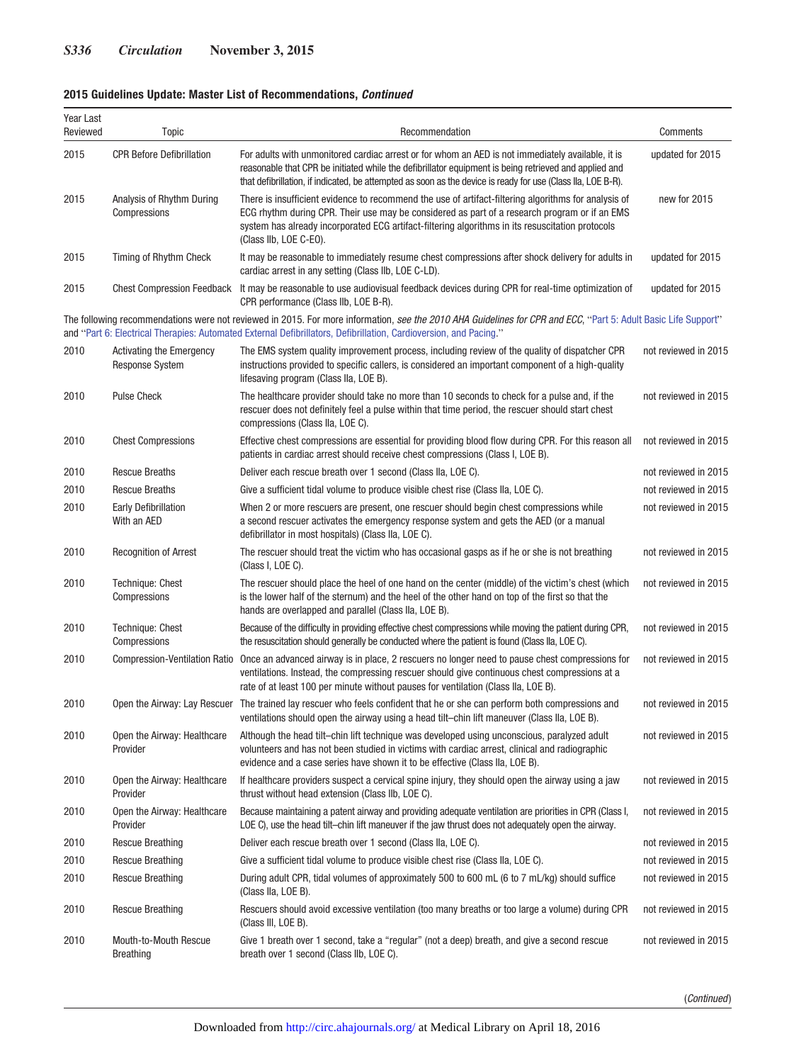| Year Last<br>Reviewed | Topic                                                     | Recommendation                                                                                                                                                                                                                                                                                                                      | Comments             |
|-----------------------|-----------------------------------------------------------|-------------------------------------------------------------------------------------------------------------------------------------------------------------------------------------------------------------------------------------------------------------------------------------------------------------------------------------|----------------------|
| 2015                  | <b>CPR Before Defibrillation</b>                          | For adults with unmonitored cardiac arrest or for whom an AED is not immediately available, it is<br>reasonable that CPR be initiated while the defibrillator equipment is being retrieved and applied and<br>that defibrillation, if indicated, be attempted as soon as the device is ready for use (Class IIa, LOE B-R).          | updated for 2015     |
| 2015                  | Analysis of Rhythm During<br>Compressions                 | There is insufficient evidence to recommend the use of artifact-filtering algorithms for analysis of<br>ECG rhythm during CPR. Their use may be considered as part of a research program or if an EMS<br>system has already incorporated ECG artifact-filtering algorithms in its resuscitation protocols<br>(Class IIb, LOE C-EO). | new for 2015         |
| 2015                  | Timing of Rhythm Check                                    | It may be reasonable to immediately resume chest compressions after shock delivery for adults in<br>cardiac arrest in any setting (Class IIb, LOE C-LD).                                                                                                                                                                            | updated for 2015     |
| 2015                  | <b>Chest Compression Feedback</b>                         | It may be reasonable to use audiovisual feedback devices during CPR for real-time optimization of<br>CPR performance (Class IIb, LOE B-R).                                                                                                                                                                                          | updated for 2015     |
|                       |                                                           | The following recommendations were not reviewed in 2015. For more information, see the 2010 AHA Guidelines for CPR and ECC, "Part 5: Adult Basic Life Support"<br>and "Part 6: Electrical Therapies: Automated External Defibrillators, Defibrillation, Cardioversion, and Pacing."                                                 |                      |
| 2010                  | <b>Activating the Emergency</b><br><b>Response System</b> | The EMS system quality improvement process, including review of the quality of dispatcher CPR<br>instructions provided to specific callers, is considered an important component of a high-quality<br>lifesaving program (Class IIa, LOE B).                                                                                        | not reviewed in 2015 |
| 2010                  | <b>Pulse Check</b>                                        | The healthcare provider should take no more than 10 seconds to check for a pulse and, if the<br>rescuer does not definitely feel a pulse within that time period, the rescuer should start chest<br>compressions (Class IIa, LOE C).                                                                                                | not reviewed in 2015 |
| 2010                  | <b>Chest Compressions</b>                                 | Effective chest compressions are essential for providing blood flow during CPR. For this reason all<br>patients in cardiac arrest should receive chest compressions (Class I, LOE B).                                                                                                                                               | not reviewed in 2015 |
| 2010                  | <b>Rescue Breaths</b>                                     | Deliver each rescue breath over 1 second (Class IIa, LOE C).                                                                                                                                                                                                                                                                        | not reviewed in 2015 |
| 2010                  | <b>Rescue Breaths</b>                                     | Give a sufficient tidal volume to produce visible chest rise (Class IIa, LOE C).                                                                                                                                                                                                                                                    | not reviewed in 2015 |
| 2010                  | <b>Early Defibrillation</b><br>With an AED                | When 2 or more rescuers are present, one rescuer should begin chest compressions while<br>a second rescuer activates the emergency response system and gets the AED (or a manual<br>defibrillator in most hospitals) (Class IIa, LOE C).                                                                                            | not reviewed in 2015 |
| 2010                  | <b>Recognition of Arrest</b>                              | The rescuer should treat the victim who has occasional gasps as if he or she is not breathing<br>(Class I, LOE C).                                                                                                                                                                                                                  | not reviewed in 2015 |
| 2010                  | Technique: Chest<br>Compressions                          | The rescuer should place the heel of one hand on the center (middle) of the victim's chest (which<br>is the lower half of the sternum) and the heel of the other hand on top of the first so that the<br>hands are overlapped and parallel (Class IIa, LOE B).                                                                      | not reviewed in 2015 |
| 2010                  | Technique: Chest<br>Compressions                          | Because of the difficulty in providing effective chest compressions while moving the patient during CPR,<br>the resuscitation should generally be conducted where the patient is found (Class IIa, LOE C).                                                                                                                          | not reviewed in 2015 |
| 2010                  | <b>Compression-Ventilation Ratio</b>                      | Once an advanced airway is in place, 2 rescuers no longer need to pause chest compressions for<br>ventilations. Instead, the compressing rescuer should give continuous chest compressions at a<br>rate of at least 100 per minute without pauses for ventilation (Class IIa, LOE B).                                               | not reviewed in 2015 |
| 2010                  |                                                           | Open the Airway: Lay Rescuer The trained lay rescuer who feels confident that he or she can perform both compressions and<br>ventilations should open the airway using a head tilt-chin lift maneuver (Class IIa, LOE B).                                                                                                           | not reviewed in 2015 |
| 2010                  | Open the Airway: Healthcare<br>Provider                   | Although the head tilt-chin lift technique was developed using unconscious, paralyzed adult<br>volunteers and has not been studied in victims with cardiac arrest, clinical and radiographic<br>evidence and a case series have shown it to be effective (Class IIa, LOE B).                                                        | not reviewed in 2015 |
| 2010                  | Open the Airway: Healthcare<br>Provider                   | If healthcare providers suspect a cervical spine injury, they should open the airway using a jaw<br>thrust without head extension (Class IIb, LOE C).                                                                                                                                                                               | not reviewed in 2015 |
| 2010                  | Open the Airway: Healthcare<br>Provider                   | Because maintaining a patent airway and providing adequate ventilation are priorities in CPR (Class I,<br>LOE C), use the head tilt-chin lift maneuver if the jaw thrust does not adequately open the airway.                                                                                                                       | not reviewed in 2015 |
| 2010                  | <b>Rescue Breathing</b>                                   | Deliver each rescue breath over 1 second (Class IIa, LOE C).                                                                                                                                                                                                                                                                        | not reviewed in 2015 |
| 2010                  | <b>Rescue Breathing</b>                                   | Give a sufficient tidal volume to produce visible chest rise (Class IIa, LOE C).                                                                                                                                                                                                                                                    | not reviewed in 2015 |
| 2010                  | <b>Rescue Breathing</b>                                   | During adult CPR, tidal volumes of approximately 500 to 600 mL (6 to 7 mL/kg) should suffice<br>(Class IIa, LOE B).                                                                                                                                                                                                                 | not reviewed in 2015 |
| 2010                  | <b>Rescue Breathing</b>                                   | Rescuers should avoid excessive ventilation (too many breaths or too large a volume) during CPR<br>(Class III, LOE B).                                                                                                                                                                                                              | not reviewed in 2015 |
| 2010                  | Mouth-to-Mouth Rescue<br><b>Breathing</b>                 | Give 1 breath over 1 second, take a "regular" (not a deep) breath, and give a second rescue<br>breath over 1 second (Class IIb, LOE C).                                                                                                                                                                                             | not reviewed in 2015 |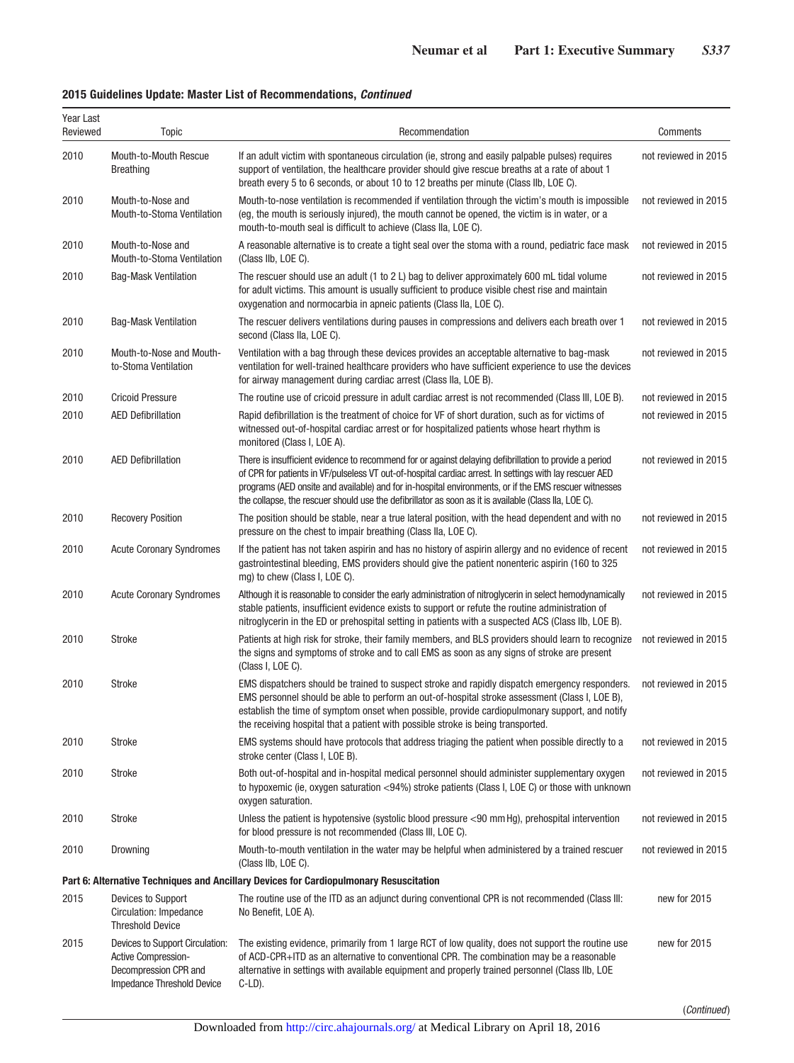|  |  | 2015 Guidelines Update: Master List of Recommendations, <i>Continued</i> |  |
|--|--|--------------------------------------------------------------------------|--|
|--|--|--------------------------------------------------------------------------|--|

| Year Last<br>Reviewed | Topic                                                                                                                | Recommendation                                                                                                                                                                                                                                                                                                                                                                                                                      | Comments             |
|-----------------------|----------------------------------------------------------------------------------------------------------------------|-------------------------------------------------------------------------------------------------------------------------------------------------------------------------------------------------------------------------------------------------------------------------------------------------------------------------------------------------------------------------------------------------------------------------------------|----------------------|
| 2010                  | Mouth-to-Mouth Rescue<br><b>Breathing</b>                                                                            | If an adult victim with spontaneous circulation (ie, strong and easily palpable pulses) requires<br>support of ventilation, the healthcare provider should give rescue breaths at a rate of about 1<br>breath every 5 to 6 seconds, or about 10 to 12 breaths per minute (Class IIb, LOE C).                                                                                                                                        | not reviewed in 2015 |
| 2010                  | Mouth-to-Nose and<br>Mouth-to-Stoma Ventilation                                                                      | Mouth-to-nose ventilation is recommended if ventilation through the victim's mouth is impossible<br>(eg, the mouth is seriously injured), the mouth cannot be opened, the victim is in water, or a<br>mouth-to-mouth seal is difficult to achieve (Class IIa, LOE C).                                                                                                                                                               | not reviewed in 2015 |
| 2010                  | Mouth-to-Nose and<br>Mouth-to-Stoma Ventilation                                                                      | A reasonable alternative is to create a tight seal over the stoma with a round, pediatric face mask<br>(Class IIb, LOE C).                                                                                                                                                                                                                                                                                                          | not reviewed in 2015 |
| 2010                  | <b>Bag-Mask Ventilation</b>                                                                                          | The rescuer should use an adult (1 to 2 L) bag to deliver approximately 600 mL tidal volume<br>for adult victims. This amount is usually sufficient to produce visible chest rise and maintain<br>oxygenation and normocarbia in apneic patients (Class IIa, LOE C).                                                                                                                                                                | not reviewed in 2015 |
| 2010                  | <b>Bag-Mask Ventilation</b>                                                                                          | The rescuer delivers ventilations during pauses in compressions and delivers each breath over 1<br>second (Class IIa, LOE C).                                                                                                                                                                                                                                                                                                       | not reviewed in 2015 |
| 2010                  | Mouth-to-Nose and Mouth-<br>to-Stoma Ventilation                                                                     | Ventilation with a bag through these devices provides an acceptable alternative to bag-mask<br>ventilation for well-trained healthcare providers who have sufficient experience to use the devices<br>for airway management during cardiac arrest (Class IIa, LOE B).                                                                                                                                                               | not reviewed in 2015 |
| 2010                  | <b>Cricoid Pressure</b>                                                                                              | The routine use of cricoid pressure in adult cardiac arrest is not recommended (Class III, LOE B).                                                                                                                                                                                                                                                                                                                                  | not reviewed in 2015 |
| 2010                  | <b>AED Defibrillation</b>                                                                                            | Rapid defibrillation is the treatment of choice for VF of short duration, such as for victims of<br>witnessed out-of-hospital cardiac arrest or for hospitalized patients whose heart rhythm is<br>monitored (Class I, LOE A).                                                                                                                                                                                                      | not reviewed in 2015 |
| 2010                  | <b>AED Defibrillation</b>                                                                                            | There is insufficient evidence to recommend for or against delaying defibrillation to provide a period<br>of CPR for patients in VF/pulseless VT out-of-hospital cardiac arrest. In settings with lay rescuer AED<br>programs (AED onsite and available) and for in-hospital environments, or if the EMS rescuer witnesses<br>the collapse, the rescuer should use the defibrillator as soon as it is available (Class IIa, LOE C). | not reviewed in 2015 |
| 2010                  | <b>Recovery Position</b>                                                                                             | The position should be stable, near a true lateral position, with the head dependent and with no<br>pressure on the chest to impair breathing (Class IIa, LOE C).                                                                                                                                                                                                                                                                   | not reviewed in 2015 |
| 2010                  | <b>Acute Coronary Syndromes</b>                                                                                      | If the patient has not taken aspirin and has no history of aspirin allergy and no evidence of recent<br>gastrointestinal bleeding, EMS providers should give the patient nonenteric aspirin (160 to 325<br>mg) to chew (Class I, LOE C).                                                                                                                                                                                            | not reviewed in 2015 |
| 2010                  | <b>Acute Coronary Syndromes</b>                                                                                      | Although it is reasonable to consider the early administration of nitroglycerin in select hemodynamically<br>stable patients, insufficient evidence exists to support or refute the routine administration of<br>nitroglycerin in the ED or prehospital setting in patients with a suspected ACS (Class IIb, LOE B).                                                                                                                | not reviewed in 2015 |
| 2010                  | <b>Stroke</b>                                                                                                        | Patients at high risk for stroke, their family members, and BLS providers should learn to recognize<br>the signs and symptoms of stroke and to call EMS as soon as any signs of stroke are present<br>(Class I, LOE C).                                                                                                                                                                                                             | not reviewed in 2015 |
| 2010                  | Stroke                                                                                                               | EMS dispatchers should be trained to suspect stroke and rapidly dispatch emergency responders.<br>EMS personnel should be able to perform an out-of-hospital stroke assessment (Class I, LOE B),<br>establish the time of symptom onset when possible, provide cardiopulmonary support, and notify<br>the receiving hospital that a patient with possible stroke is being transported.                                              | not reviewed in 2015 |
| 2010                  | <b>Stroke</b>                                                                                                        | EMS systems should have protocols that address triaging the patient when possible directly to a<br>stroke center (Class I, LOE B).                                                                                                                                                                                                                                                                                                  | not reviewed in 2015 |
| 2010                  | Stroke                                                                                                               | Both out-of-hospital and in-hospital medical personnel should administer supplementary oxygen<br>to hypoxemic (ie, oxygen saturation <94%) stroke patients (Class I, LOE C) or those with unknown<br>oxygen saturation.                                                                                                                                                                                                             | not reviewed in 2015 |
| 2010                  | Stroke                                                                                                               | Unless the patient is hypotensive (systolic blood pressure $\leq 90 \text{ mm Hg}$ ), prehospital intervention<br>for blood pressure is not recommended (Class III, LOE C).                                                                                                                                                                                                                                                         | not reviewed in 2015 |
| 2010                  | Drowning                                                                                                             | Mouth-to-mouth ventilation in the water may be helpful when administered by a trained rescuer<br>(Class IIb, LOE C).                                                                                                                                                                                                                                                                                                                | not reviewed in 2015 |
|                       |                                                                                                                      | Part 6: Alternative Techniques and Ancillary Devices for Cardiopulmonary Resuscitation                                                                                                                                                                                                                                                                                                                                              |                      |
| 2015                  | Devices to Support<br>Circulation: Impedance<br><b>Threshold Device</b>                                              | The routine use of the ITD as an adjunct during conventional CPR is not recommended (Class III:<br>No Benefit, LOE A).                                                                                                                                                                                                                                                                                                              | new for 2015         |
| 2015                  | Devices to Support Circulation:<br><b>Active Compression-</b><br>Decompression CPR and<br>Impedance Threshold Device | The existing evidence, primarily from 1 large RCT of low quality, does not support the routine use<br>of ACD-CPR+ITD as an alternative to conventional CPR. The combination may be a reasonable<br>alternative in settings with available equipment and properly trained personnel (Class IIb, LOE<br>$C-LD$ ).                                                                                                                     | new for 2015         |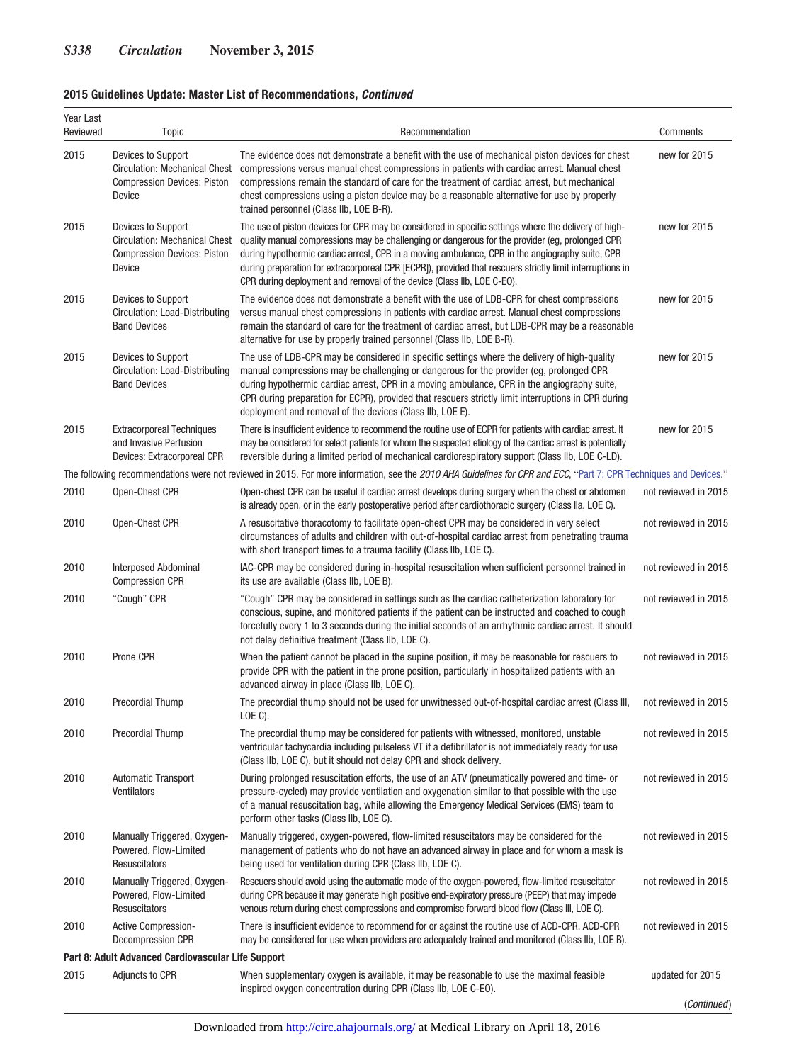| Year Last<br>Reviewed | Topic                                                                                                      | Recommendation                                                                                                                                                                                                                                                                                                                                                                                                                                                                                    | Comments             |
|-----------------------|------------------------------------------------------------------------------------------------------------|---------------------------------------------------------------------------------------------------------------------------------------------------------------------------------------------------------------------------------------------------------------------------------------------------------------------------------------------------------------------------------------------------------------------------------------------------------------------------------------------------|----------------------|
| 2015                  | Devices to Support<br><b>Circulation: Mechanical Chest</b><br><b>Compression Devices: Piston</b><br>Device | The evidence does not demonstrate a benefit with the use of mechanical piston devices for chest<br>compressions versus manual chest compressions in patients with cardiac arrest. Manual chest<br>compressions remain the standard of care for the treatment of cardiac arrest, but mechanical<br>chest compressions using a piston device may be a reasonable alternative for use by properly<br>trained personnel (Class IIb, LOE B-R).                                                         | new for 2015         |
| 2015                  | Devices to Support<br>Circulation: Mechanical Chest<br><b>Compression Devices: Piston</b><br>Device        | The use of piston devices for CPR may be considered in specific settings where the delivery of high-<br>quality manual compressions may be challenging or dangerous for the provider (eg, prolonged CPR<br>during hypothermic cardiac arrest, CPR in a moving ambulance, CPR in the angiography suite, CPR<br>during preparation for extracorporeal CPR [ECPR]), provided that rescuers strictly limit interruptions in<br>CPR during deployment and removal of the device (Class IIb, LOE C-EO). | new for 2015         |
| 2015                  | Devices to Support<br>Circulation: Load-Distributing<br><b>Band Devices</b>                                | The evidence does not demonstrate a benefit with the use of LDB-CPR for chest compressions<br>versus manual chest compressions in patients with cardiac arrest. Manual chest compressions<br>remain the standard of care for the treatment of cardiac arrest, but LDB-CPR may be a reasonable<br>alternative for use by properly trained personnel (Class IIb, LOE B-R).                                                                                                                          | new for 2015         |
| 2015                  | Devices to Support<br>Circulation: Load-Distributing<br><b>Band Devices</b>                                | The use of LDB-CPR may be considered in specific settings where the delivery of high-quality<br>manual compressions may be challenging or dangerous for the provider (eg, prolonged CPR<br>during hypothermic cardiac arrest, CPR in a moving ambulance, CPR in the angiography suite,<br>CPR during preparation for ECPR), provided that rescuers strictly limit interruptions in CPR during<br>deployment and removal of the devices (Class IIb, LOE E).                                        | new for 2015         |
| 2015                  | <b>Extracorporeal Techniques</b><br>and Invasive Perfusion<br>Devices: Extracorporeal CPR                  | There is insufficient evidence to recommend the routine use of ECPR for patients with cardiac arrest. It<br>may be considered for select patients for whom the suspected etiology of the cardiac arrest is potentially<br>reversible during a limited period of mechanical cardiorespiratory support (Class IIb, LOE C-LD).                                                                                                                                                                       | new for 2015         |
|                       |                                                                                                            | The following recommendations were not reviewed in 2015. For more information, see the 2010 AHA Guidelines for CPR and ECC, "Part 7: CPR Techniques and Devices."                                                                                                                                                                                                                                                                                                                                 |                      |
| 2010                  | Open-Chest CPR                                                                                             | Open-chest CPR can be useful if cardiac arrest develops during surgery when the chest or abdomen<br>is already open, or in the early postoperative period after cardiothoracic surgery (Class IIa, LOE C).                                                                                                                                                                                                                                                                                        | not reviewed in 2015 |
| 2010                  | Open-Chest CPR                                                                                             | A resuscitative thoracotomy to facilitate open-chest CPR may be considered in very select<br>circumstances of adults and children with out-of-hospital cardiac arrest from penetrating trauma<br>with short transport times to a trauma facility (Class IIb, LOE C).                                                                                                                                                                                                                              | not reviewed in 2015 |
| 2010                  | Interposed Abdominal<br><b>Compression CPR</b>                                                             | IAC-CPR may be considered during in-hospital resuscitation when sufficient personnel trained in<br>its use are available (Class IIb, LOE B).                                                                                                                                                                                                                                                                                                                                                      | not reviewed in 2015 |
| 2010                  | "Cough" CPR                                                                                                | "Cough" CPR may be considered in settings such as the cardiac catheterization laboratory for<br>conscious, supine, and monitored patients if the patient can be instructed and coached to cough<br>forcefully every 1 to 3 seconds during the initial seconds of an arrhythmic cardiac arrest. It should<br>not delay definitive treatment (Class IIb, LOE C).                                                                                                                                    | not reviewed in 2015 |
| 2010                  | Prone CPR                                                                                                  | When the patient cannot be placed in the supine position, it may be reasonable for rescuers to<br>provide CPR with the patient in the prone position, particularly in hospitalized patients with an<br>advanced airway in place (Class IIb, LOE C).                                                                                                                                                                                                                                               | not reviewed in 2015 |
| 2010                  | Precordial Thump                                                                                           | The precordial thump should not be used for unwitnessed out-of-hospital cardiac arrest (Class III,<br>$LOE C$ ).                                                                                                                                                                                                                                                                                                                                                                                  | not reviewed in 2015 |
| 2010                  | Precordial Thump                                                                                           | The precordial thump may be considered for patients with witnessed, monitored, unstable<br>ventricular tachycardia including pulseless VT if a defibrillator is not immediately ready for use<br>(Class IIb, LOE C), but it should not delay CPR and shock delivery.                                                                                                                                                                                                                              | not reviewed in 2015 |
| 2010                  | <b>Automatic Transport</b><br>Ventilators                                                                  | During prolonged resuscitation efforts, the use of an ATV (pneumatically powered and time- or<br>pressure-cycled) may provide ventilation and oxygenation similar to that possible with the use<br>of a manual resuscitation bag, while allowing the Emergency Medical Services (EMS) team to<br>perform other tasks (Class IIb, LOE C).                                                                                                                                                          | not reviewed in 2015 |
| 2010                  | Manually Triggered, Oxygen-<br>Powered, Flow-Limited<br>Resuscitators                                      | Manually triggered, oxygen-powered, flow-limited resuscitators may be considered for the<br>management of patients who do not have an advanced airway in place and for whom a mask is<br>being used for ventilation during CPR (Class IIb, LOE C).                                                                                                                                                                                                                                                | not reviewed in 2015 |
| 2010                  | Manually Triggered, Oxygen-<br>Powered, Flow-Limited<br>Resuscitators                                      | Rescuers should avoid using the automatic mode of the oxygen-powered, flow-limited resuscitator<br>during CPR because it may generate high positive end-expiratory pressure (PEEP) that may impede<br>venous return during chest compressions and compromise forward blood flow (Class III, LOE C).                                                                                                                                                                                               | not reviewed in 2015 |
| 2010                  | <b>Active Compression-</b><br>Decompression CPR                                                            | There is insufficient evidence to recommend for or against the routine use of ACD-CPR. ACD-CPR<br>may be considered for use when providers are adequately trained and monitored (Class IIb, LOE B).                                                                                                                                                                                                                                                                                               | not reviewed in 2015 |
|                       | Part 8: Adult Advanced Cardiovascular Life Support                                                         |                                                                                                                                                                                                                                                                                                                                                                                                                                                                                                   |                      |
| 2015                  | Adjuncts to CPR                                                                                            | When supplementary oxygen is available, it may be reasonable to use the maximal feasible<br>inspired oxygen concentration during CPR (Class IIb, LOE C-EO).                                                                                                                                                                                                                                                                                                                                       | updated for 2015     |
|                       |                                                                                                            |                                                                                                                                                                                                                                                                                                                                                                                                                                                                                                   | (Continued)          |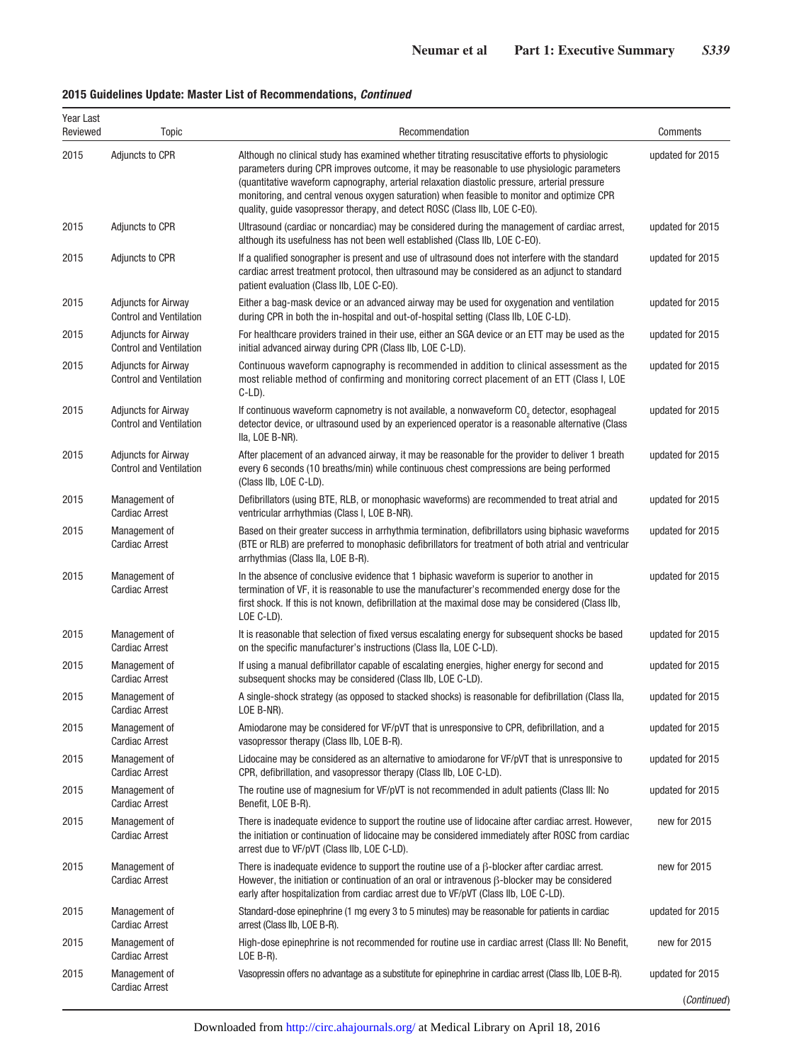| Year Last<br>Reviewed | <b>Topic</b>                                                 | Recommendation                                                                                                                                                                                                                                                                                                                                                                                                                                                             | Comments         |
|-----------------------|--------------------------------------------------------------|----------------------------------------------------------------------------------------------------------------------------------------------------------------------------------------------------------------------------------------------------------------------------------------------------------------------------------------------------------------------------------------------------------------------------------------------------------------------------|------------------|
| 2015                  | Adjuncts to CPR                                              | Although no clinical study has examined whether titrating resuscitative efforts to physiologic<br>parameters during CPR improves outcome, it may be reasonable to use physiologic parameters<br>(quantitative waveform capnography, arterial relaxation diastolic pressure, arterial pressure<br>monitoring, and central venous oxygen saturation) when feasible to monitor and optimize CPR<br>quality, guide vasopressor therapy, and detect ROSC (Class IIb, LOE C-EO). | updated for 2015 |
| 2015                  | <b>Adjuncts to CPR</b>                                       | Ultrasound (cardiac or noncardiac) may be considered during the management of cardiac arrest,<br>although its usefulness has not been well established (Class IIb, LOE C-EO).                                                                                                                                                                                                                                                                                              | updated for 2015 |
| 2015                  | <b>Adjuncts to CPR</b>                                       | If a qualified sonographer is present and use of ultrasound does not interfere with the standard<br>cardiac arrest treatment protocol, then ultrasound may be considered as an adjunct to standard<br>patient evaluation (Class IIb, LOE C-EO).                                                                                                                                                                                                                            | updated for 2015 |
| 2015                  | <b>Adjuncts for Airway</b><br><b>Control and Ventilation</b> | Either a bag-mask device or an advanced airway may be used for oxygenation and ventilation<br>during CPR in both the in-hospital and out-of-hospital setting (Class IIb, LOE C-LD).                                                                                                                                                                                                                                                                                        | updated for 2015 |
| 2015                  | <b>Adjuncts for Airway</b><br><b>Control and Ventilation</b> | For healthcare providers trained in their use, either an SGA device or an ETT may be used as the<br>initial advanced airway during CPR (Class IIb, LOE C-LD).                                                                                                                                                                                                                                                                                                              | updated for 2015 |
| 2015                  | <b>Adjuncts for Airway</b><br><b>Control and Ventilation</b> | Continuous waveform capnography is recommended in addition to clinical assessment as the<br>most reliable method of confirming and monitoring correct placement of an ETT (Class I, LOE<br>$C-LD$ ).                                                                                                                                                                                                                                                                       | updated for 2015 |
| 2015                  | <b>Adjuncts for Airway</b><br><b>Control and Ventilation</b> | If continuous waveform capnometry is not available, a nonwaveform CO <sub>2</sub> detector, esophageal<br>detector device, or ultrasound used by an experienced operator is a reasonable alternative (Class<br>Ila, LOE B-NR).                                                                                                                                                                                                                                             | updated for 2015 |
| 2015                  | <b>Adjuncts for Airway</b><br><b>Control and Ventilation</b> | After placement of an advanced airway, it may be reasonable for the provider to deliver 1 breath<br>every 6 seconds (10 breaths/min) while continuous chest compressions are being performed<br>(Class IIb, LOE C-LD).                                                                                                                                                                                                                                                     | updated for 2015 |
| 2015                  | Management of<br><b>Cardiac Arrest</b>                       | Defibrillators (using BTE, RLB, or monophasic waveforms) are recommended to treat atrial and<br>ventricular arrhythmias (Class I, LOE B-NR).                                                                                                                                                                                                                                                                                                                               | updated for 2015 |
| 2015                  | Management of<br><b>Cardiac Arrest</b>                       | Based on their greater success in arrhythmia termination, defibrillators using biphasic waveforms<br>(BTE or RLB) are preferred to monophasic defibrillators for treatment of both atrial and ventricular<br>arrhythmias (Class IIa, LOE B-R).                                                                                                                                                                                                                             | updated for 2015 |
| 2015                  | Management of<br><b>Cardiac Arrest</b>                       | In the absence of conclusive evidence that 1 biphasic waveform is superior to another in<br>termination of VF, it is reasonable to use the manufacturer's recommended energy dose for the<br>first shock. If this is not known, defibrillation at the maximal dose may be considered (Class IIb,<br>LOE C-LD).                                                                                                                                                             | updated for 2015 |
| 2015                  | Management of<br><b>Cardiac Arrest</b>                       | It is reasonable that selection of fixed versus escalating energy for subsequent shocks be based<br>on the specific manufacturer's instructions (Class IIa, LOE C-LD).                                                                                                                                                                                                                                                                                                     | updated for 2015 |
| 2015                  | Management of<br><b>Cardiac Arrest</b>                       | If using a manual defibrillator capable of escalating energies, higher energy for second and<br>subsequent shocks may be considered (Class IIb, LOE C-LD).                                                                                                                                                                                                                                                                                                                 | updated for 2015 |
| 2015                  | Management of<br><b>Cardiac Arrest</b>                       | A single-shock strategy (as opposed to stacked shocks) is reasonable for defibrillation (Class IIa,<br>LOE B-NR).                                                                                                                                                                                                                                                                                                                                                          | updated for 2015 |
| 2015                  | Management of<br><b>Cardiac Arrest</b>                       | Amiodarone may be considered for VF/pVT that is unresponsive to CPR, defibrillation, and a<br>vasopressor therapy (Class IIb, LOE B-R).                                                                                                                                                                                                                                                                                                                                    | updated for 2015 |
| 2015                  | Management of<br><b>Cardiac Arrest</b>                       | Lidocaine may be considered as an alternative to amiodarone for VF/pVT that is unresponsive to<br>CPR, defibrillation, and vasopressor therapy (Class IIb, LOE C-LD).                                                                                                                                                                                                                                                                                                      | updated for 2015 |
| 2015                  | Management of<br><b>Cardiac Arrest</b>                       | The routine use of magnesium for VF/pVT is not recommended in adult patients (Class III: No<br>Benefit, LOE B-R).                                                                                                                                                                                                                                                                                                                                                          | updated for 2015 |
| 2015                  | Management of<br><b>Cardiac Arrest</b>                       | There is inadequate evidence to support the routine use of lidocaine after cardiac arrest. However,<br>the initiation or continuation of lidocaine may be considered immediately after ROSC from cardiac<br>arrest due to VF/pVT (Class IIb, LOE C-LD).                                                                                                                                                                                                                    | new for 2015     |
| 2015                  | Management of<br><b>Cardiac Arrest</b>                       | There is inadequate evidence to support the routine use of a $\beta$ -blocker after cardiac arrest.<br>However, the initiation or continuation of an oral or intravenous $\beta$ -blocker may be considered<br>early after hospitalization from cardiac arrest due to VF/pVT (Class IIb, LOE C-LD).                                                                                                                                                                        | new for 2015     |
| 2015                  | Management of<br><b>Cardiac Arrest</b>                       | Standard-dose epinephrine (1 mg every 3 to 5 minutes) may be reasonable for patients in cardiac<br>arrest (Class IIb, LOE B-R).                                                                                                                                                                                                                                                                                                                                            | updated for 2015 |
| 2015                  | Management of<br><b>Cardiac Arrest</b>                       | High-dose epinephrine is not recommended for routine use in cardiac arrest (Class III: No Benefit,<br>$LOE B-R$ ).                                                                                                                                                                                                                                                                                                                                                         | new for 2015     |
| 2015                  | Management of<br><b>Cardiac Arrest</b>                       | Vasopressin offers no advantage as a substitute for epinephrine in cardiac arrest (Class IIb, LOE B-R).                                                                                                                                                                                                                                                                                                                                                                    | updated for 2015 |
|                       |                                                              |                                                                                                                                                                                                                                                                                                                                                                                                                                                                            | (Continued)      |

Downloaded from<http://circ.ahajournals.org/>at Medical Library on April 18, 2016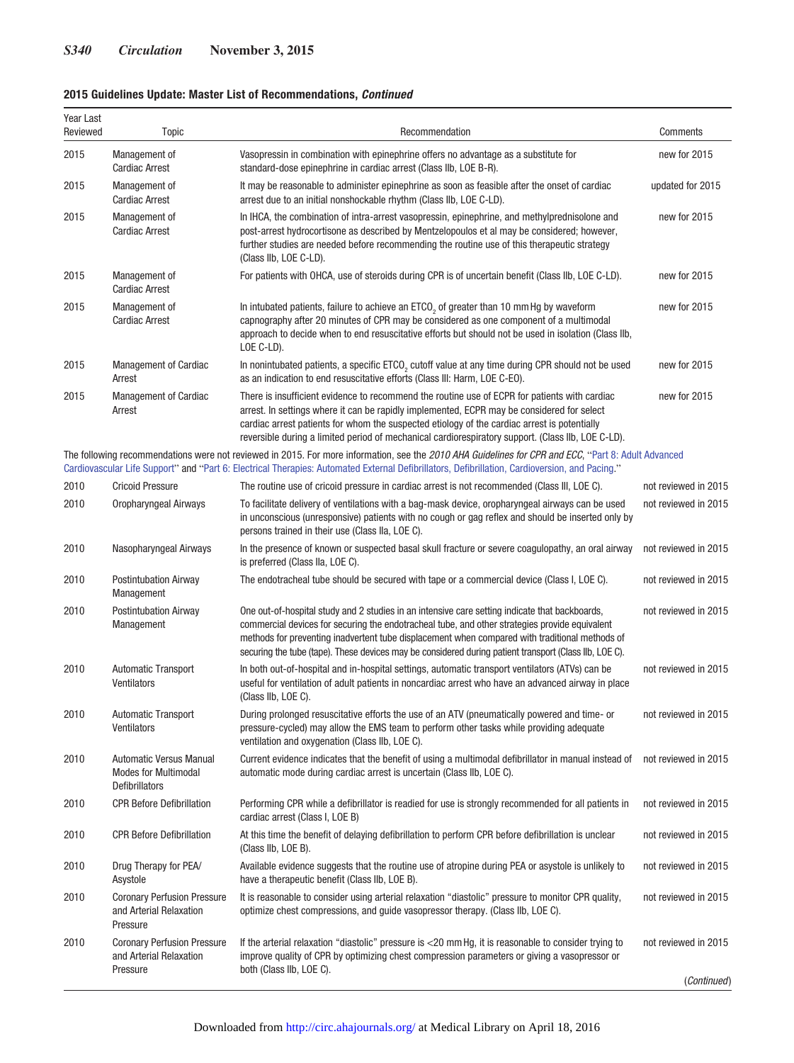| Year Last<br>Reviewed | Topic                                                                           | Recommendation                                                                                                                                                                                                                                                                                                                                                                                               | Comments             |
|-----------------------|---------------------------------------------------------------------------------|--------------------------------------------------------------------------------------------------------------------------------------------------------------------------------------------------------------------------------------------------------------------------------------------------------------------------------------------------------------------------------------------------------------|----------------------|
| 2015                  | Management of<br><b>Cardiac Arrest</b>                                          | Vasopressin in combination with epinephrine offers no advantage as a substitute for<br>standard-dose epinephrine in cardiac arrest (Class IIb, LOE B-R).                                                                                                                                                                                                                                                     | new for 2015         |
| 2015                  | Management of<br><b>Cardiac Arrest</b>                                          | It may be reasonable to administer epinephrine as soon as feasible after the onset of cardiac<br>arrest due to an initial nonshockable rhythm (Class IIb, LOE C-LD).                                                                                                                                                                                                                                         | updated for 2015     |
| 2015                  | Management of<br><b>Cardiac Arrest</b>                                          | In IHCA, the combination of intra-arrest vasopressin, epinephrine, and methylprednisolone and<br>post-arrest hydrocortisone as described by Mentzelopoulos et al may be considered; however,<br>further studies are needed before recommending the routine use of this therapeutic strategy<br>(Class IIb, LOE C-LD).                                                                                        | new for 2015         |
| 2015                  | Management of<br><b>Cardiac Arrest</b>                                          | For patients with OHCA, use of steroids during CPR is of uncertain benefit (Class IIb, LOE C-LD).                                                                                                                                                                                                                                                                                                            | new for 2015         |
| 2015                  | Management of<br><b>Cardiac Arrest</b>                                          | In intubated patients, failure to achieve an ETCO <sub>2</sub> of greater than 10 mm Hg by waveform<br>capnography after 20 minutes of CPR may be considered as one component of a multimodal<br>approach to decide when to end resuscitative efforts but should not be used in isolation (Class IIb,<br>LOE C-LD).                                                                                          | new for 2015         |
| 2015                  | <b>Management of Cardiac</b><br>Arrest                                          | In nonintubated patients, a specific ETCO <sub>2</sub> cutoff value at any time during CPR should not be used<br>as an indication to end resuscitative efforts (Class III: Harm, LOE C-EO).                                                                                                                                                                                                                  | new for 2015         |
| 2015                  | <b>Management of Cardiac</b><br>Arrest                                          | There is insufficient evidence to recommend the routine use of ECPR for patients with cardiac<br>arrest. In settings where it can be rapidly implemented, ECPR may be considered for select<br>cardiac arrest patients for whom the suspected etiology of the cardiac arrest is potentially<br>reversible during a limited period of mechanical cardiorespiratory support. (Class IIb, LOE C-LD).            | new for 2015         |
|                       |                                                                                 | The following recommendations were not reviewed in 2015. For more information, see the 2010 AHA Guidelines for CPR and ECC, "Part 8: Adult Advanced<br>Cardiovascular Life Support" and "Part 6: Electrical Therapies: Automated External Defibrillators, Defibrillation, Cardioversion, and Pacing."                                                                                                        |                      |
| 2010                  | <b>Cricoid Pressure</b>                                                         | The routine use of cricoid pressure in cardiac arrest is not recommended (Class III, LOE C).                                                                                                                                                                                                                                                                                                                 | not reviewed in 2015 |
| 2010                  | Oropharyngeal Airways                                                           | To facilitate delivery of ventilations with a bag-mask device, oropharyngeal airways can be used<br>in unconscious (unresponsive) patients with no cough or gag reflex and should be inserted only by<br>persons trained in their use (Class IIa, LOE C).                                                                                                                                                    | not reviewed in 2015 |
| 2010                  | Nasopharyngeal Airways                                                          | In the presence of known or suspected basal skull fracture or severe coagulopathy, an oral airway<br>is preferred (Class IIa, LOE C).                                                                                                                                                                                                                                                                        | not reviewed in 2015 |
| 2010                  | <b>Postintubation Airway</b><br>Management                                      | The endotracheal tube should be secured with tape or a commercial device (Class I, LOE C).                                                                                                                                                                                                                                                                                                                   | not reviewed in 2015 |
| 2010                  | <b>Postintubation Airway</b><br>Management                                      | One out-of-hospital study and 2 studies in an intensive care setting indicate that backboards,<br>commercial devices for securing the endotracheal tube, and other strategies provide equivalent<br>methods for preventing inadvertent tube displacement when compared with traditional methods of<br>securing the tube (tape). These devices may be considered during patient transport (Class IIb, LOE C). | not reviewed in 2015 |
| 2010                  | <b>Automatic Transport</b><br>Ventilators                                       | In both out-of-hospital and in-hospital settings, automatic transport ventilators (ATVs) can be<br>useful for ventilation of adult patients in noncardiac arrest who have an advanced airway in place<br>(Class IIb, LOE C).                                                                                                                                                                                 | not reviewed in 2015 |
| 2010                  | <b>Automatic Transport</b><br>Ventilators                                       | During prolonged resuscitative efforts the use of an ATV (pneumatically powered and time- or<br>pressure-cycled) may allow the EMS team to perform other tasks while providing adequate<br>ventilation and oxygenation (Class IIb, LOE C).                                                                                                                                                                   | not reviewed in 2015 |
| 2010                  | <b>Automatic Versus Manual</b><br><b>Modes for Multimodal</b><br>Defibrillators | Current evidence indicates that the benefit of using a multimodal defibrillator in manual instead of<br>automatic mode during cardiac arrest is uncertain (Class IIb, LOE C).                                                                                                                                                                                                                                | not reviewed in 2015 |
| 2010                  | <b>CPR Before Defibrillation</b>                                                | Performing CPR while a defibrillator is readied for use is strongly recommended for all patients in<br>cardiac arrest (Class I, LOE B)                                                                                                                                                                                                                                                                       | not reviewed in 2015 |
| 2010                  | <b>CPR Before Defibrillation</b>                                                | At this time the benefit of delaying defibrillation to perform CPR before defibrillation is unclear<br>(Class IIb, LOE B).                                                                                                                                                                                                                                                                                   | not reviewed in 2015 |
| 2010                  | Drug Therapy for PEA/<br>Asystole                                               | Available evidence suggests that the routine use of atropine during PEA or asystole is unlikely to<br>have a therapeutic benefit (Class IIb, LOE B).                                                                                                                                                                                                                                                         | not reviewed in 2015 |
| 2010                  | <b>Coronary Perfusion Pressure</b><br>and Arterial Relaxation<br>Pressure       | It is reasonable to consider using arterial relaxation "diastolic" pressure to monitor CPR quality,<br>optimize chest compressions, and guide vasopressor therapy. (Class IIb, LOE C).                                                                                                                                                                                                                       | not reviewed in 2015 |
| 2010                  | <b>Coronary Perfusion Pressure</b><br>and Arterial Relaxation                   | If the arterial relaxation "diastolic" pressure is <20 mm Hg, it is reasonable to consider trying to<br>improve quality of CPR by optimizing chest compression parameters or giving a vasopressor or<br>both (Class IIb, LOE C).                                                                                                                                                                             | not reviewed in 2015 |
|                       | Pressure                                                                        |                                                                                                                                                                                                                                                                                                                                                                                                              | (Continued)          |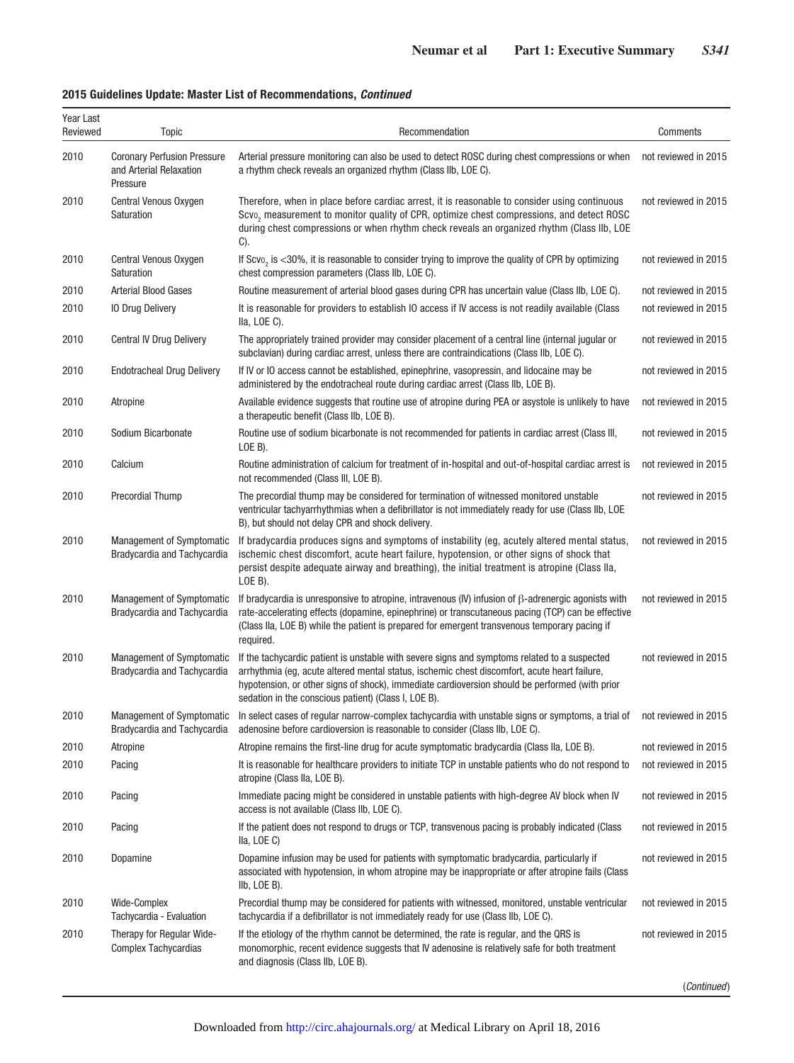|  |  |  | 2015 Guidelines Update: Master List of Recommendations, <i>Continued</i> |  |
|--|--|--|--------------------------------------------------------------------------|--|
|--|--|--|--------------------------------------------------------------------------|--|

| Year Last<br>Reviewed | Topic                                                                     | Recommendation                                                                                                                                                                                                                                                                                                                                         | Comments             |
|-----------------------|---------------------------------------------------------------------------|--------------------------------------------------------------------------------------------------------------------------------------------------------------------------------------------------------------------------------------------------------------------------------------------------------------------------------------------------------|----------------------|
| 2010                  | <b>Coronary Perfusion Pressure</b><br>and Arterial Relaxation<br>Pressure | Arterial pressure monitoring can also be used to detect ROSC during chest compressions or when<br>a rhythm check reveals an organized rhythm (Class IIb, LOE C).                                                                                                                                                                                       | not reviewed in 2015 |
| 2010                  | Central Venous Oxygen<br>Saturation                                       | Therefore, when in place before cardiac arrest, it is reasonable to consider using continuous<br>Scvo <sub>2</sub> measurement to monitor quality of CPR, optimize chest compressions, and detect ROSC<br>during chest compressions or when rhythm check reveals an organized rhythm (Class IIb, LOE<br>$C$ ).                                         | not reviewed in 2015 |
| 2010                  | Central Venous Oxygen<br>Saturation                                       | If Scvo <sub>2</sub> is <30%, it is reasonable to consider trying to improve the quality of CPR by optimizing<br>chest compression parameters (Class IIb, LOE C).                                                                                                                                                                                      | not reviewed in 2015 |
| 2010                  | <b>Arterial Blood Gases</b>                                               | Routine measurement of arterial blood gases during CPR has uncertain value (Class IIb, LOE C).                                                                                                                                                                                                                                                         | not reviewed in 2015 |
| 2010                  | <b>IO Drug Delivery</b>                                                   | It is reasonable for providers to establish IO access if IV access is not readily available (Class<br>IIa, LOE C).                                                                                                                                                                                                                                     | not reviewed in 2015 |
| 2010                  | <b>Central IV Drug Delivery</b>                                           | The appropriately trained provider may consider placement of a central line (internal jugular or<br>subclavian) during cardiac arrest, unless there are contraindications (Class IIb, LOE C).                                                                                                                                                          | not reviewed in 2015 |
| 2010                  | <b>Endotracheal Drug Delivery</b>                                         | If IV or IO access cannot be established, epinephrine, vasopressin, and lidocaine may be<br>administered by the endotracheal route during cardiac arrest (Class IIb, LOE B).                                                                                                                                                                           | not reviewed in 2015 |
| 2010                  | Atropine                                                                  | Available evidence suggests that routine use of atropine during PEA or asystole is unlikely to have<br>a therapeutic benefit (Class IIb, LOE B).                                                                                                                                                                                                       | not reviewed in 2015 |
| 2010                  | Sodium Bicarbonate                                                        | Routine use of sodium bicarbonate is not recommended for patients in cardiac arrest (Class III,<br>$LOE B$ ).                                                                                                                                                                                                                                          | not reviewed in 2015 |
| 2010                  | Calcium                                                                   | Routine administration of calcium for treatment of in-hospital and out-of-hospital cardiac arrest is<br>not recommended (Class III, LOE B).                                                                                                                                                                                                            | not reviewed in 2015 |
| 2010                  | <b>Precordial Thump</b>                                                   | The precordial thump may be considered for termination of witnessed monitored unstable<br>ventricular tachyarrhythmias when a defibrillator is not immediately ready for use (Class IIb, LOE<br>B), but should not delay CPR and shock delivery.                                                                                                       | not reviewed in 2015 |
| 2010                  | <b>Management of Symptomatic</b><br>Bradycardia and Tachycardia           | If bradycardia produces signs and symptoms of instability (eg, acutely altered mental status,<br>ischemic chest discomfort, acute heart failure, hypotension, or other signs of shock that<br>persist despite adequate airway and breathing), the initial treatment is atropine (Class IIa,<br>LOE B).                                                 | not reviewed in 2015 |
| 2010                  | <b>Management of Symptomatic</b><br>Bradycardia and Tachycardia           | If bradycardia is unresponsive to atropine, intravenous (IV) infusion of $\beta$ -adrenergic agonists with<br>rate-accelerating effects (dopamine, epinephrine) or transcutaneous pacing (TCP) can be effective<br>(Class IIa, LOE B) while the patient is prepared for emergent transvenous temporary pacing if<br>required.                          | not reviewed in 2015 |
| 2010                  | <b>Management of Symptomatic</b><br>Bradycardia and Tachycardia           | If the tachycardic patient is unstable with severe signs and symptoms related to a suspected<br>arrhythmia (eg, acute altered mental status, ischemic chest discomfort, acute heart failure,<br>hypotension, or other signs of shock), immediate cardioversion should be performed (with prior<br>sedation in the conscious patient) (Class I, LOE B). | not reviewed in 2015 |
| 2010                  | Bradycardia and Tachycardia                                               | Management of Symptomatic In select cases of regular narrow-complex tachycardia with unstable signs or symptoms, a trial of<br>adenosine before cardioversion is reasonable to consider (Class IIb, LOE C).                                                                                                                                            | not reviewed in 2015 |
| 2010                  | Atropine                                                                  | Atropine remains the first-line drug for acute symptomatic bradycardia (Class IIa, LOE B).                                                                                                                                                                                                                                                             | not reviewed in 2015 |
| 2010                  | Pacing                                                                    | It is reasonable for healthcare providers to initiate TCP in unstable patients who do not respond to<br>atropine (Class IIa, LOE B).                                                                                                                                                                                                                   | not reviewed in 2015 |
| 2010                  | Pacing                                                                    | Immediate pacing might be considered in unstable patients with high-degree AV block when IV<br>access is not available (Class IIb, LOE C).                                                                                                                                                                                                             | not reviewed in 2015 |
| 2010                  | Pacing                                                                    | If the patient does not respond to drugs or TCP, transvenous pacing is probably indicated (Class<br>Ila, LOE C)                                                                                                                                                                                                                                        | not reviewed in 2015 |
| 2010                  | Dopamine                                                                  | Dopamine infusion may be used for patients with symptomatic bradycardia, particularly if<br>associated with hypotension, in whom atropine may be inappropriate or after atropine fails (Class<br>IIb, LOE B).                                                                                                                                          | not reviewed in 2015 |
| 2010                  | Wide-Complex<br>Tachycardia - Evaluation                                  | Precordial thump may be considered for patients with witnessed, monitored, unstable ventricular<br>tachycardia if a defibrillator is not immediately ready for use (Class IIb, LOE C).                                                                                                                                                                 | not reviewed in 2015 |
| 2010                  | Therapy for Regular Wide-<br><b>Complex Tachycardias</b>                  | If the etiology of the rhythm cannot be determined, the rate is regular, and the QRS is<br>monomorphic, recent evidence suggests that IV adenosine is relatively safe for both treatment<br>and diagnosis (Class IIb, LOE B).                                                                                                                          | not reviewed in 2015 |
|                       |                                                                           |                                                                                                                                                                                                                                                                                                                                                        | (Continued)          |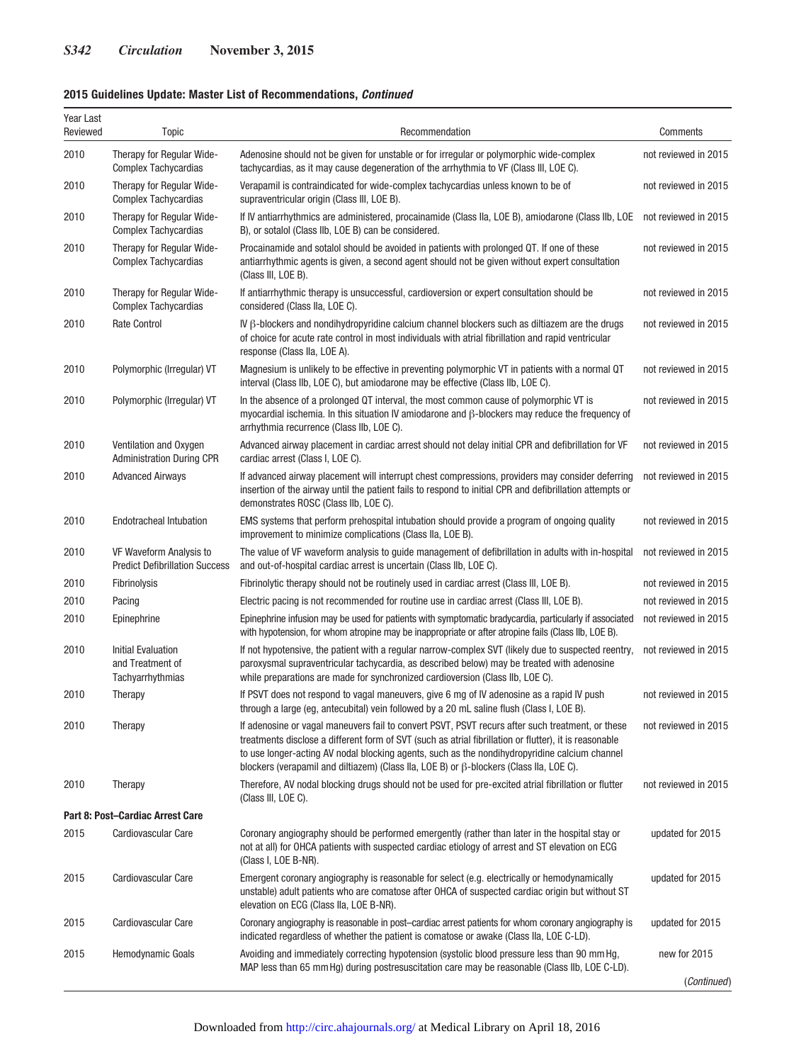| Year Last<br>Reviewed | Topic                                                            | Recommendation                                                                                                                                                                                                                                                                                                                                                                                                | Comments             |
|-----------------------|------------------------------------------------------------------|---------------------------------------------------------------------------------------------------------------------------------------------------------------------------------------------------------------------------------------------------------------------------------------------------------------------------------------------------------------------------------------------------------------|----------------------|
| 2010                  | Therapy for Regular Wide-<br><b>Complex Tachycardias</b>         | Adenosine should not be given for unstable or for irregular or polymorphic wide-complex<br>tachycardias, as it may cause degeneration of the arrhythmia to VF (Class III, LOE C).                                                                                                                                                                                                                             | not reviewed in 2015 |
| 2010                  | Therapy for Regular Wide-<br><b>Complex Tachycardias</b>         | Verapamil is contraindicated for wide-complex tachycardias unless known to be of<br>supraventricular origin (Class III, LOE B).                                                                                                                                                                                                                                                                               | not reviewed in 2015 |
| 2010                  | Therapy for Regular Wide-<br><b>Complex Tachycardias</b>         | If IV antiarrhythmics are administered, procainamide (Class IIa, LOE B), amiodarone (Class IIb, LOE<br>B), or sotalol (Class IIb, LOE B) can be considered.                                                                                                                                                                                                                                                   | not reviewed in 2015 |
| 2010                  | Therapy for Regular Wide-<br><b>Complex Tachycardias</b>         | Procainamide and sotalol should be avoided in patients with prolonged QT. If one of these<br>antiarrhythmic agents is given, a second agent should not be given without expert consultation<br>(Class III, LOE B).                                                                                                                                                                                            | not reviewed in 2015 |
| 2010                  | Therapy for Regular Wide-<br><b>Complex Tachycardias</b>         | If antiarrhythmic therapy is unsuccessful, cardioversion or expert consultation should be<br>considered (Class IIa, LOE C).                                                                                                                                                                                                                                                                                   | not reviewed in 2015 |
| 2010                  | <b>Rate Control</b>                                              | IV $\beta$ -blockers and nondihydropyridine calcium channel blockers such as diltiazem are the drugs<br>of choice for acute rate control in most individuals with atrial fibrillation and rapid ventricular<br>response (Class IIa, LOE A).                                                                                                                                                                   | not reviewed in 2015 |
| 2010                  | Polymorphic (Irregular) VT                                       | Magnesium is unlikely to be effective in preventing polymorphic VT in patients with a normal QT<br>interval (Class IIb, LOE C), but amiodarone may be effective (Class IIb, LOE C).                                                                                                                                                                                                                           | not reviewed in 2015 |
| 2010                  | Polymorphic (Irregular) VT                                       | In the absence of a prolonged QT interval, the most common cause of polymorphic VT is<br>myocardial ischemia. In this situation IV amiodarone and ß-blockers may reduce the frequency of<br>arrhythmia recurrence (Class IIb, LOE C).                                                                                                                                                                         | not reviewed in 2015 |
| 2010                  | Ventilation and Oxygen<br><b>Administration During CPR</b>       | Advanced airway placement in cardiac arrest should not delay initial CPR and defibrillation for VF<br>cardiac arrest (Class I, LOE C).                                                                                                                                                                                                                                                                        | not reviewed in 2015 |
| 2010                  | <b>Advanced Airways</b>                                          | If advanced airway placement will interrupt chest compressions, providers may consider deferring<br>insertion of the airway until the patient fails to respond to initial CPR and defibrillation attempts or<br>demonstrates ROSC (Class IIb, LOE C).                                                                                                                                                         | not reviewed in 2015 |
| 2010                  | Endotracheal Intubation                                          | EMS systems that perform prehospital intubation should provide a program of ongoing quality<br>improvement to minimize complications (Class IIa, LOE B).                                                                                                                                                                                                                                                      | not reviewed in 2015 |
| 2010                  | VF Waveform Analysis to<br><b>Predict Defibrillation Success</b> | The value of VF waveform analysis to guide management of defibrillation in adults with in-hospital<br>and out-of-hospital cardiac arrest is uncertain (Class IIb, LOE C).                                                                                                                                                                                                                                     | not reviewed in 2015 |
| 2010                  | Fibrinolysis                                                     | Fibrinolytic therapy should not be routinely used in cardiac arrest (Class III, LOE B).                                                                                                                                                                                                                                                                                                                       | not reviewed in 2015 |
| 2010                  | Pacing                                                           | Electric pacing is not recommended for routine use in cardiac arrest (Class III, LOE B).                                                                                                                                                                                                                                                                                                                      | not reviewed in 2015 |
| 2010                  | Epinephrine                                                      | Epinephrine infusion may be used for patients with symptomatic bradycardia, particularly if associated<br>with hypotension, for whom atropine may be inappropriate or after atropine fails (Class IIb, LOE B).                                                                                                                                                                                                | not reviewed in 2015 |
| 2010                  | Initial Evaluation<br>and Treatment of<br>Tachyarrhythmias       | If not hypotensive, the patient with a regular narrow-complex SVT (likely due to suspected reentry,<br>paroxysmal supraventricular tachycardia, as described below) may be treated with adenosine<br>while preparations are made for synchronized cardioversion (Class IIb, LOE C).                                                                                                                           | not reviewed in 2015 |
| 2010                  | Therapy                                                          | If PSVT does not respond to vagal maneuvers, give 6 mg of IV adenosine as a rapid IV push<br>through a large (eg, antecubital) vein followed by a 20 mL saline flush (Class I, LOE B).                                                                                                                                                                                                                        | not reviewed in 2015 |
| 2010                  | Therapy                                                          | If adenosine or vagal maneuvers fail to convert PSVT, PSVT recurs after such treatment, or these<br>treatments disclose a different form of SVT (such as atrial fibrillation or flutter), it is reasonable<br>to use longer-acting AV nodal blocking agents, such as the nondihydropyridine calcium channel<br>blockers (verapamil and diltiazem) (Class IIa, LOE B) or $\beta$ -blockers (Class IIa, LOE C). | not reviewed in 2015 |
| 2010                  | Therapy                                                          | Therefore, AV nodal blocking drugs should not be used for pre-excited atrial fibrillation or flutter<br>(Class III, LOE C).                                                                                                                                                                                                                                                                                   | not reviewed in 2015 |
|                       | Part 8: Post-Cardiac Arrest Care                                 |                                                                                                                                                                                                                                                                                                                                                                                                               |                      |
| 2015                  | Cardiovascular Care                                              | Coronary angiography should be performed emergently (rather than later in the hospital stay or<br>not at all) for OHCA patients with suspected cardiac etiology of arrest and ST elevation on ECG<br>(Class I, LOE B-NR).                                                                                                                                                                                     | updated for 2015     |
| 2015                  | Cardiovascular Care                                              | Emergent coronary angiography is reasonable for select (e.g. electrically or hemodynamically<br>unstable) adult patients who are comatose after OHCA of suspected cardiac origin but without ST<br>elevation on ECG (Class IIa, LOE B-NR).                                                                                                                                                                    | updated for 2015     |
| 2015                  | Cardiovascular Care                                              | Coronary angiography is reasonable in post-cardiac arrest patients for whom coronary angiography is<br>indicated regardless of whether the patient is comatose or awake (Class IIa, LOE C-LD).                                                                                                                                                                                                                | updated for 2015     |
| 2015                  | Hemodynamic Goals                                                | Avoiding and immediately correcting hypotension (systolic blood pressure less than 90 mm Hg,<br>MAP less than 65 mm Hg) during postresuscitation care may be reasonable (Class IIb, LOE C-LD).                                                                                                                                                                                                                | new for 2015         |
|                       |                                                                  |                                                                                                                                                                                                                                                                                                                                                                                                               | (Continued)          |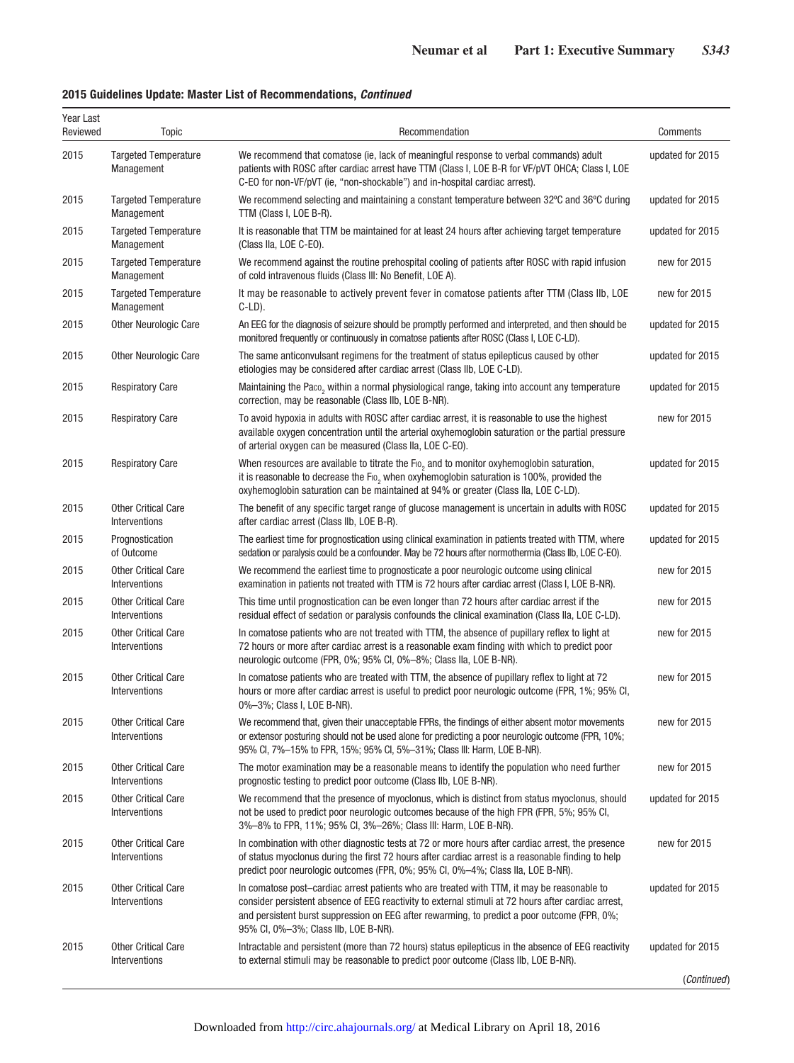| Year Last<br>Reviewed | <b>Topic</b>                                | Recommendation                                                                                                                                                                                                                                                                                                                            | Comments         |
|-----------------------|---------------------------------------------|-------------------------------------------------------------------------------------------------------------------------------------------------------------------------------------------------------------------------------------------------------------------------------------------------------------------------------------------|------------------|
| 2015                  | <b>Targeted Temperature</b><br>Management   | We recommend that comatose (ie, lack of meaningful response to verbal commands) adult<br>patients with ROSC after cardiac arrest have TTM (Class I, LOE B-R for VF/pVT OHCA; Class I, LOE<br>C-EO for non-VF/pVT (ie, "non-shockable") and in-hospital cardiac arrest).                                                                   | updated for 2015 |
| 2015                  | <b>Targeted Temperature</b><br>Management   | We recommend selecting and maintaining a constant temperature between 32°C and 36°C during<br>TTM (Class I, LOE B-R).                                                                                                                                                                                                                     | updated for 2015 |
| 2015                  | <b>Targeted Temperature</b><br>Management   | It is reasonable that TTM be maintained for at least 24 hours after achieving target temperature<br>(Class IIa, LOE C-EO).                                                                                                                                                                                                                | updated for 2015 |
| 2015                  | <b>Targeted Temperature</b><br>Management   | We recommend against the routine prehospital cooling of patients after ROSC with rapid infusion<br>of cold intravenous fluids (Class III: No Benefit, LOE A).                                                                                                                                                                             | new for 2015     |
| 2015                  | <b>Targeted Temperature</b><br>Management   | It may be reasonable to actively prevent fever in comatose patients after TTM (Class IIb, LOE<br>$C-LD$ ).                                                                                                                                                                                                                                | new for 2015     |
| 2015                  | Other Neurologic Care                       | An EEG for the diagnosis of seizure should be promptly performed and interpreted, and then should be<br>monitored frequently or continuously in comatose patients after ROSC (Class I, LOE C-LD).                                                                                                                                         | updated for 2015 |
| 2015                  | Other Neurologic Care                       | The same anticonvulsant regimens for the treatment of status epilepticus caused by other<br>etiologies may be considered after cardiac arrest (Class IIb, LOE C-LD).                                                                                                                                                                      | updated for 2015 |
| 2015                  | <b>Respiratory Care</b>                     | Maintaining the Paco, within a normal physiological range, taking into account any temperature<br>correction, may be reasonable (Class IIb, LOE B-NR).                                                                                                                                                                                    | updated for 2015 |
| 2015                  | <b>Respiratory Care</b>                     | To avoid hypoxia in adults with ROSC after cardiac arrest, it is reasonable to use the highest<br>available oxygen concentration until the arterial oxyhemoglobin saturation or the partial pressure<br>of arterial oxygen can be measured (Class IIa, LOE C-EO).                                                                         | new for 2015     |
| 2015                  | <b>Respiratory Care</b>                     | When resources are available to titrate the F <sub>10</sub> , and to monitor oxyhemoglobin saturation,<br>it is reasonable to decrease the Fio <sub>2</sub> when oxyhemoglobin saturation is 100%, provided the<br>oxyhemoglobin saturation can be maintained at 94% or greater (Class IIa, LOE C-LD).                                    | updated for 2015 |
| 2015                  | <b>Other Critical Care</b><br>Interventions | The benefit of any specific target range of glucose management is uncertain in adults with ROSC<br>after cardiac arrest (Class IIb, LOE B-R).                                                                                                                                                                                             | updated for 2015 |
| 2015                  | Prognostication<br>of Outcome               | The earliest time for prognostication using clinical examination in patients treated with TTM, where<br>sedation or paralysis could be a confounder. May be 72 hours after normothermia (Class IIb, LOE C-EO).                                                                                                                            | updated for 2015 |
| 2015                  | <b>Other Critical Care</b><br>Interventions | We recommend the earliest time to prognosticate a poor neurologic outcome using clinical<br>examination in patients not treated with TTM is 72 hours after cardiac arrest (Class I, LOE B-NR).                                                                                                                                            | new for 2015     |
| 2015                  | <b>Other Critical Care</b><br>Interventions | This time until prognostication can be even longer than 72 hours after cardiac arrest if the<br>residual effect of sedation or paralysis confounds the clinical examination (Class IIa, LOE C-LD).                                                                                                                                        | new for 2015     |
| 2015                  | <b>Other Critical Care</b><br>Interventions | In comatose patients who are not treated with TTM, the absence of pupillary reflex to light at<br>72 hours or more after cardiac arrest is a reasonable exam finding with which to predict poor<br>neurologic outcome (FPR, 0%; 95% CI, 0%-8%; Class IIa, LOE B-NR).                                                                      | new for 2015     |
| 2015                  | <b>Other Critical Care</b><br>Interventions | In comatose patients who are treated with TTM, the absence of pupillary reflex to light at 72<br>hours or more after cardiac arrest is useful to predict poor neurologic outcome (FPR, 1%; 95% CI,<br>0%-3%; Class I, LOE B-NR).                                                                                                          | new for 2015     |
| 2015                  | <b>Other Critical Care</b><br>Interventions | We recommend that, given their unacceptable FPRs, the findings of either absent motor movements<br>or extensor posturing should not be used alone for predicting a poor neurologic outcome (FPR, 10%;<br>95% CI, 7%–15% to FPR, 15%; 95% CI, 5%–31%; Class III: Harm, LOE B-NR).                                                          | new for 2015     |
| 2015                  | <b>Other Critical Care</b><br>Interventions | The motor examination may be a reasonable means to identify the population who need further<br>prognostic testing to predict poor outcome (Class IIb, LOE B-NR).                                                                                                                                                                          | new for 2015     |
| 2015                  | <b>Other Critical Care</b><br>Interventions | We recommend that the presence of myoclonus, which is distinct from status myoclonus, should<br>not be used to predict poor neurologic outcomes because of the high FPR (FPR, 5%; 95% CI,<br>3%-8% to FPR, 11%; 95% Cl, 3%-26%; Class III: Harm, LOE B-NR).                                                                               | updated for 2015 |
| 2015                  | <b>Other Critical Care</b><br>Interventions | In combination with other diagnostic tests at 72 or more hours after cardiac arrest, the presence<br>of status myoclonus during the first 72 hours after cardiac arrest is a reasonable finding to help<br>predict poor neurologic outcomes (FPR, 0%; 95% CI, 0%-4%; Class IIa, LOE B-NR).                                                | new for 2015     |
| 2015                  | <b>Other Critical Care</b><br>Interventions | In comatose post-cardiac arrest patients who are treated with TTM, it may be reasonable to<br>consider persistent absence of EEG reactivity to external stimuli at 72 hours after cardiac arrest,<br>and persistent burst suppression on EEG after rewarming, to predict a poor outcome (FPR, 0%;<br>95% CI, 0%-3%; Class IIb, LOE B-NR). | updated for 2015 |
| 2015                  | <b>Other Critical Care</b><br>Interventions | Intractable and persistent (more than 72 hours) status epilepticus in the absence of EEG reactivity<br>to external stimuli may be reasonable to predict poor outcome (Class IIb, LOE B-NR).                                                                                                                                               | updated for 2015 |
|                       |                                             |                                                                                                                                                                                                                                                                                                                                           | (Continued)      |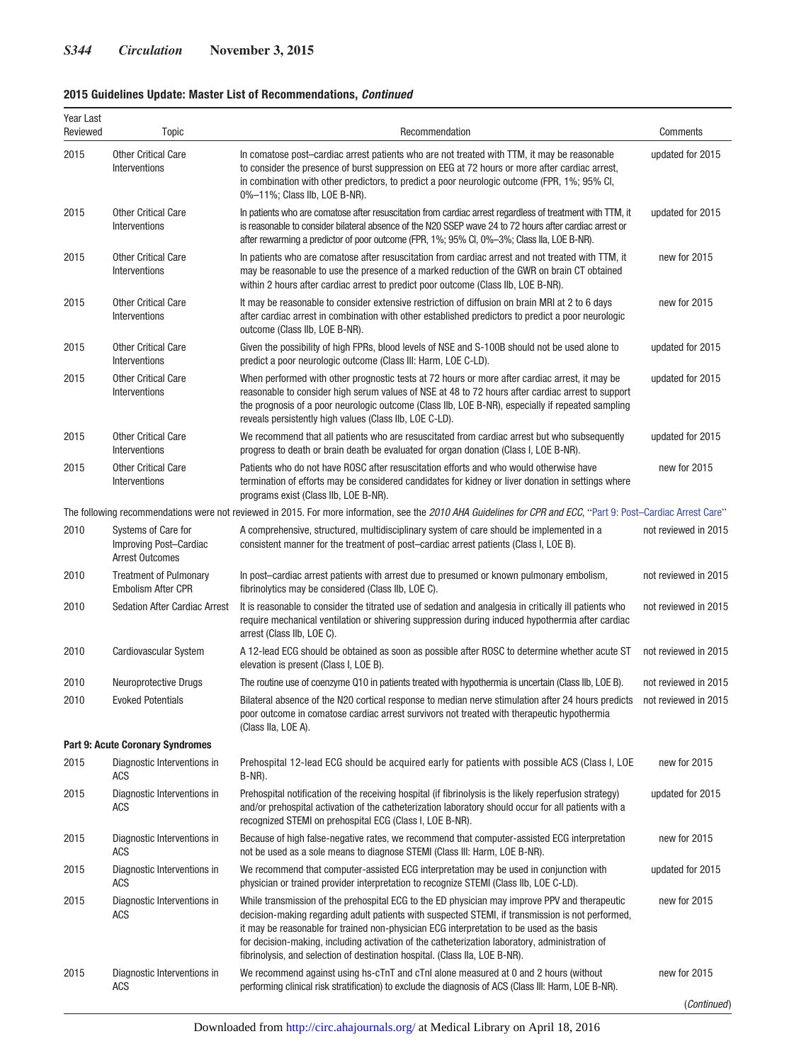| Year Last<br>Reviewed | <b>Topic</b>                                                            | Recommendation                                                                                                                                                                                                                                                                                                                                                                                                                                                                  | Comments             |
|-----------------------|-------------------------------------------------------------------------|---------------------------------------------------------------------------------------------------------------------------------------------------------------------------------------------------------------------------------------------------------------------------------------------------------------------------------------------------------------------------------------------------------------------------------------------------------------------------------|----------------------|
| 2015                  | <b>Other Critical Care</b><br>Interventions                             | In comatose post-cardiac arrest patients who are not treated with TTM, it may be reasonable<br>to consider the presence of burst suppression on EEG at 72 hours or more after cardiac arrest,<br>in combination with other predictors, to predict a poor neurologic outcome (FPR, 1%; 95% CI,<br>0%-11%; Class IIb, LOE B-NR).                                                                                                                                                  | updated for 2015     |
| 2015                  | <b>Other Critical Care</b><br>Interventions                             | In patients who are comatose after resuscitation from cardiac arrest regardless of treatment with TTM, it<br>is reasonable to consider bilateral absence of the N20 SSEP wave 24 to 72 hours after cardiac arrest or<br>after rewarming a predictor of poor outcome (FPR, 1%; 95% CI, 0%-3%; Class IIa, LOE B-NR).                                                                                                                                                              | updated for 2015     |
| 2015                  | <b>Other Critical Care</b><br>Interventions                             | In patients who are comatose after resuscitation from cardiac arrest and not treated with TTM, it<br>may be reasonable to use the presence of a marked reduction of the GWR on brain CT obtained<br>within 2 hours after cardiac arrest to predict poor outcome (Class IIb, LOE B-NR).                                                                                                                                                                                          | new for 2015         |
| 2015                  | <b>Other Critical Care</b><br>Interventions                             | It may be reasonable to consider extensive restriction of diffusion on brain MRI at 2 to 6 days<br>after cardiac arrest in combination with other established predictors to predict a poor neurologic<br>outcome (Class IIb, LOE B-NR).                                                                                                                                                                                                                                         | new for 2015         |
| 2015                  | <b>Other Critical Care</b><br>Interventions                             | Given the possibility of high FPRs, blood levels of NSE and S-100B should not be used alone to<br>predict a poor neurologic outcome (Class III: Harm, LOE C-LD).                                                                                                                                                                                                                                                                                                                | updated for 2015     |
| 2015                  | <b>Other Critical Care</b><br>Interventions                             | When performed with other prognostic tests at 72 hours or more after cardiac arrest, it may be<br>reasonable to consider high serum values of NSE at 48 to 72 hours after cardiac arrest to support<br>the prognosis of a poor neurologic outcome (Class IIb, LOE B-NR), especially if repeated sampling<br>reveals persistently high values (Class IIb, LOE C-LD).                                                                                                             | updated for 2015     |
| 2015                  | <b>Other Critical Care</b><br>Interventions                             | We recommend that all patients who are resuscitated from cardiac arrest but who subsequently<br>progress to death or brain death be evaluated for organ donation (Class I, LOE B-NR).                                                                                                                                                                                                                                                                                           | updated for 2015     |
| 2015                  | <b>Other Critical Care</b><br>Interventions                             | Patients who do not have ROSC after resuscitation efforts and who would otherwise have<br>termination of efforts may be considered candidates for kidney or liver donation in settings where<br>programs exist (Class IIb, LOE B-NR).                                                                                                                                                                                                                                           | new for 2015         |
|                       |                                                                         | The following recommendations were not reviewed in 2015. For more information, see the 2010 AHA Guidelines for CPR and ECC, "Part 9: Post-Cardiac Arrest Care"                                                                                                                                                                                                                                                                                                                  |                      |
| 2010                  | Systems of Care for<br>Improving Post-Cardiac<br><b>Arrest Outcomes</b> | A comprehensive, structured, multidisciplinary system of care should be implemented in a<br>consistent manner for the treatment of post-cardiac arrest patients (Class I, LOE B).                                                                                                                                                                                                                                                                                               | not reviewed in 2015 |
| 2010                  | <b>Treatment of Pulmonary</b><br><b>Embolism After CPR</b>              | In post-cardiac arrest patients with arrest due to presumed or known pulmonary embolism,<br>fibrinolytics may be considered (Class IIb, LOE C).                                                                                                                                                                                                                                                                                                                                 | not reviewed in 2015 |
| 2010                  | <b>Sedation After Cardiac Arrest</b>                                    | It is reasonable to consider the titrated use of sedation and analgesia in critically ill patients who<br>require mechanical ventilation or shivering suppression during induced hypothermia after cardiac<br>arrest (Class IIb, LOE C).                                                                                                                                                                                                                                        | not reviewed in 2015 |
| 2010                  | Cardiovascular System                                                   | A 12-lead ECG should be obtained as soon as possible after ROSC to determine whether acute ST<br>elevation is present (Class I, LOE B).                                                                                                                                                                                                                                                                                                                                         | not reviewed in 2015 |
| 2010                  | <b>Neuroprotective Drugs</b>                                            | The routine use of coenzyme Q10 in patients treated with hypothermia is uncertain (Class IIb, LOE B).                                                                                                                                                                                                                                                                                                                                                                           | not reviewed in 2015 |
| 2010                  | <b>Evoked Potentials</b>                                                | Bilateral absence of the N20 cortical response to median nerve stimulation after 24 hours predicts<br>poor outcome in comatose cardiac arrest survivors not treated with therapeutic hypothermia<br>(Class IIa, LOE A).                                                                                                                                                                                                                                                         | not reviewed in 2015 |
|                       | <b>Part 9: Acute Coronary Syndromes</b>                                 |                                                                                                                                                                                                                                                                                                                                                                                                                                                                                 |                      |
| 2015                  | Diagnostic Interventions in<br>ACS                                      | Prehospital 12-lead ECG should be acquired early for patients with possible ACS (Class I, LOE<br>B-NR).                                                                                                                                                                                                                                                                                                                                                                         | new for 2015         |
| 2015                  | Diagnostic Interventions in<br>ACS                                      | Prehospital notification of the receiving hospital (if fibrinolysis is the likely reperfusion strategy)<br>and/or prehospital activation of the catheterization laboratory should occur for all patients with a<br>recognized STEMI on prehospital ECG (Class I, LOE B-NR).                                                                                                                                                                                                     | updated for 2015     |
| 2015                  | Diagnostic Interventions in<br>ACS                                      | Because of high false-negative rates, we recommend that computer-assisted ECG interpretation<br>not be used as a sole means to diagnose STEMI (Class III: Harm, LOE B-NR).                                                                                                                                                                                                                                                                                                      | new for 2015         |
| 2015                  | Diagnostic Interventions in<br>ACS                                      | We recommend that computer-assisted ECG interpretation may be used in conjunction with<br>physician or trained provider interpretation to recognize STEMI (Class IIb, LOE C-LD).                                                                                                                                                                                                                                                                                                | updated for 2015     |
| 2015                  | Diagnostic Interventions in<br>ACS                                      | While transmission of the prehospital ECG to the ED physician may improve PPV and therapeutic<br>decision-making regarding adult patients with suspected STEMI, if transmission is not performed,<br>it may be reasonable for trained non-physician ECG interpretation to be used as the basis<br>for decision-making, including activation of the catheterization laboratory, administration of<br>fibrinolysis, and selection of destination hospital. (Class IIa, LOE B-NR). | new for 2015         |
| 2015                  | Diagnostic Interventions in<br>ACS                                      | We recommend against using hs-cTnT and cTnI alone measured at 0 and 2 hours (without<br>performing clinical risk stratification) to exclude the diagnosis of ACS (Class III: Harm, LOE B-NR).                                                                                                                                                                                                                                                                                   | new for 2015         |
|                       |                                                                         |                                                                                                                                                                                                                                                                                                                                                                                                                                                                                 | (Continued)          |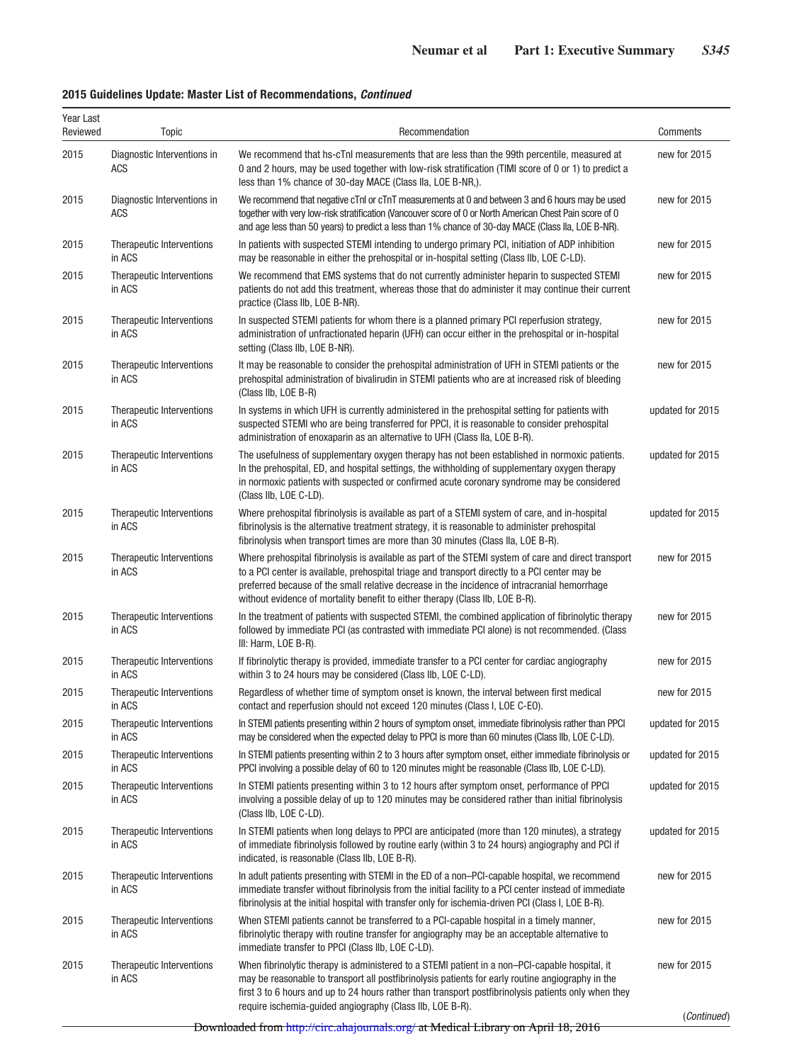| 2015 Guidelines Update: Master List of Recommendations, Continued |  |
|-------------------------------------------------------------------|--|
|-------------------------------------------------------------------|--|

| Year Last<br>Reviewed | Topic                               | Recommendation                                                                                                                                                                                                                                                                                                                                                                          | Comments         |
|-----------------------|-------------------------------------|-----------------------------------------------------------------------------------------------------------------------------------------------------------------------------------------------------------------------------------------------------------------------------------------------------------------------------------------------------------------------------------------|------------------|
| 2015                  | Diagnostic Interventions in<br>ACS  | We recommend that hs-cTnI measurements that are less than the 99th percentile, measured at<br>0 and 2 hours, may be used together with low-risk stratification (TIMI score of 0 or 1) to predict a<br>less than 1% chance of 30-day MACE (Class IIa, LOE B-NR,).                                                                                                                        | new for 2015     |
| 2015                  | Diagnostic Interventions in<br>ACS  | We recommend that negative cTnI or cTnT measurements at 0 and between 3 and 6 hours may be used<br>together with very low-risk stratification (Vancouver score of 0 or North American Chest Pain score of 0<br>and age less than 50 years) to predict a less than 1% chance of 30-day MACE (Class IIa, LOE B-NR).                                                                       | new for 2015     |
| 2015                  | Therapeutic Interventions<br>in ACS | In patients with suspected STEMI intending to undergo primary PCI, initiation of ADP inhibition<br>may be reasonable in either the prehospital or in-hospital setting (Class IIb, LOE C-LD).                                                                                                                                                                                            | new for 2015     |
| 2015                  | Therapeutic Interventions<br>in ACS | We recommend that EMS systems that do not currently administer heparin to suspected STEMI<br>patients do not add this treatment, whereas those that do administer it may continue their current<br>practice (Class IIb, LOE B-NR).                                                                                                                                                      | new for 2015     |
| 2015                  | Therapeutic Interventions<br>in ACS | In suspected STEMI patients for whom there is a planned primary PCI reperfusion strategy,<br>administration of unfractionated heparin (UFH) can occur either in the prehospital or in-hospital<br>setting (Class IIb, LOE B-NR).                                                                                                                                                        | new for 2015     |
| 2015                  | Therapeutic Interventions<br>in ACS | It may be reasonable to consider the prehospital administration of UFH in STEMI patients or the<br>prehospital administration of bivalirudin in STEMI patients who are at increased risk of bleeding<br>(Class IIb, LOE B-R)                                                                                                                                                            | new for 2015     |
| 2015                  | Therapeutic Interventions<br>in ACS | In systems in which UFH is currently administered in the prehospital setting for patients with<br>suspected STEMI who are being transferred for PPCI, it is reasonable to consider prehospital<br>administration of enoxaparin as an alternative to UFH (Class IIa, LOE B-R).                                                                                                           | updated for 2015 |
| 2015                  | Therapeutic Interventions<br>in ACS | The usefulness of supplementary oxygen therapy has not been established in normoxic patients.<br>In the prehospital, ED, and hospital settings, the withholding of supplementary oxygen therapy<br>in normoxic patients with suspected or confirmed acute coronary syndrome may be considered<br>(Class IIb, LOE C-LD).                                                                 | updated for 2015 |
| 2015                  | Therapeutic Interventions<br>in ACS | Where prehospital fibrinolysis is available as part of a STEMI system of care, and in-hospital<br>fibrinolysis is the alternative treatment strategy, it is reasonable to administer prehospital<br>fibrinolysis when transport times are more than 30 minutes (Class IIa, LOE B-R).                                                                                                    | updated for 2015 |
| 2015                  | Therapeutic Interventions<br>in ACS | Where prehospital fibrinolysis is available as part of the STEMI system of care and direct transport<br>to a PCI center is available, prehospital triage and transport directly to a PCI center may be<br>preferred because of the small relative decrease in the incidence of intracranial hemorrhage<br>without evidence of mortality benefit to either therapy (Class IIb, LOE B-R). | new for 2015     |
| 2015                  | Therapeutic Interventions<br>in ACS | In the treatment of patients with suspected STEMI, the combined application of fibrinolytic therapy<br>followed by immediate PCI (as contrasted with immediate PCI alone) is not recommended. (Class<br>III: Harm, LOE B-R).                                                                                                                                                            | new for 2015     |
| 2015                  | Therapeutic Interventions<br>in ACS | If fibrinolytic therapy is provided, immediate transfer to a PCI center for cardiac angiography<br>within 3 to 24 hours may be considered (Class IIb, LOE C-LD).                                                                                                                                                                                                                        | new for 2015     |
| 2015                  | Therapeutic Interventions<br>in ACS | Regardless of whether time of symptom onset is known, the interval between first medical<br>contact and reperfusion should not exceed 120 minutes (Class I, LOE C-EO).                                                                                                                                                                                                                  | new for 2015     |
| 2015                  | Therapeutic Interventions<br>in ACS | In STEMI patients presenting within 2 hours of symptom onset, immediate fibrinolysis rather than PPCI<br>may be considered when the expected delay to PPCI is more than 60 minutes (Class IIb, LOE C-LD).                                                                                                                                                                               | updated for 2015 |
| 2015                  | Therapeutic Interventions<br>in ACS | In STEMI patients presenting within 2 to 3 hours after symptom onset, either immediate fibrinolysis or<br>PPCI involving a possible delay of 60 to 120 minutes might be reasonable (Class IIb, LOE C-LD).                                                                                                                                                                               | updated for 2015 |
| 2015                  | Therapeutic Interventions<br>in ACS | In STEMI patients presenting within 3 to 12 hours after symptom onset, performance of PPCI<br>involving a possible delay of up to 120 minutes may be considered rather than initial fibrinolysis<br>(Class IIb, LOE C-LD).                                                                                                                                                              | updated for 2015 |
| 2015                  | Therapeutic Interventions<br>in ACS | In STEMI patients when long delays to PPCI are anticipated (more than 120 minutes), a strategy<br>of immediate fibrinolysis followed by routine early (within 3 to 24 hours) angiography and PCI if<br>indicated, is reasonable (Class IIb, LOE B-R).                                                                                                                                   | updated for 2015 |
| 2015                  | Therapeutic Interventions<br>in ACS | In adult patients presenting with STEMI in the ED of a non-PCI-capable hospital, we recommend<br>immediate transfer without fibrinolysis from the initial facility to a PCI center instead of immediate<br>fibrinolysis at the initial hospital with transfer only for ischemia-driven PCI (Class I, LOE B-R).                                                                          | new for 2015     |
| 2015                  | Therapeutic Interventions<br>in ACS | When STEMI patients cannot be transferred to a PCI-capable hospital in a timely manner,<br>fibrinolytic therapy with routine transfer for angiography may be an acceptable alternative to<br>immediate transfer to PPCI (Class IIb, LOE C-LD).                                                                                                                                          | new for 2015     |
| 2015                  | Therapeutic Interventions<br>in ACS | When fibrinolytic therapy is administered to a STEMI patient in a non-PCI-capable hospital, it<br>may be reasonable to transport all postfibrinolysis patients for early routine angiography in the<br>first 3 to 6 hours and up to 24 hours rather than transport postfibrinolysis patients only when they<br>require ischemia-guided angiography (Class IIb, LOE B-R).                | new for 2015     |
|                       |                                     |                                                                                                                                                                                                                                                                                                                                                                                         | (Continued)      |

Downloaded from<http://circ.ahajournals.org/>at Medical Library on April 18, 2016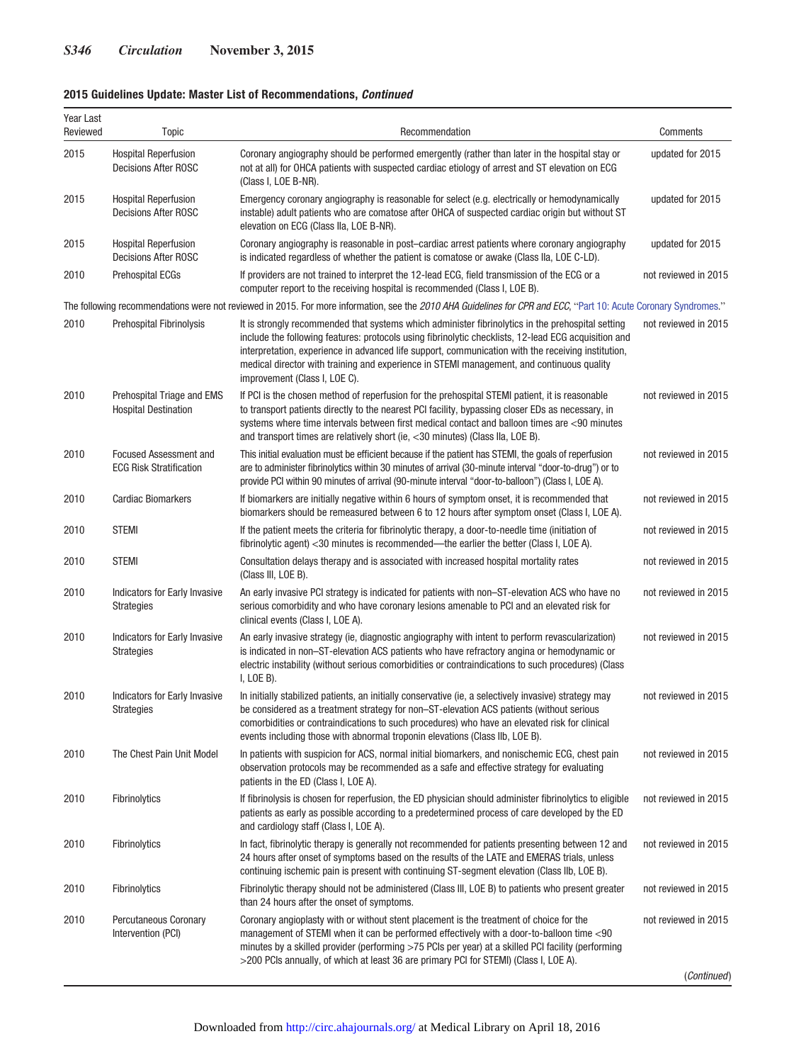| Year Last<br>Reviewed | Topic                                                           | Recommendation                                                                                                                                                                                                                                                                                                                                                                                                                                | Comments             |
|-----------------------|-----------------------------------------------------------------|-----------------------------------------------------------------------------------------------------------------------------------------------------------------------------------------------------------------------------------------------------------------------------------------------------------------------------------------------------------------------------------------------------------------------------------------------|----------------------|
| 2015                  | <b>Hospital Reperfusion</b><br><b>Decisions After ROSC</b>      | Coronary angiography should be performed emergently (rather than later in the hospital stay or<br>not at all) for OHCA patients with suspected cardiac etiology of arrest and ST elevation on ECG<br>(Class I, LOE B-NR).                                                                                                                                                                                                                     | updated for 2015     |
| 2015                  | <b>Hospital Reperfusion</b><br><b>Decisions After ROSC</b>      | Emergency coronary angiography is reasonable for select (e.g. electrically or hemodynamically<br>instable) adult patients who are comatose after OHCA of suspected cardiac origin but without ST<br>elevation on ECG (Class IIa, LOE B-NR).                                                                                                                                                                                                   | updated for 2015     |
| 2015                  | <b>Hospital Reperfusion</b><br><b>Decisions After ROSC</b>      | Coronary angiography is reasonable in post-cardiac arrest patients where coronary angiography<br>is indicated regardless of whether the patient is comatose or awake (Class IIa, LOE C-LD).                                                                                                                                                                                                                                                   | updated for 2015     |
| 2010                  | Prehospital ECGs                                                | If providers are not trained to interpret the 12-lead ECG, field transmission of the ECG or a<br>computer report to the receiving hospital is recommended (Class I, LOE B).                                                                                                                                                                                                                                                                   | not reviewed in 2015 |
|                       |                                                                 | The following recommendations were not reviewed in 2015. For more information, see the 2010 AHA Guidelines for CPR and ECC, "Part 10: Acute Coronary Syndromes."                                                                                                                                                                                                                                                                              |                      |
| 2010                  | <b>Prehospital Fibrinolysis</b>                                 | It is strongly recommended that systems which administer fibrinolytics in the prehospital setting<br>include the following features: protocols using fibrinolytic checklists, 12-lead ECG acquisition and<br>interpretation, experience in advanced life support, communication with the receiving institution,<br>medical director with training and experience in STEMI management, and continuous quality<br>improvement (Class I, LOE C). | not reviewed in 2015 |
| 2010                  | Prehospital Triage and EMS<br><b>Hospital Destination</b>       | If PCI is the chosen method of reperfusion for the prehospital STEMI patient, it is reasonable<br>to transport patients directly to the nearest PCI facility, bypassing closer EDs as necessary, in<br>systems where time intervals between first medical contact and balloon times are <90 minutes<br>and transport times are relatively short (ie, $<$ 30 minutes) (Class IIa, LOE B).                                                      | not reviewed in 2015 |
| 2010                  | <b>Focused Assessment and</b><br><b>ECG Risk Stratification</b> | This initial evaluation must be efficient because if the patient has STEMI, the goals of reperfusion<br>are to administer fibrinolytics within 30 minutes of arrival (30-minute interval "door-to-drug") or to<br>provide PCI within 90 minutes of arrival (90-minute interval "door-to-balloon") (Class I, LOE A).                                                                                                                           | not reviewed in 2015 |
| 2010                  | <b>Cardiac Biomarkers</b>                                       | If biomarkers are initially negative within 6 hours of symptom onset, it is recommended that<br>biomarkers should be remeasured between 6 to 12 hours after symptom onset (Class I, LOE A).                                                                                                                                                                                                                                                   | not reviewed in 2015 |
| 2010                  | <b>STEMI</b>                                                    | If the patient meets the criteria for fibrinolytic therapy, a door-to-needle time (initiation of<br>fibrinolytic agent) <30 minutes is recommended—the earlier the better (Class I, LOE A).                                                                                                                                                                                                                                                   | not reviewed in 2015 |
| 2010                  | <b>STEMI</b>                                                    | Consultation delays therapy and is associated with increased hospital mortality rates<br>(Class III, LOE B).                                                                                                                                                                                                                                                                                                                                  | not reviewed in 2015 |
| 2010                  | Indicators for Early Invasive<br><b>Strategies</b>              | An early invasive PCI strategy is indicated for patients with non–ST-elevation ACS who have no<br>serious comorbidity and who have coronary lesions amenable to PCI and an elevated risk for<br>clinical events (Class I, LOE A).                                                                                                                                                                                                             | not reviewed in 2015 |
| 2010                  | Indicators for Early Invasive<br><b>Strategies</b>              | An early invasive strategy (ie, diagnostic angiography with intent to perform revascularization)<br>is indicated in non–ST-elevation ACS patients who have refractory angina or hemodynamic or<br>electric instability (without serious comorbidities or contraindications to such procedures) (Class<br>I, LOE B).                                                                                                                           | not reviewed in 2015 |
| 2010                  | Indicators for Early Invasive<br><b>Strategies</b>              | In initially stabilized patients, an initially conservative (ie, a selectively invasive) strategy may<br>be considered as a treatment strategy for non-ST-elevation ACS patients (without serious<br>comorbidities or contraindications to such procedures) who have an elevated risk for clinical<br>events including those with abnormal troponin elevations (Class IIb, LOE B).                                                            | not reviewed in 2015 |
| 2010                  | The Chest Pain Unit Model                                       | In patients with suspicion for ACS, normal initial biomarkers, and nonischemic ECG, chest pain<br>observation protocols may be recommended as a safe and effective strategy for evaluating<br>patients in the ED (Class I, LOE A).                                                                                                                                                                                                            | not reviewed in 2015 |
| 2010                  | Fibrinolytics                                                   | If fibrinolysis is chosen for reperfusion, the ED physician should administer fibrinolytics to eligible<br>patients as early as possible according to a predetermined process of care developed by the ED<br>and cardiology staff (Class I, LOE A).                                                                                                                                                                                           | not reviewed in 2015 |
| 2010                  | Fibrinolytics                                                   | In fact, fibrinolytic therapy is generally not recommended for patients presenting between 12 and<br>24 hours after onset of symptoms based on the results of the LATE and EMERAS trials, unless<br>continuing ischemic pain is present with continuing ST-segment elevation (Class IIb, LOE B).                                                                                                                                              | not reviewed in 2015 |
| 2010                  | Fibrinolytics                                                   | Fibrinolytic therapy should not be administered (Class III, LOE B) to patients who present greater<br>than 24 hours after the onset of symptoms.                                                                                                                                                                                                                                                                                              | not reviewed in 2015 |
| 2010                  | Percutaneous Coronary<br>Intervention (PCI)                     | Coronary angioplasty with or without stent placement is the treatment of choice for the<br>management of STEMI when it can be performed effectively with a door-to-balloon time <90<br>minutes by a skilled provider (performing $>75$ PCIs per year) at a skilled PCI facility (performing<br>>200 PCIs annually, of which at least 36 are primary PCI for STEMI) (Class I, LOE A).                                                          | not reviewed in 2015 |
|                       |                                                                 |                                                                                                                                                                                                                                                                                                                                                                                                                                               | (Continued)          |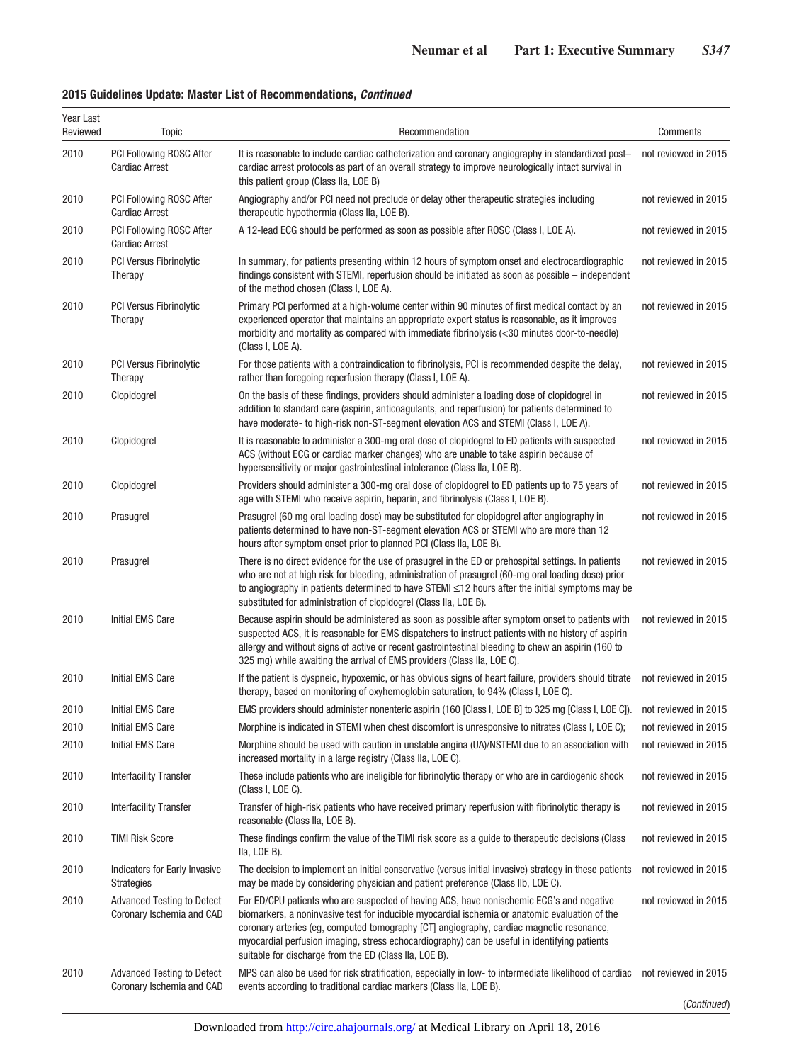|  |  | 2015 Guidelines Update: Master List of Recommendations, <i>Continued</i> |  |
|--|--|--------------------------------------------------------------------------|--|
|--|--|--------------------------------------------------------------------------|--|

| Year Last<br>Reviewed | <b>Topic</b>                                                   | Recommendation                                                                                                                                                                                                                                                                                                                                                                                                                                   | Comments             |
|-----------------------|----------------------------------------------------------------|--------------------------------------------------------------------------------------------------------------------------------------------------------------------------------------------------------------------------------------------------------------------------------------------------------------------------------------------------------------------------------------------------------------------------------------------------|----------------------|
| 2010                  | PCI Following ROSC After<br><b>Cardiac Arrest</b>              | It is reasonable to include cardiac catheterization and coronary angiography in standardized post-<br>cardiac arrest protocols as part of an overall strategy to improve neurologically intact survival in<br>this patient group (Class IIa, LOE B)                                                                                                                                                                                              | not reviewed in 2015 |
| 2010                  | <b>PCI Following ROSC After</b><br><b>Cardiac Arrest</b>       | Angiography and/or PCI need not preclude or delay other therapeutic strategies including<br>therapeutic hypothermia (Class IIa, LOE B).                                                                                                                                                                                                                                                                                                          | not reviewed in 2015 |
| 2010                  | <b>PCI Following ROSC After</b><br><b>Cardiac Arrest</b>       | A 12-lead ECG should be performed as soon as possible after ROSC (Class I, LOE A).                                                                                                                                                                                                                                                                                                                                                               | not reviewed in 2015 |
| 2010                  | PCI Versus Fibrinolytic<br>Therapy                             | In summary, for patients presenting within 12 hours of symptom onset and electrocardiographic<br>findings consistent with STEMI, reperfusion should be initiated as soon as possible – independent<br>of the method chosen (Class I, LOE A).                                                                                                                                                                                                     | not reviewed in 2015 |
| 2010                  | <b>PCI Versus Fibrinolytic</b><br>Therapy                      | Primary PCI performed at a high-volume center within 90 minutes of first medical contact by an<br>experienced operator that maintains an appropriate expert status is reasonable, as it improves<br>morbidity and mortality as compared with immediate fibrinolysis (<30 minutes door-to-needle)<br>(Class I, LOE A).                                                                                                                            | not reviewed in 2015 |
| 2010                  | <b>PCI Versus Fibrinolytic</b><br>Therapy                      | For those patients with a contraindication to fibrinolysis, PCI is recommended despite the delay,<br>rather than foregoing reperfusion therapy (Class I, LOE A).                                                                                                                                                                                                                                                                                 | not reviewed in 2015 |
| 2010                  | Clopidogrel                                                    | On the basis of these findings, providers should administer a loading dose of clopidogrel in<br>addition to standard care (aspirin, anticoagulants, and reperfusion) for patients determined to<br>have moderate- to high-risk non-ST-segment elevation ACS and STEMI (Class I, LOE A).                                                                                                                                                          | not reviewed in 2015 |
| 2010                  | Clopidogrel                                                    | It is reasonable to administer a 300-mg oral dose of clopidogrel to ED patients with suspected<br>ACS (without ECG or cardiac marker changes) who are unable to take aspirin because of<br>hypersensitivity or major gastrointestinal intolerance (Class IIa, LOE B).                                                                                                                                                                            | not reviewed in 2015 |
| 2010                  | Clopidogrel                                                    | Providers should administer a 300-mg oral dose of clopidogrel to ED patients up to 75 years of<br>age with STEMI who receive aspirin, heparin, and fibrinolysis (Class I, LOE B).                                                                                                                                                                                                                                                                | not reviewed in 2015 |
| 2010                  | Prasugrel                                                      | Prasugrel (60 mg oral loading dose) may be substituted for clopidogrel after angiography in<br>patients determined to have non-ST-segment elevation ACS or STEMI who are more than 12<br>hours after symptom onset prior to planned PCI (Class IIa, LOE B).                                                                                                                                                                                      | not reviewed in 2015 |
| 2010                  | Prasugrel                                                      | There is no direct evidence for the use of prasugrel in the ED or prehospital settings. In patients<br>who are not at high risk for bleeding, administration of prasugrel (60-mg oral loading dose) prior<br>to angiography in patients determined to have STEMI $\leq$ 12 hours after the initial symptoms may be<br>substituted for administration of clopidogrel (Class IIa, LOE B).                                                          | not reviewed in 2015 |
| 2010                  | <b>Initial EMS Care</b>                                        | Because aspirin should be administered as soon as possible after symptom onset to patients with<br>suspected ACS, it is reasonable for EMS dispatchers to instruct patients with no history of aspirin<br>allergy and without signs of active or recent gastrointestinal bleeding to chew an aspirin (160 to<br>325 mg) while awaiting the arrival of EMS providers (Class IIa, LOE C).                                                          | not reviewed in 2015 |
| 2010                  | <b>Initial EMS Care</b>                                        | If the patient is dyspneic, hypoxemic, or has obvious signs of heart failure, providers should titrate<br>therapy, based on monitoring of oxyhemoglobin saturation, to 94% (Class I, LOE C).                                                                                                                                                                                                                                                     | not reviewed in 2015 |
| 2010                  | <b>Initial EMS Care</b>                                        | EMS providers should administer nonenteric aspirin (160 [Class I, LOE B] to 325 mg [Class I, LOE C]).                                                                                                                                                                                                                                                                                                                                            | not reviewed in 2015 |
| 2010                  | Initial EMS Care                                               | Morphine is indicated in STEMI when chest discomfort is unresponsive to nitrates (Class I, LOE C);                                                                                                                                                                                                                                                                                                                                               | not reviewed in 2015 |
| 2010                  | <b>Initial EMS Care</b>                                        | Morphine should be used with caution in unstable angina (UA)/NSTEMI due to an association with<br>increased mortality in a large registry (Class IIa, LOE C).                                                                                                                                                                                                                                                                                    | not reviewed in 2015 |
| 2010                  | <b>Interfacility Transfer</b>                                  | These include patients who are ineligible for fibrinolytic therapy or who are in cardiogenic shock<br>(Class I, LOE C).                                                                                                                                                                                                                                                                                                                          | not reviewed in 2015 |
| 2010                  | <b>Interfacility Transfer</b>                                  | Transfer of high-risk patients who have received primary reperfusion with fibrinolytic therapy is<br>reasonable (Class IIa, LOE B).                                                                                                                                                                                                                                                                                                              | not reviewed in 2015 |
| 2010                  | <b>TIMI Risk Score</b>                                         | These findings confirm the value of the TIMI risk score as a guide to therapeutic decisions (Class<br>Ila, LOE B).                                                                                                                                                                                                                                                                                                                               | not reviewed in 2015 |
| 2010                  | Indicators for Early Invasive<br><b>Strategies</b>             | The decision to implement an initial conservative (versus initial invasive) strategy in these patients<br>may be made by considering physician and patient preference (Class IIb, LOE C).                                                                                                                                                                                                                                                        | not reviewed in 2015 |
| 2010                  | <b>Advanced Testing to Detect</b><br>Coronary Ischemia and CAD | For ED/CPU patients who are suspected of having ACS, have nonischemic ECG's and negative<br>biomarkers, a noninvasive test for inducible myocardial ischemia or anatomic evaluation of the<br>coronary arteries (eg, computed tomography [CT] angiography, cardiac magnetic resonance,<br>myocardial perfusion imaging, stress echocardiography) can be useful in identifying patients<br>suitable for discharge from the ED (Class IIa, LOE B). | not reviewed in 2015 |
| 2010                  | <b>Advanced Testing to Detect</b><br>Coronary Ischemia and CAD | MPS can also be used for risk stratification, especially in low- to intermediate likelihood of cardiac<br>events according to traditional cardiac markers (Class IIa, LOE B).                                                                                                                                                                                                                                                                    | not reviewed in 2015 |
|                       |                                                                |                                                                                                                                                                                                                                                                                                                                                                                                                                                  | (Continued)          |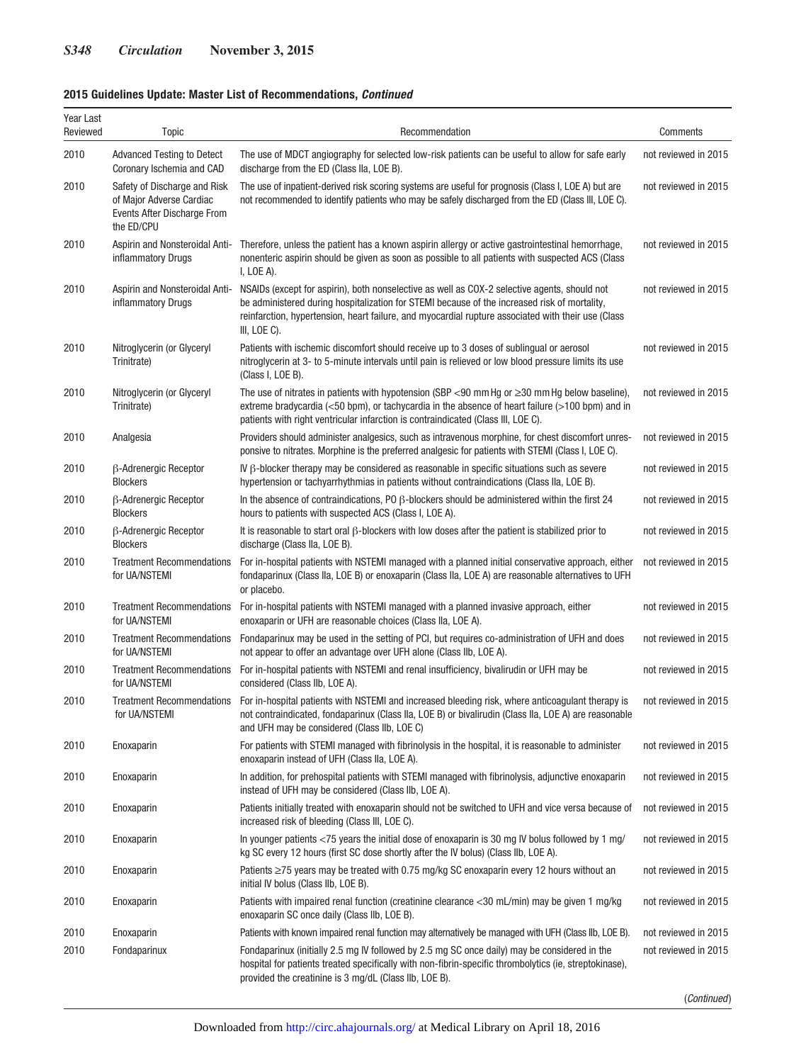| Year Last<br>Reviewed | <b>Topic</b>                                                                                          | Recommendation                                                                                                                                                                                                                                                                                                     | Comments             |
|-----------------------|-------------------------------------------------------------------------------------------------------|--------------------------------------------------------------------------------------------------------------------------------------------------------------------------------------------------------------------------------------------------------------------------------------------------------------------|----------------------|
| 2010                  | <b>Advanced Testing to Detect</b><br>Coronary Ischemia and CAD                                        | The use of MDCT angiography for selected low-risk patients can be useful to allow for safe early<br>discharge from the ED (Class IIa, LOE B).                                                                                                                                                                      | not reviewed in 2015 |
| 2010                  | Safety of Discharge and Risk<br>of Major Adverse Cardiac<br>Events After Discharge From<br>the ED/CPU | The use of inpatient-derived risk scoring systems are useful for prognosis (Class I, LOE A) but are<br>not recommended to identify patients who may be safely discharged from the ED (Class III, LOE C).                                                                                                           | not reviewed in 2015 |
| 2010                  | Aspirin and Nonsteroidal Anti-<br>inflammatory Drugs                                                  | Therefore, unless the patient has a known aspirin allergy or active gastrointestinal hemorrhage,<br>nonenteric aspirin should be given as soon as possible to all patients with suspected ACS (Class<br>I, LOE $A$ ).                                                                                              | not reviewed in 2015 |
| 2010                  | Aspirin and Nonsteroidal Anti-<br>inflammatory Drugs                                                  | NSAIDs (except for aspirin), both nonselective as well as COX-2 selective agents, should not<br>be administered during hospitalization for STEMI because of the increased risk of mortality,<br>reinfarction, hypertension, heart failure, and myocardial rupture associated with their use (Class<br>III, LOE C). | not reviewed in 2015 |
| 2010                  | Nitroglycerin (or Glyceryl<br>Trinitrate)                                                             | Patients with ischemic discomfort should receive up to 3 doses of sublingual or aerosol<br>nitroglycerin at 3- to 5-minute intervals until pain is relieved or low blood pressure limits its use<br>(Class I, LOE B).                                                                                              | not reviewed in 2015 |
| 2010                  | Nitroglycerin (or Glyceryl<br>Trinitrate)                                                             | The use of nitrates in patients with hypotension (SBP <90 mm Hg or $\geq$ 30 mm Hg below baseline),<br>extreme bradycardia ( $<$ 50 bpm), or tachycardia in the absence of heart failure ( $>$ 100 bpm) and in<br>patients with right ventricular infarction is contraindicated (Class III, LOE C).                | not reviewed in 2015 |
| 2010                  | Analgesia                                                                                             | Providers should administer analgesics, such as intravenous morphine, for chest discomfort unres-<br>ponsive to nitrates. Morphine is the preferred analgesic for patients with STEMI (Class I, LOE C).                                                                                                            | not reviewed in 2015 |
| 2010                  | <b>B-Adrenergic Receptor</b><br><b>Blockers</b>                                                       | $\mathsf{IV}$ $\beta$ -blocker therapy may be considered as reasonable in specific situations such as severe<br>hypertension or tachyarrhythmias in patients without contraindications (Class IIa, LOE B).                                                                                                         | not reviewed in 2015 |
| 2010                  | <b>B-Adrenergic Receptor</b><br><b>Blockers</b>                                                       | In the absence of contraindications, PO $\beta$ -blockers should be administered within the first 24<br>hours to patients with suspected ACS (Class I, LOE A).                                                                                                                                                     | not reviewed in 2015 |
| 2010                  | <b>B-Adrenergic Receptor</b><br><b>Blockers</b>                                                       | It is reasonable to start oral $\beta$ -blockers with low doses after the patient is stabilized prior to<br>discharge (Class IIa, LOE B).                                                                                                                                                                          | not reviewed in 2015 |
| 2010                  | <b>Treatment Recommendations</b><br>for UA/NSTEMI                                                     | For in-hospital patients with NSTEMI managed with a planned initial conservative approach, either<br>fondaparinux (Class IIa, LOE B) or enoxaparin (Class IIa, LOE A) are reasonable alternatives to UFH<br>or placebo.                                                                                            | not reviewed in 2015 |
| 2010                  | <b>Treatment Recommendations</b><br>for UA/NSTEMI                                                     | For in-hospital patients with NSTEMI managed with a planned invasive approach, either<br>enoxaparin or UFH are reasonable choices (Class IIa, LOE A).                                                                                                                                                              | not reviewed in 2015 |
| 2010                  | <b>Treatment Recommendations</b><br>for UA/NSTEMI                                                     | Fondaparinux may be used in the setting of PCI, but requires co-administration of UFH and does<br>not appear to offer an advantage over UFH alone (Class IIb, LOE A).                                                                                                                                              | not reviewed in 2015 |
| 2010                  | <b>Treatment Recommendations</b><br>for UA/NSTEMI                                                     | For in-hospital patients with NSTEMI and renal insufficiency, bivalirudin or UFH may be<br>considered (Class IIb, LOE A).                                                                                                                                                                                          | not reviewed in 2015 |
| 2010                  | <b>Treatment Recommendations</b><br>for UA/NSTEMI                                                     | For in-hospital patients with NSTEMI and increased bleeding risk, where anticoagulant therapy is<br>not contraindicated, fondaparinux (Class IIa, LOE B) or bivalirudin (Class IIa, LOE A) are reasonable<br>and UFH may be considered (Class IIb, LOE C)                                                          | not reviewed in 2015 |
| 2010                  | Enoxaparin                                                                                            | For patients with STEMI managed with fibrinolysis in the hospital, it is reasonable to administer<br>enoxaparin instead of UFH (Class IIa, LOE A).                                                                                                                                                                 | not reviewed in 2015 |
| 2010                  | Enoxaparin                                                                                            | In addition, for prehospital patients with STEMI managed with fibrinolysis, adjunctive enoxaparin<br>instead of UFH may be considered (Class IIb, LOE A).                                                                                                                                                          | not reviewed in 2015 |
| 2010                  | Enoxaparin                                                                                            | Patients initially treated with enoxaparin should not be switched to UFH and vice versa because of<br>increased risk of bleeding (Class III, LOE C).                                                                                                                                                               | not reviewed in 2015 |
| 2010                  | Enoxaparin                                                                                            | In younger patients <75 years the initial dose of enoxaparin is 30 mg IV bolus followed by 1 mg/<br>kg SC every 12 hours (first SC dose shortly after the IV bolus) (Class IIb, LOE A).                                                                                                                            | not reviewed in 2015 |
| 2010                  | Enoxaparin                                                                                            | Patients ≥75 years may be treated with 0.75 mg/kg SC enoxaparin every 12 hours without an<br>initial IV bolus (Class IIb, LOE B).                                                                                                                                                                                  | not reviewed in 2015 |
| 2010                  | Enoxaparin                                                                                            | Patients with impaired renal function (creatinine clearance <30 mL/min) may be given 1 mg/kg<br>enoxaparin SC once daily (Class IIb, LOE B).                                                                                                                                                                       | not reviewed in 2015 |
| 2010                  | Enoxaparin                                                                                            | Patients with known impaired renal function may alternatively be managed with UFH (Class IIb, LOE B).                                                                                                                                                                                                              | not reviewed in 2015 |
| 2010                  | Fondaparinux                                                                                          | Fondaparinux (initially 2.5 mg IV followed by 2.5 mg SC once daily) may be considered in the<br>hospital for patients treated specifically with non-fibrin-specific thrombolytics (ie, streptokinase),<br>provided the creatinine is 3 mg/dL (Class IIb, LOE B).                                                   | not reviewed in 2015 |

(Continued)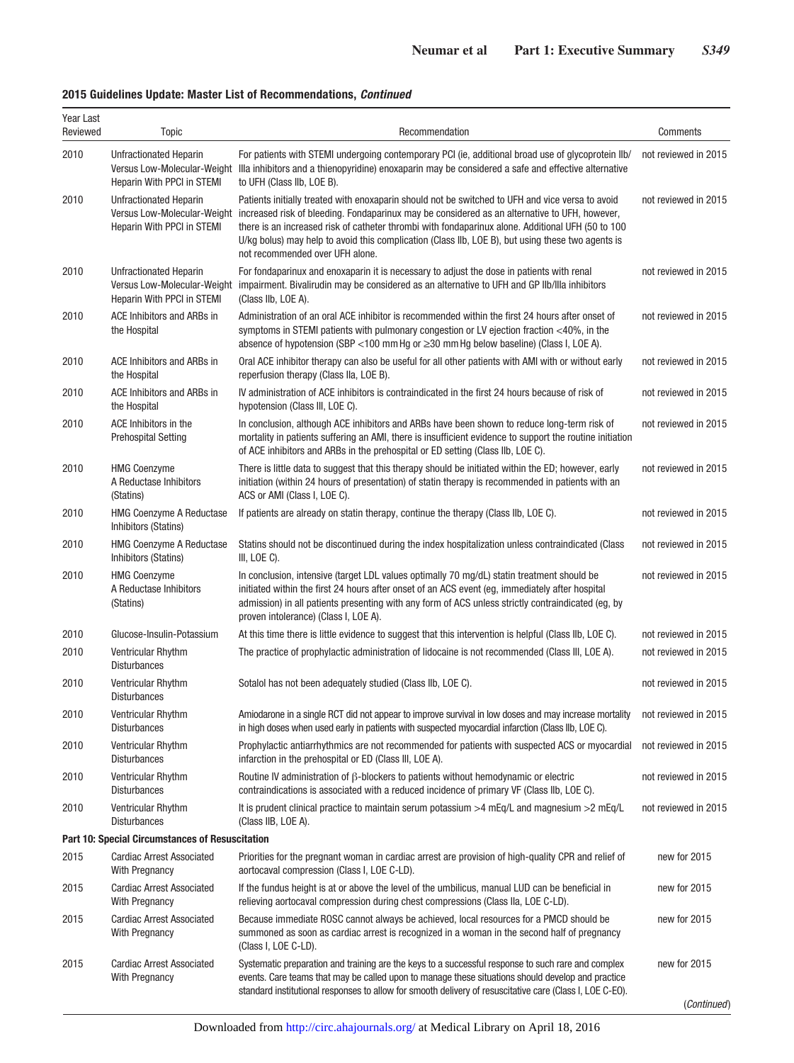|  |  |  | 2015 Guidelines Update: Master List of Recommendations, <i>Continued</i> |  |  |
|--|--|--|--------------------------------------------------------------------------|--|--|
|--|--|--|--------------------------------------------------------------------------|--|--|

| Year Last<br>Reviewed | Topic                                                                                      | Recommendation                                                                                                                                                                                                                                                                                                                                                                                                                                 | Comments             |
|-----------------------|--------------------------------------------------------------------------------------------|------------------------------------------------------------------------------------------------------------------------------------------------------------------------------------------------------------------------------------------------------------------------------------------------------------------------------------------------------------------------------------------------------------------------------------------------|----------------------|
| 2010                  | <b>Unfractionated Heparin</b><br>Heparin With PPCI in STEMI                                | For patients with STEMI undergoing contemporary PCI (ie, additional broad use of glycoprotein IIb/<br>Versus Low-Molecular-Weight Illa inhibitors and a thienopyridine) enoxaparin may be considered a safe and effective alternative<br>to UFH (Class IIb, LOE B).                                                                                                                                                                            | not reviewed in 2015 |
| 2010                  | <b>Unfractionated Heparin</b><br>Versus Low-Molecular-Weight<br>Heparin With PPCI in STEMI | Patients initially treated with enoxaparin should not be switched to UFH and vice versa to avoid<br>increased risk of bleeding. Fondaparinux may be considered as an alternative to UFH, however,<br>there is an increased risk of catheter thrombi with fondaparinux alone. Additional UFH (50 to 100<br>U/kg bolus) may help to avoid this complication (Class IIb, LOE B), but using these two agents is<br>not recommended over UFH alone. | not reviewed in 2015 |
| 2010                  | Unfractionated Heparin<br>Versus Low-Molecular-Weight<br>Heparin With PPCI in STEMI        | For fondaparinux and enoxaparin it is necessary to adjust the dose in patients with renal<br>impairment. Bivalirudin may be considered as an alternative to UFH and GP IIb/IIIa inhibitors<br>(Class IIb, LOE A).                                                                                                                                                                                                                              | not reviewed in 2015 |
| 2010                  | <b>ACE Inhibitors and ARBs in</b><br>the Hospital                                          | Administration of an oral ACE inhibitor is recommended within the first 24 hours after onset of<br>symptoms in STEMI patients with pulmonary congestion or LV ejection fraction <40%, in the<br>absence of hypotension (SBP <100 mm Hg or $\geq$ 30 mm Hg below baseline) (Class I, LOE A).                                                                                                                                                    | not reviewed in 2015 |
| 2010                  | ACE Inhibitors and ARBs in<br>the Hospital                                                 | Oral ACE inhibitor therapy can also be useful for all other patients with AMI with or without early<br>reperfusion therapy (Class IIa, LOE B).                                                                                                                                                                                                                                                                                                 | not reviewed in 2015 |
| 2010                  | <b>ACE Inhibitors and ARBs in</b><br>the Hospital                                          | IV administration of ACE inhibitors is contraindicated in the first 24 hours because of risk of<br>hypotension (Class III, LOE C).                                                                                                                                                                                                                                                                                                             | not reviewed in 2015 |
| 2010                  | ACE Inhibitors in the<br><b>Prehospital Setting</b>                                        | In conclusion, although ACE inhibitors and ARBs have been shown to reduce long-term risk of<br>mortality in patients suffering an AMI, there is insufficient evidence to support the routine initiation<br>of ACE inhibitors and ARBs in the prehospital or ED setting (Class IIb, LOE C).                                                                                                                                                     | not reviewed in 2015 |
| 2010                  | <b>HMG Coenzyme</b><br>A Reductase Inhibitors<br>(Statins)                                 | There is little data to suggest that this therapy should be initiated within the ED; however, early<br>initiation (within 24 hours of presentation) of statin therapy is recommended in patients with an<br>ACS or AMI (Class I, LOE C).                                                                                                                                                                                                       | not reviewed in 2015 |
| 2010                  | <b>HMG Coenzyme A Reductase</b><br>Inhibitors (Statins)                                    | If patients are already on statin therapy, continue the therapy (Class IIb, LOE C).                                                                                                                                                                                                                                                                                                                                                            | not reviewed in 2015 |
| 2010                  | <b>HMG Coenzyme A Reductase</b><br>Inhibitors (Statins)                                    | Statins should not be discontinued during the index hospitalization unless contraindicated (Class<br>III, LOE C).                                                                                                                                                                                                                                                                                                                              | not reviewed in 2015 |
| 2010                  | <b>HMG Coenzyme</b><br>A Reductase Inhibitors<br>(Statins)                                 | In conclusion, intensive (target LDL values optimally 70 mg/dL) statin treatment should be<br>initiated within the first 24 hours after onset of an ACS event (eg, immediately after hospital<br>admission) in all patients presenting with any form of ACS unless strictly contraindicated (eg, by<br>proven intolerance) (Class I, LOE A).                                                                                                   | not reviewed in 2015 |
| 2010                  | Glucose-Insulin-Potassium                                                                  | At this time there is little evidence to suggest that this intervention is helpful (Class IIb, LOE C).                                                                                                                                                                                                                                                                                                                                         | not reviewed in 2015 |
| 2010                  | Ventricular Rhythm<br><b>Disturbances</b>                                                  | The practice of prophylactic administration of lidocaine is not recommended (Class III, LOE A).                                                                                                                                                                                                                                                                                                                                                | not reviewed in 2015 |
| 2010                  | Ventricular Rhythm<br><b>Disturbances</b>                                                  | Sotalol has not been adequately studied (Class IIb, LOE C).                                                                                                                                                                                                                                                                                                                                                                                    | not reviewed in 2015 |
| 2010                  | Ventricular Rhythm<br><b>Disturbances</b>                                                  | Amiodarone in a single RCT did not appear to improve survival in low doses and may increase mortality<br>in high doses when used early in patients with suspected myocardial infarction (Class IIb, LOE C).                                                                                                                                                                                                                                    | not reviewed in 2015 |
| 2010                  | Ventricular Rhythm<br><b>Disturbances</b>                                                  | Prophylactic antiarrhythmics are not recommended for patients with suspected ACS or myocardial<br>infarction in the prehospital or ED (Class III, LOE A).                                                                                                                                                                                                                                                                                      | not reviewed in 2015 |
| 2010                  | Ventricular Rhythm<br><b>Disturbances</b>                                                  | Routine IV administration of $\beta$ -blockers to patients without hemodynamic or electric<br>contraindications is associated with a reduced incidence of primary VF (Class IIb, LOE C).                                                                                                                                                                                                                                                       | not reviewed in 2015 |
| 2010                  | Ventricular Rhythm<br><b>Disturbances</b>                                                  | It is prudent clinical practice to maintain serum potassium $>4$ mEq/L and magnesium $>2$ mEq/L<br>(Class IIB, LOE A).                                                                                                                                                                                                                                                                                                                         | not reviewed in 2015 |
|                       | Part 10: Special Circumstances of Resuscitation                                            |                                                                                                                                                                                                                                                                                                                                                                                                                                                |                      |
| 2015                  | <b>Cardiac Arrest Associated</b><br><b>With Pregnancy</b>                                  | Priorities for the pregnant woman in cardiac arrest are provision of high-guality CPR and relief of<br>aortocaval compression (Class I, LOE C-LD).                                                                                                                                                                                                                                                                                             | new for 2015         |
| 2015                  | <b>Cardiac Arrest Associated</b><br><b>With Pregnancy</b>                                  | If the fundus height is at or above the level of the umbilicus, manual LUD can be beneficial in<br>relieving aortocaval compression during chest compressions (Class IIa, LOE C-LD).                                                                                                                                                                                                                                                           | new for 2015         |
| 2015                  | <b>Cardiac Arrest Associated</b><br><b>With Pregnancy</b>                                  | Because immediate ROSC cannot always be achieved, local resources for a PMCD should be<br>summoned as soon as cardiac arrest is recognized in a woman in the second half of pregnancy<br>(Class I, LOE C-LD).                                                                                                                                                                                                                                  | new for 2015         |
| 2015                  | <b>Cardiac Arrest Associated</b><br><b>With Pregnancy</b>                                  | Systematic preparation and training are the keys to a successful response to such rare and complex<br>events. Care teams that may be called upon to manage these situations should develop and practice<br>standard institutional responses to allow for smooth delivery of resuscitative care (Class I, LOE C-EO).                                                                                                                            | new for 2015         |
|                       |                                                                                            |                                                                                                                                                                                                                                                                                                                                                                                                                                                | (Continued)          |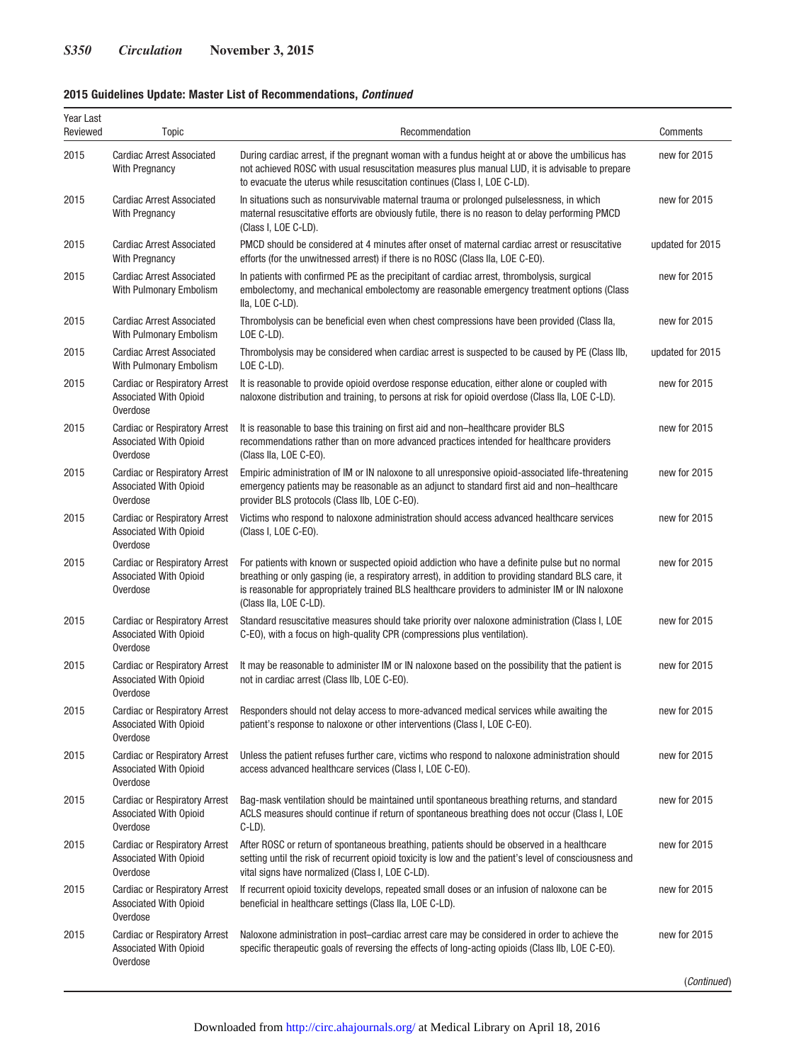| Year Last<br>Reviewed | <b>Topic</b>                                                                      | Recommendation                                                                                                                                                                                                                                                                                                                      | Comments         |
|-----------------------|-----------------------------------------------------------------------------------|-------------------------------------------------------------------------------------------------------------------------------------------------------------------------------------------------------------------------------------------------------------------------------------------------------------------------------------|------------------|
| 2015                  | <b>Cardiac Arrest Associated</b><br>With Pregnancy                                | During cardiac arrest, if the pregnant woman with a fundus height at or above the umbilicus has<br>not achieved ROSC with usual resuscitation measures plus manual LUD, it is advisable to prepare<br>to evacuate the uterus while resuscitation continues (Class I, LOE C-LD).                                                     | new for 2015     |
| 2015                  | <b>Cardiac Arrest Associated</b><br>With Pregnancy                                | In situations such as nonsurvivable maternal trauma or prolonged pulselessness, in which<br>maternal resuscitative efforts are obviously futile, there is no reason to delay performing PMCD<br>(Class I, LOE C-LD).                                                                                                                | new for 2015     |
| 2015                  | <b>Cardiac Arrest Associated</b><br>With Pregnancy                                | PMCD should be considered at 4 minutes after onset of maternal cardiac arrest or resuscitative<br>efforts (for the unwitnessed arrest) if there is no ROSC (Class IIa, LOE C-EO).                                                                                                                                                   | updated for 2015 |
| 2015                  | <b>Cardiac Arrest Associated</b><br>With Pulmonary Embolism                       | In patients with confirmed PE as the precipitant of cardiac arrest, thrombolysis, surgical<br>embolectomy, and mechanical embolectomy are reasonable emergency treatment options (Class<br>Ila, LOE C-LD).                                                                                                                          | new for 2015     |
| 2015                  | <b>Cardiac Arrest Associated</b><br>With Pulmonary Embolism                       | Thrombolysis can be beneficial even when chest compressions have been provided (Class IIa,<br>LOE C-LD).                                                                                                                                                                                                                            | new for 2015     |
| 2015                  | <b>Cardiac Arrest Associated</b><br>With Pulmonary Embolism                       | Thrombolysis may be considered when cardiac arrest is suspected to be caused by PE (Class IIb,<br>LOE C-LD).                                                                                                                                                                                                                        | updated for 2015 |
| 2015                  | <b>Cardiac or Respiratory Arrest</b><br>Associated With Opioid<br>Overdose        | It is reasonable to provide opioid overdose response education, either alone or coupled with<br>naloxone distribution and training, to persons at risk for opioid overdose (Class IIa, LOE C-LD).                                                                                                                                   | new for 2015     |
| 2015                  | <b>Cardiac or Respiratory Arrest</b><br>Associated With Opioid<br>Overdose        | It is reasonable to base this training on first aid and non-healthcare provider BLS<br>recommendations rather than on more advanced practices intended for healthcare providers<br>(Class IIa, LOE C-EO).                                                                                                                           | new for 2015     |
| 2015                  | <b>Cardiac or Respiratory Arrest</b><br><b>Associated With Opioid</b><br>Overdose | Empiric administration of IM or IN naloxone to all unresponsive opioid-associated life-threatening<br>emergency patients may be reasonable as an adjunct to standard first aid and non-healthcare<br>provider BLS protocols (Class IIb, LOE C-EO).                                                                                  | new for 2015     |
| 2015                  | Cardiac or Respiratory Arrest<br>Associated With Opioid<br>Overdose               | Victims who respond to naloxone administration should access advanced healthcare services<br>(Class I, LOE C-EO).                                                                                                                                                                                                                   | new for 2015     |
| 2015                  | <b>Cardiac or Respiratory Arrest</b><br>Associated With Opioid<br>Overdose        | For patients with known or suspected opioid addiction who have a definite pulse but no normal<br>breathing or only gasping (ie, a respiratory arrest), in addition to providing standard BLS care, it<br>is reasonable for appropriately trained BLS healthcare providers to administer IM or IN naloxone<br>(Class IIa, LOE C-LD). | new for 2015     |
| 2015                  | <b>Cardiac or Respiratory Arrest</b><br><b>Associated With Opioid</b><br>Overdose | Standard resuscitative measures should take priority over naloxone administration (Class I, LOE<br>C-EO), with a focus on high-quality CPR (compressions plus ventilation).                                                                                                                                                         | new for 2015     |
| 2015                  | <b>Cardiac or Respiratory Arrest</b><br><b>Associated With Opioid</b><br>Overdose | It may be reasonable to administer IM or IN naloxone based on the possibility that the patient is<br>not in cardiac arrest (Class IIb, LOE C-EO).                                                                                                                                                                                   | new for 2015     |
| 2015                  | Cardiac or Respiratory Arrest<br>Associated With Opioid<br>Overdose               | Responders should not delay access to more-advanced medical services while awaiting the<br>patient's response to naloxone or other interventions (Class I, LOE C-EO).                                                                                                                                                               | new for 2015     |
| 2015                  | <b>Cardiac or Respiratory Arrest</b><br>Associated With Opioid<br>Overdose        | Unless the patient refuses further care, victims who respond to naloxone administration should<br>access advanced healthcare services (Class I, LOE C-EO).                                                                                                                                                                          | new for 2015     |
| 2015                  | Cardiac or Respiratory Arrest<br><b>Associated With Opioid</b><br>Overdose        | Bag-mask ventilation should be maintained until spontaneous breathing returns, and standard<br>ACLS measures should continue if return of spontaneous breathing does not occur (Class I, LOE<br>$C-LD$ ).                                                                                                                           | new for 2015     |
| 2015                  | <b>Cardiac or Respiratory Arrest</b><br>Associated With Opioid<br>Overdose        | After ROSC or return of spontaneous breathing, patients should be observed in a healthcare<br>setting until the risk of recurrent opioid toxicity is low and the patient's level of consciousness and<br>vital signs have normalized (Class I, LOE C-LD).                                                                           | new for 2015     |
| 2015                  | <b>Cardiac or Respiratory Arrest</b><br>Associated With Opioid<br>Overdose        | If recurrent opioid toxicity develops, repeated small doses or an infusion of naloxone can be<br>beneficial in healthcare settings (Class IIa, LOE C-LD).                                                                                                                                                                           | new for 2015     |
| 2015                  | <b>Cardiac or Respiratory Arrest</b><br>Associated With Opioid<br>Overdose        | Naloxone administration in post-cardiac arrest care may be considered in order to achieve the<br>specific therapeutic goals of reversing the effects of long-acting opioids (Class IIb, LOE C-EO).                                                                                                                                  | new for 2015     |
|                       |                                                                                   |                                                                                                                                                                                                                                                                                                                                     | (Continued)      |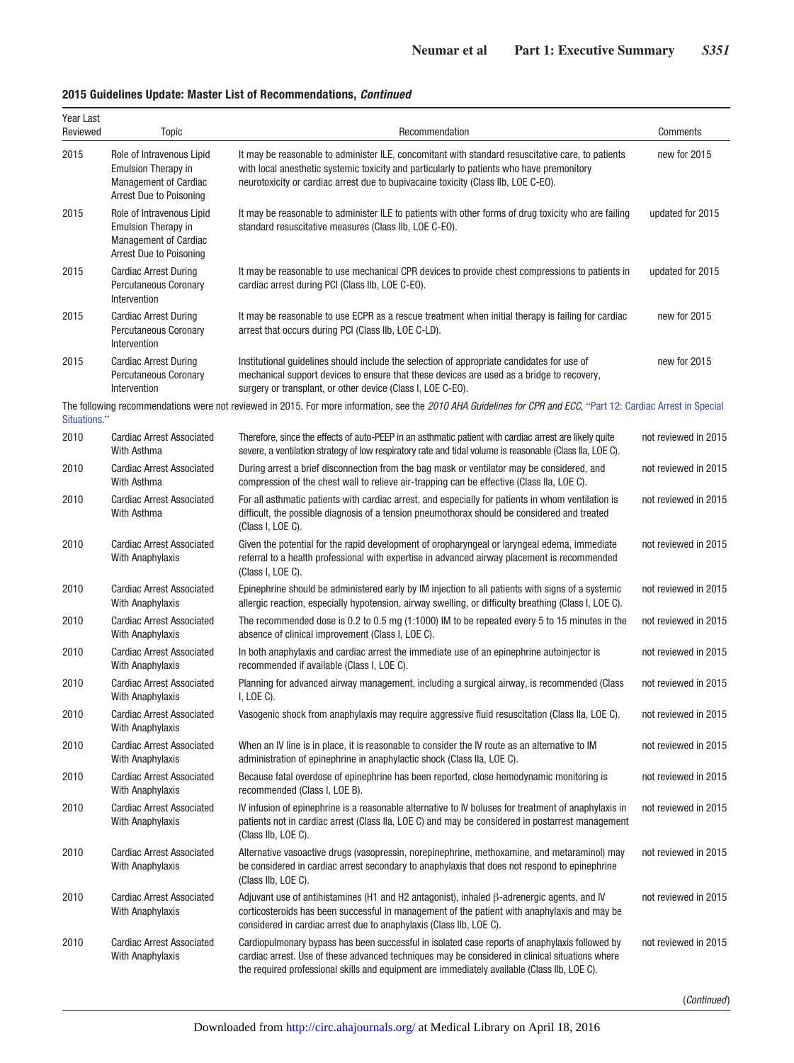|  |  |  | 2015 Guidelines Update: Master List of Recommendations, <i>Continued</i> |  |
|--|--|--|--------------------------------------------------------------------------|--|
|--|--|--|--------------------------------------------------------------------------|--|

| Year Last<br>Reviewed | <b>Topic</b>                                                                                                       | Recommendation                                                                                                                                                                                                                                                                                    | Comments             |
|-----------------------|--------------------------------------------------------------------------------------------------------------------|---------------------------------------------------------------------------------------------------------------------------------------------------------------------------------------------------------------------------------------------------------------------------------------------------|----------------------|
| 2015                  | Role of Intravenous Lipid<br><b>Emulsion Therapy in</b><br><b>Management of Cardiac</b><br>Arrest Due to Poisoning | It may be reasonable to administer ILE, concomitant with standard resuscitative care, to patients<br>with local anesthetic systemic toxicity and particularly to patients who have premonitory<br>neurotoxicity or cardiac arrest due to bupivacaine toxicity (Class IIb, LOE C-EO).              | new for 2015         |
| 2015                  | Role of Intravenous Lipid<br><b>Emulsion Therapy in</b><br><b>Management of Cardiac</b><br>Arrest Due to Poisoning | It may be reasonable to administer ILE to patients with other forms of drug toxicity who are failing<br>standard resuscitative measures (Class IIb, LOE C-EO).                                                                                                                                    | updated for 2015     |
| 2015                  | <b>Cardiac Arrest During</b><br>Percutaneous Coronary<br>Intervention                                              | It may be reasonable to use mechanical CPR devices to provide chest compressions to patients in<br>cardiac arrest during PCI (Class IIb, LOE C-EO).                                                                                                                                               | updated for 2015     |
| 2015                  | <b>Cardiac Arrest During</b><br>Percutaneous Coronary<br>Intervention                                              | It may be reasonable to use ECPR as a rescue treatment when initial therapy is failing for cardiac<br>arrest that occurs during PCI (Class IIb, LOE C-LD).                                                                                                                                        | new for 2015         |
| 2015                  | <b>Cardiac Arrest During</b><br>Percutaneous Coronary<br>Intervention                                              | Institutional guidelines should include the selection of appropriate candidates for use of<br>mechanical support devices to ensure that these devices are used as a bridge to recovery,<br>surgery or transplant, or other device (Class I, LOE C-EO).                                            | new for 2015         |
| Situations."          |                                                                                                                    | The following recommendations were not reviewed in 2015. For more information, see the 2010 AHA Guidelines for CPR and ECC, "Part 12: Cardiac Arrest in Special                                                                                                                                   |                      |
| 2010                  | <b>Cardiac Arrest Associated</b><br>With Asthma                                                                    | Therefore, since the effects of auto-PEEP in an asthmatic patient with cardiac arrest are likely quite<br>severe, a ventilation strategy of low respiratory rate and tidal volume is reasonable (Class IIa, LOE C).                                                                               | not reviewed in 2015 |
| 2010                  | <b>Cardiac Arrest Associated</b><br>With Asthma                                                                    | During arrest a brief disconnection from the bag mask or ventilator may be considered, and<br>compression of the chest wall to relieve air-trapping can be effective (Class IIa, LOE C).                                                                                                          | not reviewed in 2015 |
| 2010                  | <b>Cardiac Arrest Associated</b><br>With Asthma                                                                    | For all asthmatic patients with cardiac arrest, and especially for patients in whom ventilation is<br>difficult, the possible diagnosis of a tension pneumothorax should be considered and treated<br>(Class I, LOE C).                                                                           | not reviewed in 2015 |
| 2010                  | <b>Cardiac Arrest Associated</b><br>With Anaphylaxis                                                               | Given the potential for the rapid development of oropharyngeal or laryngeal edema, immediate<br>referral to a health professional with expertise in advanced airway placement is recommended<br>(Class I, LOE C).                                                                                 | not reviewed in 2015 |
| 2010                  | <b>Cardiac Arrest Associated</b><br>With Anaphylaxis                                                               | Epinephrine should be administered early by IM injection to all patients with signs of a systemic<br>allergic reaction, especially hypotension, airway swelling, or difficulty breathing (Class I, LOE C).                                                                                        | not reviewed in 2015 |
| 2010                  | <b>Cardiac Arrest Associated</b><br>With Anaphylaxis                                                               | The recommended dose is 0.2 to 0.5 mg (1:1000) IM to be repeated every 5 to 15 minutes in the<br>absence of clinical improvement (Class I, LOE C).                                                                                                                                                | not reviewed in 2015 |
| 2010                  | <b>Cardiac Arrest Associated</b><br>With Anaphylaxis                                                               | In both anaphylaxis and cardiac arrest the immediate use of an epinephrine autoinjector is<br>recommended if available (Class I, LOE C).                                                                                                                                                          | not reviewed in 2015 |
| 2010                  | <b>Cardiac Arrest Associated</b><br>With Anaphylaxis                                                               | Planning for advanced airway management, including a surgical airway, is recommended (Class<br>$I, LOE C$ ).                                                                                                                                                                                      | not reviewed in 2015 |
| 2010                  | <b>Cardiac Arrest Associated</b><br>With Anaphylaxis                                                               | Vasogenic shock from anaphylaxis may require aggressive fluid resuscitation (Class IIa, LOE C).                                                                                                                                                                                                   | not reviewed in 2015 |
| 2010                  | <b>Cardiac Arrest Associated</b><br>With Anaphylaxis                                                               | When an IV line is in place, it is reasonable to consider the IV route as an alternative to IM<br>administration of epinephrine in anaphylactic shock (Class IIa, LOE C).                                                                                                                         | not reviewed in 2015 |
| 2010                  | <b>Cardiac Arrest Associated</b><br>With Anaphylaxis                                                               | Because fatal overdose of epinephrine has been reported, close hemodynamic monitoring is<br>recommended (Class I, LOE B).                                                                                                                                                                         | not reviewed in 2015 |
| 2010                  | <b>Cardiac Arrest Associated</b><br>With Anaphylaxis                                                               | IV infusion of epinephrine is a reasonable alternative to IV boluses for treatment of anaphylaxis in<br>patients not in cardiac arrest (Class IIa, LOE C) and may be considered in postarrest management<br>(Class IIb, LOE C).                                                                   | not reviewed in 2015 |
| 2010                  | <b>Cardiac Arrest Associated</b><br>With Anaphylaxis                                                               | Alternative vasoactive drugs (vasopressin, norepinephrine, methoxamine, and metaraminol) may<br>be considered in cardiac arrest secondary to anaphylaxis that does not respond to epinephrine<br>(Class IIb, LOE C).                                                                              | not reviewed in 2015 |
| 2010                  | <b>Cardiac Arrest Associated</b><br>With Anaphylaxis                                                               | Adjuvant use of antihistamines (H1 and H2 antagonist), inhaled $\beta$ -adrenergic agents, and IV<br>corticosteroids has been successful in management of the patient with anaphylaxis and may be<br>considered in cardiac arrest due to anaphylaxis (Class IIb, LOE C).                          | not reviewed in 2015 |
| 2010                  | <b>Cardiac Arrest Associated</b><br>With Anaphylaxis                                                               | Cardiopulmonary bypass has been successful in isolated case reports of anaphylaxis followed by<br>cardiac arrest. Use of these advanced techniques may be considered in clinical situations where<br>the required professional skills and equipment are immediately available (Class IIb, LOE C). | not reviewed in 2015 |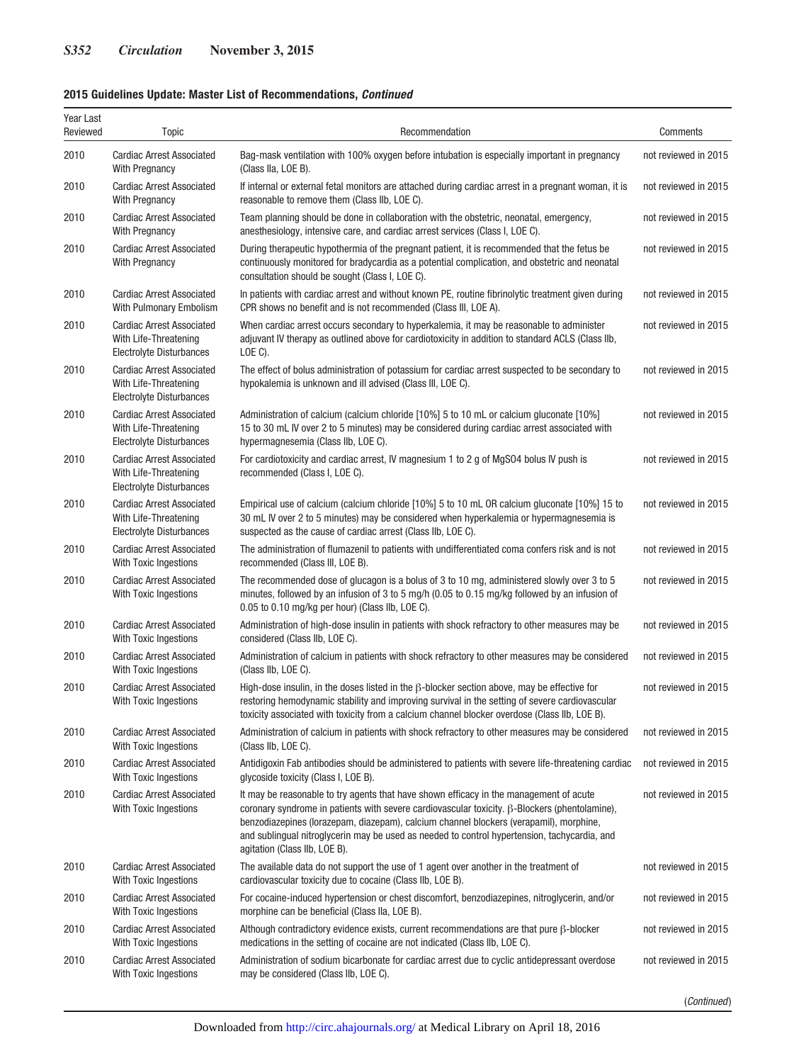| Year Last<br>Reviewed | Topic                                                                                        | Recommendation                                                                                                                                                                                                                                                                                                                                                                                                            | Comments             |
|-----------------------|----------------------------------------------------------------------------------------------|---------------------------------------------------------------------------------------------------------------------------------------------------------------------------------------------------------------------------------------------------------------------------------------------------------------------------------------------------------------------------------------------------------------------------|----------------------|
| 2010                  | <b>Cardiac Arrest Associated</b><br>With Pregnancy                                           | Bag-mask ventilation with 100% oxygen before intubation is especially important in pregnancy<br>(Class IIa, LOE B).                                                                                                                                                                                                                                                                                                       | not reviewed in 2015 |
| 2010                  | <b>Cardiac Arrest Associated</b><br>With Pregnancy                                           | If internal or external fetal monitors are attached during cardiac arrest in a pregnant woman, it is<br>reasonable to remove them (Class IIb, LOE C).                                                                                                                                                                                                                                                                     | not reviewed in 2015 |
| 2010                  | <b>Cardiac Arrest Associated</b><br><b>With Pregnancy</b>                                    | Team planning should be done in collaboration with the obstetric, neonatal, emergency,<br>anesthesiology, intensive care, and cardiac arrest services (Class I, LOE C).                                                                                                                                                                                                                                                   | not reviewed in 2015 |
| 2010                  | <b>Cardiac Arrest Associated</b><br>With Pregnancy                                           | During therapeutic hypothermia of the pregnant patient, it is recommended that the fetus be<br>continuously monitored for bradycardia as a potential complication, and obstetric and neonatal<br>consultation should be sought (Class I, LOE C).                                                                                                                                                                          | not reviewed in 2015 |
| 2010                  | <b>Cardiac Arrest Associated</b><br>With Pulmonary Embolism                                  | In patients with cardiac arrest and without known PE, routine fibrinolytic treatment given during<br>CPR shows no benefit and is not recommended (Class III, LOE A).                                                                                                                                                                                                                                                      | not reviewed in 2015 |
| 2010                  | <b>Cardiac Arrest Associated</b><br>With Life-Threatening<br>Electrolyte Disturbances        | When cardiac arrest occurs secondary to hyperkalemia, it may be reasonable to administer<br>adjuvant IV therapy as outlined above for cardiotoxicity in addition to standard ACLS (Class IIb,<br>LOE C).                                                                                                                                                                                                                  | not reviewed in 2015 |
| 2010                  | <b>Cardiac Arrest Associated</b><br>With Life-Threatening<br><b>Electrolyte Disturbances</b> | The effect of bolus administration of potassium for cardiac arrest suspected to be secondary to<br>hypokalemia is unknown and ill advised (Class III, LOE C).                                                                                                                                                                                                                                                             | not reviewed in 2015 |
| 2010                  | <b>Cardiac Arrest Associated</b><br>With Life-Threatening<br>Electrolyte Disturbances        | Administration of calcium (calcium chloride [10%] 5 to 10 mL or calcium gluconate [10%]<br>15 to 30 mL IV over 2 to 5 minutes) may be considered during cardiac arrest associated with<br>hypermagnesemia (Class IIb, LOE C).                                                                                                                                                                                             | not reviewed in 2015 |
| 2010                  | <b>Cardiac Arrest Associated</b><br>With Life-Threatening<br><b>Electrolyte Disturbances</b> | For cardiotoxicity and cardiac arrest, IV magnesium 1 to 2 g of MgSO4 bolus IV push is<br>recommended (Class I, LOE C).                                                                                                                                                                                                                                                                                                   | not reviewed in 2015 |
| 2010                  | <b>Cardiac Arrest Associated</b><br>With Life-Threatening<br><b>Electrolyte Disturbances</b> | Empirical use of calcium (calcium chloride [10%] 5 to 10 mL OR calcium gluconate [10%] 15 to<br>30 mL IV over 2 to 5 minutes) may be considered when hyperkalemia or hypermagnesemia is<br>suspected as the cause of cardiac arrest (Class IIb, LOE C).                                                                                                                                                                   | not reviewed in 2015 |
| 2010                  | <b>Cardiac Arrest Associated</b><br>With Toxic Ingestions                                    | The administration of flumazenil to patients with undifferentiated coma confers risk and is not<br>recommended (Class III, LOE B).                                                                                                                                                                                                                                                                                        | not reviewed in 2015 |
| 2010                  | <b>Cardiac Arrest Associated</b><br>With Toxic Ingestions                                    | The recommended dose of glucagon is a bolus of 3 to 10 mg, administered slowly over 3 to 5<br>minutes, followed by an infusion of 3 to 5 mg/h (0.05 to 0.15 mg/kg followed by an infusion of<br>0.05 to 0.10 mg/kg per hour) (Class IIb, LOE C).                                                                                                                                                                          | not reviewed in 2015 |
| 2010                  | <b>Cardiac Arrest Associated</b><br>With Toxic Ingestions                                    | Administration of high-dose insulin in patients with shock refractory to other measures may be<br>considered (Class IIb, LOE C).                                                                                                                                                                                                                                                                                          | not reviewed in 2015 |
| 2010                  | <b>Cardiac Arrest Associated</b><br>With Toxic Ingestions                                    | Administration of calcium in patients with shock refractory to other measures may be considered<br>(Class IIb, LOE C).                                                                                                                                                                                                                                                                                                    | not reviewed in 2015 |
| 2010                  | <b>Cardiac Arrest Associated</b><br>With Toxic Ingestions                                    | High-dose insulin, in the doses listed in the $\beta$ -blocker section above, may be effective for<br>restoring hemodynamic stability and improving survival in the setting of severe cardiovascular<br>toxicity associated with toxicity from a calcium channel blocker overdose (Class IIb, LOE B).                                                                                                                     | not reviewed in 2015 |
| 2010                  | <b>Cardiac Arrest Associated</b><br><b>With Toxic Ingestions</b>                             | Administration of calcium in patients with shock refractory to other measures may be considered<br>(Class IIb, LOE C).                                                                                                                                                                                                                                                                                                    | not reviewed in 2015 |
| 2010                  | <b>Cardiac Arrest Associated</b><br>With Toxic Ingestions                                    | Antidigoxin Fab antibodies should be administered to patients with severe life-threatening cardiac<br>glycoside toxicity (Class I, LOE B).                                                                                                                                                                                                                                                                                | not reviewed in 2015 |
| 2010                  | <b>Cardiac Arrest Associated</b><br>With Toxic Ingestions                                    | It may be reasonable to try agents that have shown efficacy in the management of acute<br>coronary syndrome in patients with severe cardiovascular toxicity. $\beta$ -Blockers (phentolamine),<br>benzodiazepines (lorazepam, diazepam), calcium channel blockers (verapamil), morphine,<br>and sublingual nitroglycerin may be used as needed to control hypertension, tachycardia, and<br>agitation (Class IIb, LOE B). | not reviewed in 2015 |
| 2010                  | <b>Cardiac Arrest Associated</b><br>With Toxic Ingestions                                    | The available data do not support the use of 1 agent over another in the treatment of<br>cardiovascular toxicity due to cocaine (Class IIb, LOE B).                                                                                                                                                                                                                                                                       | not reviewed in 2015 |
| 2010                  | <b>Cardiac Arrest Associated</b><br>With Toxic Ingestions                                    | For cocaine-induced hypertension or chest discomfort, benzodiazepines, nitroglycerin, and/or<br>morphine can be beneficial (Class IIa, LOE B).                                                                                                                                                                                                                                                                            | not reviewed in 2015 |
| 2010                  | <b>Cardiac Arrest Associated</b><br>With Toxic Ingestions                                    | Although contradictory evidence exists, current recommendations are that pure $\beta$ -blocker<br>medications in the setting of cocaine are not indicated (Class IIb, LOE C).                                                                                                                                                                                                                                             | not reviewed in 2015 |
| 2010                  | <b>Cardiac Arrest Associated</b><br>With Toxic Ingestions                                    | Administration of sodium bicarbonate for cardiac arrest due to cyclic antidepressant overdose<br>may be considered (Class IIb, LOE C).                                                                                                                                                                                                                                                                                    | not reviewed in 2015 |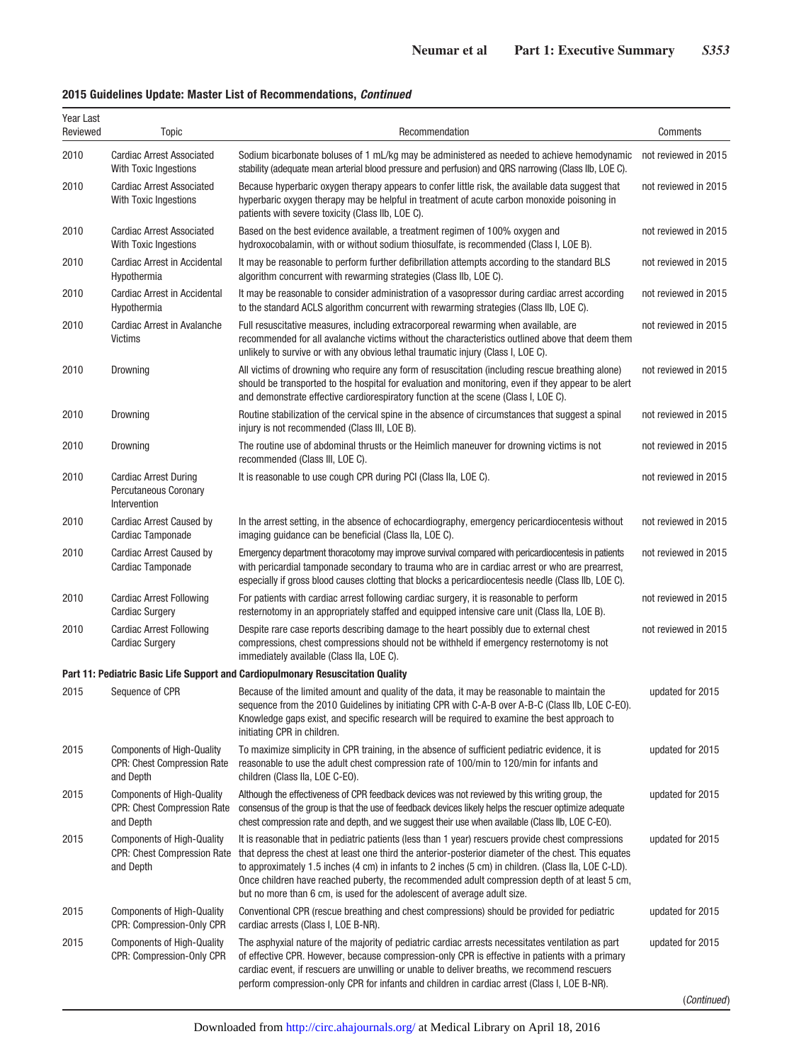| Year Last<br>Reviewed | Topic                                                                                | Recommendation                                                                                                                                                                                                                                                                                                                                                                                                                                                                                  | Comments             |
|-----------------------|--------------------------------------------------------------------------------------|-------------------------------------------------------------------------------------------------------------------------------------------------------------------------------------------------------------------------------------------------------------------------------------------------------------------------------------------------------------------------------------------------------------------------------------------------------------------------------------------------|----------------------|
| 2010                  | <b>Cardiac Arrest Associated</b><br><b>With Toxic Ingestions</b>                     | Sodium bicarbonate boluses of 1 $mL/kg$ may be administered as needed to achieve hemodynamic<br>stability (adequate mean arterial blood pressure and perfusion) and QRS narrowing (Class IIb, LOE C).                                                                                                                                                                                                                                                                                           | not reviewed in 2015 |
| 2010                  | <b>Cardiac Arrest Associated</b><br>With Toxic Ingestions                            | Because hyperbaric oxygen therapy appears to confer little risk, the available data suggest that<br>hyperbaric oxygen therapy may be helpful in treatment of acute carbon monoxide poisoning in<br>patients with severe toxicity (Class IIb, LOE C).                                                                                                                                                                                                                                            | not reviewed in 2015 |
| 2010                  | <b>Cardiac Arrest Associated</b><br>With Toxic Ingestions                            | Based on the best evidence available, a treatment regimen of 100% oxygen and<br>hydroxocobalamin, with or without sodium thiosulfate, is recommended (Class I, LOE B).                                                                                                                                                                                                                                                                                                                          | not reviewed in 2015 |
| 2010                  | <b>Cardiac Arrest in Accidental</b><br>Hypothermia                                   | It may be reasonable to perform further defibrillation attempts according to the standard BLS<br>algorithm concurrent with rewarming strategies (Class IIb, LOE C).                                                                                                                                                                                                                                                                                                                             | not reviewed in 2015 |
| 2010                  | Cardiac Arrest in Accidental<br>Hypothermia                                          | It may be reasonable to consider administration of a vasopressor during cardiac arrest according<br>to the standard ACLS algorithm concurrent with rewarming strategies (Class IIb, LOE C).                                                                                                                                                                                                                                                                                                     | not reviewed in 2015 |
| 2010                  | Cardiac Arrest in Avalanche<br>Victims                                               | Full resuscitative measures, including extracorporeal rewarming when available, are<br>recommended for all avalanche victims without the characteristics outlined above that deem them<br>unlikely to survive or with any obvious lethal traumatic injury (Class I, LOE C).                                                                                                                                                                                                                     | not reviewed in 2015 |
| 2010                  | Drowning                                                                             | All victims of drowning who require any form of resuscitation (including rescue breathing alone)<br>should be transported to the hospital for evaluation and monitoring, even if they appear to be alert<br>and demonstrate effective cardiorespiratory function at the scene (Class I, LOE C).                                                                                                                                                                                                 | not reviewed in 2015 |
| 2010                  | Drowning                                                                             | Routine stabilization of the cervical spine in the absence of circumstances that suggest a spinal<br>injury is not recommended (Class III, LOE B).                                                                                                                                                                                                                                                                                                                                              | not reviewed in 2015 |
| 2010                  | Drowning                                                                             | The routine use of abdominal thrusts or the Heimlich maneuver for drowning victims is not<br>recommended (Class III, LOE C).                                                                                                                                                                                                                                                                                                                                                                    | not reviewed in 2015 |
| 2010                  | <b>Cardiac Arrest During</b><br>Percutaneous Coronary<br>Intervention                | It is reasonable to use cough CPR during PCI (Class IIa, LOE C).                                                                                                                                                                                                                                                                                                                                                                                                                                | not reviewed in 2015 |
| 2010                  | <b>Cardiac Arrest Caused by</b><br>Cardiac Tamponade                                 | In the arrest setting, in the absence of echocardiography, emergency pericardiocentesis without<br>imaging guidance can be beneficial (Class IIa, LOE C).                                                                                                                                                                                                                                                                                                                                       | not reviewed in 2015 |
| 2010                  | <b>Cardiac Arrest Caused by</b><br>Cardiac Tamponade                                 | Emergency department thoracotomy may improve survival compared with pericardiocentesis in patients<br>with pericardial tamponade secondary to trauma who are in cardiac arrest or who are prearrest,<br>especially if gross blood causes clotting that blocks a pericardiocentesis needle (Class IIb, LOE C).                                                                                                                                                                                   | not reviewed in 2015 |
| 2010                  | <b>Cardiac Arrest Following</b><br><b>Cardiac Surgery</b>                            | For patients with cardiac arrest following cardiac surgery, it is reasonable to perform<br>resternotomy in an appropriately staffed and equipped intensive care unit (Class IIa, LOE B).                                                                                                                                                                                                                                                                                                        | not reviewed in 2015 |
| 2010                  | <b>Cardiac Arrest Following</b><br><b>Cardiac Surgery</b>                            | Despite rare case reports describing damage to the heart possibly due to external chest<br>compressions, chest compressions should not be withheld if emergency resternotomy is not<br>immediately available (Class IIa, LOE C).                                                                                                                                                                                                                                                                | not reviewed in 2015 |
|                       |                                                                                      | Part 11: Pediatric Basic Life Support and Cardiopulmonary Resuscitation Quality                                                                                                                                                                                                                                                                                                                                                                                                                 |                      |
| 2015                  | Sequence of CPR                                                                      | Because of the limited amount and quality of the data, it may be reasonable to maintain the<br>sequence from the 2010 Guidelines by initiating CPR with C-A-B over A-B-C (Class IIb, LOE C-EO).<br>Knowledge gaps exist, and specific research will be required to examine the best approach to<br>initiating CPR in children.                                                                                                                                                                  | updated for 2015     |
| 2015                  | <b>Components of High-Quality</b><br><b>CPR: Chest Compression Rate</b><br>and Depth | To maximize simplicity in CPR training, in the absence of sufficient pediatric evidence, it is<br>reasonable to use the adult chest compression rate of 100/min to 120/min for infants and<br>children (Class IIa, LOE C-EO).                                                                                                                                                                                                                                                                   | updated for 2015     |
| 2015                  | <b>Components of High-Quality</b><br><b>CPR: Chest Compression Rate</b><br>and Depth | Although the effectiveness of CPR feedback devices was not reviewed by this writing group, the<br>consensus of the group is that the use of feedback devices likely helps the rescuer optimize adequate<br>chest compression rate and depth, and we suggest their use when available (Class IIb, LOE C-EO).                                                                                                                                                                                     | updated for 2015     |
| 2015                  | <b>Components of High-Quality</b><br><b>CPR: Chest Compression Rate</b><br>and Depth | It is reasonable that in pediatric patients (less than 1 year) rescuers provide chest compressions<br>that depress the chest at least one third the anterior-posterior diameter of the chest. This equates<br>to approximately 1.5 inches (4 cm) in infants to 2 inches (5 cm) in children. (Class IIa, LOE C-LD).<br>Once children have reached puberty, the recommended adult compression depth of at least 5 cm,<br>but no more than 6 cm, is used for the adolescent of average adult size. | updated for 2015     |
| 2015                  | <b>Components of High-Quality</b><br>CPR: Compression-Only CPR                       | Conventional CPR (rescue breathing and chest compressions) should be provided for pediatric<br>cardiac arrests (Class I, LOE B-NR).                                                                                                                                                                                                                                                                                                                                                             | updated for 2015     |
| 2015                  | <b>Components of High-Quality</b><br><b>CPR: Compression-Only CPR</b>                | The asphyxial nature of the majority of pediatric cardiac arrests necessitates ventilation as part<br>of effective CPR. However, because compression-only CPR is effective in patients with a primary<br>cardiac event, if rescuers are unwilling or unable to deliver breaths, we recommend rescuers<br>perform compression-only CPR for infants and children in cardiac arrest (Class I, LOE B-NR).                                                                                           | updated for 2015     |
|                       |                                                                                      |                                                                                                                                                                                                                                                                                                                                                                                                                                                                                                 | (Continued)          |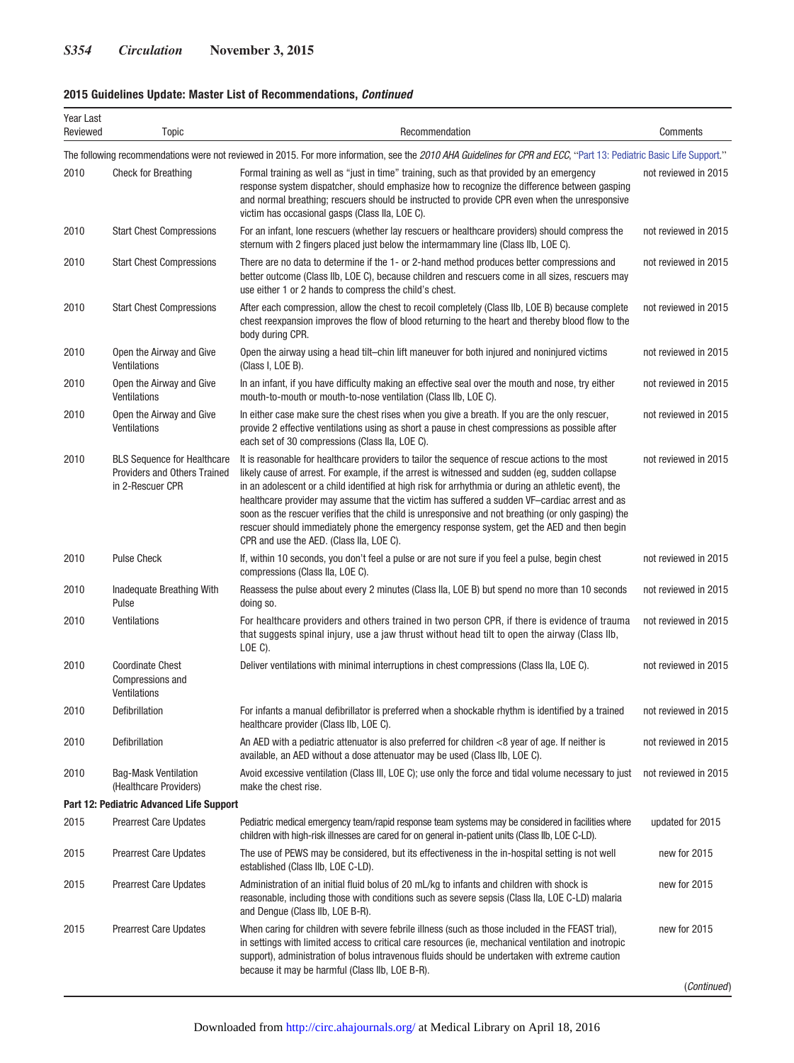| Year Last<br>Reviewed | <b>Topic</b>                                                                                  | Recommendation                                                                                                                                                                                                                                                                                                                                                                                                                                                                                                                                                                                                                                              | Comments             |
|-----------------------|-----------------------------------------------------------------------------------------------|-------------------------------------------------------------------------------------------------------------------------------------------------------------------------------------------------------------------------------------------------------------------------------------------------------------------------------------------------------------------------------------------------------------------------------------------------------------------------------------------------------------------------------------------------------------------------------------------------------------------------------------------------------------|----------------------|
|                       |                                                                                               | The following recommendations were not reviewed in 2015. For more information, see the 2010 AHA Guidelines for CPR and ECC, "Part 13: Pediatric Basic Life Support."                                                                                                                                                                                                                                                                                                                                                                                                                                                                                        |                      |
| 2010                  | <b>Check for Breathing</b>                                                                    | Formal training as well as "just in time" training, such as that provided by an emergency<br>response system dispatcher, should emphasize how to recognize the difference between gasping<br>and normal breathing; rescuers should be instructed to provide CPR even when the unresponsive<br>victim has occasional gasps (Class IIa, LOE C).                                                                                                                                                                                                                                                                                                               | not reviewed in 2015 |
| 2010                  | <b>Start Chest Compressions</b>                                                               | For an infant, lone rescuers (whether lay rescuers or healthcare providers) should compress the<br>sternum with 2 fingers placed just below the intermammary line (Class IIb, LOE C).                                                                                                                                                                                                                                                                                                                                                                                                                                                                       | not reviewed in 2015 |
| 2010                  | <b>Start Chest Compressions</b>                                                               | There are no data to determine if the 1- or 2-hand method produces better compressions and<br>better outcome (Class IIb, LOE C), because children and rescuers come in all sizes, rescuers may<br>use either 1 or 2 hands to compress the child's chest.                                                                                                                                                                                                                                                                                                                                                                                                    | not reviewed in 2015 |
| 2010                  | <b>Start Chest Compressions</b>                                                               | After each compression, allow the chest to recoil completely (Class IIb, LOE B) because complete<br>chest reexpansion improves the flow of blood returning to the heart and thereby blood flow to the<br>body during CPR.                                                                                                                                                                                                                                                                                                                                                                                                                                   | not reviewed in 2015 |
| 2010                  | Open the Airway and Give<br>Ventilations                                                      | Open the airway using a head tilt–chin lift maneuver for both injured and noninjured victims<br>(Class I, LOE B).                                                                                                                                                                                                                                                                                                                                                                                                                                                                                                                                           | not reviewed in 2015 |
| 2010                  | Open the Airway and Give<br>Ventilations                                                      | In an infant, if you have difficulty making an effective seal over the mouth and nose, try either<br>mouth-to-mouth or mouth-to-nose ventilation (Class IIb, LOE C).                                                                                                                                                                                                                                                                                                                                                                                                                                                                                        | not reviewed in 2015 |
| 2010                  | Open the Airway and Give<br>Ventilations                                                      | In either case make sure the chest rises when you give a breath. If you are the only rescuer,<br>provide 2 effective ventilations using as short a pause in chest compressions as possible after<br>each set of 30 compressions (Class IIa, LOE C).                                                                                                                                                                                                                                                                                                                                                                                                         | not reviewed in 2015 |
| 2010                  | <b>BLS Sequence for Healthcare</b><br><b>Providers and Others Trained</b><br>in 2-Rescuer CPR | It is reasonable for healthcare providers to tailor the sequence of rescue actions to the most<br>likely cause of arrest. For example, if the arrest is witnessed and sudden (eg, sudden collapse<br>in an adolescent or a child identified at high risk for arrhythmia or during an athletic event), the<br>healthcare provider may assume that the victim has suffered a sudden VF-cardiac arrest and as<br>soon as the rescuer verifies that the child is unresponsive and not breathing (or only gasping) the<br>rescuer should immediately phone the emergency response system, get the AED and then begin<br>CPR and use the AED. (Class IIa, LOE C). | not reviewed in 2015 |
| 2010                  | <b>Pulse Check</b>                                                                            | If, within 10 seconds, you don't feel a pulse or are not sure if you feel a pulse, begin chest<br>compressions (Class IIa, LOE C).                                                                                                                                                                                                                                                                                                                                                                                                                                                                                                                          | not reviewed in 2015 |
| 2010                  | Inadequate Breathing With<br>Pulse                                                            | Reassess the pulse about every 2 minutes (Class IIa, LOE B) but spend no more than 10 seconds<br>doing so.                                                                                                                                                                                                                                                                                                                                                                                                                                                                                                                                                  | not reviewed in 2015 |
| 2010                  | Ventilations                                                                                  | For healthcare providers and others trained in two person CPR, if there is evidence of trauma<br>that suggests spinal injury, use a jaw thrust without head tilt to open the airway (Class IIb,<br>LOE C).                                                                                                                                                                                                                                                                                                                                                                                                                                                  | not reviewed in 2015 |
| 2010                  | <b>Coordinate Chest</b><br><b>Compressions and</b><br>Ventilations                            | Deliver ventilations with minimal interruptions in chest compressions (Class IIa, LOE C).                                                                                                                                                                                                                                                                                                                                                                                                                                                                                                                                                                   | not reviewed in 2015 |
| 2010                  | Defibrillation                                                                                | For infants a manual defibrillator is preferred when a shockable rhythm is identified by a trained<br>healthcare provider (Class IIb, LOE C).                                                                                                                                                                                                                                                                                                                                                                                                                                                                                                               | not reviewed in 2015 |
| 2010                  | Defibrillation                                                                                | An AED with a pediatric attenuator is also preferred for children <8 year of age. If neither is<br>available, an AED without a dose attenuator may be used (Class IIb, LOE C).                                                                                                                                                                                                                                                                                                                                                                                                                                                                              | not reviewed in 2015 |
| 2010                  | <b>Bag-Mask Ventilation</b><br>(Healthcare Providers)                                         | Avoid excessive ventilation (Class III, LOE C); use only the force and tidal volume necessary to just<br>make the chest rise.                                                                                                                                                                                                                                                                                                                                                                                                                                                                                                                               | not reviewed in 2015 |
|                       | Part 12: Pediatric Advanced Life Support                                                      |                                                                                                                                                                                                                                                                                                                                                                                                                                                                                                                                                                                                                                                             |                      |
| 2015                  | <b>Prearrest Care Updates</b>                                                                 | Pediatric medical emergency team/rapid response team systems may be considered in facilities where<br>children with high-risk illnesses are cared for on general in-patient units (Class IIb, LOE C-LD).                                                                                                                                                                                                                                                                                                                                                                                                                                                    | updated for 2015     |
| 2015                  | <b>Prearrest Care Updates</b>                                                                 | The use of PEWS may be considered, but its effectiveness in the in-hospital setting is not well<br>established (Class IIb, LOE C-LD).                                                                                                                                                                                                                                                                                                                                                                                                                                                                                                                       | new for 2015         |
| 2015                  | <b>Prearrest Care Updates</b>                                                                 | Administration of an initial fluid bolus of 20 mL/kg to infants and children with shock is<br>reasonable, including those with conditions such as severe sepsis (Class IIa, LOE C-LD) malaria<br>and Dengue (Class IIb, LOE B-R).                                                                                                                                                                                                                                                                                                                                                                                                                           | new for 2015         |
| 2015                  | <b>Prearrest Care Updates</b>                                                                 | When caring for children with severe febrile illness (such as those included in the FEAST trial),<br>in settings with limited access to critical care resources (ie, mechanical ventilation and inotropic<br>support), administration of bolus intravenous fluids should be undertaken with extreme caution<br>because it may be harmful (Class IIb, LOE B-R).                                                                                                                                                                                                                                                                                              | new for 2015         |
|                       |                                                                                               |                                                                                                                                                                                                                                                                                                                                                                                                                                                                                                                                                                                                                                                             | (Continued)          |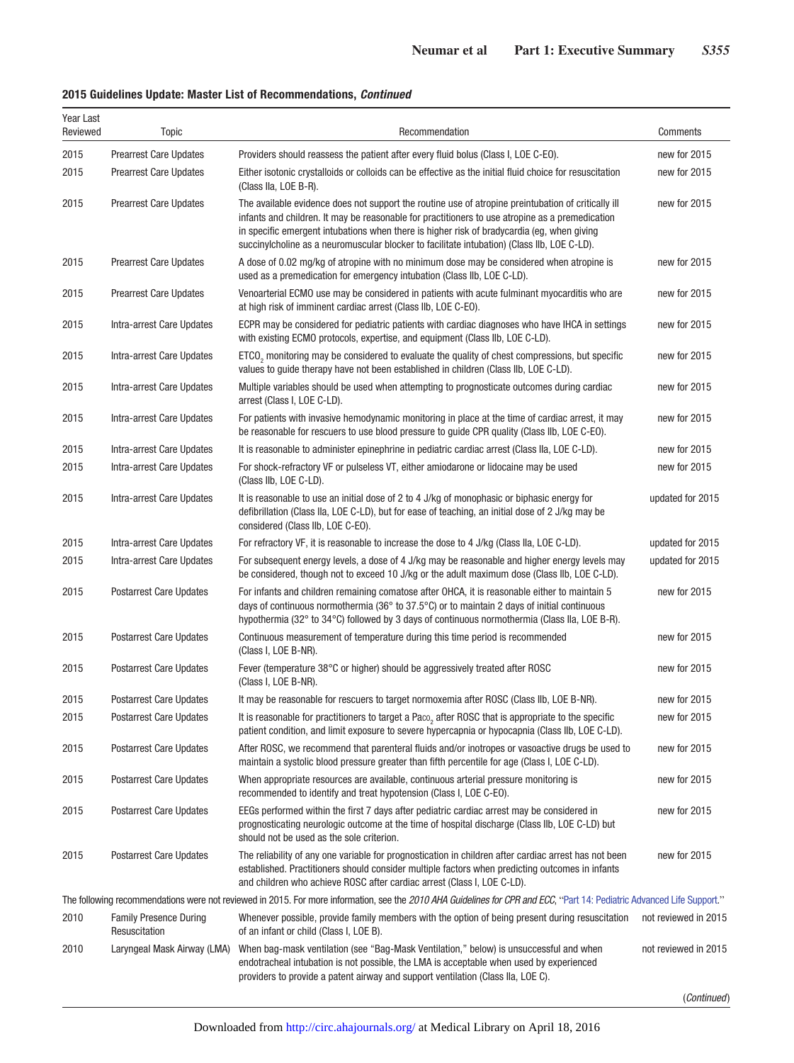|  |  |  | 2015 Guidelines Update: Master List of Recommendations, <i>Continued</i> |  |  |
|--|--|--|--------------------------------------------------------------------------|--|--|
|--|--|--|--------------------------------------------------------------------------|--|--|

| Year Last<br>Reviewed | <b>Topic</b>                                   | Recommendation                                                                                                                                                                                                                                                                                                                                                                                      | Comments             |
|-----------------------|------------------------------------------------|-----------------------------------------------------------------------------------------------------------------------------------------------------------------------------------------------------------------------------------------------------------------------------------------------------------------------------------------------------------------------------------------------------|----------------------|
| 2015                  | Prearrest Care Updates                         | Providers should reassess the patient after every fluid bolus (Class I, LOE C-EO).                                                                                                                                                                                                                                                                                                                  | new for 2015         |
| 2015                  | <b>Prearrest Care Updates</b>                  | Either isotonic crystalloids or colloids can be effective as the initial fluid choice for resuscitation<br>(Class IIa, LOE B-R).                                                                                                                                                                                                                                                                    | new for 2015         |
| 2015                  | <b>Prearrest Care Updates</b>                  | The available evidence does not support the routine use of atropine preintubation of critically ill<br>infants and children. It may be reasonable for practitioners to use atropine as a premedication<br>in specific emergent intubations when there is higher risk of bradycardia (eg, when giving<br>succinylcholine as a neuromuscular blocker to facilitate intubation) (Class IIb, LOE C-LD). | new for 2015         |
| 2015                  | <b>Prearrest Care Updates</b>                  | A dose of 0.02 mg/kg of atropine with no minimum dose may be considered when atropine is<br>used as a premedication for emergency intubation (Class IIb, LOE C-LD).                                                                                                                                                                                                                                 | new for 2015         |
| 2015                  | <b>Prearrest Care Updates</b>                  | Venoarterial ECMO use may be considered in patients with acute fulminant myocarditis who are<br>at high risk of imminent cardiac arrest (Class IIb, LOE C-EO).                                                                                                                                                                                                                                      | new for 2015         |
| 2015                  | Intra-arrest Care Updates                      | ECPR may be considered for pediatric patients with cardiac diagnoses who have IHCA in settings<br>with existing ECMO protocols, expertise, and equipment (Class IIb, LOE C-LD).                                                                                                                                                                                                                     | new for 2015         |
| 2015                  | Intra-arrest Care Updates                      | ETCO <sub>2</sub> monitoring may be considered to evaluate the quality of chest compressions, but specific<br>values to guide therapy have not been established in children (Class IIb, LOE C-LD).                                                                                                                                                                                                  | new for 2015         |
| 2015                  | Intra-arrest Care Updates                      | Multiple variables should be used when attempting to prognosticate outcomes during cardiac<br>arrest (Class I, LOE C-LD).                                                                                                                                                                                                                                                                           | new for 2015         |
| 2015                  | <b>Intra-arrest Care Updates</b>               | For patients with invasive hemodynamic monitoring in place at the time of cardiac arrest, it may<br>be reasonable for rescuers to use blood pressure to guide CPR quality (Class IIb, LOE C-EO).                                                                                                                                                                                                    | new for 2015         |
| 2015                  | Intra-arrest Care Updates                      | It is reasonable to administer epinephrine in pediatric cardiac arrest (Class IIa, LOE C-LD).                                                                                                                                                                                                                                                                                                       | new for 2015         |
| 2015                  | Intra-arrest Care Updates                      | For shock-refractory VF or pulseless VT, either amiodarone or lidocaine may be used<br>(Class IIb, LOE C-LD).                                                                                                                                                                                                                                                                                       | new for 2015         |
| 2015                  | Intra-arrest Care Updates                      | It is reasonable to use an initial dose of 2 to 4 J/kg of monophasic or biphasic energy for<br>defibrillation (Class IIa, LOE C-LD), but for ease of teaching, an initial dose of 2 J/kg may be<br>considered (Class IIb, LOE C-EO).                                                                                                                                                                | updated for 2015     |
| 2015                  | Intra-arrest Care Updates                      | For refractory VF, it is reasonable to increase the dose to 4 J/kg (Class IIa, LOE C-LD).                                                                                                                                                                                                                                                                                                           | updated for 2015     |
| 2015                  | Intra-arrest Care Updates                      | For subsequent energy levels, a dose of 4 J/kg may be reasonable and higher energy levels may<br>be considered, though not to exceed 10 J/kg or the adult maximum dose (Class IIb, LOE C-LD).                                                                                                                                                                                                       | updated for 2015     |
| 2015                  | <b>Postarrest Care Updates</b>                 | For infants and children remaining comatose after OHCA, it is reasonable either to maintain 5<br>days of continuous normothermia (36° to 37.5°C) or to maintain 2 days of initial continuous<br>hypothermia (32° to 34°C) followed by 3 days of continuous normothermia (Class IIa, LOE B-R).                                                                                                       | new for 2015         |
| 2015                  | <b>Postarrest Care Updates</b>                 | Continuous measurement of temperature during this time period is recommended<br>(Class I, LOE B-NR).                                                                                                                                                                                                                                                                                                | new for 2015         |
| 2015                  | <b>Postarrest Care Updates</b>                 | Fever (temperature 38°C or higher) should be aggressively treated after ROSC<br>(Class I, LOE B-NR).                                                                                                                                                                                                                                                                                                | new for 2015         |
| 2015                  | <b>Postarrest Care Updates</b>                 | It may be reasonable for rescuers to target normoxemia after ROSC (Class IIb, LOE B-NR).                                                                                                                                                                                                                                                                                                            | new for 2015         |
| 2015                  | <b>Postarrest Care Updates</b>                 | It is reasonable for practitioners to target a Paco <sub>n</sub> after ROSC that is appropriate to the specific<br>patient condition, and limit exposure to severe hypercapnia or hypocapnia (Class IIb, LOE C-LD).                                                                                                                                                                                 | new for 2015         |
| 2015                  | <b>Postarrest Care Updates</b>                 | After ROSC, we recommend that parenteral fluids and/or inotropes or vasoactive drugs be used to<br>maintain a systolic blood pressure greater than fifth percentile for age (Class I, LOE C-LD).                                                                                                                                                                                                    | new for 2015         |
| 2015                  | <b>Postarrest Care Updates</b>                 | When appropriate resources are available, continuous arterial pressure monitoring is<br>recommended to identify and treat hypotension (Class I, LOE C-EO).                                                                                                                                                                                                                                          | new for 2015         |
| 2015                  | <b>Postarrest Care Updates</b>                 | EEGs performed within the first 7 days after pediatric cardiac arrest may be considered in<br>prognosticating neurologic outcome at the time of hospital discharge (Class IIb, LOE C-LD) but<br>should not be used as the sole criterion.                                                                                                                                                           | new for 2015         |
| 2015                  | <b>Postarrest Care Updates</b>                 | The reliability of any one variable for prognostication in children after cardiac arrest has not been<br>established. Practitioners should consider multiple factors when predicting outcomes in infants<br>and children who achieve ROSC after cardiac arrest (Class I, LOE C-LD).                                                                                                                 | new for 2015         |
|                       |                                                | The following recommendations were not reviewed in 2015. For more information, see the 2010 AHA Guidelines for CPR and ECC, "Part 14: Pediatric Advanced Life Support."                                                                                                                                                                                                                             |                      |
| 2010                  | <b>Family Presence During</b><br>Resuscitation | Whenever possible, provide family members with the option of being present during resuscitation<br>of an infant or child (Class I, LOE B).                                                                                                                                                                                                                                                          | not reviewed in 2015 |
| 2010                  | Laryngeal Mask Airway (LMA)                    | When bag-mask ventilation (see "Bag-Mask Ventilation," below) is unsuccessful and when<br>endotracheal intubation is not possible, the LMA is acceptable when used by experienced<br>providers to provide a patent airway and support ventilation (Class IIa, LOE C).                                                                                                                               | not reviewed in 2015 |
|                       |                                                |                                                                                                                                                                                                                                                                                                                                                                                                     | (Continued)          |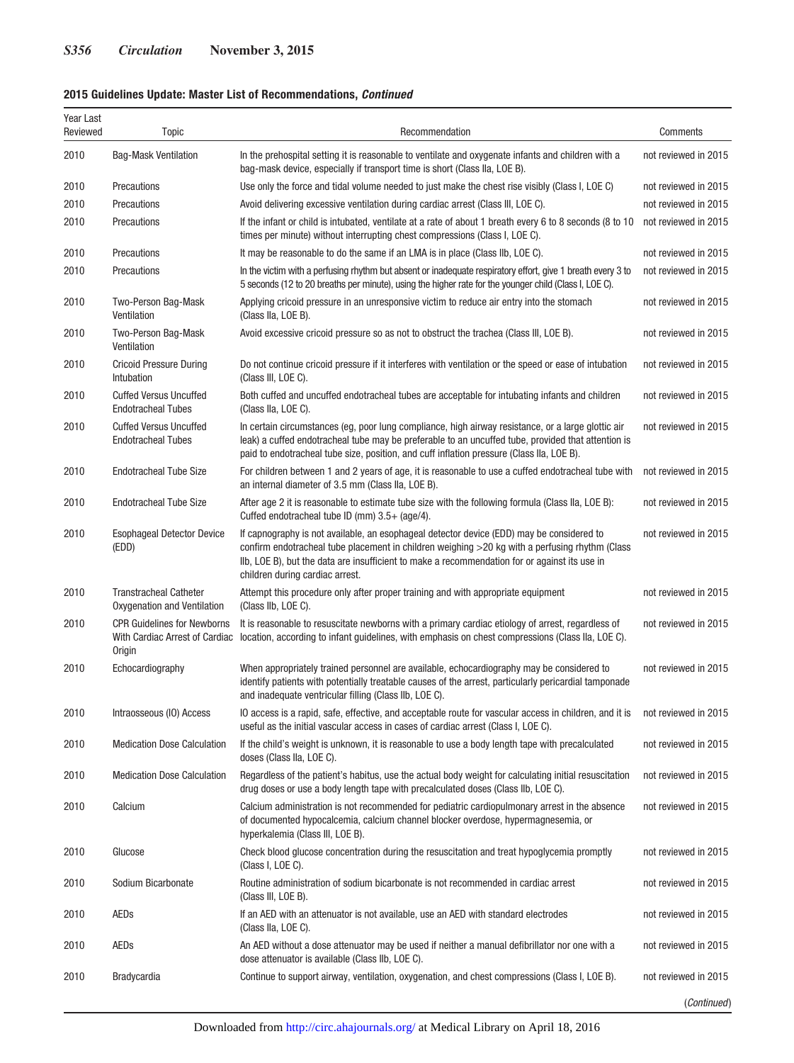| Year Last<br>Reviewed | Topic                                                                          | Recommendation                                                                                                                                                                                                                                                                                                                  | Comments             |
|-----------------------|--------------------------------------------------------------------------------|---------------------------------------------------------------------------------------------------------------------------------------------------------------------------------------------------------------------------------------------------------------------------------------------------------------------------------|----------------------|
| 2010                  | <b>Bag-Mask Ventilation</b>                                                    | In the prehospital setting it is reasonable to ventilate and oxygenate infants and children with a<br>bag-mask device, especially if transport time is short (Class IIa, LOE B).                                                                                                                                                | not reviewed in 2015 |
| 2010                  | Precautions                                                                    | Use only the force and tidal volume needed to just make the chest rise visibly (Class I, LOE C)                                                                                                                                                                                                                                 | not reviewed in 2015 |
| 2010                  | Precautions                                                                    | Avoid delivering excessive ventilation during cardiac arrest (Class III, LOE C).                                                                                                                                                                                                                                                | not reviewed in 2015 |
| 2010                  | Precautions                                                                    | If the infant or child is intubated, ventilate at a rate of about 1 breath every 6 to 8 seconds (8 to 10<br>times per minute) without interrupting chest compressions (Class I, LOE C).                                                                                                                                         | not reviewed in 2015 |
| 2010                  | Precautions                                                                    | It may be reasonable to do the same if an LMA is in place (Class IIb, LOE C).                                                                                                                                                                                                                                                   | not reviewed in 2015 |
| 2010                  | Precautions                                                                    | In the victim with a perfusing rhythm but absent or inadequate respiratory effort, give 1 breath every 3 to<br>5 seconds (12 to 20 breaths per minute), using the higher rate for the younger child (Class I, LOE C).                                                                                                           | not reviewed in 2015 |
| 2010                  | Two-Person Bag-Mask<br>Ventilation                                             | Applying cricoid pressure in an unresponsive victim to reduce air entry into the stomach<br>(Class IIa, LOE B).                                                                                                                                                                                                                 | not reviewed in 2015 |
| 2010                  | Two-Person Bag-Mask<br>Ventilation                                             | Avoid excessive cricoid pressure so as not to obstruct the trachea (Class III, LOE B).                                                                                                                                                                                                                                          | not reviewed in 2015 |
| 2010                  | <b>Cricoid Pressure During</b><br>Intubation                                   | Do not continue cricoid pressure if it interferes with ventilation or the speed or ease of intubation<br>(Class III, LOE C).                                                                                                                                                                                                    | not reviewed in 2015 |
| 2010                  | <b>Cuffed Versus Uncuffed</b><br><b>Endotracheal Tubes</b>                     | Both cuffed and uncuffed endotracheal tubes are acceptable for intubating infants and children<br>(Class IIa, LOE C).                                                                                                                                                                                                           | not reviewed in 2015 |
| 2010                  | <b>Cuffed Versus Uncuffed</b><br><b>Endotracheal Tubes</b>                     | In certain circumstances (eq. poor lung compliance, high airway resistance, or a large glottic air<br>leak) a cuffed endotracheal tube may be preferable to an uncuffed tube, provided that attention is<br>paid to endotracheal tube size, position, and cuff inflation pressure (Class IIa, LOE B).                           | not reviewed in 2015 |
| 2010                  | <b>Endotracheal Tube Size</b>                                                  | For children between 1 and 2 years of age, it is reasonable to use a cuffed endotracheal tube with<br>an internal diameter of 3.5 mm (Class IIa, LOE B).                                                                                                                                                                        | not reviewed in 2015 |
| 2010                  | <b>Endotracheal Tube Size</b>                                                  | After age 2 it is reasonable to estimate tube size with the following formula (Class IIa, LOE B):<br>Cuffed endotracheal tube ID (mm) $3.5+$ (age/4).                                                                                                                                                                           | not reviewed in 2015 |
| 2010                  | <b>Esophageal Detector Device</b><br>(EDD)                                     | If capnography is not available, an esophageal detector device (EDD) may be considered to<br>confirm endotracheal tube placement in children weighing >20 kg with a perfusing rhythm (Class<br>IIb, LOE B), but the data are insufficient to make a recommendation for or against its use in<br>children during cardiac arrest. | not reviewed in 2015 |
| 2010                  | <b>Transtracheal Catheter</b><br>Oxygenation and Ventilation                   | Attempt this procedure only after proper training and with appropriate equipment<br>(Class IIb, LOE C).                                                                                                                                                                                                                         | not reviewed in 2015 |
| 2010                  | <b>CPR Guidelines for Newborns</b><br>With Cardiac Arrest of Cardiac<br>Origin | It is reasonable to resuscitate newborns with a primary cardiac etiology of arrest, regardless of<br>location, according to infant guidelines, with emphasis on chest compressions (Class IIa, LOE C).                                                                                                                          | not reviewed in 2015 |
| 2010                  | Echocardiography                                                               | When appropriately trained personnel are available, echocardiography may be considered to<br>identify patients with potentially treatable causes of the arrest, particularly pericardial tamponade<br>and inadequate ventricular filling (Class IIb, LOE C).                                                                    | not reviewed in 2015 |
| 2010                  | Intraosseous (IO) Access                                                       | 10 access is a rapid, safe, effective, and acceptable route for vascular access in children, and it is<br>useful as the initial vascular access in cases of cardiac arrest (Class I, LOE C).                                                                                                                                    | not reviewed in 2015 |
| 2010                  | <b>Medication Dose Calculation</b>                                             | If the child's weight is unknown, it is reasonable to use a body length tape with precalculated<br>doses (Class IIa, LOE C).                                                                                                                                                                                                    | not reviewed in 2015 |
| 2010                  | <b>Medication Dose Calculation</b>                                             | Regardless of the patient's habitus, use the actual body weight for calculating initial resuscitation<br>drug doses or use a body length tape with precalculated doses (Class IIb, LOE C).                                                                                                                                      | not reviewed in 2015 |
| 2010                  | Calcium                                                                        | Calcium administration is not recommended for pediatric cardiopulmonary arrest in the absence<br>of documented hypocalcemia, calcium channel blocker overdose, hypermagnesemia, or<br>hyperkalemia (Class III, LOE B).                                                                                                          | not reviewed in 2015 |
| 2010                  | Glucose                                                                        | Check blood glucose concentration during the resuscitation and treat hypoglycemia promptly<br>(Class I, LOE C).                                                                                                                                                                                                                 | not reviewed in 2015 |
| 2010                  | Sodium Bicarbonate                                                             | Routine administration of sodium bicarbonate is not recommended in cardiac arrest<br>(Class III, LOE B).                                                                                                                                                                                                                        | not reviewed in 2015 |
| 2010                  | AEDs                                                                           | If an AED with an attenuator is not available, use an AED with standard electrodes<br>(Class IIa, LOE C).                                                                                                                                                                                                                       | not reviewed in 2015 |
| 2010                  | AEDs                                                                           | An AED without a dose attenuator may be used if neither a manual defibrillator nor one with a<br>dose attenuator is available (Class IIb, LOE C).                                                                                                                                                                               | not reviewed in 2015 |
| 2010                  | <b>Bradycardia</b>                                                             | Continue to support airway, ventilation, oxygenation, and chest compressions (Class I, LOE B).                                                                                                                                                                                                                                  | not reviewed in 2015 |
|                       |                                                                                |                                                                                                                                                                                                                                                                                                                                 | (Continued)          |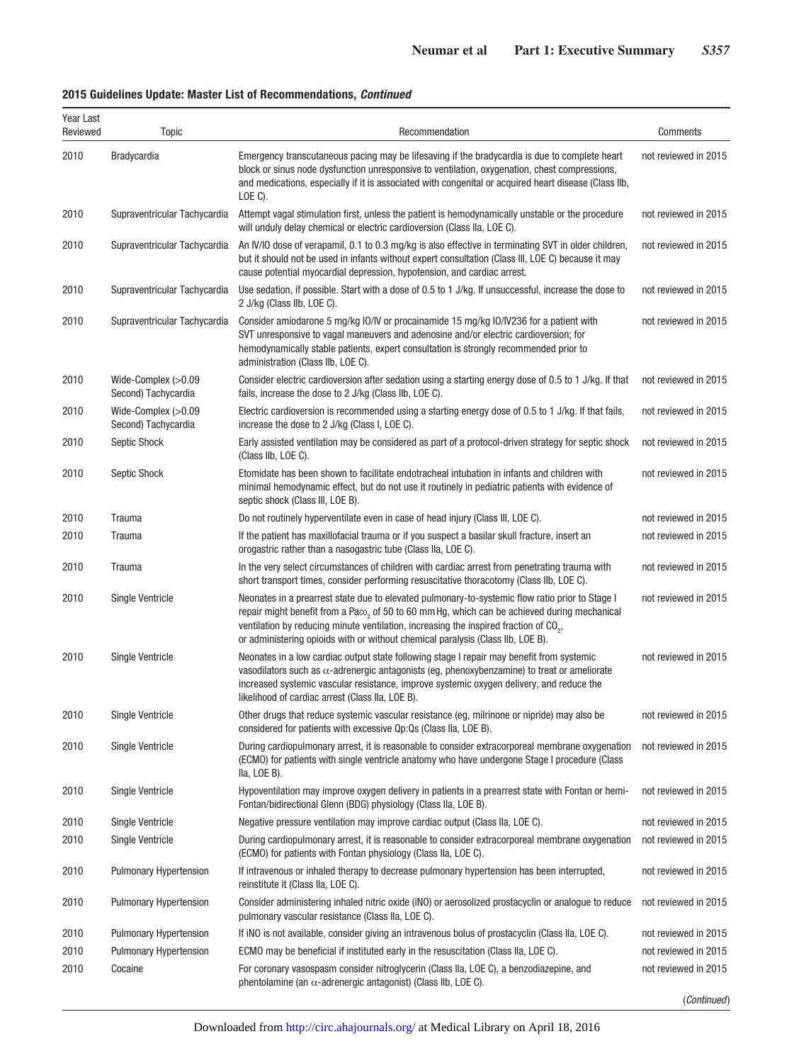| Year Last<br>Reviewed | <b>Topic</b>                                 | Recommendation                                                                                                                                                                                                                                                                                                                                                                                      | Comments             |
|-----------------------|----------------------------------------------|-----------------------------------------------------------------------------------------------------------------------------------------------------------------------------------------------------------------------------------------------------------------------------------------------------------------------------------------------------------------------------------------------------|----------------------|
| 2010                  | <b>Bradycardia</b>                           | Emergency transcutaneous pacing may be lifesaving if the bradycardia is due to complete heart<br>block or sinus node dysfunction unresponsive to ventilation, oxygenation, chest compressions,<br>and medications, especially if it is associated with congenital or acquired heart disease (Class IIb,<br>LOE C).                                                                                  | not reviewed in 2015 |
| 2010                  | Supraventricular Tachycardia                 | Attempt vagal stimulation first, unless the patient is hemodynamically unstable or the procedure<br>will unduly delay chemical or electric cardioversion (Class IIa, LOE C).                                                                                                                                                                                                                        | not reviewed in 2015 |
| 2010                  | Supraventricular Tachycardia                 | An IV/IO dose of verapamil, 0.1 to 0.3 mg/kg is also effective in terminating SVT in older children,<br>but it should not be used in infants without expert consultation (Class III, LOE C) because it may<br>cause potential myocardial depression, hypotension, and cardiac arrest.                                                                                                               | not reviewed in 2015 |
| 2010                  | Supraventricular Tachycardia                 | Use sedation, if possible. Start with a dose of 0.5 to 1 J/kg. If unsuccessful, increase the dose to<br>2 J/kg (Class IIb, LOE C).                                                                                                                                                                                                                                                                  | not reviewed in 2015 |
| 2010                  | Supraventricular Tachycardia                 | Consider amiodarone 5 mg/kg IO/IV or procainamide 15 mg/kg IO/IV236 for a patient with<br>SVT unresponsive to vagal maneuvers and adenosine and/or electric cardioversion; for<br>hemodynamically stable patients, expert consultation is strongly recommended prior to<br>administration (Class IIb, LOE C).                                                                                       | not reviewed in 2015 |
| 2010                  | Wide-Complex $(>0.09$<br>Second) Tachycardia | Consider electric cardioversion after sedation using a starting energy dose of 0.5 to 1 J/kg. If that<br>fails, increase the dose to 2 J/kg (Class IIb, LOE C).                                                                                                                                                                                                                                     | not reviewed in 2015 |
| 2010                  | Wide-Complex (>0.09<br>Second) Tachycardia   | Electric cardioversion is recommended using a starting energy dose of 0.5 to 1 J/kg. If that fails,<br>increase the dose to 2 J/kg (Class I, LOE C).                                                                                                                                                                                                                                                | not reviewed in 2015 |
| 2010                  | Septic Shock                                 | Early assisted ventilation may be considered as part of a protocol-driven strategy for septic shock<br>(Class IIb, LOE C).                                                                                                                                                                                                                                                                          | not reviewed in 2015 |
| 2010                  | Septic Shock                                 | Etomidate has been shown to facilitate endotracheal intubation in infants and children with<br>minimal hemodynamic effect, but do not use it routinely in pediatric patients with evidence of<br>septic shock (Class III, LOE B).                                                                                                                                                                   | not reviewed in 2015 |
| 2010                  | Trauma                                       | Do not routinely hyperventilate even in case of head injury (Class III, LOE C).                                                                                                                                                                                                                                                                                                                     | not reviewed in 2015 |
| 2010                  | Trauma                                       | If the patient has maxillofacial trauma or if you suspect a basilar skull fracture, insert an<br>orogastric rather than a nasogastric tube (Class IIa, LOE C).                                                                                                                                                                                                                                      | not reviewed in 2015 |
| 2010                  | Trauma                                       | In the very select circumstances of children with cardiac arrest from penetrating trauma with<br>short transport times, consider performing resuscitative thoracotomy (Class IIb, LOE C).                                                                                                                                                                                                           | not reviewed in 2015 |
| 2010                  | <b>Single Ventricle</b>                      | Neonates in a prearrest state due to elevated pulmonary-to-systemic flow ratio prior to Stage I<br>repair might benefit from a Paco <sub>2</sub> of 50 to 60 mm Hg, which can be achieved during mechanical<br>ventilation by reducing minute ventilation, increasing the inspired fraction of CO <sub>2</sub> ,<br>or administering opioids with or without chemical paralysis (Class IIb, LOE B). | not reviewed in 2015 |
| 2010                  | <b>Single Ventricle</b>                      | Neonates in a low cardiac output state following stage I repair may benefit from systemic<br>vasodilators such as $\alpha$ -adrenergic antagonists (eg, phenoxybenzamine) to treat or ameliorate<br>increased systemic vascular resistance, improve systemic oxygen delivery, and reduce the<br>likelihood of cardiac arrest (Class IIa, LOE B).                                                    | not reviewed in 2015 |
| 2010                  | Single Ventricle                             | Other drugs that reduce systemic vascular resistance (eg, milrinone or nipride) may also be<br>considered for patients with excessive Qp:Qs (Class IIa, LOE B).                                                                                                                                                                                                                                     | not reviewed in 2015 |
| 2010                  | <b>Single Ventricle</b>                      | During cardiopulmonary arrest, it is reasonable to consider extracorporeal membrane oxygenation<br>(ECMO) for patients with single ventricle anatomy who have undergone Stage I procedure (Class<br>Ila, LOE B).                                                                                                                                                                                    | not reviewed in 2015 |
| 2010                  | <b>Single Ventricle</b>                      | Hypoventilation may improve oxygen delivery in patients in a prearrest state with Fontan or hemi-<br>Fontan/bidirectional Glenn (BDG) physiology (Class IIa, LOE B).                                                                                                                                                                                                                                | not reviewed in 2015 |
| 2010                  | <b>Single Ventricle</b>                      | Negative pressure ventilation may improve cardiac output (Class IIa, LOE C).                                                                                                                                                                                                                                                                                                                        | not reviewed in 2015 |
| 2010                  | <b>Single Ventricle</b>                      | During cardiopulmonary arrest, it is reasonable to consider extracorporeal membrane oxygenation<br>(ECMO) for patients with Fontan physiology (Class IIa, LOE C).                                                                                                                                                                                                                                   | not reviewed in 2015 |
| 2010                  | <b>Pulmonary Hypertension</b>                | If intravenous or inhaled therapy to decrease pulmonary hypertension has been interrupted,<br>reinstitute it (Class IIa, LOE C).                                                                                                                                                                                                                                                                    | not reviewed in 2015 |
| 2010                  | <b>Pulmonary Hypertension</b>                | Consider administering inhaled nitric oxide (iNO) or aerosolized prostacyclin or analogue to reduce<br>pulmonary vascular resistance (Class IIa, LOE C).                                                                                                                                                                                                                                            | not reviewed in 2015 |
| 2010                  | <b>Pulmonary Hypertension</b>                | If iNO is not available, consider giving an intravenous bolus of prostacyclin (Class IIa, LOE C).                                                                                                                                                                                                                                                                                                   | not reviewed in 2015 |
| 2010                  | <b>Pulmonary Hypertension</b>                | ECMO may be beneficial if instituted early in the resuscitation (Class IIa, LOE C).                                                                                                                                                                                                                                                                                                                 | not reviewed in 2015 |
| 2010                  | Cocaine                                      | For coronary vasospasm consider nitroglycerin (Class IIa, LOE C), a benzodiazepine, and<br>phentolamine (an $\alpha$ -adrenergic antagonist) (Class IIb, LOE C).                                                                                                                                                                                                                                    | not reviewed in 2015 |
|                       |                                              |                                                                                                                                                                                                                                                                                                                                                                                                     | (Continued)          |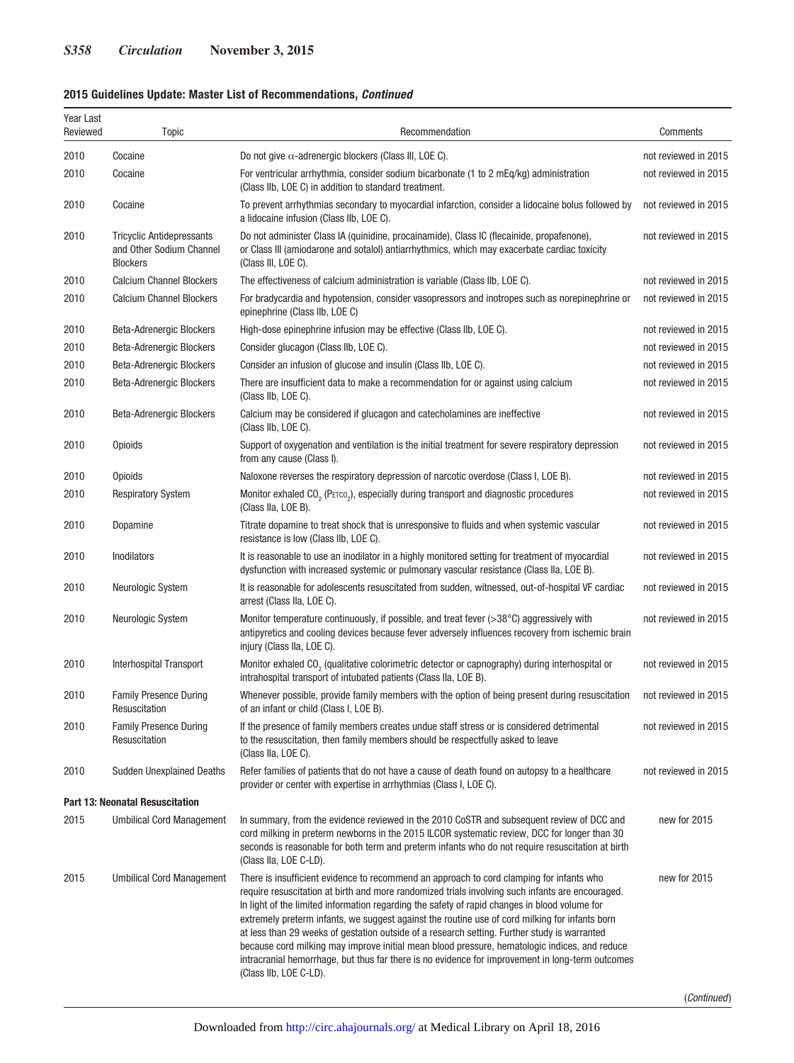| Year Last<br>Reviewed | Topic                                                                           | Recommendation                                                                                                                                                                                                                                                                                                                                                                                                                                                                                                                                                                                                                                                                                                                 | Comments             |
|-----------------------|---------------------------------------------------------------------------------|--------------------------------------------------------------------------------------------------------------------------------------------------------------------------------------------------------------------------------------------------------------------------------------------------------------------------------------------------------------------------------------------------------------------------------------------------------------------------------------------------------------------------------------------------------------------------------------------------------------------------------------------------------------------------------------------------------------------------------|----------------------|
| 2010                  | Cocaine                                                                         | Do not give $\alpha$ -adrenergic blockers (Class III, LOE C).                                                                                                                                                                                                                                                                                                                                                                                                                                                                                                                                                                                                                                                                  | not reviewed in 2015 |
| 2010                  | Cocaine                                                                         | For ventricular arrhythmia, consider sodium bicarbonate (1 to 2 mEq/kg) administration<br>(Class IIb, LOE C) in addition to standard treatment.                                                                                                                                                                                                                                                                                                                                                                                                                                                                                                                                                                                | not reviewed in 2015 |
| 2010                  | Cocaine                                                                         | To prevent arrhythmias secondary to myocardial infarction, consider a lidocaine bolus followed by<br>a lidocaine infusion (Class IIb, LOE C).                                                                                                                                                                                                                                                                                                                                                                                                                                                                                                                                                                                  | not reviewed in 2015 |
| 2010                  | <b>Tricyclic Antidepressants</b><br>and Other Sodium Channel<br><b>Blockers</b> | Do not administer Class IA (quinidine, procainamide), Class IC (flecainide, propafenone),<br>or Class III (amiodarone and sotalol) antiarrhythmics, which may exacerbate cardiac toxicity<br>(Class III, LOE C).                                                                                                                                                                                                                                                                                                                                                                                                                                                                                                               | not reviewed in 2015 |
| 2010                  | <b>Calcium Channel Blockers</b>                                                 | The effectiveness of calcium administration is variable (Class IIb, LOE C).                                                                                                                                                                                                                                                                                                                                                                                                                                                                                                                                                                                                                                                    | not reviewed in 2015 |
| 2010                  | <b>Calcium Channel Blockers</b>                                                 | For bradycardia and hypotension, consider vasopressors and inotropes such as norepinephrine or<br>epinephrine (Class IIb, LOE C)                                                                                                                                                                                                                                                                                                                                                                                                                                                                                                                                                                                               | not reviewed in 2015 |
| 2010                  | Beta-Adrenergic Blockers                                                        | High-dose epinephrine infusion may be effective (Class IIb, LOE C).                                                                                                                                                                                                                                                                                                                                                                                                                                                                                                                                                                                                                                                            | not reviewed in 2015 |
| 2010                  | <b>Beta-Adrenergic Blockers</b>                                                 | Consider glucagon (Class IIb, LOE C).                                                                                                                                                                                                                                                                                                                                                                                                                                                                                                                                                                                                                                                                                          | not reviewed in 2015 |
| 2010                  | <b>Beta-Adrenergic Blockers</b>                                                 | Consider an infusion of glucose and insulin (Class IIb, LOE C).                                                                                                                                                                                                                                                                                                                                                                                                                                                                                                                                                                                                                                                                | not reviewed in 2015 |
| 2010                  | <b>Beta-Adrenergic Blockers</b>                                                 | There are insufficient data to make a recommendation for or against using calcium<br>(Class IIb, LOE C).                                                                                                                                                                                                                                                                                                                                                                                                                                                                                                                                                                                                                       | not reviewed in 2015 |
| 2010                  | <b>Beta-Adrenergic Blockers</b>                                                 | Calcium may be considered if glucagon and catecholamines are ineffective<br>(Class IIb, LOE C).                                                                                                                                                                                                                                                                                                                                                                                                                                                                                                                                                                                                                                | not reviewed in 2015 |
| 2010                  | Opioids                                                                         | Support of oxygenation and ventilation is the initial treatment for severe respiratory depression<br>from any cause (Class I).                                                                                                                                                                                                                                                                                                                                                                                                                                                                                                                                                                                                 | not reviewed in 2015 |
| 2010                  | Opioids                                                                         | Naloxone reverses the respiratory depression of narcotic overdose (Class I, LOE B).                                                                                                                                                                                                                                                                                                                                                                                                                                                                                                                                                                                                                                            | not reviewed in 2015 |
| 2010                  | <b>Respiratory System</b>                                                       | Monitor exhaled CO <sub>2</sub> (PETCO <sub>2</sub> ), especially during transport and diagnostic procedures<br>(Class IIa, LOE B).                                                                                                                                                                                                                                                                                                                                                                                                                                                                                                                                                                                            | not reviewed in 2015 |
| 2010                  | Dopamine                                                                        | Titrate dopamine to treat shock that is unresponsive to fluids and when systemic vascular<br>resistance is low (Class IIb, LOE C).                                                                                                                                                                                                                                                                                                                                                                                                                                                                                                                                                                                             | not reviewed in 2015 |
| 2010                  | Inodilators                                                                     | It is reasonable to use an inodilator in a highly monitored setting for treatment of myocardial<br>dysfunction with increased systemic or pulmonary vascular resistance (Class IIa, LOE B).                                                                                                                                                                                                                                                                                                                                                                                                                                                                                                                                    | not reviewed in 2015 |
| 2010                  | Neurologic System                                                               | It is reasonable for adolescents resuscitated from sudden, witnessed, out-of-hospital VF cardiac<br>arrest (Class IIa, LOE C).                                                                                                                                                                                                                                                                                                                                                                                                                                                                                                                                                                                                 | not reviewed in 2015 |
| 2010                  | Neurologic System                                                               | Monitor temperature continuously, if possible, and treat fever (>38°C) aggressively with<br>antipyretics and cooling devices because fever adversely influences recovery from ischemic brain<br>injury (Class IIa, LOE C).                                                                                                                                                                                                                                                                                                                                                                                                                                                                                                     | not reviewed in 2015 |
| 2010                  | Interhospital Transport                                                         | Monitor exhaled CO <sub>2</sub> (qualitative colorimetric detector or capnography) during interhospital or<br>intrahospital transport of intubated patients (Class IIa, LOE B).                                                                                                                                                                                                                                                                                                                                                                                                                                                                                                                                                | not reviewed in 2015 |
| 2010                  | <b>Family Presence During</b><br>Resuscitation                                  | Whenever possible, provide family members with the option of being present during resuscitation<br>of an infant or child (Class I, LOE B).                                                                                                                                                                                                                                                                                                                                                                                                                                                                                                                                                                                     | not reviewed in 2015 |
| 2010                  | <b>Family Presence During</b><br>Resuscitation                                  | If the presence of family members creates undue staff stress or is considered detrimental<br>to the resuscitation, then family members should be respectfully asked to leave<br>(Class IIa, LOE C).                                                                                                                                                                                                                                                                                                                                                                                                                                                                                                                            | not reviewed in 2015 |
| 2010                  | <b>Sudden Unexplained Deaths</b>                                                | Refer families of patients that do not have a cause of death found on autopsy to a healthcare<br>provider or center with expertise in arrhythmias (Class I, LOE C).                                                                                                                                                                                                                                                                                                                                                                                                                                                                                                                                                            | not reviewed in 2015 |
|                       | <b>Part 13: Neonatal Resuscitation</b>                                          |                                                                                                                                                                                                                                                                                                                                                                                                                                                                                                                                                                                                                                                                                                                                |                      |
| 2015                  | <b>Umbilical Cord Management</b>                                                | In summary, from the evidence reviewed in the 2010 CoSTR and subsequent review of DCC and<br>cord milking in preterm newborns in the 2015 ILCOR systematic review, DCC for longer than 30<br>seconds is reasonable for both term and preterm infants who do not require resuscitation at birth<br>(Class IIa, LOE C-LD).                                                                                                                                                                                                                                                                                                                                                                                                       | new for 2015         |
| 2015                  | <b>Umbilical Cord Management</b>                                                | There is insufficient evidence to recommend an approach to cord clamping for infants who<br>require resuscitation at birth and more randomized trials involving such infants are encouraged.<br>In light of the limited information regarding the safety of rapid changes in blood volume for<br>extremely preterm infants, we suggest against the routine use of cord milking for infants born<br>at less than 29 weeks of gestation outside of a research setting. Further study is warranted<br>because cord milking may improve initial mean blood pressure, hematologic indices, and reduce<br>intracranial hemorrhage, but thus far there is no evidence for improvement in long-term outcomes<br>(Class IIb, LOE C-LD). | new for 2015         |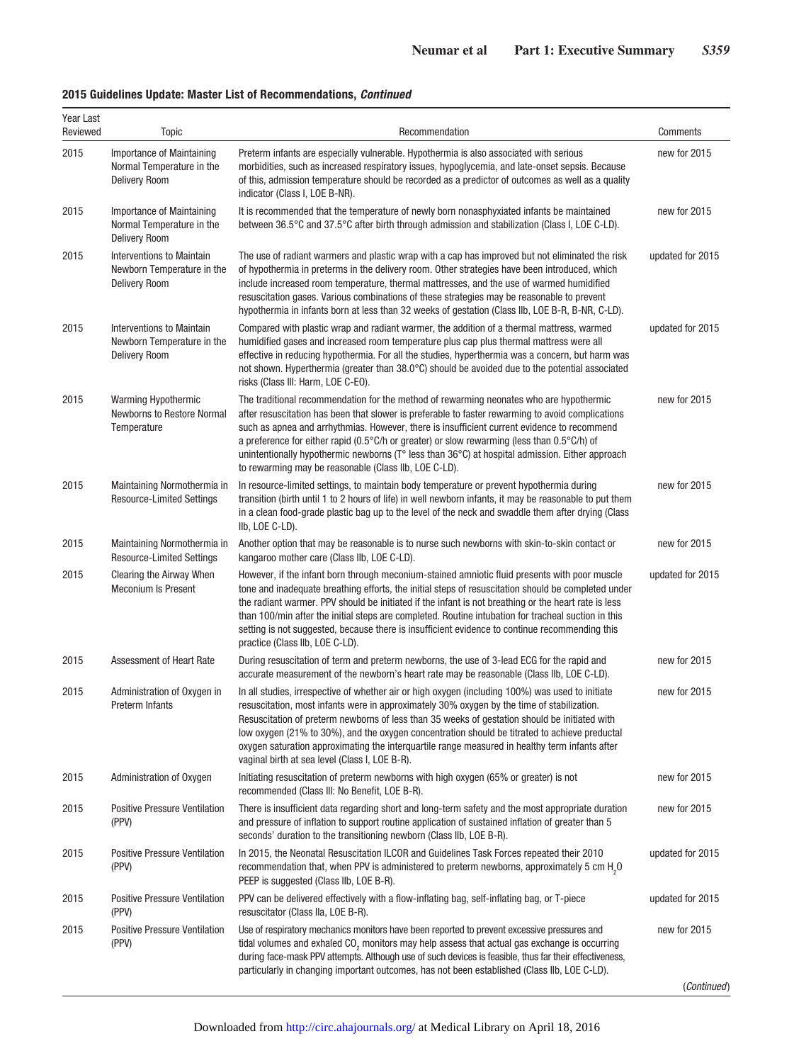|  |  | 2015 Guidelines Update: Master List of Recommendations, <i>Continued</i> |  |
|--|--|--------------------------------------------------------------------------|--|
|--|--|--------------------------------------------------------------------------|--|

| Year Last<br>Reviewed | <b>Topic</b>                                                                           | Recommendation                                                                                                                                                                                                                                                                                                                                                                                                                                                                                                                                                              | Comments         |
|-----------------------|----------------------------------------------------------------------------------------|-----------------------------------------------------------------------------------------------------------------------------------------------------------------------------------------------------------------------------------------------------------------------------------------------------------------------------------------------------------------------------------------------------------------------------------------------------------------------------------------------------------------------------------------------------------------------------|------------------|
| 2015                  | <b>Importance of Maintaining</b><br>Normal Temperature in the<br>Delivery Room         | Preterm infants are especially vulnerable. Hypothermia is also associated with serious<br>morbidities, such as increased respiratory issues, hypoglycemia, and late-onset sepsis. Because<br>of this, admission temperature should be recorded as a predictor of outcomes as well as a quality<br>indicator (Class I, LOE B-NR).                                                                                                                                                                                                                                            | new for 2015     |
| 2015                  | Importance of Maintaining<br>Normal Temperature in the<br><b>Delivery Room</b>         | It is recommended that the temperature of newly born nonasphyxiated infants be maintained<br>between 36.5°C and 37.5°C after birth through admission and stabilization (Class I, LOE C-LD).                                                                                                                                                                                                                                                                                                                                                                                 | new for 2015     |
| 2015                  | <b>Interventions to Maintain</b><br>Newborn Temperature in the<br><b>Delivery Room</b> | The use of radiant warmers and plastic wrap with a cap has improved but not eliminated the risk<br>of hypothermia in preterms in the delivery room. Other strategies have been introduced, which<br>include increased room temperature, thermal mattresses, and the use of warmed humidified<br>resuscitation gases. Various combinations of these strategies may be reasonable to prevent<br>hypothermia in infants born at less than 32 weeks of gestation (Class IIb, LOE B-R, B-NR, C-LD).                                                                              | updated for 2015 |
| 2015                  | <b>Interventions to Maintain</b><br>Newborn Temperature in the<br><b>Delivery Room</b> | Compared with plastic wrap and radiant warmer, the addition of a thermal mattress, warmed<br>humidified gases and increased room temperature plus cap plus thermal mattress were all<br>effective in reducing hypothermia. For all the studies, hyperthermia was a concern, but harm was<br>not shown. Hyperthermia (greater than $38.0^{\circ}$ C) should be avoided due to the potential associated<br>risks (Class III: Harm, LOE C-EO).                                                                                                                                 | updated for 2015 |
| 2015                  | <b>Warming Hypothermic</b><br><b>Newborns to Restore Normal</b><br>Temperature         | The traditional recommendation for the method of rewarming neonates who are hypothermic<br>after resuscitation has been that slower is preferable to faster rewarming to avoid complications<br>such as apnea and arrhythmias. However, there is insufficient current evidence to recommend<br>a preference for either rapid (0.5°C/h or greater) or slow rewarming (less than 0.5°C/h) of<br>unintentionally hypothermic newborns ( $T^{\circ}$ less than 36 $^{\circ}$ C) at hospital admission. Either approach<br>to rewarming may be reasonable (Class IIb, LOE C-LD). | new for 2015     |
| 2015                  | Maintaining Normothermia in<br><b>Resource-Limited Settings</b>                        | In resource-limited settings, to maintain body temperature or prevent hypothermia during<br>transition (birth until 1 to 2 hours of life) in well newborn infants, it may be reasonable to put them<br>in a clean food-grade plastic bag up to the level of the neck and swaddle them after drying (Class<br>IIb, LOE C-LD).                                                                                                                                                                                                                                                | new for 2015     |
| 2015                  | Maintaining Normothermia in<br><b>Resource-Limited Settings</b>                        | Another option that may be reasonable is to nurse such newborns with skin-to-skin contact or<br>kangaroo mother care (Class IIb, LOE C-LD).                                                                                                                                                                                                                                                                                                                                                                                                                                 | new for 2015     |
| 2015                  | Clearing the Airway When<br><b>Meconium Is Present</b>                                 | However, if the infant born through meconium-stained amniotic fluid presents with poor muscle<br>tone and inadequate breathing efforts, the initial steps of resuscitation should be completed under<br>the radiant warmer. PPV should be initiated if the infant is not breathing or the heart rate is less<br>than 100/min after the initial steps are completed. Routine intubation for tracheal suction in this<br>setting is not suggested, because there is insufficient evidence to continue recommending this<br>practice (Class IIb, LOE C-LD).                    | updated for 2015 |
| 2015                  | <b>Assessment of Heart Rate</b>                                                        | During resuscitation of term and preterm newborns, the use of 3-lead ECG for the rapid and<br>accurate measurement of the newborn's heart rate may be reasonable (Class IIb, LOE C-LD).                                                                                                                                                                                                                                                                                                                                                                                     | new for 2015     |
| 2015                  | Administration of Oxygen in<br>Preterm Infants                                         | In all studies, irrespective of whether air or high oxygen (including 100%) was used to initiate<br>resuscitation, most infants were in approximately 30% oxygen by the time of stabilization.<br>Resuscitation of preterm newborns of less than 35 weeks of gestation should be initiated with<br>low oxygen (21% to 30%), and the oxygen concentration should be titrated to achieve preductal<br>oxygen saturation approximating the interquartile range measured in healthy term infants after<br>vaginal birth at sea level (Class I, LOE B-R).                        | new for 2015     |
| 2015                  | Administration of Oxygen                                                               | Initiating resuscitation of preterm newborns with high oxygen (65% or greater) is not<br>recommended (Class III: No Benefit, LOE B-R).                                                                                                                                                                                                                                                                                                                                                                                                                                      | new for 2015     |
| 2015                  | <b>Positive Pressure Ventilation</b><br>(PPV)                                          | There is insufficient data regarding short and long-term safety and the most appropriate duration<br>and pressure of inflation to support routine application of sustained inflation of greater than 5<br>seconds' duration to the transitioning newborn (Class IIb, LOE B-R).                                                                                                                                                                                                                                                                                              | new for 2015     |
| 2015                  | <b>Positive Pressure Ventilation</b><br>(PPV)                                          | In 2015, the Neonatal Resuscitation ILCOR and Guidelines Task Forces repeated their 2010<br>recommendation that, when PPV is administered to preterm newborns, approximately 5 cm H <sub>0</sub> O<br>PEEP is suggested (Class IIb, LOE B-R).                                                                                                                                                                                                                                                                                                                               | updated for 2015 |
| 2015                  | <b>Positive Pressure Ventilation</b><br>(PPV)                                          | PPV can be delivered effectively with a flow-inflating bag, self-inflating bag, or T-piece<br>resuscitator (Class IIa, LOE B-R).                                                                                                                                                                                                                                                                                                                                                                                                                                            | updated for 2015 |
| 2015                  | <b>Positive Pressure Ventilation</b><br>(PPV)                                          | Use of respiratory mechanics monitors have been reported to prevent excessive pressures and<br>tidal volumes and exhaled $CO2$ monitors may help assess that actual gas exchange is occurring<br>during face-mask PPV attempts. Although use of such devices is feasible, thus far their effectiveness,<br>particularly in changing important outcomes, has not been established (Class IIb, LOE C-LD).                                                                                                                                                                     | new for 2015     |
|                       |                                                                                        |                                                                                                                                                                                                                                                                                                                                                                                                                                                                                                                                                                             | (Continued)      |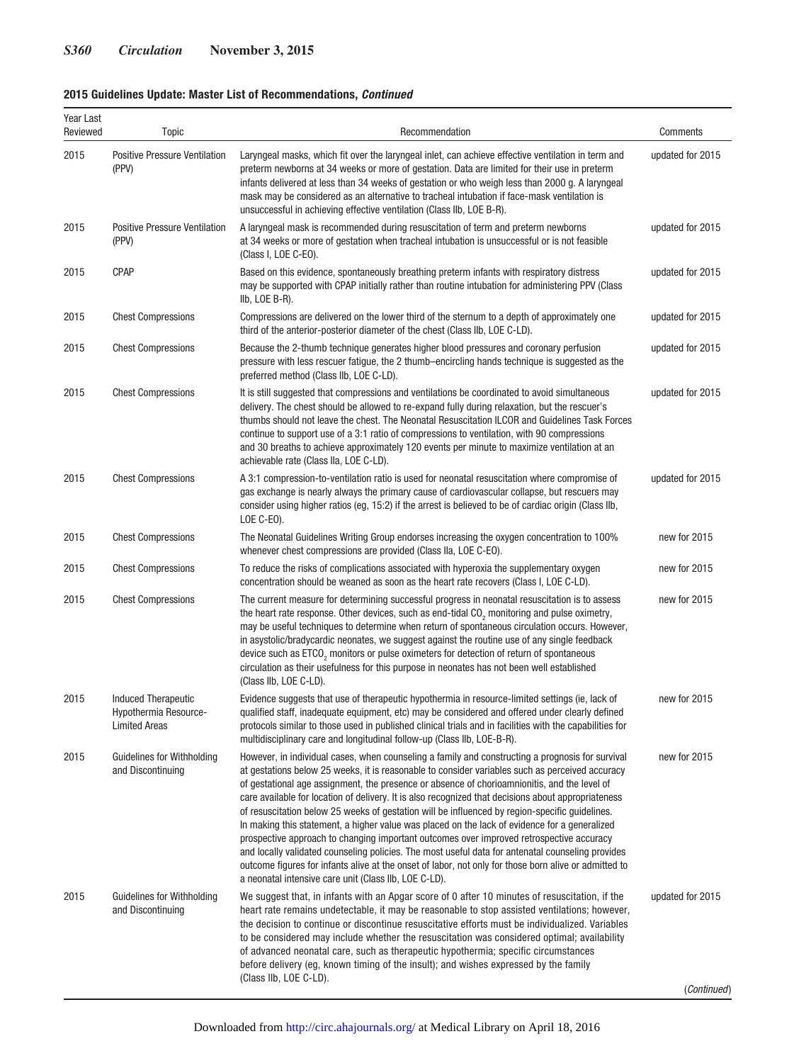| Year Last<br>Reviewed | <b>Topic</b><br>Recommendation                                |                                                                                                                                                                                                                                                                                                                                                                                                                                                                                                                                                                                                                                                                                                                                                                                                                                                                                                                                                                                  | Comments         |
|-----------------------|---------------------------------------------------------------|----------------------------------------------------------------------------------------------------------------------------------------------------------------------------------------------------------------------------------------------------------------------------------------------------------------------------------------------------------------------------------------------------------------------------------------------------------------------------------------------------------------------------------------------------------------------------------------------------------------------------------------------------------------------------------------------------------------------------------------------------------------------------------------------------------------------------------------------------------------------------------------------------------------------------------------------------------------------------------|------------------|
| 2015                  | <b>Positive Pressure Ventilation</b><br>(PPV)                 | Laryngeal masks, which fit over the laryngeal inlet, can achieve effective ventilation in term and<br>preterm newborns at 34 weeks or more of gestation. Data are limited for their use in preterm<br>infants delivered at less than 34 weeks of gestation or who weigh less than 2000 g. A laryngeal<br>mask may be considered as an alternative to tracheal intubation if face-mask ventilation is<br>unsuccessful in achieving effective ventilation (Class IIb, LOE B-R).                                                                                                                                                                                                                                                                                                                                                                                                                                                                                                    | updated for 2015 |
| 2015                  | <b>Positive Pressure Ventilation</b><br>(PPV)                 | A laryngeal mask is recommended during resuscitation of term and preterm newborns<br>at 34 weeks or more of gestation when tracheal intubation is unsuccessful or is not feasible<br>(Class I, LOE C-EO).                                                                                                                                                                                                                                                                                                                                                                                                                                                                                                                                                                                                                                                                                                                                                                        | updated for 2015 |
| 2015                  | <b>CPAP</b>                                                   | Based on this evidence, spontaneously breathing preterm infants with respiratory distress<br>may be supported with CPAP initially rather than routine intubation for administering PPV (Class<br>IIb, LOE B-R).                                                                                                                                                                                                                                                                                                                                                                                                                                                                                                                                                                                                                                                                                                                                                                  | updated for 2015 |
| 2015                  | <b>Chest Compressions</b>                                     | Compressions are delivered on the lower third of the sternum to a depth of approximately one<br>third of the anterior-posterior diameter of the chest (Class IIb, LOE C-LD).                                                                                                                                                                                                                                                                                                                                                                                                                                                                                                                                                                                                                                                                                                                                                                                                     | updated for 2015 |
| 2015                  | <b>Chest Compressions</b>                                     | Because the 2-thumb technique generates higher blood pressures and coronary perfusion<br>pressure with less rescuer fatigue, the 2 thumb–encircling hands technique is suggested as the<br>preferred method (Class IIb, LOE C-LD).                                                                                                                                                                                                                                                                                                                                                                                                                                                                                                                                                                                                                                                                                                                                               | updated for 2015 |
| 2015                  | <b>Chest Compressions</b>                                     | It is still suggested that compressions and ventilations be coordinated to avoid simultaneous<br>delivery. The chest should be allowed to re-expand fully during relaxation, but the rescuer's<br>thumbs should not leave the chest. The Neonatal Resuscitation ILCOR and Guidelines Task Forces<br>continue to support use of a 3:1 ratio of compressions to ventilation, with 90 compressions<br>and 30 breaths to achieve approximately 120 events per minute to maximize ventilation at an<br>achievable rate (Class IIa, LOE C-LD).                                                                                                                                                                                                                                                                                                                                                                                                                                         | updated for 2015 |
| 2015                  | <b>Chest Compressions</b>                                     | A 3:1 compression-to-ventilation ratio is used for neonatal resuscitation where compromise of<br>gas exchange is nearly always the primary cause of cardiovascular collapse, but rescuers may<br>consider using higher ratios (eg. 15:2) if the arrest is believed to be of cardiac origin (Class IIb,<br>LOE C-EO).                                                                                                                                                                                                                                                                                                                                                                                                                                                                                                                                                                                                                                                             | updated for 2015 |
| 2015                  | <b>Chest Compressions</b>                                     | The Neonatal Guidelines Writing Group endorses increasing the oxygen concentration to 100%<br>whenever chest compressions are provided (Class IIa, LOE C-EO).                                                                                                                                                                                                                                                                                                                                                                                                                                                                                                                                                                                                                                                                                                                                                                                                                    | new for 2015     |
| 2015                  | <b>Chest Compressions</b>                                     | To reduce the risks of complications associated with hyperoxia the supplementary oxygen<br>concentration should be weaned as soon as the heart rate recovers (Class I, LOE C-LD).                                                                                                                                                                                                                                                                                                                                                                                                                                                                                                                                                                                                                                                                                                                                                                                                | new for 2015     |
| 2015                  | <b>Chest Compressions</b>                                     | The current measure for determining successful progress in neonatal resuscitation is to assess<br>the heart rate response. Other devices, such as end-tidal $CO2$ monitoring and pulse oximetry,<br>may be useful techniques to determine when return of spontaneous circulation occurs. However,<br>in asystolic/bradycardic neonates, we suggest against the routine use of any single feedback<br>device such as ETCO <sub>2</sub> monitors or pulse oximeters for detection of return of spontaneous<br>circulation as their usefulness for this purpose in neonates has not been well established<br>(Class IIb, LOE C-LD).                                                                                                                                                                                                                                                                                                                                                 | new for 2015     |
| 2015                  | Induced Therapeutic<br>Hypothermia Resource-<br>Limited Areas | Evidence suggests that use of therapeutic hypothermia in resource-limited settings (ie, lack of<br>qualified staff, inadequate equipment, etc) may be considered and offered under clearly defined<br>protocols similar to those used in published clinical trials and in facilities with the capabilities for<br>multidisciplinary care and longitudinal follow-up (Class IIb, LOE-B-R).                                                                                                                                                                                                                                                                                                                                                                                                                                                                                                                                                                                        | new for 2015     |
| 2015                  | Guidelines for Withholding<br>and Discontinuing               | However, in individual cases, when counseling a family and constructing a prognosis for survival<br>at gestations below 25 weeks, it is reasonable to consider variables such as perceived accuracy<br>of gestational age assignment, the presence or absence of chorioamnionitis, and the level of<br>care available for location of delivery. It is also recognized that decisions about appropriateness<br>of resuscitation below 25 weeks of gestation will be influenced by region-specific guidelines.<br>In making this statement, a higher value was placed on the lack of evidence for a generalized<br>prospective approach to changing important outcomes over improved retrospective accuracy<br>and locally validated counseling policies. The most useful data for antenatal counseling provides<br>outcome figures for infants alive at the onset of labor, not only for those born alive or admitted to<br>a neonatal intensive care unit (Class IIb, LOE C-LD). | new for 2015     |
| 2015                  | Guidelines for Withholding<br>and Discontinuing               | We suggest that, in infants with an Apgar score of 0 after 10 minutes of resuscitation, if the<br>heart rate remains undetectable, it may be reasonable to stop assisted ventilations; however,<br>the decision to continue or discontinue resuscitative efforts must be individualized. Variables<br>to be considered may include whether the resuscitation was considered optimal; availability<br>of advanced neonatal care, such as therapeutic hypothermia; specific circumstances<br>before delivery (eg, known timing of the insult); and wishes expressed by the family                                                                                                                                                                                                                                                                                                                                                                                                  | updated for 2015 |
|                       |                                                               | (Class IIb, LOE C-LD).                                                                                                                                                                                                                                                                                                                                                                                                                                                                                                                                                                                                                                                                                                                                                                                                                                                                                                                                                           | (Continued)      |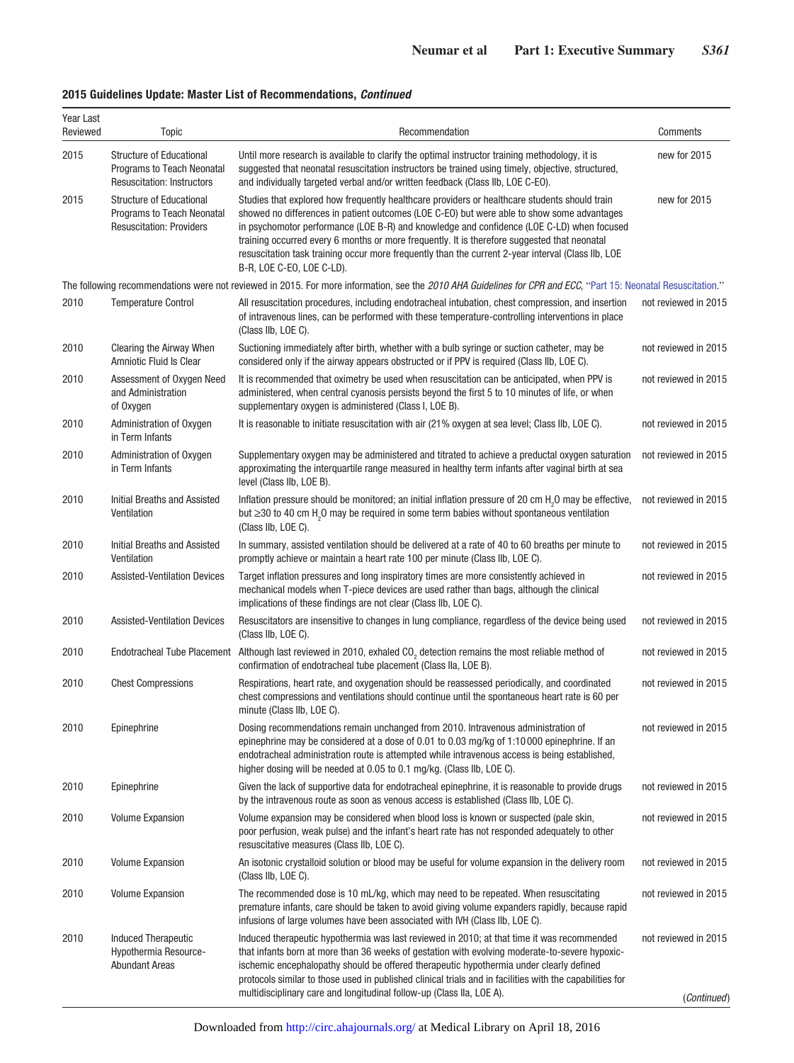| Year Last<br>Reviewed | <b>Topic</b>                                                                                              | Recommendation                                                                                                                                                                                                                                                                                                                                                                                                                                                                                                              | Comments             |
|-----------------------|-----------------------------------------------------------------------------------------------------------|-----------------------------------------------------------------------------------------------------------------------------------------------------------------------------------------------------------------------------------------------------------------------------------------------------------------------------------------------------------------------------------------------------------------------------------------------------------------------------------------------------------------------------|----------------------|
| 2015                  | <b>Structure of Educational</b><br><b>Programs to Teach Neonatal</b><br><b>Resuscitation: Instructors</b> | Until more research is available to clarify the optimal instructor training methodology, it is<br>suggested that neonatal resuscitation instructors be trained using timely, objective, structured,<br>and individually targeted verbal and/or written feedback (Class IIb, LOE C-EO).                                                                                                                                                                                                                                      | new for 2015         |
| 2015                  | <b>Structure of Educational</b><br>Programs to Teach Neonatal<br><b>Resuscitation: Providers</b>          | Studies that explored how frequently healthcare providers or healthcare students should train<br>showed no differences in patient outcomes (LOE C-EO) but were able to show some advantages<br>in psychomotor performance (LOE B-R) and knowledge and confidence (LOE C-LD) when focused<br>training occurred every 6 months or more frequently. It is therefore suggested that neonatal<br>resuscitation task training occur more frequently than the current 2-year interval (Class IIb, LOE<br>B-R, LOE C-EO, LOE C-LD). | new for 2015         |
|                       |                                                                                                           | The following recommendations were not reviewed in 2015. For more information, see the 2010 AHA Guidelines for CPR and ECC, "Part 15: Neonatal Resuscitation."                                                                                                                                                                                                                                                                                                                                                              |                      |
| 2010                  | <b>Temperature Control</b>                                                                                | All resuscitation procedures, including endotracheal intubation, chest compression, and insertion<br>of intravenous lines, can be performed with these temperature-controlling interventions in place<br>(Class IIb, LOE C).                                                                                                                                                                                                                                                                                                | not reviewed in 2015 |
| 2010                  | Clearing the Airway When<br>Amniotic Fluid Is Clear                                                       | Suctioning immediately after birth, whether with a bulb syringe or suction catheter, may be<br>considered only if the airway appears obstructed or if PPV is required (Class IIb, LOE C).                                                                                                                                                                                                                                                                                                                                   | not reviewed in 2015 |
| 2010                  | Assessment of Oxygen Need<br>and Administration<br>of Oxygen                                              | It is recommended that oximetry be used when resuscitation can be anticipated, when PPV is<br>administered, when central cyanosis persists beyond the first 5 to 10 minutes of life, or when<br>supplementary oxygen is administered (Class I, LOE B).                                                                                                                                                                                                                                                                      | not reviewed in 2015 |
| 2010                  | Administration of Oxygen<br>in Term Infants                                                               | It is reasonable to initiate resuscitation with air (21% oxygen at sea level; Class IIb, LOE C).                                                                                                                                                                                                                                                                                                                                                                                                                            | not reviewed in 2015 |
| 2010                  | Administration of Oxygen<br>in Term Infants                                                               | Supplementary oxygen may be administered and titrated to achieve a preductal oxygen saturation<br>approximating the interquartile range measured in healthy term infants after vaginal birth at sea<br>level (Class IIb, LOE B).                                                                                                                                                                                                                                                                                            | not reviewed in 2015 |
| 2010                  | Initial Breaths and Assisted<br>Ventilation                                                               | Inflation pressure should be monitored; an initial inflation pressure of 20 cm H <sub>2</sub> O may be effective,<br>but $\geq$ 30 to 40 cm H <sub>2</sub> 0 may be required in some term babies without spontaneous ventilation<br>(Class IIb, LOE C).                                                                                                                                                                                                                                                                     | not reviewed in 2015 |
| 2010                  | Initial Breaths and Assisted<br>Ventilation                                                               | In summary, assisted ventilation should be delivered at a rate of 40 to 60 breaths per minute to<br>promptly achieve or maintain a heart rate 100 per minute (Class IIb, LOE C).                                                                                                                                                                                                                                                                                                                                            | not reviewed in 2015 |
| 2010                  | <b>Assisted-Ventilation Devices</b>                                                                       | Target inflation pressures and long inspiratory times are more consistently achieved in<br>mechanical models when T-piece devices are used rather than bags, although the clinical<br>implications of these findings are not clear (Class IIb, LOE C).                                                                                                                                                                                                                                                                      | not reviewed in 2015 |
| 2010                  | <b>Assisted-Ventilation Devices</b>                                                                       | Resuscitators are insensitive to changes in lung compliance, regardless of the device being used<br>(Class IIb, LOE C).                                                                                                                                                                                                                                                                                                                                                                                                     | not reviewed in 2015 |
| 2010                  |                                                                                                           | Endotracheal Tube Placement Although last reviewed in 2010, exhaled CO <sub>2</sub> detection remains the most reliable method of<br>confirmation of endotracheal tube placement (Class IIa, LOE B).                                                                                                                                                                                                                                                                                                                        | not reviewed in 2015 |
| 2010                  | <b>Chest Compressions</b>                                                                                 | Respirations, heart rate, and oxygenation should be reassessed periodically, and coordinated<br>chest compressions and ventilations should continue until the spontaneous heart rate is 60 per<br>minute (Class IIb, LOE C).                                                                                                                                                                                                                                                                                                | not reviewed in 2015 |
| 2010                  | Epinephrine                                                                                               | Dosing recommendations remain unchanged from 2010. Intravenous administration of<br>epinephrine may be considered at a dose of 0.01 to 0.03 mg/kg of 1:10 000 epinephrine. If an<br>endotracheal administration route is attempted while intravenous access is being established,<br>higher dosing will be needed at 0.05 to 0.1 mg/kg. (Class IIb, LOE C).                                                                                                                                                                 | not reviewed in 2015 |
| 2010                  | Epinephrine                                                                                               | Given the lack of supportive data for endotracheal epinephrine, it is reasonable to provide drugs<br>by the intravenous route as soon as venous access is established (Class IIb, LOE C).                                                                                                                                                                                                                                                                                                                                   | not reviewed in 2015 |
| 2010                  | <b>Volume Expansion</b>                                                                                   | Volume expansion may be considered when blood loss is known or suspected (pale skin,<br>poor perfusion, weak pulse) and the infant's heart rate has not responded adequately to other<br>resuscitative measures (Class IIb, LOE C).                                                                                                                                                                                                                                                                                         | not reviewed in 2015 |
| 2010                  | <b>Volume Expansion</b>                                                                                   | An isotonic crystalloid solution or blood may be useful for volume expansion in the delivery room<br>(Class IIb, LOE C).                                                                                                                                                                                                                                                                                                                                                                                                    | not reviewed in 2015 |
| 2010                  | <b>Volume Expansion</b>                                                                                   | The recommended dose is 10 mL/kg, which may need to be repeated. When resuscitating<br>premature infants, care should be taken to avoid giving volume expanders rapidly, because rapid<br>infusions of large volumes have been associated with IVH (Class IIb, LOE C).                                                                                                                                                                                                                                                      | not reviewed in 2015 |
| 2010                  | Induced Therapeutic<br>Hypothermia Resource-<br><b>Abundant Areas</b>                                     | Induced therapeutic hypothermia was last reviewed in 2010; at that time it was recommended<br>that infants born at more than 36 weeks of gestation with evolving moderate-to-severe hypoxic-<br>ischemic encephalopathy should be offered therapeutic hypothermia under clearly defined<br>protocols similar to those used in published clinical trials and in facilities with the capabilities for                                                                                                                         | not reviewed in 2015 |
|                       |                                                                                                           | multidisciplinary care and longitudinal follow-up (Class IIa, LOE A).                                                                                                                                                                                                                                                                                                                                                                                                                                                       | (Continued)          |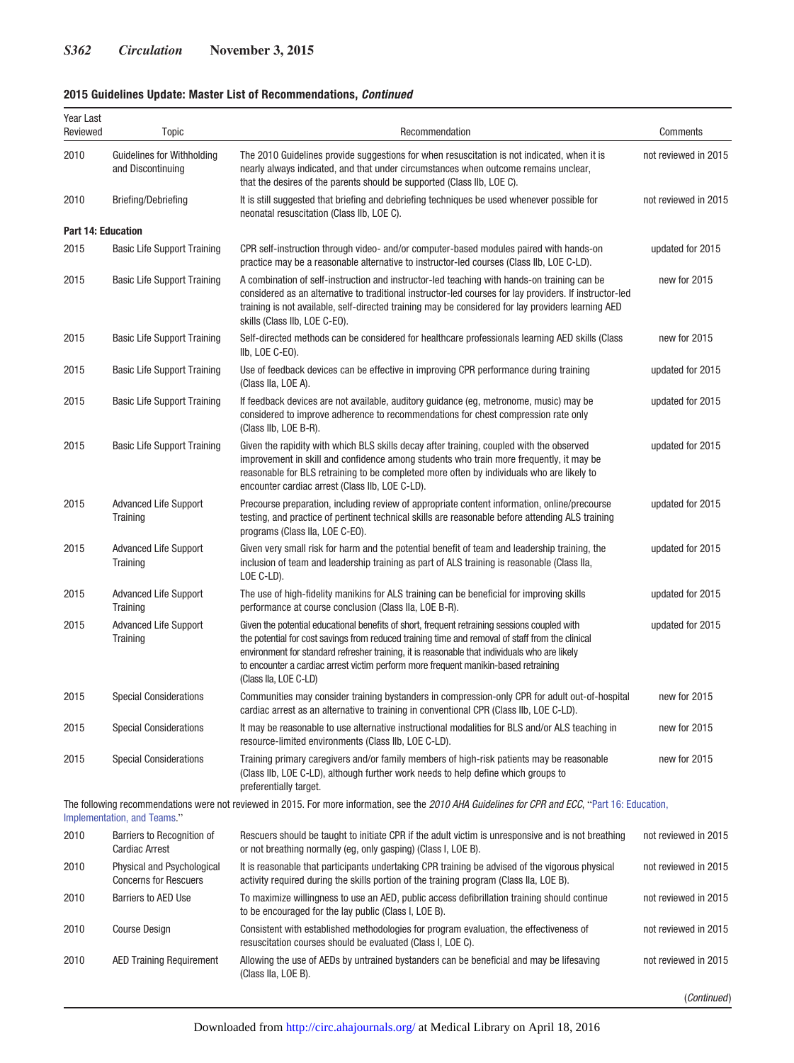| Year Last<br>Reviewed     | <b>Topic</b>                                               | Recommendation                                                                                                                                                                                                                                                                                                                                                                                                    | Comments             |
|---------------------------|------------------------------------------------------------|-------------------------------------------------------------------------------------------------------------------------------------------------------------------------------------------------------------------------------------------------------------------------------------------------------------------------------------------------------------------------------------------------------------------|----------------------|
| 2010                      | Guidelines for Withholding<br>and Discontinuing            | The 2010 Guidelines provide suggestions for when resuscitation is not indicated, when it is<br>nearly always indicated, and that under circumstances when outcome remains unclear,<br>that the desires of the parents should be supported (Class IIb, LOE C).                                                                                                                                                     | not reviewed in 2015 |
| 2010                      | Briefing/Debriefing                                        | It is still suggested that briefing and debriefing techniques be used whenever possible for<br>neonatal resuscitation (Class IIb, LOE C).                                                                                                                                                                                                                                                                         | not reviewed in 2015 |
| <b>Part 14: Education</b> |                                                            |                                                                                                                                                                                                                                                                                                                                                                                                                   |                      |
| 2015                      | <b>Basic Life Support Training</b>                         | CPR self-instruction through video- and/or computer-based modules paired with hands-on<br>practice may be a reasonable alternative to instructor-led courses (Class IIb, LOE C-LD).                                                                                                                                                                                                                               | updated for 2015     |
| 2015                      | <b>Basic Life Support Training</b>                         | A combination of self-instruction and instructor-led teaching with hands-on training can be<br>considered as an alternative to traditional instructor-led courses for lay providers. If instructor-led<br>training is not available, self-directed training may be considered for lay providers learning AED<br>skills (Class IIb, LOE C-EO).                                                                     | new for 2015         |
| 2015                      | <b>Basic Life Support Training</b>                         | Self-directed methods can be considered for healthcare professionals learning AED skills (Class<br>IIb, LOE C-EO).                                                                                                                                                                                                                                                                                                | new for 2015         |
| 2015                      | <b>Basic Life Support Training</b>                         | Use of feedback devices can be effective in improving CPR performance during training<br>(Class IIa, LOE A).                                                                                                                                                                                                                                                                                                      | updated for 2015     |
| 2015                      | <b>Basic Life Support Training</b>                         | If feedback devices are not available, auditory guidance (eg, metronome, music) may be<br>considered to improve adherence to recommendations for chest compression rate only<br>(Class IIb, LOE B-R).                                                                                                                                                                                                             | updated for 2015     |
| 2015                      | <b>Basic Life Support Training</b>                         | Given the rapidity with which BLS skills decay after training, coupled with the observed<br>improvement in skill and confidence among students who train more frequently, it may be<br>reasonable for BLS retraining to be completed more often by individuals who are likely to<br>encounter cardiac arrest (Class IIb, LOE C-LD).                                                                               | updated for 2015     |
| 2015                      | <b>Advanced Life Support</b><br>Training                   | Precourse preparation, including review of appropriate content information, online/precourse<br>testing, and practice of pertinent technical skills are reasonable before attending ALS training<br>programs (Class IIa, LOE C-EO).                                                                                                                                                                               | updated for 2015     |
| 2015                      | <b>Advanced Life Support</b><br>Training                   | Given very small risk for harm and the potential benefit of team and leadership training, the<br>inclusion of team and leadership training as part of ALS training is reasonable (Class IIa,<br>LOE C-LD).                                                                                                                                                                                                        | updated for 2015     |
| 2015                      | <b>Advanced Life Support</b><br>Training                   | The use of high-fidelity manikins for ALS training can be beneficial for improving skills<br>performance at course conclusion (Class IIa, LOE B-R).                                                                                                                                                                                                                                                               | updated for 2015     |
| 2015                      | <b>Advanced Life Support</b><br>Training                   | Given the potential educational benefits of short, frequent retraining sessions coupled with<br>the potential for cost savings from reduced training time and removal of staff from the clinical<br>environment for standard refresher training, it is reasonable that individuals who are likely<br>to encounter a cardiac arrest victim perform more frequent manikin-based retraining<br>(Class IIa, LOE C-LD) | updated for 2015     |
| 2015                      | <b>Special Considerations</b>                              | Communities may consider training bystanders in compression-only CPR for adult out-of-hospital<br>cardiac arrest as an alternative to training in conventional CPR (Class IIb, LOE C-LD).                                                                                                                                                                                                                         | new for 2015         |
| 2015                      | <b>Special Considerations</b>                              | It may be reasonable to use alternative instructional modalities for BLS and/or ALS teaching in<br>resource-limited environments (Class IIb, LOE C-LD).                                                                                                                                                                                                                                                           | new for 2015         |
| 2015                      | <b>Special Considerations</b>                              | Training primary caregivers and/or family members of high-risk patients may be reasonable<br>(Class IIb, LOE C-LD), although further work needs to help define which groups to<br>preferentially target.                                                                                                                                                                                                          | new for 2015         |
|                           | Implementation, and Teams."                                | The following recommendations were not reviewed in 2015. For more information, see the 2010 AHA Guidelines for CPR and ECC, "Part 16: Education,                                                                                                                                                                                                                                                                  |                      |
| 2010                      | Barriers to Recognition of<br><b>Cardiac Arrest</b>        | Rescuers should be taught to initiate CPR if the adult victim is unresponsive and is not breathing<br>or not breathing normally (eg, only gasping) (Class I, LOE B).                                                                                                                                                                                                                                              | not reviewed in 2015 |
| 2010                      | Physical and Psychological<br><b>Concerns for Rescuers</b> | It is reasonable that participants undertaking CPR training be advised of the vigorous physical<br>activity required during the skills portion of the training program (Class IIa, LOE B).                                                                                                                                                                                                                        | not reviewed in 2015 |
| 2010                      | Barriers to AED Use                                        | To maximize willingness to use an AED, public access defibrillation training should continue<br>to be encouraged for the lay public (Class I, LOE B).                                                                                                                                                                                                                                                             | not reviewed in 2015 |
| 2010                      | <b>Course Design</b>                                       | Consistent with established methodologies for program evaluation, the effectiveness of<br>resuscitation courses should be evaluated (Class I, LOE C).                                                                                                                                                                                                                                                             | not reviewed in 2015 |
| 2010                      | <b>AED Training Requirement</b>                            | Allowing the use of AEDs by untrained bystanders can be beneficial and may be lifesaving<br>(Class IIa, LOE B).                                                                                                                                                                                                                                                                                                   | not reviewed in 2015 |
|                           |                                                            |                                                                                                                                                                                                                                                                                                                                                                                                                   | (Continued)          |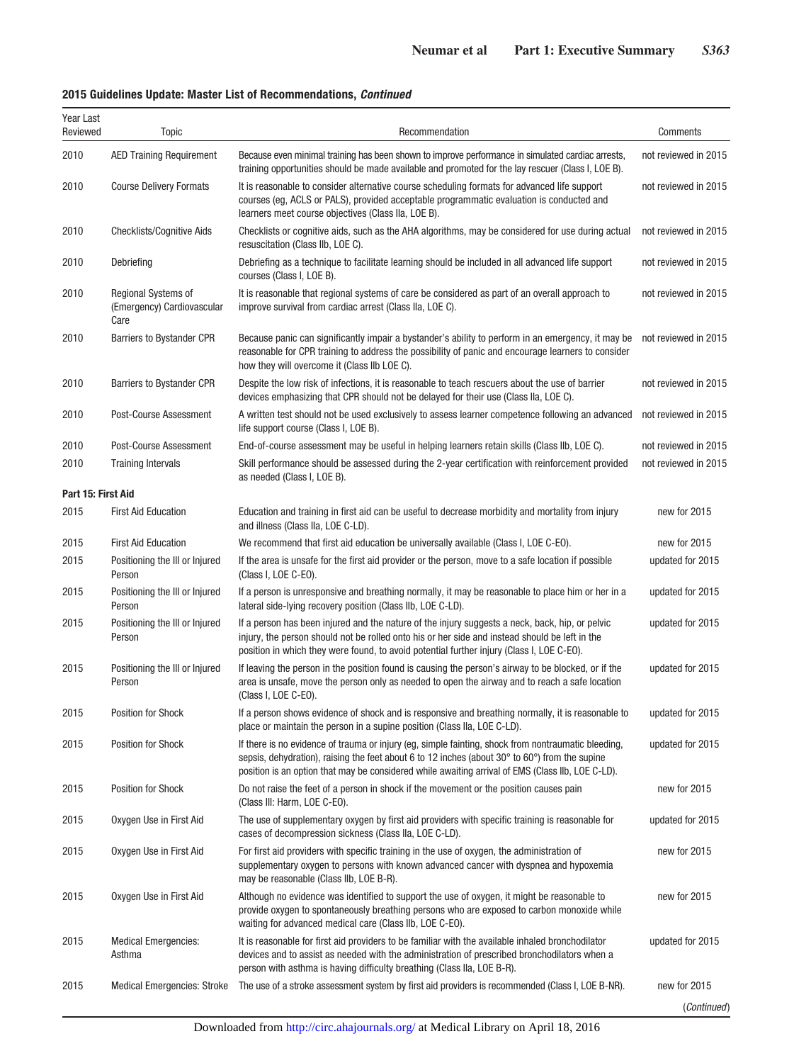|  |  |  | 2015 Guidelines Update: Master List of Recommendations, <i>Continued</i> |  |  |
|--|--|--|--------------------------------------------------------------------------|--|--|
|--|--|--|--------------------------------------------------------------------------|--|--|

| Year Last<br>Reviewed | Topic                                                            | Recommendation                                                                                                                                                                                                                                                                                                                | Comments             |
|-----------------------|------------------------------------------------------------------|-------------------------------------------------------------------------------------------------------------------------------------------------------------------------------------------------------------------------------------------------------------------------------------------------------------------------------|----------------------|
| 2010                  | <b>AED Training Requirement</b>                                  | Because even minimal training has been shown to improve performance in simulated cardiac arrests,<br>training opportunities should be made available and promoted for the lay rescuer (Class I, LOE B).                                                                                                                       | not reviewed in 2015 |
| 2010                  | <b>Course Delivery Formats</b>                                   | It is reasonable to consider alternative course scheduling formats for advanced life support<br>courses (eg, ACLS or PALS), provided acceptable programmatic evaluation is conducted and<br>learners meet course objectives (Class IIa, LOE B).                                                                               | not reviewed in 2015 |
| 2010                  | <b>Checklists/Cognitive Aids</b>                                 | Checklists or cognitive aids, such as the AHA algorithms, may be considered for use during actual<br>resuscitation (Class IIb, LOE C).                                                                                                                                                                                        | not reviewed in 2015 |
| 2010                  | Debriefing                                                       | Debriefing as a technique to facilitate learning should be included in all advanced life support<br>courses (Class I, LOE B).                                                                                                                                                                                                 | not reviewed in 2015 |
| 2010                  | <b>Regional Systems of</b><br>(Emergency) Cardiovascular<br>Care | It is reasonable that regional systems of care be considered as part of an overall approach to<br>improve survival from cardiac arrest (Class IIa, LOE C).                                                                                                                                                                    | not reviewed in 2015 |
| 2010                  | Barriers to Bystander CPR                                        | Because panic can significantly impair a bystander's ability to perform in an emergency, it may be<br>reasonable for CPR training to address the possibility of panic and encourage learners to consider<br>how they will overcome it (Class IIb LOE C).                                                                      | not reviewed in 2015 |
| 2010                  | <b>Barriers to Bystander CPR</b>                                 | Despite the low risk of infections, it is reasonable to teach rescuers about the use of barrier<br>devices emphasizing that CPR should not be delayed for their use (Class IIa, LOE C).                                                                                                                                       | not reviewed in 2015 |
| 2010                  | Post-Course Assessment                                           | A written test should not be used exclusively to assess learner competence following an advanced<br>life support course (Class I, LOE B).                                                                                                                                                                                     | not reviewed in 2015 |
| 2010                  | Post-Course Assessment                                           | End-of-course assessment may be useful in helping learners retain skills (Class IIb, LOE C).                                                                                                                                                                                                                                  | not reviewed in 2015 |
| 2010                  | <b>Training Intervals</b>                                        | Skill performance should be assessed during the 2-year certification with reinforcement provided<br>as needed (Class I, LOE B).                                                                                                                                                                                               | not reviewed in 2015 |
| Part 15: First Aid    |                                                                  |                                                                                                                                                                                                                                                                                                                               |                      |
| 2015                  | <b>First Aid Education</b>                                       | Education and training in first aid can be useful to decrease morbidity and mortality from injury<br>and illness (Class IIa, LOE C-LD).                                                                                                                                                                                       | new for 2015         |
| 2015                  | <b>First Aid Education</b>                                       | We recommend that first aid education be universally available (Class I, LOE C-EO).                                                                                                                                                                                                                                           | new for 2015         |
| 2015                  | Positioning the III or Injured<br>Person                         | If the area is unsafe for the first aid provider or the person, move to a safe location if possible<br>(Class I, LOE C-EO).                                                                                                                                                                                                   | updated for 2015     |
| 2015                  | Positioning the III or Injured<br>Person                         | If a person is unresponsive and breathing normally, it may be reasonable to place him or her in a<br>lateral side-lying recovery position (Class IIb, LOE C-LD).                                                                                                                                                              | updated for 2015     |
| 2015                  | Positioning the III or Injured<br>Person                         | If a person has been injured and the nature of the injury suggests a neck, back, hip, or pelvic<br>injury, the person should not be rolled onto his or her side and instead should be left in the<br>position in which they were found, to avoid potential further injury (Class I, LOE C-EO).                                | updated for 2015     |
| 2015                  | Positioning the III or Injured<br>Person                         | If leaving the person in the position found is causing the person's airway to be blocked, or if the<br>area is unsafe, move the person only as needed to open the airway and to reach a safe location<br>(Class I, LOE C-EO).                                                                                                 | updated for 2015     |
| 2015                  | Position for Shock                                               | If a person shows evidence of shock and is responsive and breathing normally, it is reasonable to<br>place or maintain the person in a supine position (Class IIa, LOE C-LD).                                                                                                                                                 | updated for 2015     |
| 2015                  | <b>Position for Shock</b>                                        | If there is no evidence of trauma or injury (eg, simple fainting, shock from nontraumatic bleeding,<br>sepsis, dehydration), raising the feet about 6 to 12 inches (about 30 $\degree$ to 60 $\degree$ ) from the supine<br>position is an option that may be considered while awaiting arrival of EMS (Class IIb, LOE C-LD). | updated for 2015     |
| 2015                  | Position for Shock                                               | Do not raise the feet of a person in shock if the movement or the position causes pain<br>(Class III: Harm, LOE C-EO).                                                                                                                                                                                                        | new for 2015         |
| 2015                  | Oxygen Use in First Aid                                          | The use of supplementary oxygen by first aid providers with specific training is reasonable for<br>cases of decompression sickness (Class IIa, LOE C-LD).                                                                                                                                                                     | updated for 2015     |
| 2015                  | Oxygen Use in First Aid                                          | For first aid providers with specific training in the use of oxygen, the administration of<br>supplementary oxygen to persons with known advanced cancer with dyspnea and hypoxemia<br>may be reasonable (Class IIb, LOE B-R).                                                                                                | new for 2015         |
| 2015                  | Oxygen Use in First Aid                                          | Although no evidence was identified to support the use of oxygen, it might be reasonable to<br>provide oxygen to spontaneously breathing persons who are exposed to carbon monoxide while<br>waiting for advanced medical care (Class IIb, LOE C-EO).                                                                         | new for 2015         |
| 2015                  | <b>Medical Emergencies:</b><br>Asthma                            | It is reasonable for first aid providers to be familiar with the available inhaled bronchodilator<br>devices and to assist as needed with the administration of prescribed bronchodilators when a<br>person with asthma is having difficulty breathing (Class IIa, LOE B-R).                                                  | updated for 2015     |
| 2015                  | <b>Medical Emergencies: Stroke</b>                               | The use of a stroke assessment system by first aid providers is recommended (Class I, LOE B-NR).                                                                                                                                                                                                                              | new for 2015         |
|                       |                                                                  |                                                                                                                                                                                                                                                                                                                               | (Continued)          |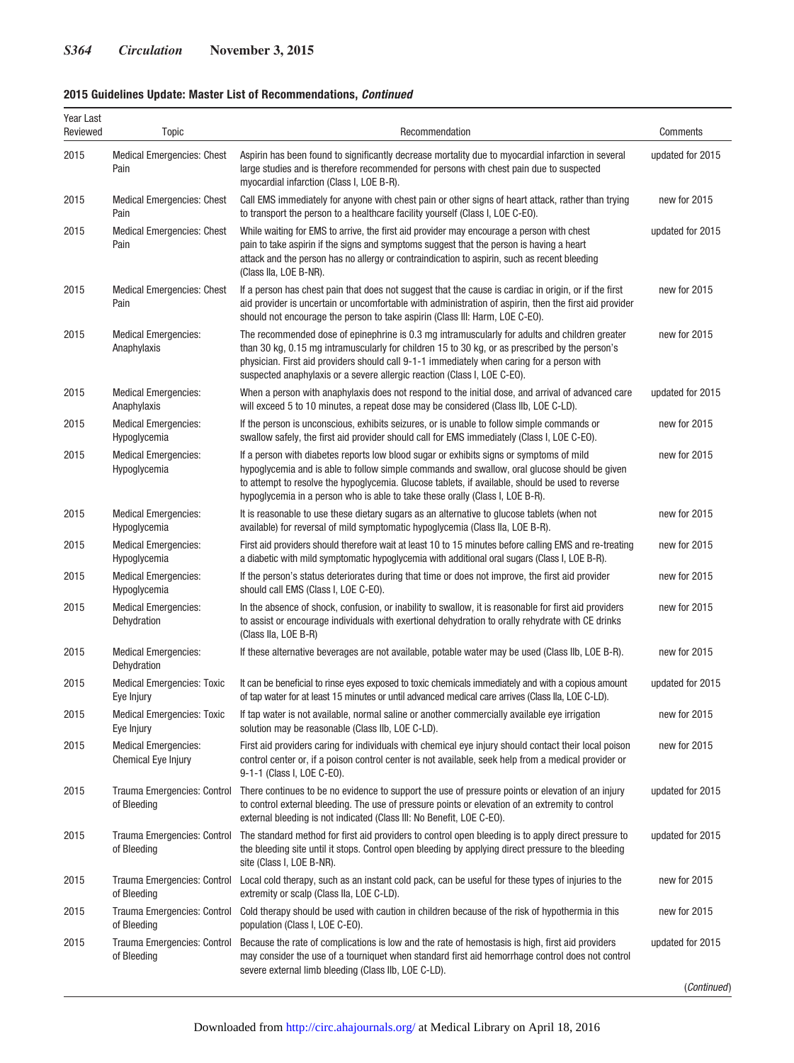| Year Last<br>Reviewed | Topic                                              | Recommendation                                                                                                                                                                                                                                                                                                                                                               | Comments         |
|-----------------------|----------------------------------------------------|------------------------------------------------------------------------------------------------------------------------------------------------------------------------------------------------------------------------------------------------------------------------------------------------------------------------------------------------------------------------------|------------------|
| 2015                  | <b>Medical Emergencies: Chest</b><br>Pain          | Aspirin has been found to significantly decrease mortality due to myocardial infarction in several<br>large studies and is therefore recommended for persons with chest pain due to suspected<br>myocardial infarction (Class I, LOE B-R).                                                                                                                                   | updated for 2015 |
| 2015                  | <b>Medical Emergencies: Chest</b><br>Pain          | Call EMS immediately for anyone with chest pain or other signs of heart attack, rather than trying<br>to transport the person to a healthcare facility yourself (Class I, LOE C-EO).                                                                                                                                                                                         | new for 2015     |
| 2015                  | <b>Medical Emergencies: Chest</b><br>Pain          | While waiting for EMS to arrive, the first aid provider may encourage a person with chest<br>pain to take aspirin if the signs and symptoms suggest that the person is having a heart<br>attack and the person has no allergy or contraindication to aspirin, such as recent bleeding<br>(Class IIa, LOE B-NR).                                                              | updated for 2015 |
| 2015                  | <b>Medical Emergencies: Chest</b><br>Pain          | If a person has chest pain that does not suggest that the cause is cardiac in origin, or if the first<br>aid provider is uncertain or uncomfortable with administration of aspirin, then the first aid provider<br>should not encourage the person to take aspirin (Class III: Harm, LOE C-EO).                                                                              | new for 2015     |
| 2015                  | <b>Medical Emergencies:</b><br>Anaphylaxis         | The recommended dose of epinephrine is 0.3 mg intramuscularly for adults and children greater<br>than 30 kg, 0.15 mg intramuscularly for children 15 to 30 kg, or as prescribed by the person's<br>physician. First aid providers should call 9-1-1 immediately when caring for a person with<br>suspected anaphylaxis or a severe allergic reaction (Class I, LOE C-EO).    | new for 2015     |
| 2015                  | <b>Medical Emergencies:</b><br>Anaphylaxis         | When a person with anaphylaxis does not respond to the initial dose, and arrival of advanced care<br>will exceed 5 to 10 minutes, a repeat dose may be considered (Class IIb, LOE C-LD).                                                                                                                                                                                     | updated for 2015 |
| 2015                  | <b>Medical Emergencies:</b><br>Hypoglycemia        | If the person is unconscious, exhibits seizures, or is unable to follow simple commands or<br>swallow safely, the first aid provider should call for EMS immediately (Class I, LOE C-EO).                                                                                                                                                                                    | new for 2015     |
| 2015                  | <b>Medical Emergencies:</b><br>Hypoglycemia        | If a person with diabetes reports low blood sugar or exhibits signs or symptoms of mild<br>hypoglycemia and is able to follow simple commands and swallow, oral glucose should be given<br>to attempt to resolve the hypoglycemia. Glucose tablets, if available, should be used to reverse<br>hypoglycemia in a person who is able to take these orally (Class I, LOE B-R). | new for 2015     |
| 2015                  | <b>Medical Emergencies:</b><br>Hypoglycemia        | It is reasonable to use these dietary sugars as an alternative to glucose tablets (when not<br>available) for reversal of mild symptomatic hypoglycemia (Class IIa, LOE B-R).                                                                                                                                                                                                | new for 2015     |
| 2015                  | <b>Medical Emergencies:</b><br>Hypoglycemia        | First aid providers should therefore wait at least 10 to 15 minutes before calling EMS and re-treating<br>a diabetic with mild symptomatic hypoglycemia with additional oral sugars (Class I, LOE B-R).                                                                                                                                                                      | new for 2015     |
| 2015                  | <b>Medical Emergencies:</b><br>Hypoglycemia        | If the person's status deteriorates during that time or does not improve, the first aid provider<br>should call EMS (Class I, LOE C-EO).                                                                                                                                                                                                                                     | new for 2015     |
| 2015                  | <b>Medical Emergencies:</b><br>Dehydration         | In the absence of shock, confusion, or inability to swallow, it is reasonable for first aid providers<br>to assist or encourage individuals with exertional dehydration to orally rehydrate with CE drinks<br>(Class IIa, LOE B-R)                                                                                                                                           | new for 2015     |
| 2015                  | <b>Medical Emergencies:</b><br>Dehydration         | If these alternative beverages are not available, potable water may be used (Class IIb, LOE B-R).                                                                                                                                                                                                                                                                            | new for 2015     |
| 2015                  | <b>Medical Emergencies: Toxic</b><br>Eye Injury    | It can be beneficial to rinse eyes exposed to toxic chemicals immediately and with a copious amount<br>of tap water for at least 15 minutes or until advanced medical care arrives (Class IIa, LOE C-LD).                                                                                                                                                                    | updated for 2015 |
| 2015                  | <b>Medical Emergencies: Toxic</b><br>Eye Injury    | If tap water is not available, normal saline or another commercially available eye irrigation<br>solution may be reasonable (Class IIb, LOE C-LD).                                                                                                                                                                                                                           | new for 2015     |
| 2015                  | <b>Medical Emergencies:</b><br>Chemical Eye Injury | First aid providers caring for individuals with chemical eye injury should contact their local poison<br>control center or, if a poison control center is not available, seek help from a medical provider or<br>9-1-1 (Class I, LOE C-EO).                                                                                                                                  | new for 2015     |
| 2015                  | Trauma Emergencies: Control<br>of Bleeding         | There continues to be no evidence to support the use of pressure points or elevation of an injury<br>to control external bleeding. The use of pressure points or elevation of an extremity to control<br>external bleeding is not indicated (Class III: No Benefit, LOE C-EO).                                                                                               | updated for 2015 |
| 2015                  | Trauma Emergencies: Control<br>of Bleeding         | The standard method for first aid providers to control open bleeding is to apply direct pressure to<br>the bleeding site until it stops. Control open bleeding by applying direct pressure to the bleeding<br>site (Class I, LOE B-NR).                                                                                                                                      | updated for 2015 |
| 2015                  | Trauma Emergencies: Control<br>of Bleeding         | Local cold therapy, such as an instant cold pack, can be useful for these types of injuries to the<br>extremity or scalp (Class IIa, LOE C-LD).                                                                                                                                                                                                                              | new for 2015     |
| 2015                  | Trauma Emergencies: Control<br>of Bleeding         | Cold therapy should be used with caution in children because of the risk of hypothermia in this<br>population (Class I, LOE C-EO).                                                                                                                                                                                                                                           | new for 2015     |
| 2015                  | Trauma Emergencies: Control<br>of Bleeding         | Because the rate of complications is low and the rate of hemostasis is high, first aid providers<br>may consider the use of a tourniquet when standard first aid hemorrhage control does not control<br>severe external limb bleeding (Class IIb, LOE C-LD).                                                                                                                 | updated for 2015 |
|                       |                                                    |                                                                                                                                                                                                                                                                                                                                                                              | (Continued)      |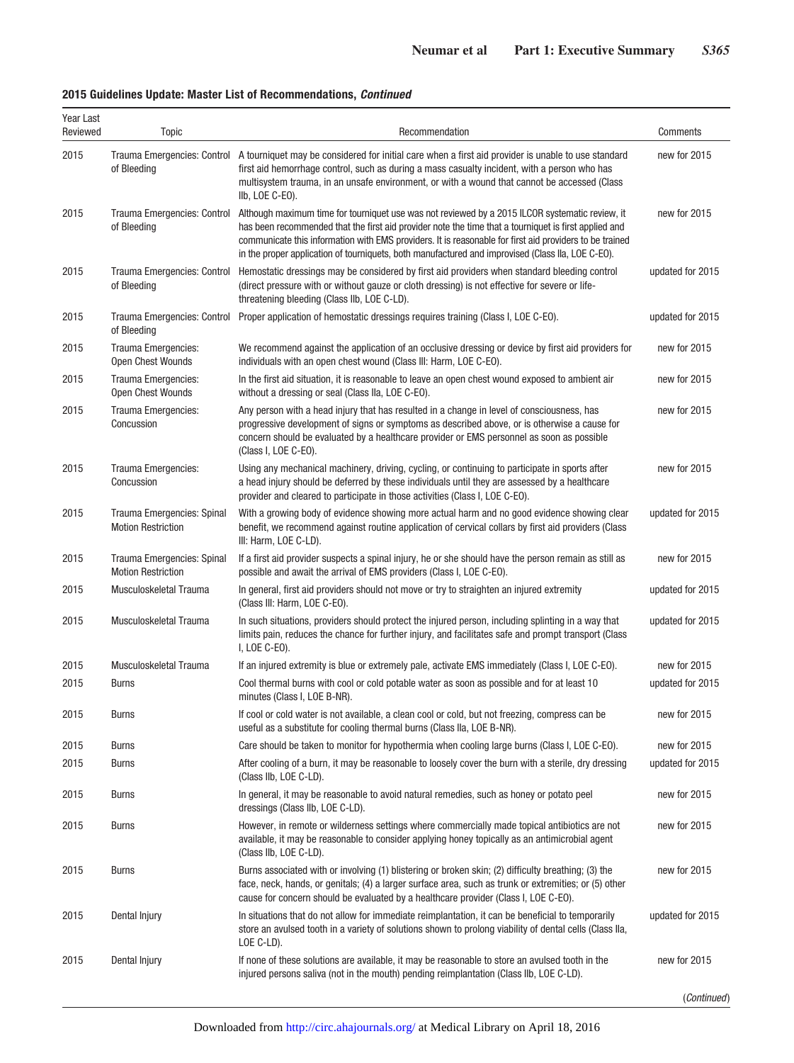|  |  |  |  | 2015 Guidelines Update: Master List of Recommendations, <i>Continued</i> |
|--|--|--|--|--------------------------------------------------------------------------|
|--|--|--|--|--------------------------------------------------------------------------|

| Year Last<br>Reviewed | Topic                                                   | Recommendation                                                                                                                                                                                                                                                                                                                                                                                                           | Comments         |
|-----------------------|---------------------------------------------------------|--------------------------------------------------------------------------------------------------------------------------------------------------------------------------------------------------------------------------------------------------------------------------------------------------------------------------------------------------------------------------------------------------------------------------|------------------|
| 2015                  | of Bleeding                                             | Trauma Emergencies: Control A tourniquet may be considered for initial care when a first aid provider is unable to use standard<br>first aid hemorrhage control, such as during a mass casualty incident, with a person who has<br>multisystem trauma, in an unsafe environment, or with a wound that cannot be accessed (Class<br>IIb, LOE C-EO).                                                                       | new for 2015     |
| 2015                  | Trauma Emergencies: Control<br>of Bleeding              | Although maximum time for tourniquet use was not reviewed by a 2015 ILCOR systematic review, it<br>has been recommended that the first aid provider note the time that a tourniquet is first applied and<br>communicate this information with EMS providers. It is reasonable for first aid providers to be trained<br>in the proper application of tourniquets, both manufactured and improvised (Class IIa, LOE C-EO). | new for 2015     |
| 2015                  | Trauma Emergencies: Control<br>of Bleeding              | Hemostatic dressings may be considered by first aid providers when standard bleeding control<br>(direct pressure with or without gauze or cloth dressing) is not effective for severe or life-<br>threatening bleeding (Class IIb, LOE C-LD).                                                                                                                                                                            | updated for 2015 |
| 2015                  | Trauma Emergencies: Control<br>of Bleeding              | Proper application of hemostatic dressings requires training (Class I, LOE C-EO).                                                                                                                                                                                                                                                                                                                                        | updated for 2015 |
| 2015                  | Trauma Emergencies:<br>Open Chest Wounds                | We recommend against the application of an occlusive dressing or device by first aid providers for<br>individuals with an open chest wound (Class III: Harm, LOE C-EO).                                                                                                                                                                                                                                                  | new for 2015     |
| 2015                  | Trauma Emergencies:<br>Open Chest Wounds                | In the first aid situation, it is reasonable to leave an open chest wound exposed to ambient air<br>without a dressing or seal (Class IIa, LOE C-EO).                                                                                                                                                                                                                                                                    | new for 2015     |
| 2015                  | Trauma Emergencies:<br>Concussion                       | Any person with a head injury that has resulted in a change in level of consciousness, has<br>progressive development of signs or symptoms as described above, or is otherwise a cause for<br>concern should be evaluated by a healthcare provider or EMS personnel as soon as possible<br>(Class I, LOE C-EO).                                                                                                          | new for 2015     |
| 2015                  | Trauma Emergencies:<br>Concussion                       | Using any mechanical machinery, driving, cycling, or continuing to participate in sports after<br>a head injury should be deferred by these individuals until they are assessed by a healthcare<br>provider and cleared to participate in those activities (Class I, LOE C-EO).                                                                                                                                          | new for 2015     |
| 2015                  | Trauma Emergencies: Spinal<br><b>Motion Restriction</b> | With a growing body of evidence showing more actual harm and no good evidence showing clear<br>benefit, we recommend against routine application of cervical collars by first aid providers (Class<br>III: Harm, LOE C-LD).                                                                                                                                                                                              | updated for 2015 |
| 2015                  | Trauma Emergencies: Spinal<br><b>Motion Restriction</b> | If a first aid provider suspects a spinal injury, he or she should have the person remain as still as<br>possible and await the arrival of EMS providers (Class I, LOE C-EO).                                                                                                                                                                                                                                            | new for 2015     |
| 2015                  | Musculoskeletal Trauma                                  | In general, first aid providers should not move or try to straighten an injured extremity<br>(Class III: Harm, LOE C-EO).                                                                                                                                                                                                                                                                                                | updated for 2015 |
| 2015                  | Musculoskeletal Trauma                                  | In such situations, providers should protect the injured person, including splinting in a way that<br>limits pain, reduces the chance for further injury, and facilitates safe and prompt transport (Class<br>I, LOE C-EO).                                                                                                                                                                                              | updated for 2015 |
| 2015                  | Musculoskeletal Trauma                                  | If an injured extremity is blue or extremely pale, activate EMS immediately (Class I, LOE C-EO).                                                                                                                                                                                                                                                                                                                         | new for 2015     |
| 2015                  | <b>Burns</b>                                            | Cool thermal burns with cool or cold potable water as soon as possible and for at least 10<br>minutes (Class I, LOE B-NR).                                                                                                                                                                                                                                                                                               | updated for 2015 |
| 2015                  | <b>Burns</b>                                            | If cool or cold water is not available, a clean cool or cold, but not freezing, compress can be<br>useful as a substitute for cooling thermal burns (Class IIa, LOE B-NR).                                                                                                                                                                                                                                               | new for 2015     |
| 2015                  | <b>Burns</b>                                            | Care should be taken to monitor for hypothermia when cooling large burns (Class I, LOE C-EO).                                                                                                                                                                                                                                                                                                                            | new for 2015     |
| 2015                  | <b>Burns</b>                                            | After cooling of a burn, it may be reasonable to loosely cover the burn with a sterile, dry dressing<br>(Class IIb, LOE C-LD).                                                                                                                                                                                                                                                                                           | updated for 2015 |
| 2015                  | <b>Burns</b>                                            | In general, it may be reasonable to avoid natural remedies, such as honey or potato peel<br>dressings (Class IIb, LOE C-LD).                                                                                                                                                                                                                                                                                             | new for 2015     |
| 2015                  | <b>Burns</b>                                            | However, in remote or wilderness settings where commercially made topical antibiotics are not<br>available, it may be reasonable to consider applying honey topically as an antimicrobial agent<br>(Class IIb, LOE C-LD).                                                                                                                                                                                                | new for 2015     |
| 2015                  | <b>Burns</b>                                            | Burns associated with or involving (1) blistering or broken skin; (2) difficulty breathing; (3) the<br>face, neck, hands, or genitals; (4) a larger surface area, such as trunk or extremities; or (5) other<br>cause for concern should be evaluated by a healthcare provider (Class I, LOE C-EO).                                                                                                                      | new for 2015     |
| 2015                  | Dental Injury                                           | In situations that do not allow for immediate reimplantation, it can be beneficial to temporarily<br>store an avulsed tooth in a variety of solutions shown to prolong viability of dental cells (Class IIa,<br>LOE C-LD).                                                                                                                                                                                               | updated for 2015 |
| 2015                  | Dental Injury                                           | If none of these solutions are available, it may be reasonable to store an avulsed tooth in the<br>injured persons saliva (not in the mouth) pending reimplantation (Class IIb, LOE C-LD).                                                                                                                                                                                                                               | new for 2015     |
|                       |                                                         |                                                                                                                                                                                                                                                                                                                                                                                                                          | (Continued)      |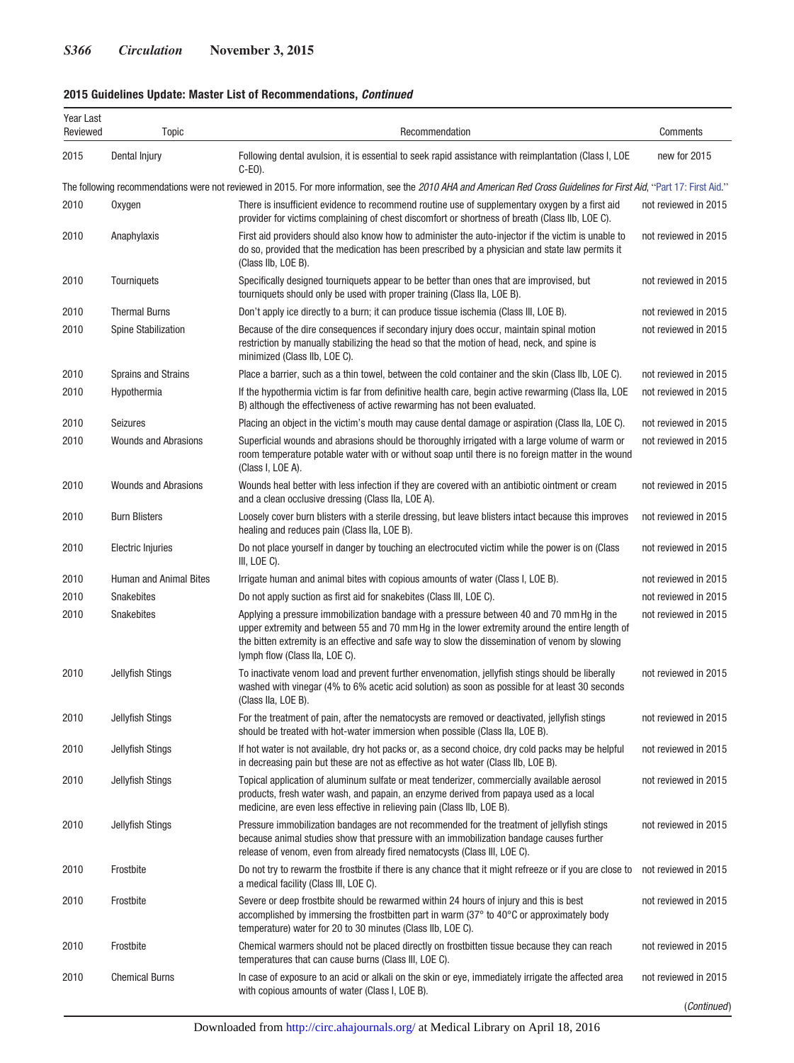| Year Last<br>Reviewed | Topic                       | Recommendation                                                                                                                                                                                                                                                                                                                   | Comments             |
|-----------------------|-----------------------------|----------------------------------------------------------------------------------------------------------------------------------------------------------------------------------------------------------------------------------------------------------------------------------------------------------------------------------|----------------------|
| 2015                  | Dental Injury               | Following dental avulsion, it is essential to seek rapid assistance with reimplantation (Class I, LOE<br>$C-EO$ ).                                                                                                                                                                                                               | new for 2015         |
|                       |                             | The following recommendations were not reviewed in 2015. For more information, see the 2010 AHA and American Red Cross Guidelines for First Aid, "Part 17: First Aid."                                                                                                                                                           |                      |
| 2010                  | Oxygen                      | There is insufficient evidence to recommend routine use of supplementary oxygen by a first aid<br>provider for victims complaining of chest discomfort or shortness of breath (Class IIb, LOE C).                                                                                                                                | not reviewed in 2015 |
| 2010                  | Anaphylaxis                 | First aid providers should also know how to administer the auto-injector if the victim is unable to<br>do so, provided that the medication has been prescribed by a physician and state law permits it<br>(Class IIb, LOE B).                                                                                                    | not reviewed in 2015 |
| 2010                  | Tourniquets                 | Specifically designed tourniquets appear to be better than ones that are improvised, but<br>tourniquets should only be used with proper training (Class IIa, LOE B).                                                                                                                                                             | not reviewed in 2015 |
| 2010                  | <b>Thermal Burns</b>        | Don't apply ice directly to a burn; it can produce tissue ischemia (Class III, LOE B).                                                                                                                                                                                                                                           | not reviewed in 2015 |
| 2010                  | <b>Spine Stabilization</b>  | Because of the dire consequences if secondary injury does occur, maintain spinal motion<br>restriction by manually stabilizing the head so that the motion of head, neck, and spine is<br>minimized (Class IIb, LOE C).                                                                                                          | not reviewed in 2015 |
| 2010                  | Sprains and Strains         | Place a barrier, such as a thin towel, between the cold container and the skin (Class IIb, LOE C).                                                                                                                                                                                                                               | not reviewed in 2015 |
| 2010                  | Hypothermia                 | If the hypothermia victim is far from definitive health care, begin active rewarming (Class IIa, LOE<br>B) although the effectiveness of active rewarming has not been evaluated.                                                                                                                                                | not reviewed in 2015 |
| 2010                  | <b>Seizures</b>             | Placing an object in the victim's mouth may cause dental damage or aspiration (Class IIa, LOE C).                                                                                                                                                                                                                                | not reviewed in 2015 |
| 2010                  | <b>Wounds and Abrasions</b> | Superficial wounds and abrasions should be thoroughly irrigated with a large volume of warm or<br>room temperature potable water with or without soap until there is no foreign matter in the wound<br>(Class I, LOE A).                                                                                                         | not reviewed in 2015 |
| 2010                  | <b>Wounds and Abrasions</b> | Wounds heal better with less infection if they are covered with an antibiotic ointment or cream<br>and a clean occlusive dressing (Class IIa, LOE A).                                                                                                                                                                            | not reviewed in 2015 |
| 2010                  | <b>Burn Blisters</b>        | Loosely cover burn blisters with a sterile dressing, but leave blisters intact because this improves<br>healing and reduces pain (Class IIa, LOE B).                                                                                                                                                                             | not reviewed in 2015 |
| 2010                  | <b>Electric Injuries</b>    | Do not place yourself in danger by touching an electrocuted victim while the power is on (Class<br>III, LOE C).                                                                                                                                                                                                                  | not reviewed in 2015 |
| 2010                  | Human and Animal Bites      | Irrigate human and animal bites with copious amounts of water (Class I, LOE B).                                                                                                                                                                                                                                                  | not reviewed in 2015 |
| 2010                  | <b>Snakebites</b>           | Do not apply suction as first aid for snakebites (Class III, LOE C).                                                                                                                                                                                                                                                             | not reviewed in 2015 |
| 2010                  | <b>Snakebites</b>           | Applying a pressure immobilization bandage with a pressure between 40 and 70 mm Hg in the<br>upper extremity and between 55 and 70 mm Hg in the lower extremity around the entire length of<br>the bitten extremity is an effective and safe way to slow the dissemination of venom by slowing<br>lymph flow (Class IIa, LOE C). | not reviewed in 2015 |
| 2010                  | Jellyfish Stings            | To inactivate venom load and prevent further envenomation, jellyfish stings should be liberally<br>washed with vinegar (4% to 6% acetic acid solution) as soon as possible for at least 30 seconds<br>(Class IIa, LOE B).                                                                                                        | not reviewed in 2015 |
| 2010                  | <b>Jellyfish Stings</b>     | For the treatment of pain, after the nematocysts are removed or deactivated, jellyfish stings<br>should be treated with hot-water immersion when possible (Class IIa, LOE B).                                                                                                                                                    | not reviewed in 2015 |
| 2010                  | <b>Jellyfish Stings</b>     | If hot water is not available, dry hot packs or, as a second choice, dry cold packs may be helpful<br>in decreasing pain but these are not as effective as hot water (Class IIb, LOE B).                                                                                                                                         | not reviewed in 2015 |
| 2010                  | Jellyfish Stings            | Topical application of aluminum sulfate or meat tenderizer, commercially available aerosol<br>products, fresh water wash, and papain, an enzyme derived from papaya used as a local<br>medicine, are even less effective in relieving pain (Class IIb, LOE B).                                                                   | not reviewed in 2015 |
| 2010                  | Jellyfish Stings            | Pressure immobilization bandages are not recommended for the treatment of jellyfish stings<br>because animal studies show that pressure with an immobilization bandage causes further<br>release of venom, even from already fired nematocysts (Class III, LOE C).                                                               | not reviewed in 2015 |
| 2010                  | Frostbite                   | Do not try to rewarm the frostbite if there is any chance that it might refreeze or if you are close to<br>a medical facility (Class III, LOE C).                                                                                                                                                                                | not reviewed in 2015 |
| 2010                  | Frostbite                   | Severe or deep frostbite should be rewarmed within 24 hours of injury and this is best<br>accomplished by immersing the frostbitten part in warm (37 $\degree$ to 40 $\degree$ C or approximately body<br>temperature) water for 20 to 30 minutes (Class IIb, LOE C).                                                            | not reviewed in 2015 |
| 2010                  | Frostbite                   | Chemical warmers should not be placed directly on frostbitten tissue because they can reach<br>temperatures that can cause burns (Class III, LOE C).                                                                                                                                                                             | not reviewed in 2015 |
| 2010                  | <b>Chemical Burns</b>       | In case of exposure to an acid or alkali on the skin or eye, immediately irrigate the affected area<br>with copious amounts of water (Class I, LOE B).                                                                                                                                                                           | not reviewed in 2015 |
|                       |                             |                                                                                                                                                                                                                                                                                                                                  | (Continued)          |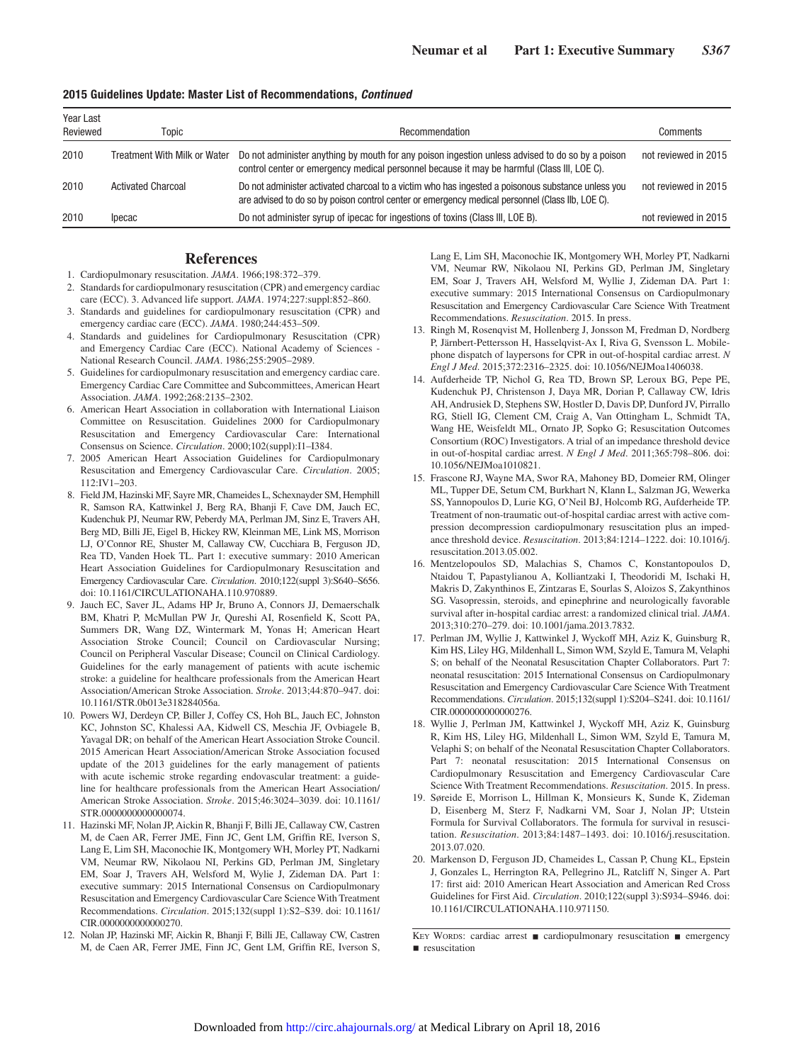| Year Last<br>Reviewed | Topic                               | Recommendation                                                                                                                                                                                         | Comments             |
|-----------------------|-------------------------------------|--------------------------------------------------------------------------------------------------------------------------------------------------------------------------------------------------------|----------------------|
| 2010                  | <b>Treatment With Milk or Water</b> | Do not administer anything by mouth for any poison ingestion unless advised to do so by a poison<br>control center or emergency medical personnel because it may be harmful (Class III, LOE C).        | not reviewed in 2015 |
| 2010                  | <b>Activated Charcoal</b>           | Do not administer activated charcoal to a victim who has ingested a poisonous substance unless you<br>are advised to do so by poison control center or emergency medical personnel (Class IIb, LOE C). | not reviewed in 2015 |
| 2010                  | Ipecac                              | Do not administer syrup of ipecac for ingestions of toxins (Class III, LOE B).                                                                                                                         | not reviewed in 2015 |

#### **References**

- 1. Cardiopulmonary resuscitation. *JAMA*. 1966;198:372–379.
- 2. Standards for cardiopulmonary resuscitation (CPR) and emergency cardiac care (ECC). 3. Advanced life support. *JAMA*. 1974;227:suppl:852–860.
- 3. Standards and guidelines for cardiopulmonary resuscitation (CPR) and emergency cardiac care (ECC). *JAMA*. 1980;244:453–509.
- 4. Standards and guidelines for Cardiopulmonary Resuscitation (CPR) and Emergency Cardiac Care (ECC). National Academy of Sciences - National Research Council. *JAMA*. 1986;255:2905–2989.
- 5. Guidelines for cardiopulmonary resuscitation and emergency cardiac care. Emergency Cardiac Care Committee and Subcommittees, American Heart Association. *JAMA*. 1992;268:2135–2302.
- 6. American Heart Association in collaboration with International Liaison Committee on Resuscitation. Guidelines 2000 for Cardiopulmonary Resuscitation and Emergency Cardiovascular Care: International Consensus on Science. *Circulation*. 2000;102(suppl):I1–I384.
- 7. 2005 American Heart Association Guidelines for Cardiopulmonary Resuscitation and Emergency Cardiovascular Care. *Circulation*. 2005; 112:IV1–203.
- 8. Field JM, Hazinski MF, Sayre MR, Chameides L, Schexnayder SM, Hemphill R, Samson RA, Kattwinkel J, Berg RA, Bhanji F, Cave DM, Jauch EC, Kudenchuk PJ, Neumar RW, Peberdy MA, Perlman JM, Sinz E, Travers AH, Berg MD, Billi JE, Eigel B, Hickey RW, Kleinman ME, Link MS, Morrison LJ, O'Connor RE, Shuster M, Callaway CW, Cucchiara B, Ferguson JD, Rea TD, Vanden Hoek TL. Part 1: executive summary: 2010 American Heart Association Guidelines for Cardiopulmonary Resuscitation and Emergency Cardiovascular Care. *Circulation*. 2010;122(suppl 3):S640–S656. doi: 10.1161/CIRCULATIONAHA.110.970889.
- 9. Jauch EC, Saver JL, Adams HP Jr, Bruno A, Connors JJ, Demaerschalk BM, Khatri P, McMullan PW Jr, Qureshi AI, Rosenfield K, Scott PA, Summers DR, Wang DZ, Wintermark M, Yonas H; American Heart Association Stroke Council; Council on Cardiovascular Nursing; Council on Peripheral Vascular Disease; Council on Clinical Cardiology. Guidelines for the early management of patients with acute ischemic stroke: a guideline for healthcare professionals from the American Heart Association/American Stroke Association. *Stroke*. 2013;44:870–947. doi: 10.1161/STR.0b013e318284056a.
- 10. Powers WJ, Derdeyn CP, Biller J, Coffey CS, Hoh BL, Jauch EC, Johnston KC, Johnston SC, Khalessi AA, Kidwell CS, Meschia JF, Ovbiagele B, Yavagal DR; on behalf of the American Heart Association Stroke Council. 2015 American Heart Association/American Stroke Association focused update of the 2013 guidelines for the early management of patients with acute ischemic stroke regarding endovascular treatment: a guideline for healthcare professionals from the American Heart Association/ American Stroke Association. *Stroke*. 2015;46:3024–3039. doi: 10.1161/ STR.0000000000000074.
- 11. Hazinski MF, Nolan JP, Aickin R, Bhanji F, Billi JE, Callaway CW, Castren M, de Caen AR, Ferrer JME, Finn JC, Gent LM, Griffin RE, Iverson S, Lang E, Lim SH, Maconochie IK, Montgomery WH, Morley PT, Nadkarni VM, Neumar RW, Nikolaou NI, Perkins GD, Perlman JM, Singletary EM, Soar J, Travers AH, Welsford M, Wylie J, Zideman DA. Part 1: executive summary: 2015 International Consensus on Cardiopulmonary Resuscitation and Emergency Cardiovascular Care Science With Treatment Recommendations. *Circulation*. 2015;132(suppl 1):S2–S39. doi: 10.1161/ CIR.0000000000000270.
- 12. Nolan JP, Hazinski MF, Aickin R, Bhanji F, Billi JE, Callaway CW, Castren M, de Caen AR, Ferrer JME, Finn JC, Gent LM, Griffin RE, Iverson S,

Lang E, Lim SH, Maconochie IK, Montgomery WH, Morley PT, Nadkarni VM, Neumar RW, Nikolaou NI, Perkins GD, Perlman JM, Singletary EM, Soar J, Travers AH, Welsford M, Wyllie J, Zideman DA. Part 1: executive summary: 2015 International Consensus on Cardiopulmonary Resuscitation and Emergency Cardiovascular Care Science With Treatment Recommendations. *Resuscitation*. 2015. In press.

- 13. Ringh M, Rosenqvist M, Hollenberg J, Jonsson M, Fredman D, Nordberg P, Järnbert-Pettersson H, Hasselqvist-Ax I, Riva G, Svensson L. Mobilephone dispatch of laypersons for CPR in out-of-hospital cardiac arrest. *N Engl J Med*. 2015;372:2316–2325. doi: 10.1056/NEJMoa1406038.
- 14. Aufderheide TP, Nichol G, Rea TD, Brown SP, Leroux BG, Pepe PE, Kudenchuk PJ, Christenson J, Daya MR, Dorian P, Callaway CW, Idris AH, Andrusiek D, Stephens SW, Hostler D, Davis DP, Dunford JV, Pirrallo RG, Stiell IG, Clement CM, Craig A, Van Ottingham L, Schmidt TA, Wang HE, Weisfeldt ML, Ornato JP, Sopko G; Resuscitation Outcomes Consortium (ROC) Investigators. A trial of an impedance threshold device in out-of-hospital cardiac arrest. *N Engl J Med*. 2011;365:798–806. doi: 10.1056/NEJMoa1010821.
- 15. Frascone RJ, Wayne MA, Swor RA, Mahoney BD, Domeier RM, Olinger ML, Tupper DE, Setum CM, Burkhart N, Klann L, Salzman JG, Wewerka SS, Yannopoulos D, Lurie KG, O'Neil BJ, Holcomb RG, Aufderheide TP. Treatment of non-traumatic out-of-hospital cardiac arrest with active compression decompression cardiopulmonary resuscitation plus an impedance threshold device. *Resuscitation*. 2013;84:1214–1222. doi: 10.1016/j. resuscitation.2013.05.002.
- 16. Mentzelopoulos SD, Malachias S, Chamos C, Konstantopoulos D, Ntaidou T, Papastylianou A, Kolliantzaki I, Theodoridi M, Ischaki H, Makris D, Zakynthinos E, Zintzaras E, Sourlas S, Aloizos S, Zakynthinos SG. Vasopressin, steroids, and epinephrine and neurologically favorable survival after in-hospital cardiac arrest: a randomized clinical trial. *JAMA*. 2013;310:270–279. doi: 10.1001/jama.2013.7832.
- 17. Perlman JM, Wyllie J, Kattwinkel J, Wyckoff MH, Aziz K, Guinsburg R, Kim HS, Liley HG, Mildenhall L, Simon WM, Szyld E, Tamura M, Velaphi S; on behalf of the Neonatal Resuscitation Chapter Collaborators. Part 7: neonatal resuscitation: 2015 International Consensus on Cardiopulmonary Resuscitation and Emergency Cardiovascular Care Science With Treatment Recommendations. *Circulation*. 2015;132(suppl 1):S204–S241. doi: 10.1161/ CIR.0000000000000276.
- 18. Wyllie J, Perlman JM, Kattwinkel J, Wyckoff MH, Aziz K, Guinsburg R, Kim HS, Liley HG, Mildenhall L, Simon WM, Szyld E, Tamura M, Velaphi S; on behalf of the Neonatal Resuscitation Chapter Collaborators. Part 7: neonatal resuscitation: 2015 International Consensus on Cardiopulmonary Resuscitation and Emergency Cardiovascular Care Science With Treatment Recommendations. *Resuscitation*. 2015. In press.
- 19. Søreide E, Morrison L, Hillman K, Monsieurs K, Sunde K, Zideman D, Eisenberg M, Sterz F, Nadkarni VM, Soar J, Nolan JP; Utstein Formula for Survival Collaborators. The formula for survival in resuscitation. *Resuscitation*. 2013;84:1487–1493. doi: 10.1016/j.resuscitation. 2013.07.020.
- 20. Markenson D, Ferguson JD, Chameides L, Cassan P, Chung KL, Epstein J, Gonzales L, Herrington RA, Pellegrino JL, Ratcliff N, Singer A. Part 17: first aid: 2010 American Heart Association and American Red Cross Guidelines for First Aid. *Circulation*. 2010;122(suppl 3):S934–S946. doi: 10.1161/CIRCULATIONAHA.110.971150.

KEY WORDS: cardiac arrest ■ cardiopulmonary resuscitation ■ emergency ■ resuscitation